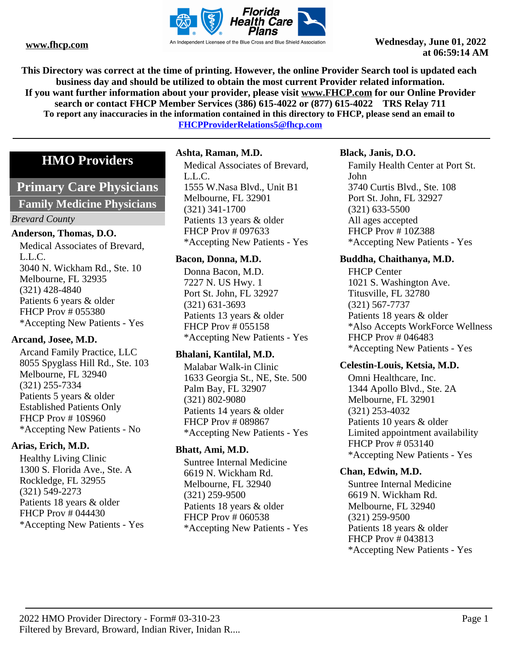

**This Directory was correct at the time of printing. However, the online Provider Search tool is updated each business day and should be utilized to obtain the most current Provider related information. If you want further information about your provider, please visit www.FHCP.com for our Online Provider search or contact FHCP Member Services (386) 615-4022 or (877) 615-4022 TRS Relay 711 To report any inaccuracies in the information contained in this directory to FHCP, please send an email to FHCPProviderRelations5@fhcp.com**

# **HMO Providers**

# **Primary Care Physicians**

#### **Family Medicine Physicians**

#### *Brevard County*

#### **Anderson, Thomas, D.O.**

Medical Associates of Brevard, L.L.C. 3040 N. Wickham Rd., Ste. 10 Melbourne, FL 32935 (321) 428-4840 Patients 6 years & older FHCP Prov # 055380 \*Accepting New Patients - Yes

#### **Arcand, Josee, M.D.**

Arcand Family Practice, LLC 8055 Spyglass Hill Rd., Ste. 103 Melbourne, FL 32940 (321) 255-7334 Patients 5 years & older Established Patients Only FHCP Prov # 10S960 \*Accepting New Patients - No

#### **Arias, Erich, M.D.**

Healthy Living Clinic 1300 S. Florida Ave., Ste. A Rockledge, FL 32955 (321) 549-2273 Patients 18 years & older FHCP Prov # 044430 \*Accepting New Patients - Yes

# **Ashta, Raman, M.D.**

Medical Associates of Brevard, L.L.C. 1555 W.Nasa Blvd., Unit B1 Melbourne, FL 32901 (321) 341-1700 Patients 13 years & older FHCP Prov # 097633 \*Accepting New Patients - Yes

#### **Bacon, Donna, M.D.**

Donna Bacon, M.D. 7227 N. US Hwy. 1 Port St. John, FL 32927 (321) 631-3693 Patients 13 years & older FHCP Prov # 055158 \*Accepting New Patients - Yes

#### **Bhalani, Kantilal, M.D.**

Malabar Walk-in Clinic 1633 Georgia St., NE, Ste. 500 Palm Bay, FL 32907 (321) 802-9080 Patients 14 years & older FHCP Prov # 089867 \*Accepting New Patients - Yes

#### **Bhatt, Ami, M.D.**

Suntree Internal Medicine 6619 N. Wickham Rd. Melbourne, FL 32940 (321) 259-9500 Patients 18 years & older FHCP Prov # 060538 \*Accepting New Patients - Yes

#### **Black, Janis, D.O.**

Family Health Center at Port St. John 3740 Curtis Blvd., Ste. 108 Port St. John, FL 32927 (321) 633-5500 All ages accepted FHCP Prov # 10Z388 \*Accepting New Patients - Yes

#### **Buddha, Chaithanya, M.D.**

FHCP Center 1021 S. Washington Ave. Titusville, FL 32780 (321) 567-7737 Patients 18 years & older \*Also Accepts WorkForce Wellness FHCP Prov # 046483 \*Accepting New Patients - Yes

#### **Celestin-Louis, Ketsia, M.D.**

Omni Healthcare, Inc. 1344 Apollo Blvd., Ste. 2A Melbourne, FL 32901 (321) 253-4032 Patients 10 years & older Limited appointment availability FHCP Prov # 053140 \*Accepting New Patients - Yes

# **Chan, Edwin, M.D.**

Suntree Internal Medicine 6619 N. Wickham Rd. Melbourne, FL 32940 (321) 259-9500 Patients 18 years & older FHCP Prov # 043813 \*Accepting New Patients - Yes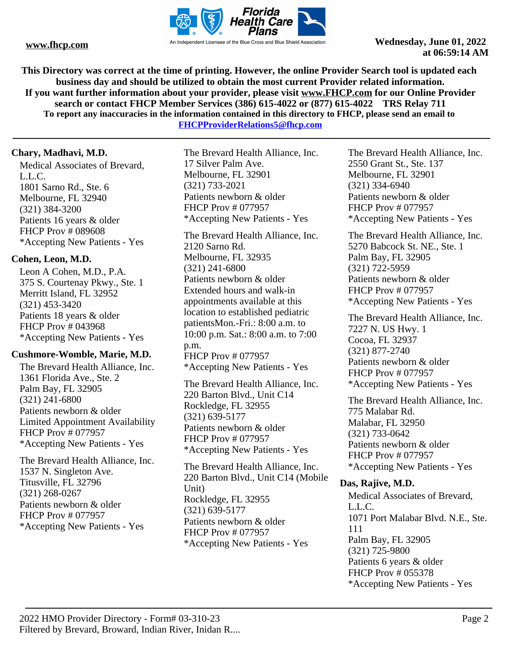

**This Directory was correct at the time of printing. However, the online Provider Search tool is updated each business day and should be utilized to obtain the most current Provider related information. If you want further information about your provider, please visit www.FHCP.com for our Online Provider search or contact FHCP Member Services (386) 615-4022 or (877) 615-4022 TRS Relay 711 To report any inaccuracies in the information contained in this directory to FHCP, please send an email to FHCPProviderRelations5@fhcp.com**

# **Chary, Madhavi, M.D.**

Medical Associates of Brevard, L.L.C. 1801 Sarno Rd., Ste. 6 Melbourne, FL 32940 (321) 384-3200 Patients 16 years & older FHCP Prov # 089608 \*Accepting New Patients - Yes

# **Cohen, Leon, M.D.**

Leon A Cohen, M.D., P.A. 375 S. Courtenay Pkwy., Ste. 1 Merritt Island, FL 32952 (321) 453-3420 Patients 18 years & older FHCP Prov # 043968 \*Accepting New Patients - Yes

# **Cushmore-Womble, Marie, M.D.**

The Brevard Health Alliance, Inc. 1361 Florida Ave., Ste. 2 Palm Bay, FL 32905 (321) 241-6800 Patients newborn & older Limited Appointment Availability FHCP Prov # 077957 \*Accepting New Patients - Yes

The Brevard Health Alliance, Inc. 1537 N. Singleton Ave. Titusville, FL 32796 (321) 268-0267 Patients newborn & older FHCP Prov # 077957 \*Accepting New Patients - Yes

The Brevard Health Alliance, Inc. 17 Silver Palm Ave. Melbourne, FL 32901 (321) 733-2021 Patients newborn & older FHCP Prov # 077957 \*Accepting New Patients - Yes

The Brevard Health Alliance, Inc. 2120 Sarno Rd. Melbourne, FL 32935 (321) 241-6800 Patients newborn & older Extended hours and walk-in appointments available at this location to established pediatric patientsMon.-Fri.: 8:00 a.m. to 10:00 p.m. Sat.: 8:00 a.m. to 7:00 p.m. FHCP Prov # 077957 \*Accepting New Patients - Yes

The Brevard Health Alliance, Inc. 220 Barton Blvd., Unit C14 Rockledge, FL 32955 (321) 639-5177 Patients newborn & older FHCP Prov # 077957 \*Accepting New Patients - Yes

The Brevard Health Alliance, Inc. 220 Barton Blvd., Unit C14 (Mobile Unit) Rockledge, FL 32955 (321) 639-5177 Patients newborn & older FHCP Prov # 077957 \*Accepting New Patients - Yes

The Brevard Health Alliance, Inc. 2550 Grant St., Ste. 137 Melbourne, FL 32901 (321) 334-6940 Patients newborn & older FHCP Prov # 077957 \*Accepting New Patients - Yes

The Brevard Health Alliance, Inc. 5270 Babcock St. NE., Ste. 1 Palm Bay, FL 32905 (321) 722-5959 Patients newborn & older FHCP Prov # 077957 \*Accepting New Patients - Yes

The Brevard Health Alliance, Inc. 7227 N. US Hwy. 1 Cocoa, FL 32937 (321) 877-2740 Patients newborn & older FHCP Prov # 077957 \*Accepting New Patients - Yes

The Brevard Health Alliance, Inc. 775 Malabar Rd. Malabar, FL 32950 (321) 733-0642 Patients newborn & older FHCP Prov # 077957 \*Accepting New Patients - Yes

#### **Das, Rajive, M.D.**

Medical Associates of Brevard, L.L.C. 1071 Port Malabar Blvd. N.E., Ste. 111 Palm Bay, FL 32905 (321) 725-9800 Patients 6 years & older FHCP Prov # 055378 \*Accepting New Patients - Yes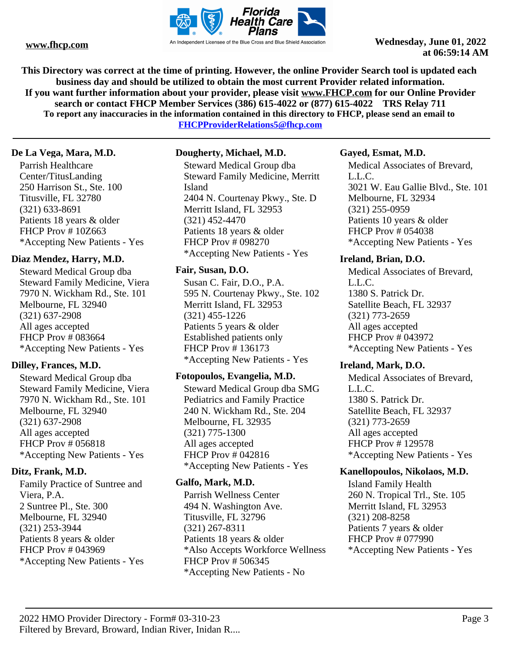

**This Directory was correct at the time of printing. However, the online Provider Search tool is updated each business day and should be utilized to obtain the most current Provider related information. If you want further information about your provider, please visit www.FHCP.com for our Online Provider search or contact FHCP Member Services (386) 615-4022 or (877) 615-4022 TRS Relay 711 To report any inaccuracies in the information contained in this directory to FHCP, please send an email to** 

**FHCPProviderRelations5@fhcp.com**

# **De La Vega, Mara, M.D.**

Parrish Healthcare Center/TitusLanding 250 Harrison St., Ste. 100 Titusville, FL 32780 (321) 633-8691 Patients 18 years & older FHCP Prov # 10Z663 \*Accepting New Patients - Yes

# **Diaz Mendez, Harry, M.D.**

Steward Medical Group dba Steward Family Medicine, Viera 7970 N. Wickham Rd., Ste. 101 Melbourne, FL 32940 (321) 637-2908 All ages accepted FHCP Prov # 083664 \*Accepting New Patients - Yes

# **Dilley, Frances, M.D.**

Steward Medical Group dba Steward Family Medicine, Viera 7970 N. Wickham Rd., Ste. 101 Melbourne, FL 32940 (321) 637-2908 All ages accepted FHCP Prov # 056818 \*Accepting New Patients - Yes

# **Ditz, Frank, M.D.**

Family Practice of Suntree and Viera, P.A. 2 Suntree Pl., Ste. 300 Melbourne, FL 32940 (321) 253-3944 Patients 8 years & older FHCP Prov # 043969 \*Accepting New Patients - Yes

# **Dougherty, Michael, M.D.**

Steward Medical Group dba Steward Family Medicine, Merritt Island 2404 N. Courtenay Pkwy., Ste. D Merritt Island, FL 32953 (321) 452-4470 Patients 18 years & older FHCP Prov # 098270 \*Accepting New Patients - Yes

# **Fair, Susan, D.O.**

Susan C. Fair, D.O., P.A. 595 N. Courtenay Pkwy., Ste. 102 Merritt Island, FL 32953 (321) 455-1226 Patients 5 years & older Established patients only FHCP Prov # 136173 \*Accepting New Patients - Yes

# **Fotopoulos, Evangelia, M.D.**

Steward Medical Group dba SMG Pediatrics and Family Practice 240 N. Wickham Rd., Ste. 204 Melbourne, FL 32935 (321) 775-1300 All ages accepted FHCP Prov # 042816 \*Accepting New Patients - Yes

# **Galfo, Mark, M.D.**

Parrish Wellness Center 494 N. Washington Ave. Titusville, FL 32796 (321) 267-8311 Patients 18 years & older \*Also Accepts Workforce Wellness FHCP Prov # 506345 \*Accepting New Patients - No

# **Gayed, Esmat, M.D.**

Medical Associates of Brevard, L.L.C. 3021 W. Eau Gallie Blvd., Ste. 101 Melbourne, FL 32934 (321) 255-0959 Patients 10 years & older FHCP Prov # 054038 \*Accepting New Patients - Yes

# **Ireland, Brian, D.O.**

Medical Associates of Brevard, L.L.C. 1380 S. Patrick Dr. Satellite Beach, FL 32937 (321) 773-2659 All ages accepted FHCP Prov # 043972 \*Accepting New Patients - Yes

#### **Ireland, Mark, D.O.**

Medical Associates of Brevard, L.L.C. 1380 S. Patrick Dr. Satellite Beach, FL 32937 (321) 773-2659 All ages accepted FHCP Prov # 129578 \*Accepting New Patients - Yes

# **Kanellopoulos, Nikolaos, M.D.**

Island Family Health 260 N. Tropical Trl., Ste. 105 Merritt Island, FL 32953 (321) 208-8258 Patients 7 years & older FHCP Prov # 077990 \*Accepting New Patients - Yes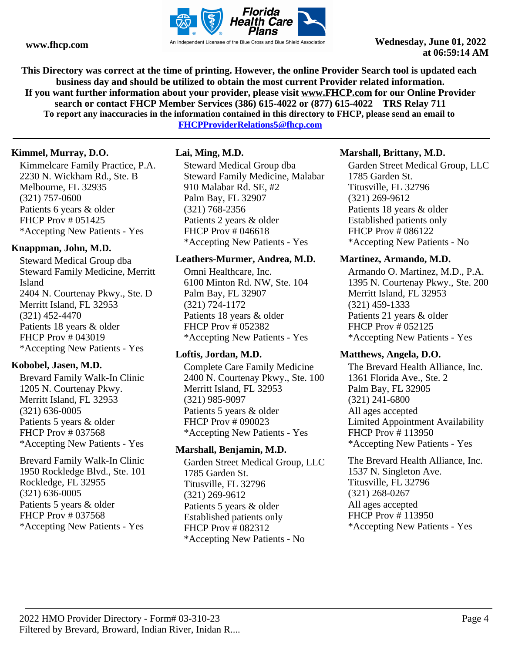

**This Directory was correct at the time of printing. However, the online Provider Search tool is updated each business day and should be utilized to obtain the most current Provider related information. If you want further information about your provider, please visit www.FHCP.com for our Online Provider search or contact FHCP Member Services (386) 615-4022 or (877) 615-4022 TRS Relay 711 To report any inaccuracies in the information contained in this directory to FHCP, please send an email to** 

**FHCPProviderRelations5@fhcp.com**

# **Kimmel, Murray, D.O.**

Kimmelcare Family Practice, P.A. 2230 N. Wickham Rd., Ste. B Melbourne, FL 32935 (321) 757-0600 Patients 6 years & older FHCP Prov # 051425 \*Accepting New Patients - Yes

# **Knappman, John, M.D.**

Steward Medical Group dba Steward Family Medicine, Merritt Island 2404 N. Courtenay Pkwy., Ste. D Merritt Island, FL 32953 (321) 452-4470 Patients 18 years & older FHCP Prov # 043019 \*Accepting New Patients - Yes

# **Kobobel, Jasen, M.D.**

Brevard Family Walk-In Clinic 1205 N. Courtenay Pkwy. Merritt Island, FL 32953 (321) 636-0005 Patients 5 years & older FHCP Prov # 037568 \*Accepting New Patients - Yes

Brevard Family Walk-In Clinic 1950 Rockledge Blvd., Ste. 101 Rockledge, FL 32955 (321) 636-0005 Patients 5 years & older FHCP Prov # 037568 \*Accepting New Patients - Yes

# **Lai, Ming, M.D.**

Steward Medical Group dba Steward Family Medicine, Malabar 910 Malabar Rd. SE, #2 Palm Bay, FL 32907 (321) 768-2356 Patients 2 years & older FHCP Prov # 046618 \*Accepting New Patients - Yes

#### **Leathers-Murmer, Andrea, M.D.**

Omni Healthcare, Inc. 6100 Minton Rd. NW, Ste. 104 Palm Bay, FL 32907 (321) 724-1172 Patients 18 years & older FHCP Prov # 052382 \*Accepting New Patients - Yes

# **Loftis, Jordan, M.D.**

Complete Care Family Medicine 2400 N. Courtenay Pkwy., Ste. 100 Merritt Island, FL 32953 (321) 985-9097 Patients 5 years & older FHCP Prov # 090023 \*Accepting New Patients - Yes

# **Marshall, Benjamin, M.D.**

Garden Street Medical Group, LLC 1785 Garden St. Titusville, FL 32796 (321) 269-9612 Patients 5 years & older Established patients only FHCP Prov # 082312 \*Accepting New Patients - No

# **Marshall, Brittany, M.D.**

Garden Street Medical Group, LLC 1785 Garden St. Titusville, FL 32796 (321) 269-9612 Patients 18 years & older Established patients only FHCP Prov # 086122 \*Accepting New Patients - No

#### **Martinez, Armando, M.D.**

Armando O. Martinez, M.D., P.A. 1395 N. Courtenay Pkwy., Ste. 200 Merritt Island, FL 32953 (321) 459-1333 Patients 21 years & older FHCP Prov # 052125 \*Accepting New Patients - Yes

#### **Matthews, Angela, D.O.**

The Brevard Health Alliance, Inc. 1361 Florida Ave., Ste. 2 Palm Bay, FL 32905 (321) 241-6800 All ages accepted Limited Appointment Availability FHCP Prov # 113950 \*Accepting New Patients - Yes

The Brevard Health Alliance, Inc. 1537 N. Singleton Ave. Titusville, FL 32796 (321) 268-0267 All ages accepted FHCP Prov # 113950 \*Accepting New Patients - Yes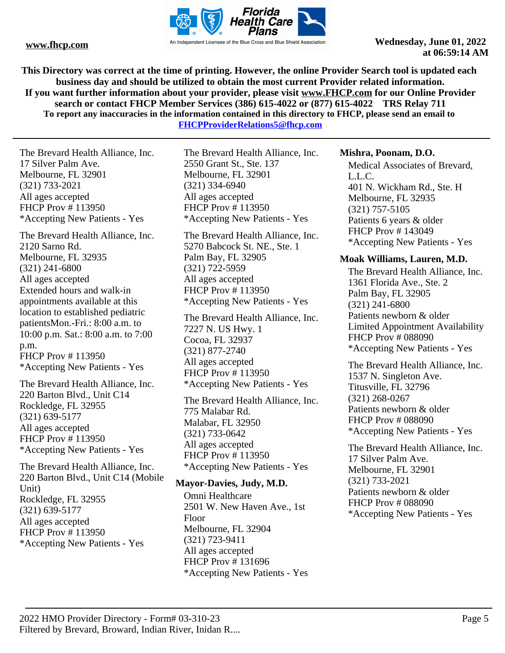

**This Directory was correct at the time of printing. However, the online Provider Search tool is updated each business day and should be utilized to obtain the most current Provider related information. If you want further information about your provider, please visit www.FHCP.com for our Online Provider search or contact FHCP Member Services (386) 615-4022 or (877) 615-4022 TRS Relay 711 To report any inaccuracies in the information contained in this directory to FHCP, please send an email to FHCPProviderRelations5@fhcp.com**

The Brevard Health Alliance, Inc. 17 Silver Palm Ave. Melbourne, FL 32901 (321) 733-2021 All ages accepted FHCP Prov # 113950 \*Accepting New Patients - Yes

The Brevard Health Alliance, Inc. 2120 Sarno Rd. Melbourne, FL 32935 (321) 241-6800 All ages accepted Extended hours and walk-in appointments available at this location to established pediatric patientsMon.-Fri.: 8:00 a.m. to 10:00 p.m. Sat.: 8:00 a.m. to 7:00 p.m. FHCP Prov # 113950 \*Accepting New Patients - Yes

The Brevard Health Alliance, Inc. 220 Barton Blvd., Unit C14 Rockledge, FL 32955 (321) 639-5177 All ages accepted FHCP Prov # 113950 \*Accepting New Patients - Yes

The Brevard Health Alliance, Inc. 220 Barton Blvd., Unit C14 (Mobile Unit) Rockledge, FL 32955 (321) 639-5177 All ages accepted FHCP Prov # 113950 \*Accepting New Patients - Yes

The Brevard Health Alliance, Inc. 2550 Grant St., Ste. 137 Melbourne, FL 32901 (321) 334-6940 All ages accepted FHCP Prov # 113950 \*Accepting New Patients - Yes

The Brevard Health Alliance, Inc. 5270 Babcock St. NE., Ste. 1 Palm Bay, FL 32905 (321) 722-5959 All ages accepted FHCP Prov # 113950 \*Accepting New Patients - Yes

The Brevard Health Alliance, Inc. 7227 N. US Hwy. 1 Cocoa, FL 32937 (321) 877-2740 All ages accepted FHCP Prov # 113950 \*Accepting New Patients - Yes

The Brevard Health Alliance, Inc. 775 Malabar Rd. Malabar, FL 32950 (321) 733-0642 All ages accepted FHCP Prov # 113950 \*Accepting New Patients - Yes

#### **Mayor-Davies, Judy, M.D.**

Omni Healthcare 2501 W. New Haven Ave., 1st Floor Melbourne, FL 32904 (321) 723-9411 All ages accepted FHCP Prov # 131696 \*Accepting New Patients - Yes

#### **Mishra, Poonam, D.O.**

Medical Associates of Brevard, L.L.C. 401 N. Wickham Rd., Ste. H Melbourne, FL 32935 (321) 757-5105 Patients 6 years & older FHCP Prov # 143049 \*Accepting New Patients - Yes

#### **Moak Williams, Lauren, M.D.**

The Brevard Health Alliance, Inc. 1361 Florida Ave., Ste. 2 Palm Bay, FL 32905 (321) 241-6800 Patients newborn & older Limited Appointment Availability FHCP Prov # 088090 \*Accepting New Patients - Yes

The Brevard Health Alliance, Inc. 1537 N. Singleton Ave. Titusville, FL 32796 (321) 268-0267 Patients newborn & older FHCP Prov # 088090 \*Accepting New Patients - Yes

The Brevard Health Alliance, Inc. 17 Silver Palm Ave. Melbourne, FL 32901 (321) 733-2021 Patients newborn & older FHCP Prov # 088090 \*Accepting New Patients - Yes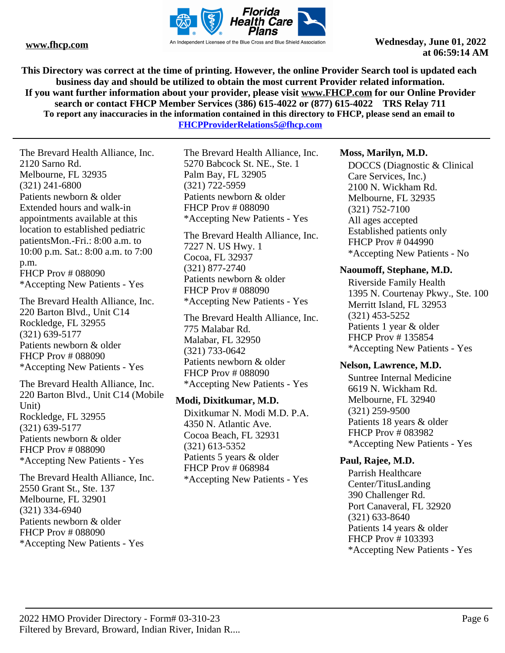

**This Directory was correct at the time of printing. However, the online Provider Search tool is updated each business day and should be utilized to obtain the most current Provider related information. If you want further information about your provider, please visit www.FHCP.com for our Online Provider search or contact FHCP Member Services (386) 615-4022 or (877) 615-4022 TRS Relay 711 To report any inaccuracies in the information contained in this directory to FHCP, please send an email to** 

**FHCPProviderRelations5@fhcp.com**

The Brevard Health Alliance, Inc. 2120 Sarno Rd. Melbourne, FL 32935 (321) 241-6800 Patients newborn & older Extended hours and walk-in appointments available at this location to established pediatric patientsMon.-Fri.: 8:00 a.m. to 10:00 p.m. Sat.: 8:00 a.m. to 7:00 p.m. FHCP Prov # 088090 \*Accepting New Patients - Yes

The Brevard Health Alliance, Inc. 220 Barton Blvd., Unit C14 Rockledge, FL 32955 (321) 639-5177 Patients newborn & older FHCP Prov # 088090 \*Accepting New Patients - Yes

The Brevard Health Alliance, Inc. 220 Barton Blvd., Unit C14 (Mobile Unit) Rockledge, FL 32955 (321) 639-5177 Patients newborn & older FHCP Prov # 088090 \*Accepting New Patients - Yes

The Brevard Health Alliance, Inc. 2550 Grant St., Ste. 137 Melbourne, FL 32901 (321) 334-6940 Patients newborn & older FHCP Prov # 088090 \*Accepting New Patients - Yes

The Brevard Health Alliance, Inc. 5270 Babcock St. NE., Ste. 1 Palm Bay, FL 32905 (321) 722-5959 Patients newborn & older FHCP Prov # 088090 \*Accepting New Patients - Yes

The Brevard Health Alliance, Inc. 7227 N. US Hwy. 1 Cocoa, FL 32937 (321) 877-2740 Patients newborn & older FHCP Prov # 088090 \*Accepting New Patients - Yes

The Brevard Health Alliance, Inc. 775 Malabar Rd. Malabar, FL 32950 (321) 733-0642 Patients newborn & older FHCP Prov # 088090 \*Accepting New Patients - Yes

#### **Modi, Dixitkumar, M.D.**

Dixitkumar N. Modi M.D. P.A. 4350 N. Atlantic Ave. Cocoa Beach, FL 32931 (321) 613-5352 Patients 5 years & older FHCP Prov # 068984 \*Accepting New Patients - Yes

# **Moss, Marilyn, M.D.**

DOCCS (Diagnostic & Clinical Care Services, Inc.) 2100 N. Wickham Rd. Melbourne, FL 32935 (321) 752-7100 All ages accepted Established patients only FHCP Prov # 044990 \*Accepting New Patients - No

# **Naoumoff, Stephane, M.D.**

Riverside Family Health 1395 N. Courtenay Pkwy., Ste. 100 Merritt Island, FL 32953 (321) 453-5252 Patients 1 year & older FHCP Prov # 135854 \*Accepting New Patients - Yes

# **Nelson, Lawrence, M.D.**

Suntree Internal Medicine 6619 N. Wickham Rd. Melbourne, FL 32940 (321) 259-9500 Patients 18 years & older FHCP Prov # 083982 \*Accepting New Patients - Yes

# **Paul, Rajee, M.D.**

Parrish Healthcare Center/TitusLanding 390 Challenger Rd. Port Canaveral, FL 32920 (321) 633-8640 Patients 14 years & older FHCP Prov # 103393 \*Accepting New Patients - Yes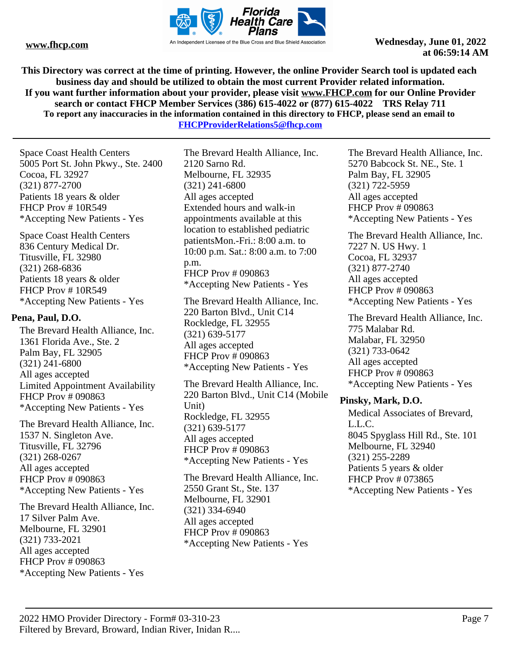

**This Directory was correct at the time of printing. However, the online Provider Search tool is updated each business day and should be utilized to obtain the most current Provider related information. If you want further information about your provider, please visit www.FHCP.com for our Online Provider search or contact FHCP Member Services (386) 615-4022 or (877) 615-4022 TRS Relay 711 To report any inaccuracies in the information contained in this directory to FHCP, please send an email to FHCPProviderRelations5@fhcp.com**

Space Coast Health Centers 5005 Port St. John Pkwy., Ste. 2400 Cocoa, FL 32927 (321) 877-2700 Patients 18 years & older FHCP Prov # 10R549 \*Accepting New Patients - Yes

Space Coast Health Centers 836 Century Medical Dr. Titusville, FL 32980 (321) 268-6836 Patients 18 years & older FHCP Prov # 10R549 \*Accepting New Patients - Yes

#### **Pena, Paul, D.O.**

The Brevard Health Alliance, Inc. 1361 Florida Ave., Ste. 2 Palm Bay, FL 32905 (321) 241-6800 All ages accepted Limited Appointment Availability FHCP Prov # 090863 \*Accepting New Patients - Yes

The Brevard Health Alliance, Inc. 1537 N. Singleton Ave. Titusville, FL 32796 (321) 268-0267 All ages accepted FHCP Prov # 090863 \*Accepting New Patients - Yes

The Brevard Health Alliance, Inc. 17 Silver Palm Ave. Melbourne, FL 32901 (321) 733-2021 All ages accepted FHCP Prov # 090863 \*Accepting New Patients - Yes

The Brevard Health Alliance, Inc. 2120 Sarno Rd. Melbourne, FL 32935 (321) 241-6800 All ages accepted Extended hours and walk-in appointments available at this location to established pediatric patientsMon.-Fri.: 8:00 a.m. to 10:00 p.m. Sat.: 8:00 a.m. to 7:00 p.m. FHCP Prov # 090863 \*Accepting New Patients - Yes

The Brevard Health Alliance, Inc. 220 Barton Blvd., Unit C14 Rockledge, FL 32955 (321) 639-5177 All ages accepted FHCP Prov # 090863 \*Accepting New Patients - Yes

The Brevard Health Alliance, Inc. 220 Barton Blvd., Unit C14 (Mobile Unit) Rockledge, FL 32955 (321) 639-5177 All ages accepted FHCP Prov # 090863 \*Accepting New Patients - Yes

The Brevard Health Alliance, Inc. 2550 Grant St., Ste. 137 Melbourne, FL 32901 (321) 334-6940 All ages accepted FHCP Prov # 090863 \*Accepting New Patients - Yes

The Brevard Health Alliance, Inc. 5270 Babcock St. NE., Ste. 1 Palm Bay, FL 32905 (321) 722-5959 All ages accepted FHCP Prov # 090863 \*Accepting New Patients - Yes

The Brevard Health Alliance, Inc. 7227 N. US Hwy. 1 Cocoa, FL 32937 (321) 877-2740 All ages accepted FHCP Prov # 090863 \*Accepting New Patients - Yes

The Brevard Health Alliance, Inc. 775 Malabar Rd. Malabar, FL 32950 (321) 733-0642 All ages accepted FHCP Prov # 090863 \*Accepting New Patients - Yes

#### **Pinsky, Mark, D.O.**

Medical Associates of Brevard, L.L.C. 8045 Spyglass Hill Rd., Ste. 101 Melbourne, FL 32940 (321) 255-2289 Patients 5 years & older FHCP Prov # 073865 \*Accepting New Patients - Yes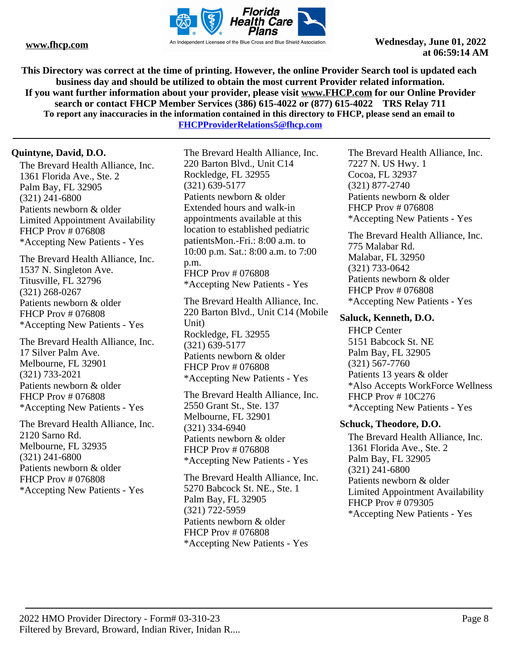

**This Directory was correct at the time of printing. However, the online Provider Search tool is updated each business day and should be utilized to obtain the most current Provider related information. If you want further information about your provider, please visit www.FHCP.com for our Online Provider search or contact FHCP Member Services (386) 615-4022 or (877) 615-4022 TRS Relay 711 To report any inaccuracies in the information contained in this directory to FHCP, please send an email to** 

**FHCPProviderRelations5@fhcp.com**

# **Quintyne, David, D.O.**

The Brevard Health Alliance, Inc. 1361 Florida Ave., Ste. 2 Palm Bay, FL 32905 (321) 241-6800 Patients newborn & older Limited Appointment Availability FHCP Prov # 076808 \*Accepting New Patients - Yes

The Brevard Health Alliance, Inc. 1537 N. Singleton Ave. Titusville, FL 32796 (321) 268-0267 Patients newborn & older FHCP Prov # 076808 \*Accepting New Patients - Yes

The Brevard Health Alliance, Inc. 17 Silver Palm Ave. Melbourne, FL 32901 (321) 733-2021 Patients newborn & older FHCP Prov # 076808 \*Accepting New Patients - Yes

The Brevard Health Alliance, Inc. 2120 Sarno Rd. Melbourne, FL 32935 (321) 241-6800 Patients newborn & older FHCP Prov # 076808 \*Accepting New Patients - Yes

The Brevard Health Alliance, Inc. 220 Barton Blvd., Unit C14 Rockledge, FL 32955 (321) 639-5177 Patients newborn & older Extended hours and walk-in appointments available at this location to established pediatric patientsMon.-Fri.: 8:00 a.m. to 10:00 p.m. Sat.: 8:00 a.m. to 7:00 p.m. FHCP Prov # 076808 \*Accepting New Patients - Yes

The Brevard Health Alliance, Inc. 220 Barton Blvd., Unit C14 (Mobile Unit) Rockledge, FL 32955 (321) 639-5177 Patients newborn & older FHCP Prov # 076808 \*Accepting New Patients - Yes

The Brevard Health Alliance, Inc. 2550 Grant St., Ste. 137 Melbourne, FL 32901 (321) 334-6940 Patients newborn & older FHCP Prov # 076808 \*Accepting New Patients - Yes

The Brevard Health Alliance, Inc. 5270 Babcock St. NE., Ste. 1 Palm Bay, FL 32905 (321) 722-5959 Patients newborn & older FHCP Prov # 076808 \*Accepting New Patients - Yes

The Brevard Health Alliance, Inc. 7227 N. US Hwy. 1 Cocoa, FL 32937 (321) 877-2740 Patients newborn & older FHCP Prov # 076808 \*Accepting New Patients - Yes

The Brevard Health Alliance, Inc. 775 Malabar Rd. Malabar, FL 32950 (321) 733-0642 Patients newborn & older FHCP Prov # 076808 \*Accepting New Patients - Yes

#### **Saluck, Kenneth, D.O.**

FHCP Center 5151 Babcock St. NE Palm Bay, FL 32905 (321) 567-7760 Patients 13 years & older \*Also Accepts WorkForce Wellness FHCP Prov # 10C276 \*Accepting New Patients - Yes

#### **Schuck, Theodore, D.O.**

The Brevard Health Alliance, Inc. 1361 Florida Ave., Ste. 2 Palm Bay, FL 32905 (321) 241-6800 Patients newborn & older Limited Appointment Availability FHCP Prov # 079305 \*Accepting New Patients - Yes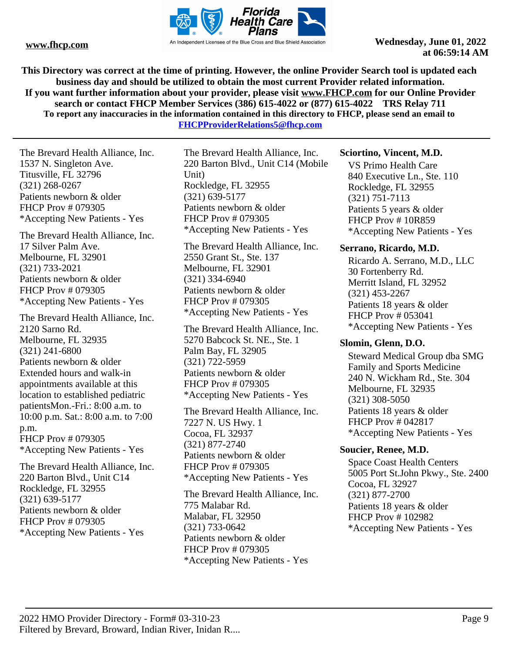

**This Directory was correct at the time of printing. However, the online Provider Search tool is updated each business day and should be utilized to obtain the most current Provider related information. If you want further information about your provider, please visit www.FHCP.com for our Online Provider search or contact FHCP Member Services (386) 615-4022 or (877) 615-4022 TRS Relay 711 To report any inaccuracies in the information contained in this directory to FHCP, please send an email to** 

**FHCPProviderRelations5@fhcp.com**

The Brevard Health Alliance, Inc. 1537 N. Singleton Ave. Titusville, FL 32796 (321) 268-0267 Patients newborn & older FHCP Prov # 079305 \*Accepting New Patients - Yes

The Brevard Health Alliance, Inc. 17 Silver Palm Ave. Melbourne, FL 32901 (321) 733-2021 Patients newborn & older FHCP Prov # 079305 \*Accepting New Patients - Yes

The Brevard Health Alliance, Inc. 2120 Sarno Rd. Melbourne, FL 32935 (321) 241-6800 Patients newborn & older Extended hours and walk-in appointments available at this location to established pediatric patientsMon.-Fri.: 8:00 a.m. to 10:00 p.m. Sat.: 8:00 a.m. to 7:00 p.m. FHCP Prov # 079305 \*Accepting New Patients - Yes

The Brevard Health Alliance, Inc. 220 Barton Blvd., Unit C14 Rockledge, FL 32955 (321) 639-5177 Patients newborn & older FHCP Prov # 079305 \*Accepting New Patients - Yes

The Brevard Health Alliance, Inc. 220 Barton Blvd., Unit C14 (Mobile Unit) Rockledge, FL 32955 (321) 639-5177 Patients newborn & older FHCP Prov # 079305 \*Accepting New Patients - Yes

The Brevard Health Alliance, Inc. 2550 Grant St., Ste. 137 Melbourne, FL 32901 (321) 334-6940 Patients newborn & older FHCP Prov # 079305 \*Accepting New Patients - Yes

The Brevard Health Alliance, Inc. 5270 Babcock St. NE., Ste. 1 Palm Bay, FL 32905 (321) 722-5959 Patients newborn & older FHCP Prov # 079305 \*Accepting New Patients - Yes

The Brevard Health Alliance, Inc. 7227 N. US Hwy. 1 Cocoa, FL 32937 (321) 877-2740 Patients newborn & older FHCP Prov # 079305 \*Accepting New Patients - Yes

The Brevard Health Alliance, Inc. 775 Malabar Rd. Malabar, FL 32950 (321) 733-0642 Patients newborn & older FHCP Prov # 079305 \*Accepting New Patients - Yes

#### **Sciortino, Vincent, M.D.**

VS Primo Health Care 840 Executive Ln., Ste. 110 Rockledge, FL 32955 (321) 751-7113 Patients 5 years & older FHCP Prov # 10R859 \*Accepting New Patients - Yes

#### **Serrano, Ricardo, M.D.**

Ricardo A. Serrano, M.D., LLC 30 Fortenberry Rd. Merritt Island, FL 32952 (321) 453-2267 Patients 18 years & older FHCP Prov # 053041 \*Accepting New Patients - Yes

#### **Slomin, Glenn, D.O.**

Steward Medical Group dba SMG Family and Sports Medicine 240 N. Wickham Rd., Ste. 304 Melbourne, FL 32935 (321) 308-5050 Patients 18 years & older FHCP Prov # 042817 \*Accepting New Patients - Yes

#### **Soucier, Renee, M.D.**

Space Coast Health Centers 5005 Port St.John Pkwy., Ste. 2400 Cocoa, FL 32927 (321) 877-2700 Patients 18 years & older FHCP Prov # 102982 \*Accepting New Patients - Yes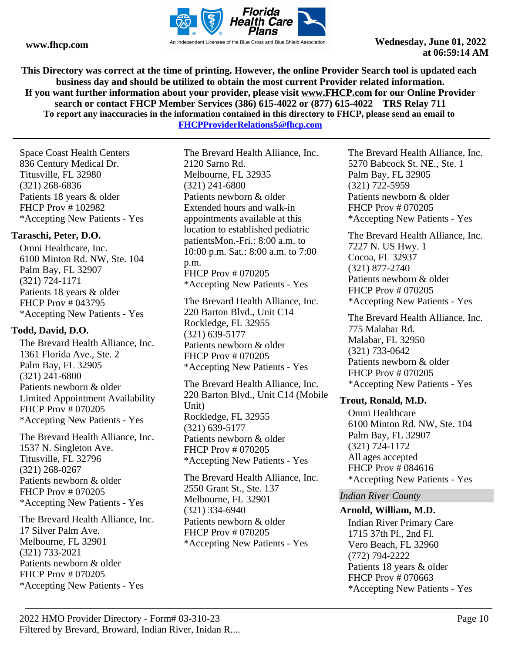

**This Directory was correct at the time of printing. However, the online Provider Search tool is updated each business day and should be utilized to obtain the most current Provider related information. If you want further information about your provider, please visit www.FHCP.com for our Online Provider search or contact FHCP Member Services (386) 615-4022 or (877) 615-4022 TRS Relay 711 To report any inaccuracies in the information contained in this directory to FHCP, please send an email to FHCPProviderRelations5@fhcp.com**

Space Coast Health Centers 836 Century Medical Dr. Titusville, FL 32980 (321) 268-6836 Patients 18 years & older FHCP Prov # 102982 \*Accepting New Patients - Yes

# **Taraschi, Peter, D.O.**

Omni Healthcare, Inc. 6100 Minton Rd. NW, Ste. 104 Palm Bay, FL 32907 (321) 724-1171 Patients 18 years & older FHCP Prov # 043795 \*Accepting New Patients - Yes

# **Todd, David, D.O.**

The Brevard Health Alliance, Inc. 1361 Florida Ave., Ste. 2 Palm Bay, FL 32905 (321) 241-6800 Patients newborn & older Limited Appointment Availability FHCP Prov # 070205 \*Accepting New Patients - Yes

The Brevard Health Alliance, Inc. 1537 N. Singleton Ave. Titusville, FL 32796 (321) 268-0267 Patients newborn & older FHCP Prov # 070205 \*Accepting New Patients - Yes

The Brevard Health Alliance, Inc. 17 Silver Palm Ave. Melbourne, FL 32901 (321) 733-2021 Patients newborn & older FHCP Prov # 070205 \*Accepting New Patients - Yes

The Brevard Health Alliance, Inc. 2120 Sarno Rd. Melbourne, FL 32935 (321) 241-6800 Patients newborn & older Extended hours and walk-in appointments available at this location to established pediatric patientsMon.-Fri.: 8:00 a.m. to 10:00 p.m. Sat.: 8:00 a.m. to 7:00 p.m. FHCP Prov # 070205 \*Accepting New Patients - Yes

The Brevard Health Alliance, Inc. 220 Barton Blvd., Unit C14 Rockledge, FL 32955 (321) 639-5177 Patients newborn & older FHCP Prov # 070205 \*Accepting New Patients - Yes

The Brevard Health Alliance, Inc. 220 Barton Blvd., Unit C14 (Mobile Unit) Rockledge, FL 32955 (321) 639-5177 Patients newborn & older FHCP Prov # 070205 \*Accepting New Patients - Yes

The Brevard Health Alliance, Inc. 2550 Grant St., Ste. 137 Melbourne, FL 32901 (321) 334-6940 Patients newborn & older FHCP Prov # 070205 \*Accepting New Patients - Yes

The Brevard Health Alliance, Inc. 5270 Babcock St. NE., Ste. 1 Palm Bay, FL 32905 (321) 722-5959 Patients newborn & older FHCP Prov # 070205 \*Accepting New Patients - Yes

The Brevard Health Alliance, Inc. 7227 N. US Hwy. 1 Cocoa, FL 32937 (321) 877-2740 Patients newborn & older FHCP Prov # 070205 \*Accepting New Patients - Yes

The Brevard Health Alliance, Inc. 775 Malabar Rd. Malabar, FL 32950 (321) 733-0642 Patients newborn & older FHCP Prov # 070205 \*Accepting New Patients - Yes

# **Trout, Ronald, M.D.**

Omni Healthcare 6100 Minton Rd. NW, Ste. 104 Palm Bay, FL 32907 (321) 724-1172 All ages accepted FHCP Prov # 084616 \*Accepting New Patients - Yes

#### *Indian River County*

#### **Arnold, William, M.D.**

Indian River Primary Care 1715 37th Pl., 2nd Fl. Vero Beach, FL 32960 (772) 794-2222 Patients 18 years & older FHCP Prov # 070663 \*Accepting New Patients - Yes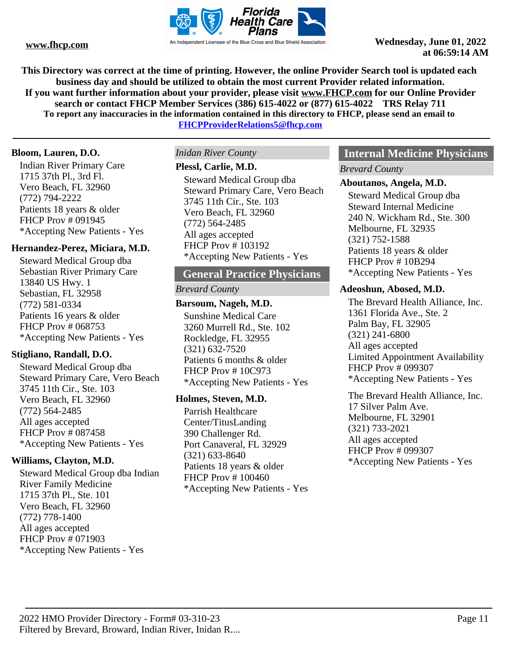

**This Directory was correct at the time of printing. However, the online Provider Search tool is updated each business day and should be utilized to obtain the most current Provider related information. If you want further information about your provider, please visit www.FHCP.com for our Online Provider search or contact FHCP Member Services (386) 615-4022 or (877) 615-4022 TRS Relay 711 To report any inaccuracies in the information contained in this directory to FHCP, please send an email to** 

**FHCPProviderRelations5@fhcp.com**

#### **Bloom, Lauren, D.O.**

Indian River Primary Care 1715 37th Pl., 3rd Fl. Vero Beach, FL 32960 (772) 794-2222 Patients 18 years & older FHCP Prov # 091945 \*Accepting New Patients - Yes

#### **Hernandez-Perez, Miciara, M.D.**

Steward Medical Group dba Sebastian River Primary Care 13840 US Hwy. 1 Sebastian, FL 32958 (772) 581-0334 Patients 16 years & older FHCP Prov # 068753 \*Accepting New Patients - Yes

#### **Stigliano, Randall, D.O.**

Steward Medical Group dba Steward Primary Care, Vero Beach 3745 11th Cir., Ste. 103 Vero Beach, FL 32960 (772) 564-2485 All ages accepted FHCP Prov # 087458 \*Accepting New Patients - Yes

#### **Williams, Clayton, M.D.**

Steward Medical Group dba Indian River Family Medicine 1715 37th Pl., Ste. 101 Vero Beach, FL 32960 (772) 778-1400 All ages accepted FHCP Prov # 071903 \*Accepting New Patients - Yes

#### *Inidan River County*

#### **Plessl, Carlie, M.D.**

Steward Medical Group dba Steward Primary Care, Vero Beach 3745 11th Cir., Ste. 103 Vero Beach, FL 32960 (772) 564-2485 All ages accepted FHCP Prov # 103192 \*Accepting New Patients - Yes

# **General Practice Physicians**

#### *Brevard County*

# **Barsoum, Nageh, M.D.**

Sunshine Medical Care 3260 Murrell Rd., Ste. 102 Rockledge, FL 32955 (321) 632-7520 Patients 6 months & older FHCP Prov # 10C973 \*Accepting New Patients - Yes

#### **Holmes, Steven, M.D.**

Parrish Healthcare Center/TitusLanding 390 Challenger Rd. Port Canaveral, FL 32929 (321) 633-8640 Patients 18 years & older FHCP Prov # 100460 \*Accepting New Patients - Yes

# **Internal Medicine Physicians**

*Brevard County*

#### **Aboutanos, Angela, M.D.**

Steward Medical Group dba Steward Internal Medicine 240 N. Wickham Rd., Ste. 300 Melbourne, FL 32935 (321) 752-1588 Patients 18 years & older FHCP Prov # 10B294 \*Accepting New Patients - Yes

#### **Adeoshun, Abosed, M.D.**

The Brevard Health Alliance, Inc. 1361 Florida Ave., Ste. 2 Palm Bay, FL 32905 (321) 241-6800 All ages accepted Limited Appointment Availability FHCP Prov # 099307 \*Accepting New Patients - Yes

The Brevard Health Alliance, Inc. 17 Silver Palm Ave. Melbourne, FL 32901 (321) 733-2021 All ages accepted FHCP Prov # 099307 \*Accepting New Patients - Yes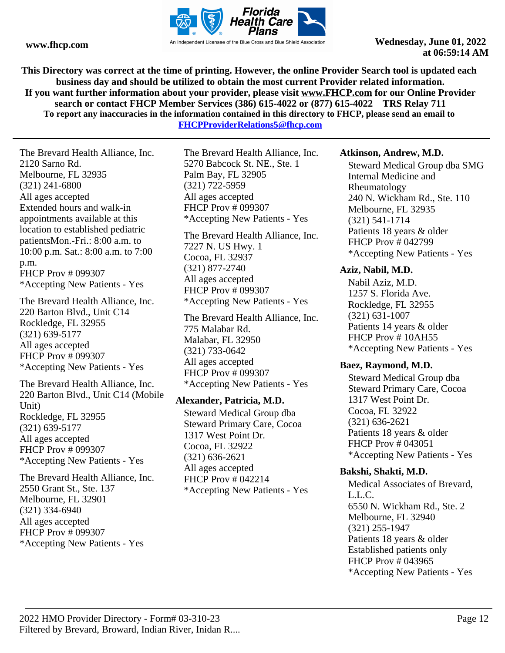

**This Directory was correct at the time of printing. However, the online Provider Search tool is updated each business day and should be utilized to obtain the most current Provider related information. If you want further information about your provider, please visit www.FHCP.com for our Online Provider search or contact FHCP Member Services (386) 615-4022 or (877) 615-4022 TRS Relay 711 To report any inaccuracies in the information contained in this directory to FHCP, please send an email to** 

**FHCPProviderRelations5@fhcp.com**

The Brevard Health Alliance, Inc. 2120 Sarno Rd. Melbourne, FL 32935 (321) 241-6800 All ages accepted Extended hours and walk-in appointments available at this location to established pediatric patientsMon.-Fri.: 8:00 a.m. to 10:00 p.m. Sat.: 8:00 a.m. to 7:00 p.m. FHCP Prov # 099307 \*Accepting New Patients - Yes

The Brevard Health Alliance, Inc. 220 Barton Blvd., Unit C14 Rockledge, FL 32955 (321) 639-5177 All ages accepted FHCP Prov # 099307 \*Accepting New Patients - Yes

The Brevard Health Alliance, Inc. 220 Barton Blvd., Unit C14 (Mobile Unit) Rockledge, FL 32955 (321) 639-5177 All ages accepted FHCP Prov # 099307 \*Accepting New Patients - Yes

The Brevard Health Alliance, Inc. 2550 Grant St., Ste. 137 Melbourne, FL 32901 (321) 334-6940 All ages accepted FHCP Prov # 099307 \*Accepting New Patients - Yes

The Brevard Health Alliance, Inc. 5270 Babcock St. NE., Ste. 1 Palm Bay, FL 32905 (321) 722-5959 All ages accepted FHCP Prov # 099307 \*Accepting New Patients - Yes

The Brevard Health Alliance, Inc. 7227 N. US Hwy. 1 Cocoa, FL 32937 (321) 877-2740 All ages accepted FHCP Prov # 099307 \*Accepting New Patients - Yes

The Brevard Health Alliance, Inc. 775 Malabar Rd. Malabar, FL 32950 (321) 733-0642 All ages accepted FHCP Prov # 099307 \*Accepting New Patients - Yes

# **Alexander, Patricia, M.D.**

Steward Medical Group dba Steward Primary Care, Cocoa 1317 West Point Dr. Cocoa, FL 32922 (321) 636-2621 All ages accepted FHCP Prov # 042214 \*Accepting New Patients - Yes

#### **Atkinson, Andrew, M.D.**

Steward Medical Group dba SMG Internal Medicine and Rheumatology 240 N. Wickham Rd., Ste. 110 Melbourne, FL 32935 (321) 541-1714 Patients 18 years & older FHCP Prov # 042799 \*Accepting New Patients - Yes

#### **Aziz, Nabil, M.D.**

Nabil Aziz, M.D. 1257 S. Florida Ave. Rockledge, FL 32955 (321) 631-1007 Patients 14 years & older FHCP Prov #10AH55 \*Accepting New Patients - Yes

#### **Baez, Raymond, M.D.**

Steward Medical Group dba Steward Primary Care, Cocoa 1317 West Point Dr. Cocoa, FL 32922 (321) 636-2621 Patients 18 years & older FHCP Prov # 043051 \*Accepting New Patients - Yes

# **Bakshi, Shakti, M.D.**

Medical Associates of Brevard, L.L.C. 6550 N. Wickham Rd., Ste. 2 Melbourne, FL 32940 (321) 255-1947 Patients 18 years & older Established patients only FHCP Prov # 043965 \*Accepting New Patients - Yes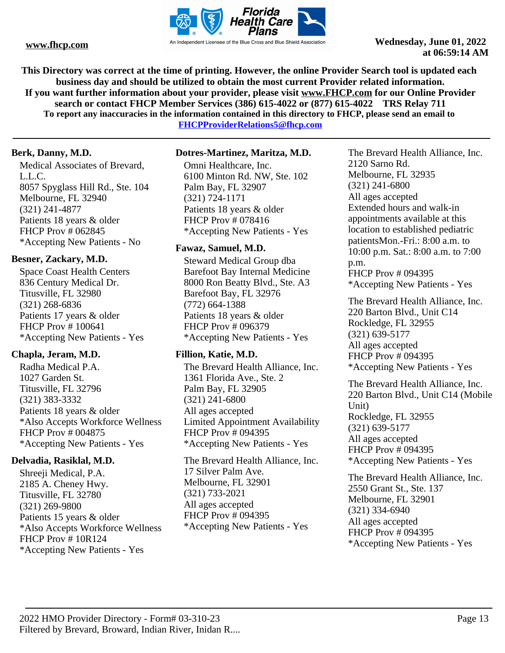

**This Directory was correct at the time of printing. However, the online Provider Search tool is updated each business day and should be utilized to obtain the most current Provider related information. If you want further information about your provider, please visit www.FHCP.com for our Online Provider search or contact FHCP Member Services (386) 615-4022 or (877) 615-4022 TRS Relay 711 To report any inaccuracies in the information contained in this directory to FHCP, please send an email to** 

**FHCPProviderRelations5@fhcp.com**

# **Berk, Danny, M.D.**

Medical Associates of Brevard, L.L.C. 8057 Spyglass Hill Rd., Ste. 104 Melbourne, FL 32940 (321) 241-4877 Patients 18 years & older FHCP Prov # 062845 \*Accepting New Patients - No

# **Besner, Zackary, M.D.**

Space Coast Health Centers 836 Century Medical Dr. Titusville, FL 32980 (321) 268-6836 Patients 17 years & older FHCP Prov # 100641 \*Accepting New Patients - Yes

# **Chapla, Jeram, M.D.**

Radha Medical P.A. 1027 Garden St. Titusville, FL 32796 (321) 383-3332 Patients 18 years & older \*Also Accepts Workforce Wellness FHCP Prov # 004875 \*Accepting New Patients - Yes

# **Delvadia, Rasiklal, M.D.**

Shreeji Medical, P.A. 2185 A. Cheney Hwy. Titusville, FL 32780 (321) 269-9800 Patients 15 years & older \*Also Accepts Workforce Wellness FHCP Prov # 10R124 \*Accepting New Patients - Yes

# **Dotres-Martinez, Maritza, M.D.**

Omni Healthcare, Inc. 6100 Minton Rd. NW, Ste. 102 Palm Bay, FL 32907 (321) 724-1171 Patients 18 years & older FHCP Prov # 078416 \*Accepting New Patients - Yes

# **Fawaz, Samuel, M.D.**

Steward Medical Group dba Barefoot Bay Internal Medicine 8000 Ron Beatty Blvd., Ste. A3 Barefoot Bay, FL 32976 (772) 664-1388 Patients 18 years & older FHCP Prov # 096379 \*Accepting New Patients - Yes

# **Fillion, Katie, M.D.**

The Brevard Health Alliance, Inc. 1361 Florida Ave., Ste. 2 Palm Bay, FL 32905 (321) 241-6800 All ages accepted Limited Appointment Availability FHCP Prov # 094395 \*Accepting New Patients - Yes

The Brevard Health Alliance, Inc. 17 Silver Palm Ave. Melbourne, FL 32901 (321) 733-2021 All ages accepted FHCP Prov # 094395 \*Accepting New Patients - Yes

The Brevard Health Alliance, Inc. 2120 Sarno Rd. Melbourne, FL 32935 (321) 241-6800 All ages accepted Extended hours and walk-in appointments available at this location to established pediatric patientsMon.-Fri.: 8:00 a.m. to 10:00 p.m. Sat.: 8:00 a.m. to 7:00 p.m. FHCP Prov # 094395 \*Accepting New Patients - Yes

The Brevard Health Alliance, Inc. 220 Barton Blvd., Unit C14 Rockledge, FL 32955 (321) 639-5177 All ages accepted FHCP Prov # 094395 \*Accepting New Patients - Yes

The Brevard Health Alliance, Inc. 220 Barton Blvd., Unit C14 (Mobile Unit) Rockledge, FL 32955 (321) 639-5177 All ages accepted FHCP Prov # 094395 \*Accepting New Patients - Yes

The Brevard Health Alliance, Inc. 2550 Grant St., Ste. 137 Melbourne, FL 32901 (321) 334-6940 All ages accepted FHCP Prov # 094395 \*Accepting New Patients - Yes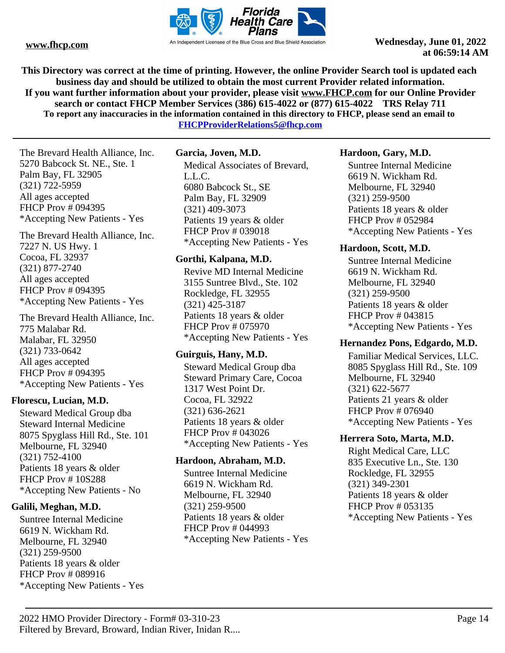

**This Directory was correct at the time of printing. However, the online Provider Search tool is updated each business day and should be utilized to obtain the most current Provider related information. If you want further information about your provider, please visit www.FHCP.com for our Online Provider search or contact FHCP Member Services (386) 615-4022 or (877) 615-4022 TRS Relay 711 To report any inaccuracies in the information contained in this directory to FHCP, please send an email to FHCPProviderRelations5@fhcp.com**

The Brevard Health Alliance, Inc. 5270 Babcock St. NE., Ste. 1 Palm Bay, FL 32905 (321) 722-5959 All ages accepted FHCP Prov # 094395 \*Accepting New Patients - Yes

The Brevard Health Alliance, Inc. 7227 N. US Hwy. 1 Cocoa, FL 32937 (321) 877-2740 All ages accepted FHCP Prov # 094395 \*Accepting New Patients - Yes

The Brevard Health Alliance, Inc. 775 Malabar Rd. Malabar, FL 32950 (321) 733-0642 All ages accepted FHCP Prov # 094395 \*Accepting New Patients - Yes

#### **Florescu, Lucian, M.D.**

Steward Medical Group dba Steward Internal Medicine 8075 Spyglass Hill Rd., Ste. 101 Melbourne, FL 32940 (321) 752-4100 Patients 18 years & older FHCP Prov # 10S288 \*Accepting New Patients - No

# **Galili, Meghan, M.D.**

Suntree Internal Medicine 6619 N. Wickham Rd. Melbourne, FL 32940 (321) 259-9500 Patients 18 years & older FHCP Prov # 089916 \*Accepting New Patients - Yes

# **Garcia, Joven, M.D.**

Medical Associates of Brevard, L.L.C. 6080 Babcock St., SE Palm Bay, FL 32909 (321) 409-3073 Patients 19 years & older FHCP Prov # 039018 \*Accepting New Patients - Yes

#### **Gorthi, Kalpana, M.D.**

Revive MD Internal Medicine 3155 Suntree Blvd., Ste. 102 Rockledge, FL 32955 (321) 425-3187 Patients 18 years & older FHCP Prov # 075970 \*Accepting New Patients - Yes

# **Guirguis, Hany, M.D.**

Steward Medical Group dba Steward Primary Care, Cocoa 1317 West Point Dr. Cocoa, FL 32922 (321) 636-2621 Patients 18 years & older FHCP Prov # 043026 \*Accepting New Patients - Yes

#### **Hardoon, Abraham, M.D.**

Suntree Internal Medicine 6619 N. Wickham Rd. Melbourne, FL 32940 (321) 259-9500 Patients 18 years & older FHCP Prov # 044993 \*Accepting New Patients - Yes

# **Hardoon, Gary, M.D.**

Suntree Internal Medicine 6619 N. Wickham Rd. Melbourne, FL 32940 (321) 259-9500 Patients 18 years & older FHCP Prov # 052984 \*Accepting New Patients - Yes

# **Hardoon, Scott, M.D.**

Suntree Internal Medicine 6619 N. Wickham Rd. Melbourne, FL 32940 (321) 259-9500 Patients 18 years & older FHCP Prov # 043815 \*Accepting New Patients - Yes

# **Hernandez Pons, Edgardo, M.D.**

Familiar Medical Services, LLC. 8085 Spyglass Hill Rd., Ste. 109 Melbourne, FL 32940 (321) 622-5677 Patients 21 years & older FHCP Prov # 076940 \*Accepting New Patients - Yes

# **Herrera Soto, Marta, M.D.**

Right Medical Care, LLC 835 Executive Ln., Ste. 130 Rockledge, FL 32955 (321) 349-2301 Patients 18 years & older FHCP Prov # 053135 \*Accepting New Patients - Yes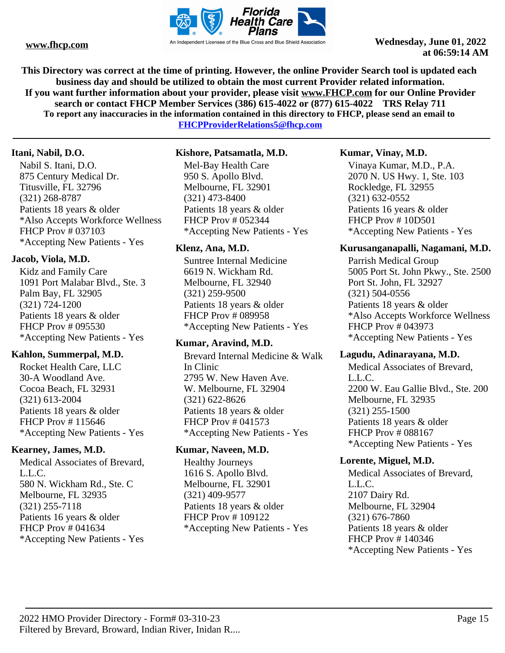

**This Directory was correct at the time of printing. However, the online Provider Search tool is updated each business day and should be utilized to obtain the most current Provider related information. If you want further information about your provider, please visit www.FHCP.com for our Online Provider search or contact FHCP Member Services (386) 615-4022 or (877) 615-4022 TRS Relay 711 To report any inaccuracies in the information contained in this directory to FHCP, please send an email to** 

**FHCPProviderRelations5@fhcp.com**

#### **Itani, Nabil, D.O.**

Nabil S. Itani, D.O. 875 Century Medical Dr. Titusville, FL 32796 (321) 268-8787 Patients 18 years & older \*Also Accepts Workforce Wellness FHCP Prov # 037103 \*Accepting New Patients - Yes

# **Jacob, Viola, M.D.**

Kidz and Family Care 1091 Port Malabar Blvd., Ste. 3 Palm Bay, FL 32905 (321) 724-1200 Patients 18 years & older FHCP Prov # 095530 \*Accepting New Patients - Yes

# **Kahlon, Summerpal, M.D.**

Rocket Health Care, LLC 30-A Woodland Ave. Cocoa Beach, FL 32931 (321) 613-2004 Patients 18 years & older FHCP Prov # 115646 \*Accepting New Patients - Yes

#### **Kearney, James, M.D.**

Medical Associates of Brevard, L.L.C. 580 N. Wickham Rd., Ste. C Melbourne, FL 32935 (321) 255-7118 Patients 16 years & older FHCP Prov # 041634 \*Accepting New Patients - Yes

#### **Kishore, Patsamatla, M.D.**

Mel-Bay Health Care 950 S. Apollo Blvd. Melbourne, FL 32901 (321) 473-8400 Patients 18 years & older FHCP Prov # 052344 \*Accepting New Patients - Yes

#### **Klenz, Ana, M.D.**

Suntree Internal Medicine 6619 N. Wickham Rd. Melbourne, FL 32940 (321) 259-9500 Patients 18 years & older FHCP Prov # 089958 \*Accepting New Patients - Yes

#### **Kumar, Aravind, M.D.**

Brevard Internal Medicine & Walk In Clinic 2795 W. New Haven Ave. W. Melbourne, FL 32904 (321) 622-8626 Patients 18 years & older FHCP Prov # 041573 \*Accepting New Patients - Yes

#### **Kumar, Naveen, M.D.**

Healthy Journeys 1616 S. Apollo Blvd. Melbourne, FL 32901 (321) 409-9577 Patients 18 years & older FHCP Prov # 109122 \*Accepting New Patients - Yes

#### **Kumar, Vinay, M.D.**

Vinaya Kumar, M.D., P.A. 2070 N. US Hwy. 1, Ste. 103 Rockledge, FL 32955 (321) 632-0552 Patients 16 years & older FHCP Prov # 10D501 \*Accepting New Patients - Yes

# **Kurusanganapalli, Nagamani, M.D.**

Parrish Medical Group 5005 Port St. John Pkwy., Ste. 2500 Port St. John, FL 32927 (321) 504-0556 Patients 18 years & older \*Also Accepts Workforce Wellness FHCP Prov # 043973 \*Accepting New Patients - Yes

#### **Lagudu, Adinarayana, M.D.**

Medical Associates of Brevard, L.L.C. 2200 W. Eau Gallie Blvd., Ste. 200 Melbourne, FL 32935 (321) 255-1500 Patients 18 years & older FHCP Prov # 088167 \*Accepting New Patients - Yes

#### **Lorente, Miguel, M.D.**

Medical Associates of Brevard, L.L.C. 2107 Dairy Rd. Melbourne, FL 32904 (321) 676-7860 Patients 18 years & older FHCP Prov # 140346 \*Accepting New Patients - Yes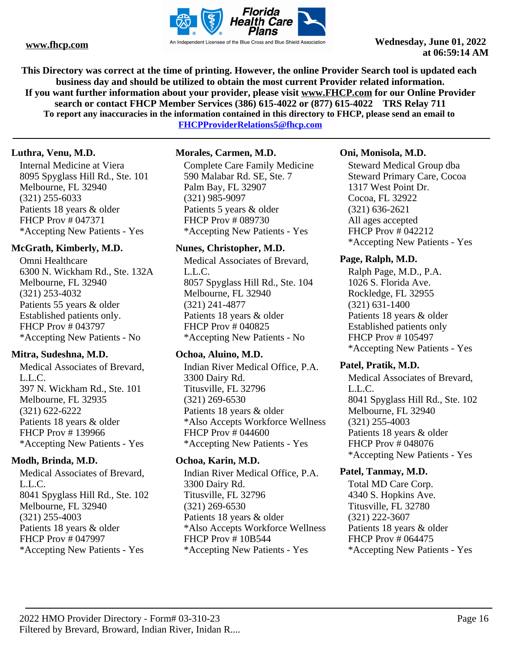

**This Directory was correct at the time of printing. However, the online Provider Search tool is updated each business day and should be utilized to obtain the most current Provider related information. If you want further information about your provider, please visit www.FHCP.com for our Online Provider search or contact FHCP Member Services (386) 615-4022 or (877) 615-4022 TRS Relay 711 To report any inaccuracies in the information contained in this directory to FHCP, please send an email to** 

**FHCPProviderRelations5@fhcp.com**

# **Luthra, Venu, M.D.**

Internal Medicine at Viera 8095 Spyglass Hill Rd., Ste. 101 Melbourne, FL 32940 (321) 255-6033 Patients 18 years & older FHCP Prov # 047371 \*Accepting New Patients - Yes

# **McGrath, Kimberly, M.D.**

Omni Healthcare 6300 N. Wickham Rd., Ste. 132A Melbourne, FL 32940 (321) 253-4032 Patients 55 years & older Established patients only. FHCP Prov # 043797 \*Accepting New Patients - No

# **Mitra, Sudeshna, M.D.**

Medical Associates of Brevard, L.L.C. 397 N. Wickham Rd., Ste. 101 Melbourne, FL 32935 (321) 622-6222 Patients 18 years & older FHCP Prov # 139966 \*Accepting New Patients - Yes

# **Modh, Brinda, M.D.**

Medical Associates of Brevard, L.L.C. 8041 Spyglass Hill Rd., Ste. 102 Melbourne, FL 32940 (321) 255-4003 Patients 18 years & older FHCP Prov # 047997 \*Accepting New Patients - Yes

# **Morales, Carmen, M.D.**

Complete Care Family Medicine 590 Malabar Rd. SE, Ste. 7 Palm Bay, FL 32907 (321) 985-9097 Patients 5 years & older FHCP Prov # 089730 \*Accepting New Patients - Yes

#### **Nunes, Christopher, M.D.**

Medical Associates of Brevard, L.L.C. 8057 Spyglass Hill Rd., Ste. 104 Melbourne, FL 32940 (321) 241-4877 Patients 18 years & older FHCP Prov # 040825 \*Accepting New Patients - No

# **Ochoa, Aluino, M.D.**

Indian River Medical Office, P.A. 3300 Dairy Rd. Titusville, FL 32796 (321) 269-6530 Patients 18 years & older \*Also Accepts Workforce Wellness FHCP Prov # 044600 \*Accepting New Patients - Yes

# **Ochoa, Karin, M.D.**

Indian River Medical Office, P.A. 3300 Dairy Rd. Titusville, FL 32796 (321) 269-6530 Patients 18 years & older \*Also Accepts Workforce Wellness FHCP Prov # 10B544 \*Accepting New Patients - Yes

#### **Oni, Monisola, M.D.**

Steward Medical Group dba Steward Primary Care, Cocoa 1317 West Point Dr. Cocoa, FL 32922 (321) 636-2621 All ages accepted FHCP Prov # 042212 \*Accepting New Patients - Yes

# **Page, Ralph, M.D.**

Ralph Page, M.D., P.A. 1026 S. Florida Ave. Rockledge, FL 32955 (321) 631-1400 Patients 18 years & older Established patients only FHCP Prov # 105497 \*Accepting New Patients - Yes

#### **Patel, Pratik, M.D.**

Medical Associates of Brevard, L.L.C. 8041 Spyglass Hill Rd., Ste. 102 Melbourne, FL 32940 (321) 255-4003 Patients 18 years & older FHCP Prov # 048076 \*Accepting New Patients - Yes

#### **Patel, Tanmay, M.D.**

Total MD Care Corp. 4340 S. Hopkins Ave. Titusville, FL 32780 (321) 222-3607 Patients 18 years & older FHCP Prov # 064475 \*Accepting New Patients - Yes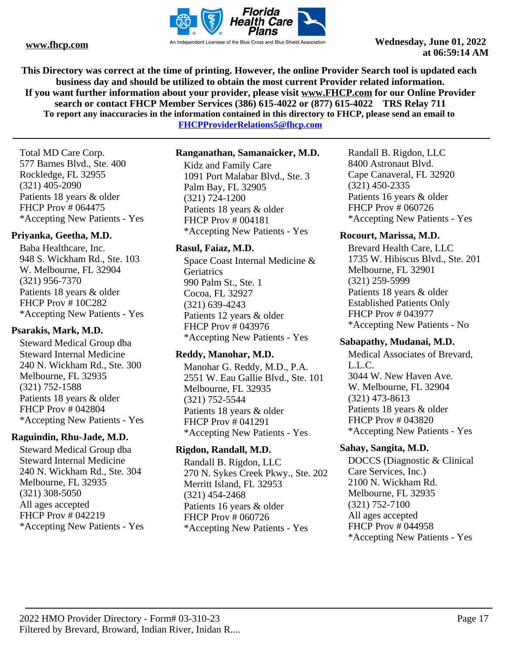

**This Directory was correct at the time of printing. However, the online Provider Search tool is updated each business day and should be utilized to obtain the most current Provider related information. If you want further information about your provider, please visit www.FHCP.com for our Online Provider search or contact FHCP Member Services (386) 615-4022 or (877) 615-4022 TRS Relay 711 To report any inaccuracies in the information contained in this directory to FHCP, please send an email to** 

**FHCPProviderRelations5@fhcp.com**

Total MD Care Corp. 577 Barnes Blvd., Ste. 400 Rockledge, FL 32955 (321) 405-2090 Patients 18 years & older FHCP Prov # 064475 \*Accepting New Patients - Yes

# **Priyanka, Geetha, M.D.**

Baba Healthcare, Inc. 948 S. Wickham Rd., Ste. 103 W. Melbourne, FL 32904 (321) 956-7370 Patients 18 years & older FHCP Prov # 10C282 \*Accepting New Patients - Yes

# **Psarakis, Mark, M.D.**

Steward Medical Group dba Steward Internal Medicine 240 N. Wickham Rd., Ste. 300 Melbourne, FL 32935 (321) 752-1588 Patients 18 years & older FHCP Prov # 042804 \*Accepting New Patients - Yes

# **Raguindin, Rhu-Jade, M.D.**

Steward Medical Group dba Steward Internal Medicine 240 N. Wickham Rd., Ste. 304 Melbourne, FL 32935 (321) 308-5050 All ages accepted FHCP Prov # 042219 \*Accepting New Patients - Yes

#### **Ranganathan, Samanaicker, M.D.**

Kidz and Family Care 1091 Port Malabar Blvd., Ste. 3 Palm Bay, FL 32905 (321) 724-1200 Patients 18 years & older FHCP Prov # 004181 \*Accepting New Patients - Yes

# **Rasul, Faiaz, M.D.**

Space Coast Internal Medicine & **Geriatrics** 990 Palm St., Ste. 1 Cocoa, FL 32927 (321) 639-4243 Patients 12 years & older FHCP Prov # 043976 \*Accepting New Patients - Yes

# **Reddy, Manohar, M.D.**

Manohar G. Reddy, M.D., P.A. 2551 W. Eau Gallie Blvd., Ste. 101 Melbourne, FL 32935 (321) 752-5544 Patients 18 years & older FHCP Prov # 041291 \*Accepting New Patients - Yes

#### **Rigdon, Randall, M.D.**

Randall B. Rigdon, LLC 270 N. Sykes Creek Pkwy., Ste. 202 Merritt Island, FL 32953 (321) 454-2468 Patients 16 years & older FHCP Prov # 060726 \*Accepting New Patients - Yes

Randall B. Rigdon, LLC 8400 Astronaut Blvd. Cape Canaveral, FL 32920 (321) 450-2335 Patients 16 years & older FHCP Prov # 060726 \*Accepting New Patients - Yes

# **Rocourt, Marissa, M.D.**

Brevard Health Care, LLC 1735 W. Hibiscus Blvd., Ste. 201 Melbourne, FL 32901 (321) 259-5999 Patients 18 years & older Established Patients Only FHCP Prov # 043977 \*Accepting New Patients - No

#### **Sabapathy, Mudanai, M.D.**

Medical Associates of Brevard, L.L.C. 3044 W. New Haven Ave. W. Melbourne, FL 32904 (321) 473-8613 Patients 18 years & older FHCP Prov # 043820 \*Accepting New Patients - Yes

# **Sahay, Sangita, M.D.**

DOCCS (Diagnostic & Clinical Care Services, Inc.) 2100 N. Wickham Rd. Melbourne, FL 32935 (321) 752-7100 All ages accepted FHCP Prov # 044958 \*Accepting New Patients - Yes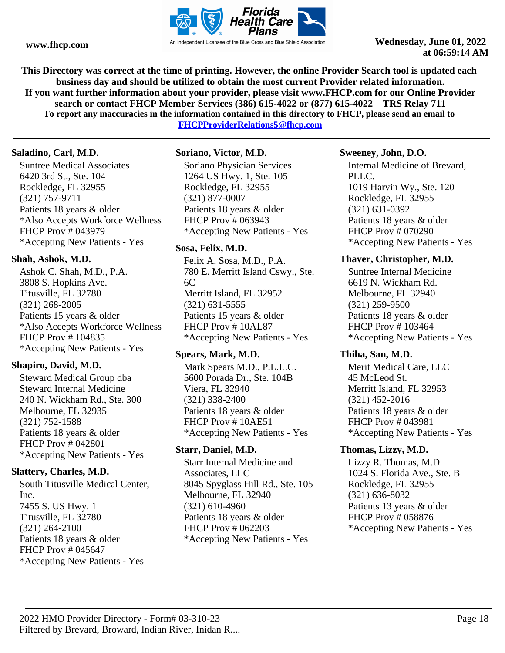

**This Directory was correct at the time of printing. However, the online Provider Search tool is updated each business day and should be utilized to obtain the most current Provider related information. If you want further information about your provider, please visit www.FHCP.com for our Online Provider search or contact FHCP Member Services (386) 615-4022 or (877) 615-4022 TRS Relay 711 To report any inaccuracies in the information contained in this directory to FHCP, please send an email to** 

**FHCPProviderRelations5@fhcp.com**

#### **Saladino, Carl, M.D.**

Suntree Medical Associates 6420 3rd St., Ste. 104 Rockledge, FL 32955 (321) 757-9711 Patients 18 years & older \*Also Accepts Workforce Wellness FHCP Prov # 043979 \*Accepting New Patients - Yes

# **Shah, Ashok, M.D.**

Ashok C. Shah, M.D., P.A. 3808 S. Hopkins Ave. Titusville, FL 32780 (321) 268-2005 Patients 15 years & older \*Also Accepts Workforce Wellness FHCP Prov # 104835 \*Accepting New Patients - Yes

# **Shapiro, David, M.D.**

Steward Medical Group dba Steward Internal Medicine 240 N. Wickham Rd., Ste. 300 Melbourne, FL 32935 (321) 752-1588 Patients 18 years & older FHCP Prov # 042801 \*Accepting New Patients - Yes

# **Slattery, Charles, M.D.**

South Titusville Medical Center, Inc. 7455 S. US Hwy. 1 Titusville, FL 32780 (321) 264-2100 Patients 18 years & older FHCP Prov # 045647 \*Accepting New Patients - Yes

# **Soriano, Victor, M.D.**

Soriano Physician Services 1264 US Hwy. 1, Ste. 105 Rockledge, FL 32955 (321) 877-0007 Patients 18 years & older FHCP Prov # 063943 \*Accepting New Patients - Yes

# **Sosa, Felix, M.D.**

Felix A. Sosa, M.D., P.A. 780 E. Merritt Island Cswy., Ste. 6C Merritt Island, FL 32952 (321) 631-5555 Patients 15 years & older FHCP Prov # 10AL87 \*Accepting New Patients - Yes

# **Spears, Mark, M.D.**

Mark Spears M.D., P.L.L.C. 5600 Porada Dr., Ste. 104B Viera, FL 32940 (321) 338-2400 Patients 18 years & older FHCP Prov # 10AE51 \*Accepting New Patients - Yes

# **Starr, Daniel, M.D.**

Starr Internal Medicine and Associates, LLC 8045 Spyglass Hill Rd., Ste. 105 Melbourne, FL 32940 (321) 610-4960 Patients 18 years & older FHCP Prov # 062203 \*Accepting New Patients - Yes

# **Sweeney, John, D.O.**

Internal Medicine of Brevard, PLLC. 1019 Harvin Wy., Ste. 120 Rockledge, FL 32955 (321) 631-0392 Patients 18 years & older FHCP Prov # 070290 \*Accepting New Patients - Yes

# **Thaver, Christopher, M.D.**

Suntree Internal Medicine 6619 N. Wickham Rd. Melbourne, FL 32940 (321) 259-9500 Patients 18 years & older FHCP Prov # 103464 \*Accepting New Patients - Yes

#### **Thiha, San, M.D.**

Merit Medical Care, LLC 45 McLeod St. Merritt Island, FL 32953 (321) 452-2016 Patients 18 years & older FHCP Prov # 043981 \*Accepting New Patients - Yes

# **Thomas, Lizzy, M.D.**

Lizzy R. Thomas, M.D. 1024 S. Florida Ave., Ste. B Rockledge, FL 32955 (321) 636-8032 Patients 13 years & older FHCP Prov # 058876 \*Accepting New Patients - Yes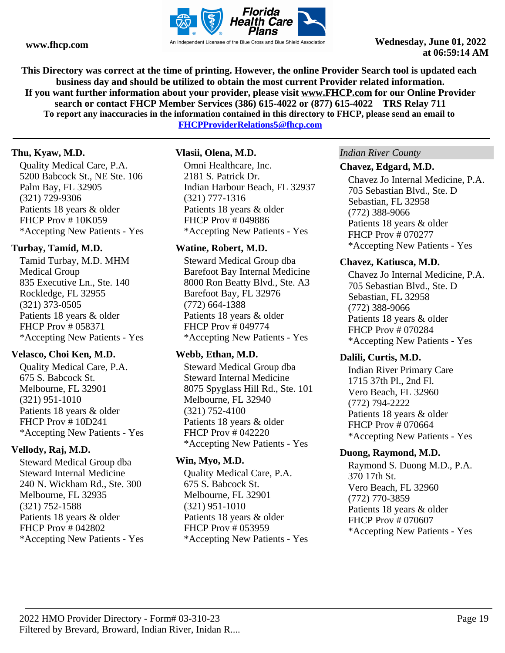

**This Directory was correct at the time of printing. However, the online Provider Search tool is updated each business day and should be utilized to obtain the most current Provider related information. If you want further information about your provider, please visit www.FHCP.com for our Online Provider search or contact FHCP Member Services (386) 615-4022 or (877) 615-4022 TRS Relay 711 To report any inaccuracies in the information contained in this directory to FHCP, please send an email to** 

**FHCPProviderRelations5@fhcp.com**

#### **Thu, Kyaw, M.D.**

Quality Medical Care, P.A. 5200 Babcock St., NE Ste. 106 Palm Bay, FL 32905 (321) 729-9306 Patients 18 years & older FHCP Prov # 10K059 \*Accepting New Patients - Yes

# **Turbay, Tamid, M.D.**

Tamid Turbay, M.D. MHM Medical Group 835 Executive Ln., Ste. 140 Rockledge, FL 32955 (321) 373-0505 Patients 18 years & older FHCP Prov # 058371 \*Accepting New Patients - Yes

# **Velasco, Choi Ken, M.D.**

Quality Medical Care, P.A. 675 S. Babcock St. Melbourne, FL 32901 (321) 951-1010 Patients 18 years & older FHCP Prov # 10D241 \*Accepting New Patients - Yes

# **Vellody, Raj, M.D.**

Steward Medical Group dba Steward Internal Medicine 240 N. Wickham Rd., Ste. 300 Melbourne, FL 32935 (321) 752-1588 Patients 18 years & older FHCP Prov # 042802 \*Accepting New Patients - Yes

# **Vlasii, Olena, M.D.**

Omni Healthcare, Inc. 2181 S. Patrick Dr. Indian Harbour Beach, FL 32937 (321) 777-1316 Patients 18 years & older FHCP Prov # 049886 \*Accepting New Patients - Yes

# **Watine, Robert, M.D.**

Steward Medical Group dba Barefoot Bay Internal Medicine 8000 Ron Beatty Blvd., Ste. A3 Barefoot Bay, FL 32976 (772) 664-1388 Patients 18 years & older FHCP Prov # 049774 \*Accepting New Patients - Yes

# **Webb, Ethan, M.D.**

Steward Medical Group dba Steward Internal Medicine 8075 Spyglass Hill Rd., Ste. 101 Melbourne, FL 32940 (321) 752-4100 Patients 18 years & older FHCP Prov # 042220 \*Accepting New Patients - Yes

# **Win, Myo, M.D.**

Quality Medical Care, P.A. 675 S. Babcock St. Melbourne, FL 32901 (321) 951-1010 Patients 18 years & older FHCP Prov # 053959 \*Accepting New Patients - Yes

#### *Indian River County*

#### **Chavez, Edgard, M.D.**

Chavez Jo Internal Medicine, P.A. 705 Sebastian Blvd., Ste. D Sebastian, FL 32958 (772) 388-9066 Patients 18 years & older FHCP Prov # 070277 \*Accepting New Patients - Yes

#### **Chavez, Katiusca, M.D.**

Chavez Jo Internal Medicine, P.A. 705 Sebastian Blvd., Ste. D Sebastian, FL 32958 (772) 388-9066 Patients 18 years & older FHCP Prov # 070284 \*Accepting New Patients - Yes

#### **Dalili, Curtis, M.D.**

Indian River Primary Care 1715 37th Pl., 2nd Fl. Vero Beach, FL 32960 (772) 794-2222 Patients 18 years & older FHCP Prov # 070664 \*Accepting New Patients - Yes

#### **Duong, Raymond, M.D.**

Raymond S. Duong M.D., P.A. 370 17th St. Vero Beach, FL 32960 (772) 770-3859 Patients 18 years & older FHCP Prov # 070607 \*Accepting New Patients - Yes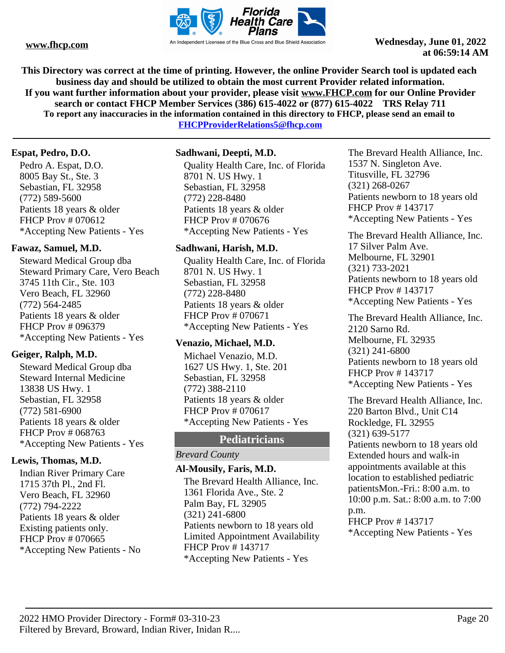

**This Directory was correct at the time of printing. However, the online Provider Search tool is updated each business day and should be utilized to obtain the most current Provider related information. If you want further information about your provider, please visit www.FHCP.com for our Online Provider search or contact FHCP Member Services (386) 615-4022 or (877) 615-4022 TRS Relay 711 To report any inaccuracies in the information contained in this directory to FHCP, please send an email to** 

**FHCPProviderRelations5@fhcp.com**

# **Espat, Pedro, D.O.**

Pedro A. Espat, D.O. 8005 Bay St., Ste. 3 Sebastian, FL 32958 (772) 589-5600 Patients 18 years & older FHCP Prov # 070612 \*Accepting New Patients - Yes

# **Fawaz, Samuel, M.D.**

Steward Medical Group dba Steward Primary Care, Vero Beach 3745 11th Cir., Ste. 103 Vero Beach, FL 32960 (772) 564-2485 Patients 18 years & older FHCP Prov # 096379 \*Accepting New Patients - Yes

# **Geiger, Ralph, M.D.**

Steward Medical Group dba Steward Internal Medicine 13838 US Hwy. 1 Sebastian, FL 32958 (772) 581-6900 Patients 18 years & older FHCP Prov # 068763 \*Accepting New Patients - Yes

# **Lewis, Thomas, M.D.**

Indian River Primary Care 1715 37th Pl., 2nd Fl. Vero Beach, FL 32960 (772) 794-2222 Patients 18 years & older Existing patients only. FHCP Prov # 070665 \*Accepting New Patients - No

#### **Sadhwani, Deepti, M.D.**

Quality Health Care, Inc. of Florida 8701 N. US Hwy. 1 Sebastian, FL 32958 (772) 228-8480 Patients 18 years & older FHCP Prov # 070676 \*Accepting New Patients - Yes

#### **Sadhwani, Harish, M.D.**

Quality Health Care, Inc. of Florida 8701 N. US Hwy. 1 Sebastian, FL 32958 (772) 228-8480 Patients 18 years & older FHCP Prov # 070671 \*Accepting New Patients - Yes

# **Venazio, Michael, M.D.**

Michael Venazio, M.D. 1627 US Hwy. 1, Ste. 201 Sebastian, FL 32958 (772) 388-2110 Patients 18 years & older FHCP Prov # 070617 \*Accepting New Patients - Yes

# **Pediatricians**

#### *Brevard County*

#### **Al-Mousily, Faris, M.D.**

The Brevard Health Alliance, Inc. 1361 Florida Ave., Ste. 2 Palm Bay, FL 32905 (321) 241-6800 Patients newborn to 18 years old Limited Appointment Availability FHCP Prov # 143717 \*Accepting New Patients - Yes

The Brevard Health Alliance, Inc. 1537 N. Singleton Ave. Titusville, FL 32796 (321) 268-0267 Patients newborn to 18 years old FHCP Prov # 143717 \*Accepting New Patients - Yes

The Brevard Health Alliance, Inc. 17 Silver Palm Ave. Melbourne, FL 32901 (321) 733-2021 Patients newborn to 18 years old FHCP Prov # 143717 \*Accepting New Patients - Yes

The Brevard Health Alliance, Inc. 2120 Sarno Rd. Melbourne, FL 32935 (321) 241-6800 Patients newborn to 18 years old FHCP Prov # 143717 \*Accepting New Patients - Yes

The Brevard Health Alliance, Inc. 220 Barton Blvd., Unit C14 Rockledge, FL 32955 (321) 639-5177 Patients newborn to 18 years old Extended hours and walk-in appointments available at this location to established pediatric patientsMon.-Fri.: 8:00 a.m. to 10:00 p.m. Sat.: 8:00 a.m. to 7:00 p.m. FHCP Prov # 143717

\*Accepting New Patients - Yes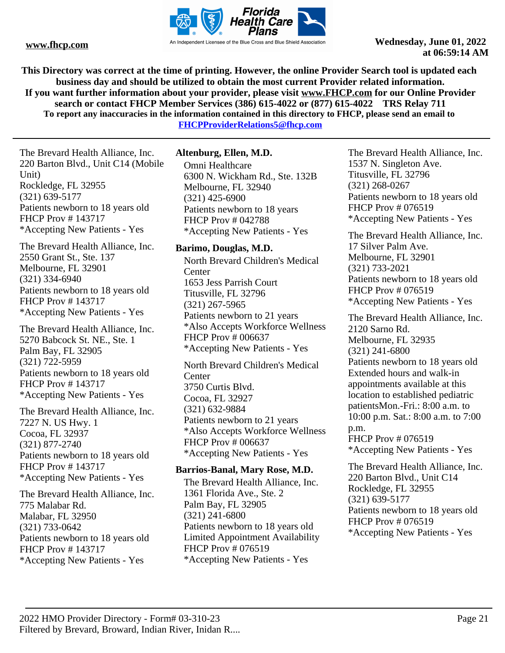

**This Directory was correct at the time of printing. However, the online Provider Search tool is updated each business day and should be utilized to obtain the most current Provider related information. If you want further information about your provider, please visit www.FHCP.com for our Online Provider search or contact FHCP Member Services (386) 615-4022 or (877) 615-4022 TRS Relay 711 To report any inaccuracies in the information contained in this directory to FHCP, please send an email to** 

**FHCPProviderRelations5@fhcp.com**

The Brevard Health Alliance, Inc. 220 Barton Blvd., Unit C14 (Mobile Unit) Rockledge, FL 32955 (321) 639-5177 Patients newborn to 18 years old FHCP Prov # 143717 \*Accepting New Patients - Yes

The Brevard Health Alliance, Inc. 2550 Grant St., Ste. 137 Melbourne, FL 32901 (321) 334-6940 Patients newborn to 18 years old FHCP Prov # 143717 \*Accepting New Patients - Yes

The Brevard Health Alliance, Inc. 5270 Babcock St. NE., Ste. 1 Palm Bay, FL 32905 (321) 722-5959 Patients newborn to 18 years old FHCP Prov # 143717 \*Accepting New Patients - Yes

The Brevard Health Alliance, Inc. 7227 N. US Hwy. 1 Cocoa, FL 32937 (321) 877-2740 Patients newborn to 18 years old FHCP Prov # 143717 \*Accepting New Patients - Yes

The Brevard Health Alliance, Inc. 775 Malabar Rd. Malabar, FL 32950 (321) 733-0642 Patients newborn to 18 years old FHCP Prov # 143717 \*Accepting New Patients - Yes

#### **Altenburg, Ellen, M.D.**

Omni Healthcare 6300 N. Wickham Rd., Ste. 132B Melbourne, FL 32940 (321) 425-6900 Patients newborn to 18 years FHCP Prov # 042788 \*Accepting New Patients - Yes

#### **Barimo, Douglas, M.D.**

North Brevard Children's Medical **Center** 1653 Jess Parrish Court Titusville, FL 32796 (321) 267-5965 Patients newborn to 21 years \*Also Accepts Workforce Wellness FHCP Prov # 006637 \*Accepting New Patients - Yes North Brevard Children's Medical **Center** 3750 Curtis Blvd.

Cocoa, FL 32927 (321) 632-9884 Patients newborn to 21 years \*Also Accepts Workforce Wellness FHCP Prov # 006637 \*Accepting New Patients - Yes

#### **Barrios-Banal, Mary Rose, M.D.**

The Brevard Health Alliance, Inc. 1361 Florida Ave., Ste. 2 Palm Bay, FL 32905 (321) 241-6800 Patients newborn to 18 years old Limited Appointment Availability FHCP Prov # 076519 \*Accepting New Patients - Yes

The Brevard Health Alliance, Inc. 1537 N. Singleton Ave. Titusville, FL 32796 (321) 268-0267 Patients newborn to 18 years old FHCP Prov # 076519 \*Accepting New Patients - Yes

The Brevard Health Alliance, Inc. 17 Silver Palm Ave. Melbourne, FL 32901 (321) 733-2021 Patients newborn to 18 years old FHCP Prov # 076519 \*Accepting New Patients - Yes

The Brevard Health Alliance, Inc. 2120 Sarno Rd. Melbourne, FL 32935 (321) 241-6800 Patients newborn to 18 years old Extended hours and walk-in appointments available at this location to established pediatric patientsMon.-Fri.: 8:00 a.m. to 10:00 p.m. Sat.: 8:00 a.m. to 7:00 p.m. FHCP Prov # 076519 \*Accepting New Patients - Yes

The Brevard Health Alliance, Inc. 220 Barton Blvd., Unit C14 Rockledge, FL 32955 (321) 639-5177 Patients newborn to 18 years old FHCP Prov # 076519 \*Accepting New Patients - Yes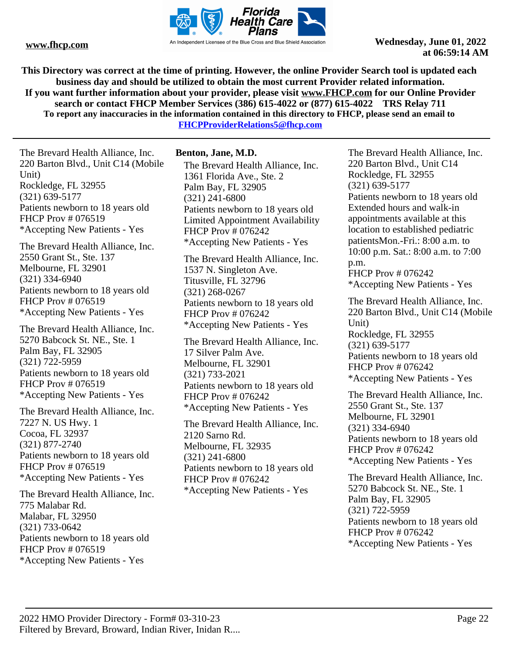

**This Directory was correct at the time of printing. However, the online Provider Search tool is updated each business day and should be utilized to obtain the most current Provider related information. If you want further information about your provider, please visit www.FHCP.com for our Online Provider search or contact FHCP Member Services (386) 615-4022 or (877) 615-4022 TRS Relay 711 To report any inaccuracies in the information contained in this directory to FHCP, please send an email to** 

**FHCPProviderRelations5@fhcp.com**

The Brevard Health Alliance, Inc. 220 Barton Blvd., Unit C14 (Mobile Unit) Rockledge, FL 32955 (321) 639-5177 Patients newborn to 18 years old FHCP Prov # 076519 \*Accepting New Patients - Yes

The Brevard Health Alliance, Inc. 2550 Grant St., Ste. 137 Melbourne, FL 32901 (321) 334-6940 Patients newborn to 18 years old FHCP Prov # 076519 \*Accepting New Patients - Yes

The Brevard Health Alliance, Inc. 5270 Babcock St. NE., Ste. 1 Palm Bay, FL 32905 (321) 722-5959 Patients newborn to 18 years old FHCP Prov # 076519 \*Accepting New Patients - Yes

The Brevard Health Alliance, Inc. 7227 N. US Hwy. 1 Cocoa, FL 32937 (321) 877-2740 Patients newborn to 18 years old FHCP Prov # 076519 \*Accepting New Patients - Yes

The Brevard Health Alliance, Inc. 775 Malabar Rd. Malabar, FL 32950 (321) 733-0642 Patients newborn to 18 years old FHCP Prov # 076519 \*Accepting New Patients - Yes

#### **Benton, Jane, M.D.**

The Brevard Health Alliance, Inc. 1361 Florida Ave., Ste. 2 Palm Bay, FL 32905 (321) 241-6800 Patients newborn to 18 years old Limited Appointment Availability FHCP Prov # 076242 \*Accepting New Patients - Yes

The Brevard Health Alliance, Inc. 1537 N. Singleton Ave. Titusville, FL 32796 (321) 268-0267 Patients newborn to 18 years old FHCP Prov # 076242 \*Accepting New Patients - Yes

The Brevard Health Alliance, Inc. 17 Silver Palm Ave. Melbourne, FL 32901 (321) 733-2021 Patients newborn to 18 years old FHCP Prov # 076242 \*Accepting New Patients - Yes

The Brevard Health Alliance, Inc. 2120 Sarno Rd. Melbourne, FL 32935 (321) 241-6800 Patients newborn to 18 years old FHCP Prov # 076242 \*Accepting New Patients - Yes

The Brevard Health Alliance, Inc. 220 Barton Blvd., Unit C14 Rockledge, FL 32955 (321) 639-5177 Patients newborn to 18 years old Extended hours and walk-in appointments available at this location to established pediatric patientsMon.-Fri.: 8:00 a.m. to 10:00 p.m. Sat.: 8:00 a.m. to 7:00 p.m. FHCP Prov # 076242

\*Accepting New Patients - Yes

The Brevard Health Alliance, Inc. 220 Barton Blvd., Unit C14 (Mobile Unit) Rockledge, FL 32955 (321) 639-5177 Patients newborn to 18 years old FHCP Prov # 076242 \*Accepting New Patients - Yes

The Brevard Health Alliance, Inc. 2550 Grant St., Ste. 137 Melbourne, FL 32901 (321) 334-6940 Patients newborn to 18 years old FHCP Prov # 076242 \*Accepting New Patients - Yes

The Brevard Health Alliance, Inc. 5270 Babcock St. NE., Ste. 1 Palm Bay, FL 32905 (321) 722-5959 Patients newborn to 18 years old FHCP Prov # 076242 \*Accepting New Patients - Yes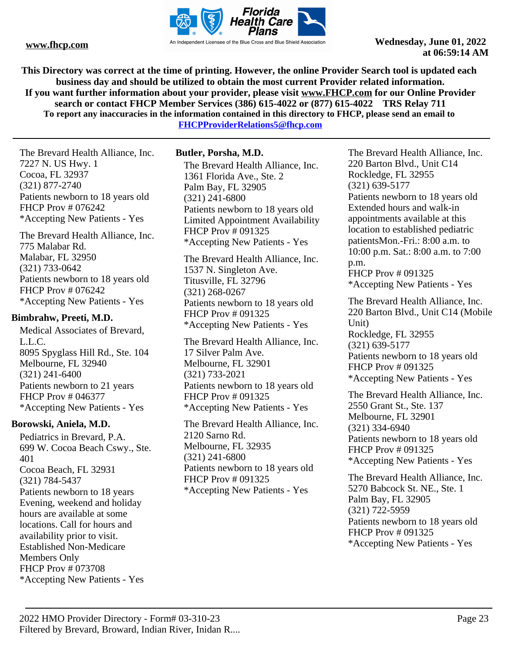

**This Directory was correct at the time of printing. However, the online Provider Search tool is updated each business day and should be utilized to obtain the most current Provider related information. If you want further information about your provider, please visit www.FHCP.com for our Online Provider search or contact FHCP Member Services (386) 615-4022 or (877) 615-4022 TRS Relay 711 To report any inaccuracies in the information contained in this directory to FHCP, please send an email to** 

**FHCPProviderRelations5@fhcp.com**

The Brevard Health Alliance, Inc. 7227 N. US Hwy. 1 Cocoa, FL 32937 (321) 877-2740 Patients newborn to 18 years old FHCP Prov # 076242 \*Accepting New Patients - Yes

The Brevard Health Alliance, Inc. 775 Malabar Rd. Malabar, FL 32950 (321) 733-0642 Patients newborn to 18 years old FHCP Prov # 076242 \*Accepting New Patients - Yes

#### **Bimbrahw, Preeti, M.D.**

Medical Associates of Brevard, L.L.C. 8095 Spyglass Hill Rd., Ste. 104 Melbourne, FL 32940 (321) 241-6400 Patients newborn to 21 years FHCP Prov # 046377 \*Accepting New Patients - Yes

# **Borowski, Aniela, M.D.**

Pediatrics in Brevard, P.A. 699 W. Cocoa Beach Cswy., Ste. 401 Cocoa Beach, FL 32931 (321) 784-5437 Patients newborn to 18 years Evening, weekend and holiday hours are available at some locations. Call for hours and availability prior to visit. Established Non-Medicare Members Only FHCP Prov # 073708 \*Accepting New Patients - Yes

# **Butler, Porsha, M.D.**

The Brevard Health Alliance, Inc. 1361 Florida Ave., Ste. 2 Palm Bay, FL 32905 (321) 241-6800 Patients newborn to 18 years old Limited Appointment Availability FHCP Prov # 091325 \*Accepting New Patients - Yes

The Brevard Health Alliance, Inc. 1537 N. Singleton Ave. Titusville, FL 32796 (321) 268-0267 Patients newborn to 18 years old FHCP Prov # 091325 \*Accepting New Patients - Yes

The Brevard Health Alliance, Inc. 17 Silver Palm Ave. Melbourne, FL 32901 (321) 733-2021 Patients newborn to 18 years old FHCP Prov # 091325 \*Accepting New Patients - Yes

The Brevard Health Alliance, Inc. 2120 Sarno Rd. Melbourne, FL 32935 (321) 241-6800 Patients newborn to 18 years old FHCP Prov # 091325 \*Accepting New Patients - Yes

The Brevard Health Alliance, Inc. 220 Barton Blvd., Unit C14 Rockledge, FL 32955 (321) 639-5177 Patients newborn to 18 years old Extended hours and walk-in appointments available at this location to established pediatric patientsMon.-Fri.: 8:00 a.m. to 10:00 p.m. Sat.: 8:00 a.m. to 7:00 p.m. FHCP Prov # 091325

\*Accepting New Patients - Yes

The Brevard Health Alliance, Inc. 220 Barton Blvd., Unit C14 (Mobile Unit) Rockledge, FL 32955 (321) 639-5177 Patients newborn to 18 years old FHCP Prov # 091325 \*Accepting New Patients - Yes

The Brevard Health Alliance, Inc. 2550 Grant St., Ste. 137 Melbourne, FL 32901 (321) 334-6940 Patients newborn to 18 years old FHCP Prov # 091325 \*Accepting New Patients - Yes

The Brevard Health Alliance, Inc. 5270 Babcock St. NE., Ste. 1 Palm Bay, FL 32905 (321) 722-5959 Patients newborn to 18 years old FHCP Prov # 091325 \*Accepting New Patients - Yes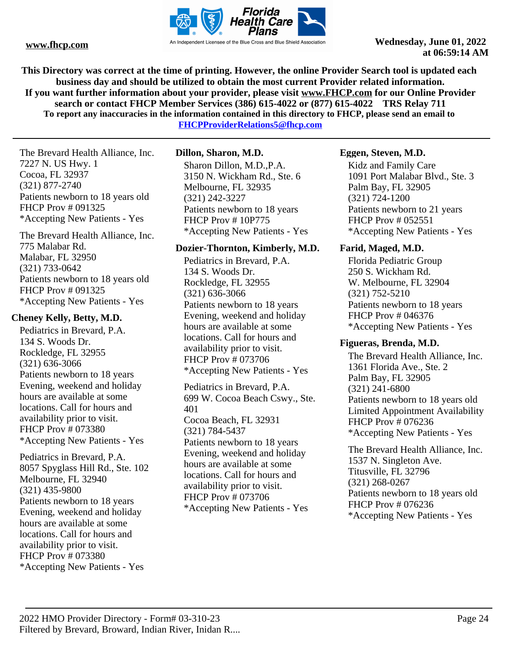

**This Directory was correct at the time of printing. However, the online Provider Search tool is updated each business day and should be utilized to obtain the most current Provider related information. If you want further information about your provider, please visit www.FHCP.com for our Online Provider search or contact FHCP Member Services (386) 615-4022 or (877) 615-4022 TRS Relay 711 To report any inaccuracies in the information contained in this directory to FHCP, please send an email to** 

**FHCPProviderRelations5@fhcp.com**

The Brevard Health Alliance, Inc. 7227 N. US Hwy. 1 Cocoa, FL 32937 (321) 877-2740 Patients newborn to 18 years old FHCP Prov # 091325 \*Accepting New Patients - Yes

The Brevard Health Alliance, Inc. 775 Malabar Rd. Malabar, FL 32950 (321) 733-0642 Patients newborn to 18 years old FHCP Prov # 091325 \*Accepting New Patients - Yes

# **Cheney Kelly, Betty, M.D.**

Pediatrics in Brevard, P.A. 134 S. Woods Dr. Rockledge, FL 32955 (321) 636-3066 Patients newborn to 18 years Evening, weekend and holiday hours are available at some locations. Call for hours and availability prior to visit. FHCP Prov # 073380 \*Accepting New Patients - Yes

Pediatrics in Brevard, P.A. 8057 Spyglass Hill Rd., Ste. 102 Melbourne, FL 32940 (321) 435-9800 Patients newborn to 18 years Evening, weekend and holiday hours are available at some locations. Call for hours and availability prior to visit. FHCP Prov # 073380 \*Accepting New Patients - Yes

# **Dillon, Sharon, M.D.**

Sharon Dillon, M.D.,P.A. 3150 N. Wickham Rd., Ste. 6 Melbourne, FL 32935 (321) 242-3227 Patients newborn to 18 years FHCP Prov # 10P775 \*Accepting New Patients - Yes

# **Dozier-Thornton, Kimberly, M.D.**

Pediatrics in Brevard, P.A. 134 S. Woods Dr. Rockledge, FL 32955 (321) 636-3066 Patients newborn to 18 years Evening, weekend and holiday hours are available at some locations. Call for hours and availability prior to visit. FHCP Prov # 073706 \*Accepting New Patients - Yes

Pediatrics in Brevard, P.A. 699 W. Cocoa Beach Cswy., Ste. 401 Cocoa Beach, FL 32931 (321) 784-5437 Patients newborn to 18 years Evening, weekend and holiday hours are available at some locations. Call for hours and availability prior to visit. FHCP Prov # 073706 \*Accepting New Patients - Yes

# **Eggen, Steven, M.D.**

Kidz and Family Care 1091 Port Malabar Blvd., Ste. 3 Palm Bay, FL 32905 (321) 724-1200 Patients newborn to 21 years FHCP Prov # 052551 \*Accepting New Patients - Yes

# **Farid, Maged, M.D.**

Florida Pediatric Group 250 S. Wickham Rd. W. Melbourne, FL 32904 (321) 752-5210 Patients newborn to 18 years FHCP Prov # 046376 \*Accepting New Patients - Yes

# **Figueras, Brenda, M.D.**

The Brevard Health Alliance, Inc. 1361 Florida Ave., Ste. 2 Palm Bay, FL 32905 (321) 241-6800 Patients newborn to 18 years old Limited Appointment Availability FHCP Prov # 076236 \*Accepting New Patients - Yes

The Brevard Health Alliance, Inc. 1537 N. Singleton Ave. Titusville, FL 32796 (321) 268-0267 Patients newborn to 18 years old FHCP Prov # 076236 \*Accepting New Patients - Yes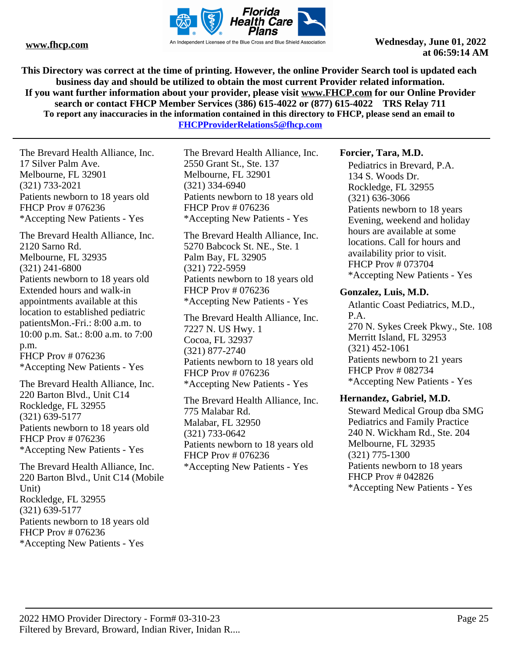

**This Directory was correct at the time of printing. However, the online Provider Search tool is updated each business day and should be utilized to obtain the most current Provider related information. If you want further information about your provider, please visit www.FHCP.com for our Online Provider search or contact FHCP Member Services (386) 615-4022 or (877) 615-4022 TRS Relay 711 To report any inaccuracies in the information contained in this directory to FHCP, please send an email to FHCPProviderRelations5@fhcp.com**

The Brevard Health Alliance, Inc. 17 Silver Palm Ave. Melbourne, FL 32901 (321) 733-2021 Patients newborn to 18 years old FHCP Prov # 076236 \*Accepting New Patients - Yes

The Brevard Health Alliance, Inc. 2120 Sarno Rd. Melbourne, FL 32935 (321) 241-6800 Patients newborn to 18 years old Extended hours and walk-in appointments available at this location to established pediatric patientsMon.-Fri.: 8:00 a.m. to 10:00 p.m. Sat.: 8:00 a.m. to 7:00 p.m. FHCP Prov # 076236 \*Accepting New Patients - Yes

The Brevard Health Alliance, Inc. 220 Barton Blvd., Unit C14 Rockledge, FL 32955 (321) 639-5177 Patients newborn to 18 years old FHCP Prov # 076236 \*Accepting New Patients - Yes

The Brevard Health Alliance, Inc. 220 Barton Blvd., Unit C14 (Mobile Unit) Rockledge, FL 32955 (321) 639-5177 Patients newborn to 18 years old FHCP Prov # 076236 \*Accepting New Patients - Yes

The Brevard Health Alliance, Inc. 2550 Grant St., Ste. 137 Melbourne, FL 32901 (321) 334-6940 Patients newborn to 18 years old FHCP Prov # 076236 \*Accepting New Patients - Yes

The Brevard Health Alliance, Inc. 5270 Babcock St. NE., Ste. 1 Palm Bay, FL 32905 (321) 722-5959 Patients newborn to 18 years old FHCP Prov # 076236 \*Accepting New Patients - Yes

The Brevard Health Alliance, Inc. 7227 N. US Hwy. 1 Cocoa, FL 32937 (321) 877-2740 Patients newborn to 18 years old FHCP Prov # 076236 \*Accepting New Patients - Yes

The Brevard Health Alliance, Inc. 775 Malabar Rd. Malabar, FL 32950 (321) 733-0642 Patients newborn to 18 years old FHCP Prov # 076236 \*Accepting New Patients - Yes

#### **Forcier, Tara, M.D.**

Pediatrics in Brevard, P.A. 134 S. Woods Dr. Rockledge, FL 32955 (321) 636-3066 Patients newborn to 18 years Evening, weekend and holiday hours are available at some locations. Call for hours and availability prior to visit. FHCP Prov # 073704 \*Accepting New Patients - Yes

#### **Gonzalez, Luis, M.D.**

Atlantic Coast Pediatrics, M.D., P.A. 270 N. Sykes Creek Pkwy., Ste. 108 Merritt Island, FL 32953 (321) 452-1061 Patients newborn to 21 years FHCP Prov # 082734 \*Accepting New Patients - Yes

#### **Hernandez, Gabriel, M.D.**

Steward Medical Group dba SMG Pediatrics and Family Practice 240 N. Wickham Rd., Ste. 204 Melbourne, FL 32935 (321) 775-1300 Patients newborn to 18 years FHCP Prov # 042826 \*Accepting New Patients - Yes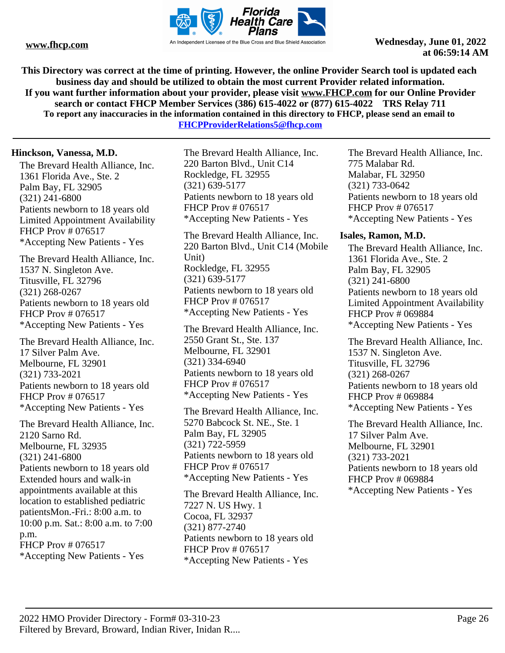

**This Directory was correct at the time of printing. However, the online Provider Search tool is updated each business day and should be utilized to obtain the most current Provider related information. If you want further information about your provider, please visit www.FHCP.com for our Online Provider search or contact FHCP Member Services (386) 615-4022 or (877) 615-4022 TRS Relay 711 To report any inaccuracies in the information contained in this directory to FHCP, please send an email to** 

**FHCPProviderRelations5@fhcp.com**

#### **Hinckson, Vanessa, M.D.**

The Brevard Health Alliance, Inc. 1361 Florida Ave., Ste. 2 Palm Bay, FL 32905 (321) 241-6800 Patients newborn to 18 years old Limited Appointment Availability FHCP Prov # 076517 \*Accepting New Patients - Yes

The Brevard Health Alliance, Inc. 1537 N. Singleton Ave. Titusville, FL 32796 (321) 268-0267 Patients newborn to 18 years old FHCP Prov # 076517 \*Accepting New Patients - Yes

The Brevard Health Alliance, Inc. 17 Silver Palm Ave. Melbourne, FL 32901 (321) 733-2021 Patients newborn to 18 years old FHCP Prov # 076517 \*Accepting New Patients - Yes

The Brevard Health Alliance, Inc. 2120 Sarno Rd. Melbourne, FL 32935 (321) 241-6800 Patients newborn to 18 years old Extended hours and walk-in appointments available at this location to established pediatric patientsMon.-Fri.: 8:00 a.m. to 10:00 p.m. Sat.: 8:00 a.m. to 7:00 p.m. FHCP Prov # 076517 \*Accepting New Patients - Yes

The Brevard Health Alliance, Inc. 220 Barton Blvd., Unit C14 Rockledge, FL 32955 (321) 639-5177 Patients newborn to 18 years old FHCP Prov # 076517 \*Accepting New Patients - Yes

The Brevard Health Alliance, Inc. 220 Barton Blvd., Unit C14 (Mobile Unit) Rockledge, FL 32955 (321) 639-5177 Patients newborn to 18 years old FHCP Prov # 076517 \*Accepting New Patients - Yes

The Brevard Health Alliance, Inc. 2550 Grant St., Ste. 137 Melbourne, FL 32901 (321) 334-6940 Patients newborn to 18 years old FHCP Prov # 076517 \*Accepting New Patients - Yes

The Brevard Health Alliance, Inc. 5270 Babcock St. NE., Ste. 1 Palm Bay, FL 32905 (321) 722-5959 Patients newborn to 18 years old FHCP Prov # 076517 \*Accepting New Patients - Yes

The Brevard Health Alliance, Inc. 7227 N. US Hwy. 1 Cocoa, FL 32937 (321) 877-2740 Patients newborn to 18 years old FHCP Prov # 076517 \*Accepting New Patients - Yes

The Brevard Health Alliance, Inc. 775 Malabar Rd. Malabar, FL 32950 (321) 733-0642 Patients newborn to 18 years old FHCP Prov # 076517 \*Accepting New Patients - Yes

#### **Isales, Ramon, M.D.**

The Brevard Health Alliance, Inc. 1361 Florida Ave., Ste. 2 Palm Bay, FL 32905 (321) 241-6800 Patients newborn to 18 years old Limited Appointment Availability FHCP Prov # 069884 \*Accepting New Patients - Yes

The Brevard Health Alliance, Inc. 1537 N. Singleton Ave. Titusville, FL 32796 (321) 268-0267 Patients newborn to 18 years old FHCP Prov # 069884 \*Accepting New Patients - Yes

The Brevard Health Alliance, Inc. 17 Silver Palm Ave. Melbourne, FL 32901 (321) 733-2021 Patients newborn to 18 years old FHCP Prov # 069884 \*Accepting New Patients - Yes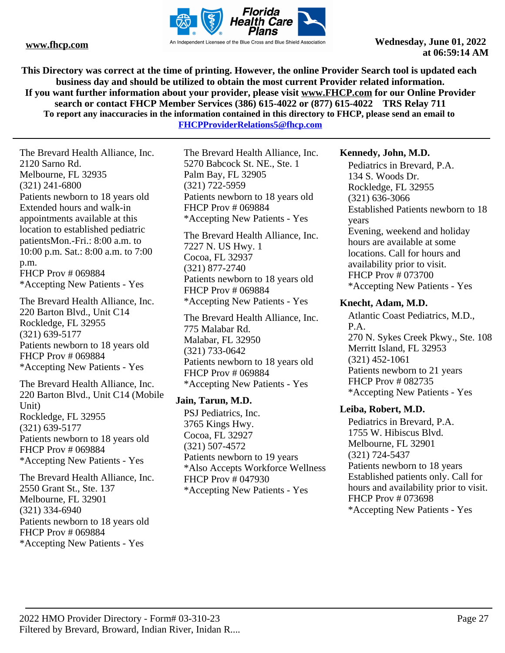

**This Directory was correct at the time of printing. However, the online Provider Search tool is updated each business day and should be utilized to obtain the most current Provider related information. If you want further information about your provider, please visit www.FHCP.com for our Online Provider search or contact FHCP Member Services (386) 615-4022 or (877) 615-4022 TRS Relay 711 To report any inaccuracies in the information contained in this directory to FHCP, please send an email to** 

**FHCPProviderRelations5@fhcp.com**

The Brevard Health Alliance, Inc. 2120 Sarno Rd. Melbourne, FL 32935 (321) 241-6800 Patients newborn to 18 years old Extended hours and walk-in appointments available at this location to established pediatric patientsMon.-Fri.: 8:00 a.m. to 10:00 p.m. Sat.: 8:00 a.m. to 7:00 p.m. FHCP Prov # 069884 \*Accepting New Patients - Yes

The Brevard Health Alliance, Inc. 220 Barton Blvd., Unit C14 Rockledge, FL 32955 (321) 639-5177 Patients newborn to 18 years old FHCP Prov # 069884 \*Accepting New Patients - Yes

The Brevard Health Alliance, Inc. 220 Barton Blvd., Unit C14 (Mobile Unit) Rockledge, FL 32955 (321) 639-5177 Patients newborn to 18 years old FHCP Prov # 069884 \*Accepting New Patients - Yes

The Brevard Health Alliance, Inc. 2550 Grant St., Ste. 137 Melbourne, FL 32901 (321) 334-6940 Patients newborn to 18 years old FHCP Prov # 069884 \*Accepting New Patients - Yes

The Brevard Health Alliance, Inc. 5270 Babcock St. NE., Ste. 1 Palm Bay, FL 32905 (321) 722-5959 Patients newborn to 18 years old FHCP Prov # 069884 \*Accepting New Patients - Yes

The Brevard Health Alliance, Inc. 7227 N. US Hwy. 1 Cocoa, FL 32937 (321) 877-2740 Patients newborn to 18 years old FHCP Prov # 069884 \*Accepting New Patients - Yes

The Brevard Health Alliance, Inc. 775 Malabar Rd. Malabar, FL 32950 (321) 733-0642 Patients newborn to 18 years old FHCP Prov # 069884 \*Accepting New Patients - Yes

#### **Jain, Tarun, M.D.**

PSJ Pediatrics, Inc. 3765 Kings Hwy. Cocoa, FL 32927 (321) 507-4572 Patients newborn to 19 years \*Also Accepts Workforce Wellness FHCP Prov # 047930 \*Accepting New Patients - Yes

#### **Kennedy, John, M.D.**

Pediatrics in Brevard, P.A. 134 S. Woods Dr. Rockledge, FL 32955 (321) 636-3066 Established Patients newborn to 18 years Evening, weekend and holiday hours are available at some locations. Call for hours and availability prior to visit. FHCP Prov # 073700 \*Accepting New Patients - Yes

#### **Knecht, Adam, M.D.**

Atlantic Coast Pediatrics, M.D., P.A. 270 N. Sykes Creek Pkwy., Ste. 108 Merritt Island, FL 32953 (321) 452-1061 Patients newborn to 21 years FHCP Prov # 082735 \*Accepting New Patients - Yes

#### **Leiba, Robert, M.D.**

Pediatrics in Brevard, P.A. 1755 W. Hibiscus Blvd. Melbourne, FL 32901 (321) 724-5437 Patients newborn to 18 years Established patients only. Call for hours and availability prior to visit. FHCP Prov # 073698 \*Accepting New Patients - Yes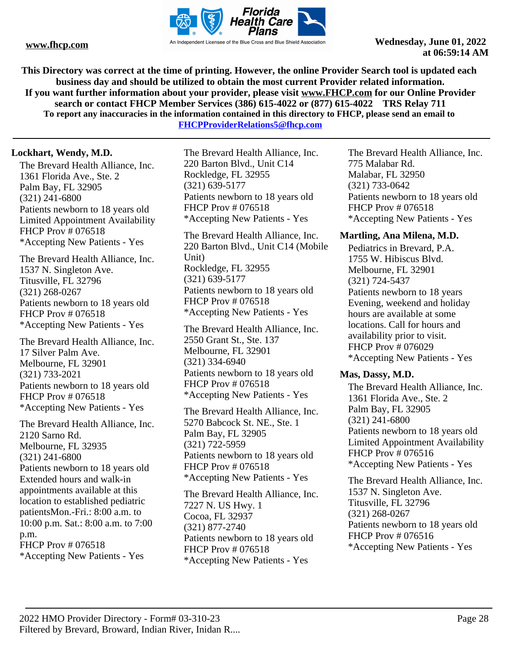

**This Directory was correct at the time of printing. However, the online Provider Search tool is updated each business day and should be utilized to obtain the most current Provider related information. If you want further information about your provider, please visit www.FHCP.com for our Online Provider search or contact FHCP Member Services (386) 615-4022 or (877) 615-4022 TRS Relay 711 To report any inaccuracies in the information contained in this directory to FHCP, please send an email to** 

**FHCPProviderRelations5@fhcp.com**

# **Lockhart, Wendy, M.D.**

The Brevard Health Alliance, Inc. 1361 Florida Ave., Ste. 2 Palm Bay, FL 32905 (321) 241-6800 Patients newborn to 18 years old Limited Appointment Availability FHCP Prov # 076518 \*Accepting New Patients - Yes

The Brevard Health Alliance, Inc. 1537 N. Singleton Ave. Titusville, FL 32796 (321) 268-0267 Patients newborn to 18 years old FHCP Prov # 076518 \*Accepting New Patients - Yes

The Brevard Health Alliance, Inc. 17 Silver Palm Ave. Melbourne, FL 32901 (321) 733-2021 Patients newborn to 18 years old FHCP Prov # 076518 \*Accepting New Patients - Yes

The Brevard Health Alliance, Inc. 2120 Sarno Rd. Melbourne, FL 32935 (321) 241-6800 Patients newborn to 18 years old Extended hours and walk-in appointments available at this location to established pediatric patientsMon.-Fri.: 8:00 a.m. to 10:00 p.m. Sat.: 8:00 a.m. to 7:00 p.m. FHCP Prov # 076518 \*Accepting New Patients - Yes

The Brevard Health Alliance, Inc. 220 Barton Blvd., Unit C14 Rockledge, FL 32955 (321) 639-5177 Patients newborn to 18 years old FHCP Prov # 076518 \*Accepting New Patients - Yes

The Brevard Health Alliance, Inc. 220 Barton Blvd., Unit C14 (Mobile Unit) Rockledge, FL 32955 (321) 639-5177 Patients newborn to 18 years old FHCP Prov # 076518 \*Accepting New Patients - Yes

The Brevard Health Alliance, Inc. 2550 Grant St., Ste. 137 Melbourne, FL 32901 (321) 334-6940 Patients newborn to 18 years old FHCP Prov # 076518 \*Accepting New Patients - Yes

The Brevard Health Alliance, Inc. 5270 Babcock St. NE., Ste. 1 Palm Bay, FL 32905 (321) 722-5959 Patients newborn to 18 years old FHCP Prov # 076518 \*Accepting New Patients - Yes

The Brevard Health Alliance, Inc. 7227 N. US Hwy. 1 Cocoa, FL 32937 (321) 877-2740 Patients newborn to 18 years old FHCP Prov # 076518 \*Accepting New Patients - Yes

The Brevard Health Alliance, Inc. 775 Malabar Rd. Malabar, FL 32950 (321) 733-0642 Patients newborn to 18 years old FHCP Prov # 076518 \*Accepting New Patients - Yes

#### **Martling, Ana Milena, M.D.**

Pediatrics in Brevard, P.A. 1755 W. Hibiscus Blvd. Melbourne, FL 32901 (321) 724-5437 Patients newborn to 18 years Evening, weekend and holiday hours are available at some locations. Call for hours and availability prior to visit. FHCP Prov # 076029 \*Accepting New Patients - Yes

#### **Mas, Dassy, M.D.**

The Brevard Health Alliance, Inc. 1361 Florida Ave., Ste. 2 Palm Bay, FL 32905 (321) 241-6800 Patients newborn to 18 years old Limited Appointment Availability FHCP Prov # 076516 \*Accepting New Patients - Yes

The Brevard Health Alliance, Inc. 1537 N. Singleton Ave. Titusville, FL 32796 (321) 268-0267 Patients newborn to 18 years old FHCP Prov # 076516 \*Accepting New Patients - Yes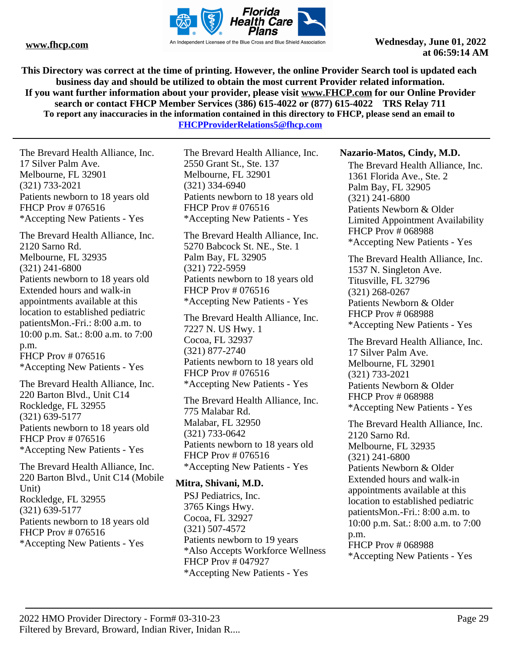

**This Directory was correct at the time of printing. However, the online Provider Search tool is updated each business day and should be utilized to obtain the most current Provider related information. If you want further information about your provider, please visit www.FHCP.com for our Online Provider search or contact FHCP Member Services (386) 615-4022 or (877) 615-4022 TRS Relay 711 To report any inaccuracies in the information contained in this directory to FHCP, please send an email to** 

**FHCPProviderRelations5@fhcp.com**

The Brevard Health Alliance, Inc. 17 Silver Palm Ave. Melbourne, FL 32901 (321) 733-2021 Patients newborn to 18 years old FHCP Prov # 076516 \*Accepting New Patients - Yes

The Brevard Health Alliance, Inc. 2120 Sarno Rd. Melbourne, FL 32935 (321) 241-6800 Patients newborn to 18 years old Extended hours and walk-in appointments available at this location to established pediatric patientsMon.-Fri.: 8:00 a.m. to 10:00 p.m. Sat.: 8:00 a.m. to 7:00 p.m. FHCP Prov # 076516 \*Accepting New Patients - Yes

The Brevard Health Alliance, Inc. 220 Barton Blvd., Unit C14 Rockledge, FL 32955 (321) 639-5177 Patients newborn to 18 years old FHCP Prov # 076516 \*Accepting New Patients - Yes

The Brevard Health Alliance, Inc. 220 Barton Blvd., Unit C14 (Mobile Unit) Rockledge, FL 32955 (321) 639-5177 Patients newborn to 18 years old FHCP Prov # 076516 \*Accepting New Patients - Yes

The Brevard Health Alliance, Inc. 2550 Grant St., Ste. 137 Melbourne, FL 32901 (321) 334-6940 Patients newborn to 18 years old FHCP Prov # 076516 \*Accepting New Patients - Yes

The Brevard Health Alliance, Inc. 5270 Babcock St. NE., Ste. 1 Palm Bay, FL 32905 (321) 722-5959 Patients newborn to 18 years old FHCP Prov # 076516 \*Accepting New Patients - Yes

The Brevard Health Alliance, Inc. 7227 N. US Hwy. 1 Cocoa, FL 32937 (321) 877-2740 Patients newborn to 18 years old FHCP Prov # 076516 \*Accepting New Patients - Yes

The Brevard Health Alliance, Inc. 775 Malabar Rd. Malabar, FL 32950 (321) 733-0642 Patients newborn to 18 years old FHCP Prov # 076516 \*Accepting New Patients - Yes

# **Mitra, Shivani, M.D.**

PSJ Pediatrics, Inc. 3765 Kings Hwy. Cocoa, FL 32927 (321) 507-4572 Patients newborn to 19 years \*Also Accepts Workforce Wellness FHCP Prov # 047927 \*Accepting New Patients - Yes

#### **Nazario-Matos, Cindy, M.D.**

The Brevard Health Alliance, Inc. 1361 Florida Ave., Ste. 2 Palm Bay, FL 32905 (321) 241-6800 Patients Newborn & Older Limited Appointment Availability FHCP Prov # 068988 \*Accepting New Patients - Yes

The Brevard Health Alliance, Inc. 1537 N. Singleton Ave. Titusville, FL 32796 (321) 268-0267 Patients Newborn & Older FHCP Prov # 068988 \*Accepting New Patients - Yes

The Brevard Health Alliance, Inc. 17 Silver Palm Ave. Melbourne, FL 32901 (321) 733-2021 Patients Newborn & Older FHCP Prov # 068988 \*Accepting New Patients - Yes

The Brevard Health Alliance, Inc. 2120 Sarno Rd. Melbourne, FL 32935 (321) 241-6800 Patients Newborn & Older Extended hours and walk-in appointments available at this location to established pediatric patientsMon.-Fri.: 8:00 a.m. to 10:00 p.m. Sat.: 8:00 a.m. to 7:00 p.m. FHCP Prov # 068988 \*Accepting New Patients - Yes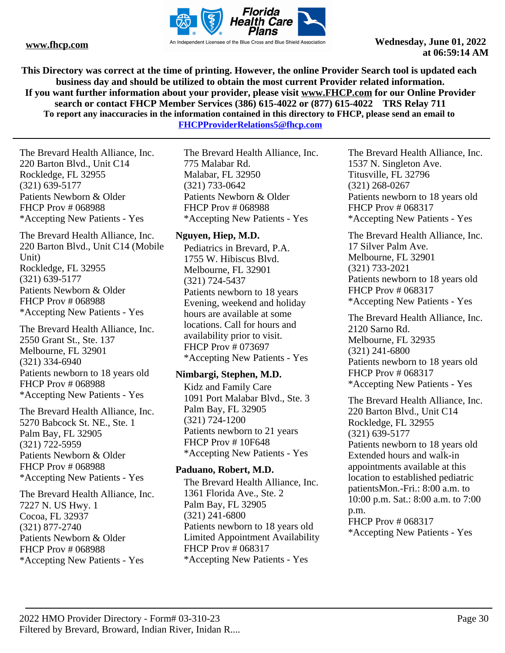

**This Directory was correct at the time of printing. However, the online Provider Search tool is updated each business day and should be utilized to obtain the most current Provider related information. If you want further information about your provider, please visit www.FHCP.com for our Online Provider search or contact FHCP Member Services (386) 615-4022 or (877) 615-4022 TRS Relay 711 To report any inaccuracies in the information contained in this directory to FHCP, please send an email to FHCPProviderRelations5@fhcp.com**

The Brevard Health Alliance, Inc. 220 Barton Blvd., Unit C14 Rockledge, FL 32955 (321) 639-5177 Patients Newborn & Older FHCP Prov # 068988 \*Accepting New Patients - Yes

The Brevard Health Alliance, Inc. 220 Barton Blvd., Unit C14 (Mobile Unit) Rockledge, FL 32955 (321) 639-5177 Patients Newborn & Older FHCP Prov # 068988 \*Accepting New Patients - Yes

The Brevard Health Alliance, Inc. 2550 Grant St., Ste. 137 Melbourne, FL 32901 (321) 334-6940 Patients newborn to 18 years old FHCP Prov # 068988 \*Accepting New Patients - Yes

The Brevard Health Alliance, Inc. 5270 Babcock St. NE., Ste. 1 Palm Bay, FL 32905 (321) 722-5959 Patients Newborn & Older FHCP Prov # 068988 \*Accepting New Patients - Yes

The Brevard Health Alliance, Inc. 7227 N. US Hwy. 1 Cocoa, FL 32937 (321) 877-2740 Patients Newborn & Older FHCP Prov # 068988 \*Accepting New Patients - Yes

The Brevard Health Alliance, Inc. 775 Malabar Rd. Malabar, FL 32950 (321) 733-0642 Patients Newborn & Older FHCP Prov # 068988 \*Accepting New Patients - Yes

# **Nguyen, Hiep, M.D.**

Pediatrics in Brevard, P.A. 1755 W. Hibiscus Blvd. Melbourne, FL 32901 (321) 724-5437 Patients newborn to 18 years Evening, weekend and holiday hours are available at some locations. Call for hours and availability prior to visit. FHCP Prov # 073697 \*Accepting New Patients - Yes

#### **Nimbargi, Stephen, M.D.**

Kidz and Family Care 1091 Port Malabar Blvd., Ste. 3 Palm Bay, FL 32905 (321) 724-1200 Patients newborn to 21 years FHCP Prov # 10F648 \*Accepting New Patients - Yes

#### **Paduano, Robert, M.D.**

The Brevard Health Alliance, Inc. 1361 Florida Ave., Ste. 2 Palm Bay, FL 32905 (321) 241-6800 Patients newborn to 18 years old Limited Appointment Availability FHCP Prov # 068317 \*Accepting New Patients - Yes

The Brevard Health Alliance, Inc. 1537 N. Singleton Ave. Titusville, FL 32796 (321) 268-0267 Patients newborn to 18 years old FHCP Prov # 068317 \*Accepting New Patients - Yes

The Brevard Health Alliance, Inc. 17 Silver Palm Ave. Melbourne, FL 32901 (321) 733-2021 Patients newborn to 18 years old FHCP Prov # 068317 \*Accepting New Patients - Yes

The Brevard Health Alliance, Inc. 2120 Sarno Rd. Melbourne, FL 32935 (321) 241-6800 Patients newborn to 18 years old FHCP Prov # 068317 \*Accepting New Patients - Yes

The Brevard Health Alliance, Inc. 220 Barton Blvd., Unit C14 Rockledge, FL 32955 (321) 639-5177 Patients newborn to 18 years old Extended hours and walk-in appointments available at this location to established pediatric patientsMon.-Fri.: 8:00 a.m. to 10:00 p.m. Sat.: 8:00 a.m. to 7:00 p.m. FHCP Prov # 068317 \*Accepting New Patients - Yes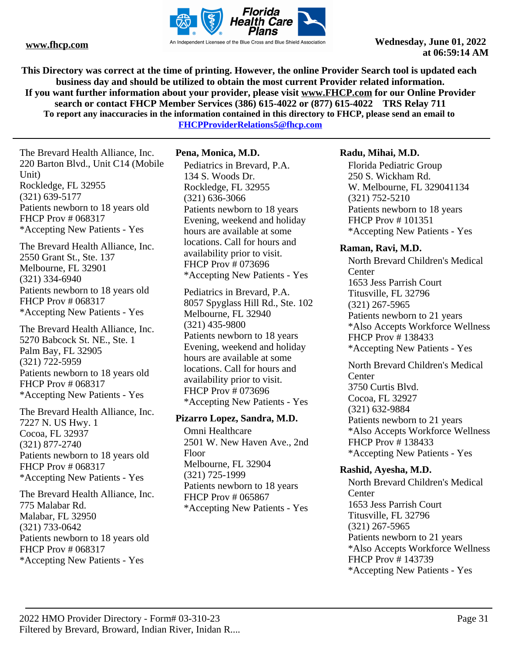

**This Directory was correct at the time of printing. However, the online Provider Search tool is updated each business day and should be utilized to obtain the most current Provider related information. If you want further information about your provider, please visit www.FHCP.com for our Online Provider search or contact FHCP Member Services (386) 615-4022 or (877) 615-4022 TRS Relay 711 To report any inaccuracies in the information contained in this directory to FHCP, please send an email to** 

**FHCPProviderRelations5@fhcp.com**

The Brevard Health Alliance, Inc. 220 Barton Blvd., Unit C14 (Mobile Unit) Rockledge, FL 32955 (321) 639-5177 Patients newborn to 18 years old FHCP Prov # 068317 \*Accepting New Patients - Yes

The Brevard Health Alliance, Inc. 2550 Grant St., Ste. 137 Melbourne, FL 32901 (321) 334-6940 Patients newborn to 18 years old FHCP Prov # 068317 \*Accepting New Patients - Yes

The Brevard Health Alliance, Inc. 5270 Babcock St. NE., Ste. 1 Palm Bay, FL 32905 (321) 722-5959 Patients newborn to 18 years old FHCP Prov # 068317 \*Accepting New Patients - Yes

The Brevard Health Alliance, Inc. 7227 N. US Hwy. 1 Cocoa, FL 32937 (321) 877-2740 Patients newborn to 18 years old FHCP Prov # 068317 \*Accepting New Patients - Yes

The Brevard Health Alliance, Inc. 775 Malabar Rd. Malabar, FL 32950 (321) 733-0642 Patients newborn to 18 years old FHCP Prov # 068317 \*Accepting New Patients - Yes

# **Pena, Monica, M.D.**

Pediatrics in Brevard, P.A. 134 S. Woods Dr. Rockledge, FL 32955 (321) 636-3066 Patients newborn to 18 years Evening, weekend and holiday hours are available at some locations. Call for hours and availability prior to visit. FHCP Prov # 073696 \*Accepting New Patients - Yes

Pediatrics in Brevard, P.A. 8057 Spyglass Hill Rd., Ste. 102 Melbourne, FL 32940 (321) 435-9800 Patients newborn to 18 years Evening, weekend and holiday hours are available at some locations. Call for hours and availability prior to visit. FHCP Prov # 073696 \*Accepting New Patients - Yes

#### **Pizarro Lopez, Sandra, M.D.**

Omni Healthcare 2501 W. New Haven Ave., 2nd Floor Melbourne, FL 32904 (321) 725-1999 Patients newborn to 18 years FHCP Prov # 065867 \*Accepting New Patients - Yes

#### **Radu, Mihai, M.D.**

Florida Pediatric Group 250 S. Wickham Rd. W. Melbourne, FL 329041134 (321) 752-5210 Patients newborn to 18 years FHCP Prov # 101351 \*Accepting New Patients - Yes

#### **Raman, Ravi, M.D.**

North Brevard Children's Medical **Center** 1653 Jess Parrish Court Titusville, FL 32796 (321) 267-5965 Patients newborn to 21 years \*Also Accepts Workforce Wellness FHCP Prov # 138433 \*Accepting New Patients - Yes

North Brevard Children's Medical **Center** 3750 Curtis Blvd. Cocoa, FL 32927 (321) 632-9884 Patients newborn to 21 years \*Also Accepts Workforce Wellness FHCP Prov # 138433 \*Accepting New Patients - Yes

# **Rashid, Ayesha, M.D.**

North Brevard Children's Medical **Center** 1653 Jess Parrish Court Titusville, FL 32796 (321) 267-5965 Patients newborn to 21 years \*Also Accepts Workforce Wellness FHCP Prov # 143739 \*Accepting New Patients - Yes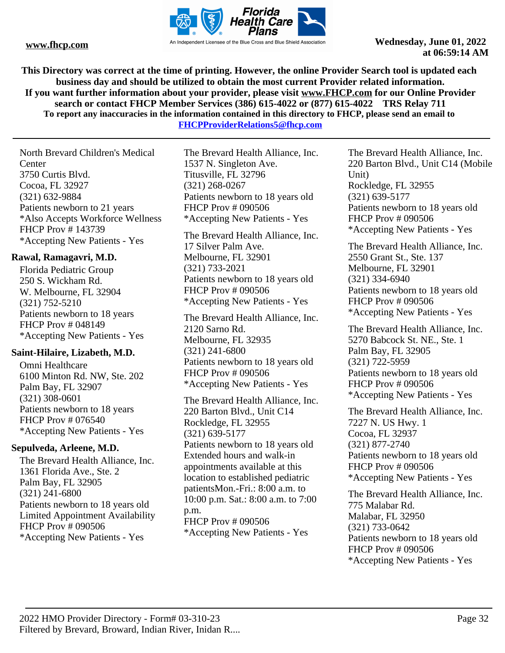

**This Directory was correct at the time of printing. However, the online Provider Search tool is updated each business day and should be utilized to obtain the most current Provider related information. If you want further information about your provider, please visit www.FHCP.com for our Online Provider search or contact FHCP Member Services (386) 615-4022 or (877) 615-4022 TRS Relay 711 To report any inaccuracies in the information contained in this directory to FHCP, please send an email to** 

**FHCPProviderRelations5@fhcp.com**

North Brevard Children's Medical **Center** 3750 Curtis Blvd. Cocoa, FL 32927 (321) 632-9884 Patients newborn to 21 years \*Also Accepts Workforce Wellness FHCP Prov # 143739 \*Accepting New Patients - Yes

# **Rawal, Ramagavri, M.D.**

Florida Pediatric Group 250 S. Wickham Rd. W. Melbourne, FL 32904 (321) 752-5210 Patients newborn to 18 years FHCP Prov # 048149 \*Accepting New Patients - Yes

# **Saint-Hilaire, Lizabeth, M.D.**

Omni Healthcare 6100 Minton Rd. NW, Ste. 202 Palm Bay, FL 32907 (321) 308-0601 Patients newborn to 18 years FHCP Prov # 076540 \*Accepting New Patients - Yes

# **Sepulveda, Arleene, M.D.**

The Brevard Health Alliance, Inc. 1361 Florida Ave., Ste. 2 Palm Bay, FL 32905 (321) 241-6800 Patients newborn to 18 years old Limited Appointment Availability FHCP Prov # 090506 \*Accepting New Patients - Yes

The Brevard Health Alliance, Inc. 1537 N. Singleton Ave. Titusville, FL 32796 (321) 268-0267 Patients newborn to 18 years old FHCP Prov # 090506 \*Accepting New Patients - Yes

The Brevard Health Alliance, Inc. 17 Silver Palm Ave. Melbourne, FL 32901 (321) 733-2021 Patients newborn to 18 years old FHCP Prov # 090506 \*Accepting New Patients - Yes

The Brevard Health Alliance, Inc. 2120 Sarno Rd. Melbourne, FL 32935 (321) 241-6800 Patients newborn to 18 years old FHCP Prov # 090506 \*Accepting New Patients - Yes

The Brevard Health Alliance, Inc. 220 Barton Blvd., Unit C14 Rockledge, FL 32955 (321) 639-5177 Patients newborn to 18 years old Extended hours and walk-in appointments available at this location to established pediatric patientsMon.-Fri.: 8:00 a.m. to 10:00 p.m. Sat.: 8:00 a.m. to 7:00 p.m. FHCP Prov # 090506 \*Accepting New Patients - Yes

The Brevard Health Alliance, Inc. 220 Barton Blvd., Unit C14 (Mobile Unit) Rockledge, FL 32955 (321) 639-5177 Patients newborn to 18 years old FHCP Prov # 090506 \*Accepting New Patients - Yes

The Brevard Health Alliance, Inc. 2550 Grant St., Ste. 137 Melbourne, FL 32901 (321) 334-6940 Patients newborn to 18 years old FHCP Prov # 090506 \*Accepting New Patients - Yes

The Brevard Health Alliance, Inc. 5270 Babcock St. NE., Ste. 1 Palm Bay, FL 32905 (321) 722-5959 Patients newborn to 18 years old FHCP Prov # 090506 \*Accepting New Patients - Yes

The Brevard Health Alliance, Inc. 7227 N. US Hwy. 1 Cocoa, FL 32937 (321) 877-2740 Patients newborn to 18 years old FHCP Prov # 090506 \*Accepting New Patients - Yes

The Brevard Health Alliance, Inc. 775 Malabar Rd. Malabar, FL 32950 (321) 733-0642 Patients newborn to 18 years old FHCP Prov # 090506 \*Accepting New Patients - Yes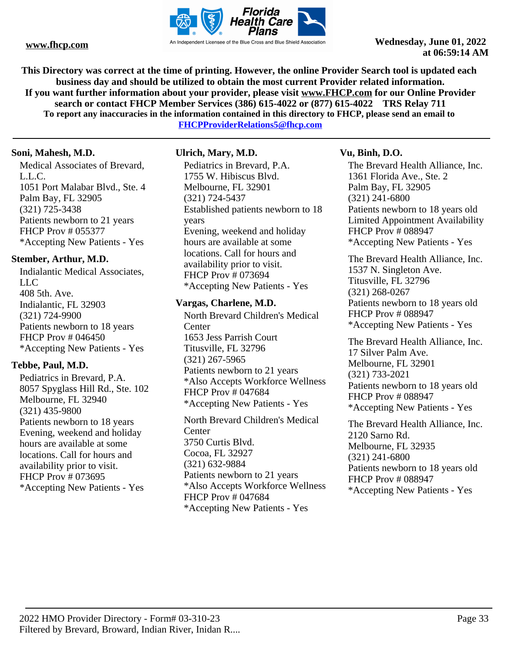

**This Directory was correct at the time of printing. However, the online Provider Search tool is updated each business day and should be utilized to obtain the most current Provider related information. If you want further information about your provider, please visit www.FHCP.com for our Online Provider search or contact FHCP Member Services (386) 615-4022 or (877) 615-4022 TRS Relay 711 To report any inaccuracies in the information contained in this directory to FHCP, please send an email to** 

**FHCPProviderRelations5@fhcp.com**

# **Soni, Mahesh, M.D.**

Medical Associates of Brevard, L.L.C. 1051 Port Malabar Blvd., Ste. 4 Palm Bay, FL 32905 (321) 725-3438 Patients newborn to 21 years FHCP Prov # 055377 \*Accepting New Patients - Yes

# **Stember, Arthur, M.D.**

Indialantic Medical Associates, LLC 408 5th. Ave. Indialantic, FL 32903 (321) 724-9900 Patients newborn to 18 years FHCP Prov # 046450 \*Accepting New Patients - Yes

# **Tebbe, Paul, M.D.**

Pediatrics in Brevard, P.A. 8057 Spyglass Hill Rd., Ste. 102 Melbourne, FL 32940 (321) 435-9800 Patients newborn to 18 years Evening, weekend and holiday hours are available at some locations. Call for hours and availability prior to visit. FHCP Prov # 073695 \*Accepting New Patients - Yes

# **Ulrich, Mary, M.D.**

Pediatrics in Brevard, P.A. 1755 W. Hibiscus Blvd. Melbourne, FL 32901 (321) 724-5437 Established patients newborn to 18 years Evening, weekend and holiday hours are available at some locations. Call for hours and availability prior to visit. FHCP Prov # 073694 \*Accepting New Patients - Yes

# **Vargas, Charlene, M.D.**

North Brevard Children's Medical **Center** 1653 Jess Parrish Court Titusville, FL 32796 (321) 267-5965 Patients newborn to 21 years \*Also Accepts Workforce Wellness FHCP Prov # 047684 \*Accepting New Patients - Yes

North Brevard Children's Medical **Center** 3750 Curtis Blvd. Cocoa, FL 32927 (321) 632-9884 Patients newborn to 21 years \*Also Accepts Workforce Wellness FHCP Prov # 047684 \*Accepting New Patients - Yes

# **Vu, Binh, D.O.**

The Brevard Health Alliance, Inc. 1361 Florida Ave., Ste. 2 Palm Bay, FL 32905 (321) 241-6800 Patients newborn to 18 years old Limited Appointment Availability FHCP Prov # 088947 \*Accepting New Patients - Yes

The Brevard Health Alliance, Inc. 1537 N. Singleton Ave. Titusville, FL 32796 (321) 268-0267 Patients newborn to 18 years old FHCP Prov # 088947 \*Accepting New Patients - Yes

The Brevard Health Alliance, Inc. 17 Silver Palm Ave. Melbourne, FL 32901 (321) 733-2021 Patients newborn to 18 years old FHCP Prov # 088947 \*Accepting New Patients - Yes

The Brevard Health Alliance, Inc. 2120 Sarno Rd. Melbourne, FL 32935 (321) 241-6800 Patients newborn to 18 years old FHCP Prov # 088947 \*Accepting New Patients - Yes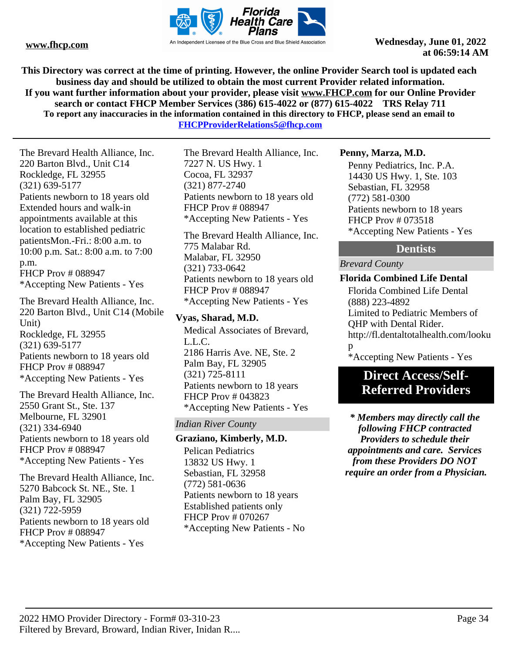

**This Directory was correct at the time of printing. However, the online Provider Search tool is updated each business day and should be utilized to obtain the most current Provider related information. If you want further information about your provider, please visit www.FHCP.com for our Online Provider search or contact FHCP Member Services (386) 615-4022 or (877) 615-4022 TRS Relay 711 To report any inaccuracies in the information contained in this directory to FHCP, please send an email to** 

**FHCPProviderRelations5@fhcp.com**

The Brevard Health Alliance, Inc. 220 Barton Blvd., Unit C14 Rockledge, FL 32955 (321) 639-5177 Patients newborn to 18 years old Extended hours and walk-in appointments available at this location to established pediatric patientsMon.-Fri.: 8:00 a.m. to 10:00 p.m. Sat.: 8:00 a.m. to 7:00 p.m. FHCP Prov # 088947 \*Accepting New Patients - Yes

The Brevard Health Alliance, Inc. 220 Barton Blvd., Unit C14 (Mobile Unit) Rockledge, FL 32955 (321) 639-5177 Patients newborn to 18 years old FHCP Prov # 088947 \*Accepting New Patients - Yes

The Brevard Health Alliance, Inc. 2550 Grant St., Ste. 137 Melbourne, FL 32901 (321) 334-6940 Patients newborn to 18 years old FHCP Prov # 088947 \*Accepting New Patients - Yes

The Brevard Health Alliance, Inc. 5270 Babcock St. NE., Ste. 1 Palm Bay, FL 32905 (321) 722-5959 Patients newborn to 18 years old FHCP Prov # 088947 \*Accepting New Patients - Yes

The Brevard Health Alliance, Inc. 7227 N. US Hwy. 1 Cocoa, FL 32937 (321) 877-2740 Patients newborn to 18 years old FHCP Prov # 088947 \*Accepting New Patients - Yes

The Brevard Health Alliance, Inc. 775 Malabar Rd. Malabar, FL 32950 (321) 733-0642 Patients newborn to 18 years old FHCP Prov # 088947 \*Accepting New Patients - Yes

# **Vyas, Sharad, M.D.**

Medical Associates of Brevard, L.L.C. 2186 Harris Ave. NE, Ste. 2 Palm Bay, FL 32905 (321) 725-8111 Patients newborn to 18 years FHCP Prov # 043823 \*Accepting New Patients - Yes

# *Indian River County*

#### **Graziano, Kimberly, M.D.**

Pelican Pediatrics 13832 US Hwy. 1 Sebastian, FL 32958 (772) 581-0636 Patients newborn to 18 years Established patients only FHCP Prov # 070267 \*Accepting New Patients - No

#### **Penny, Marza, M.D.**

Penny Pediatrics, Inc. P.A. 14430 US Hwy. 1, Ste. 103 Sebastian, FL 32958 (772) 581-0300 Patients newborn to 18 years FHCP Prov # 073518 \*Accepting New Patients - Yes

# **Dentists**

*Brevard County*

# **Florida Combined Life Dental**

Florida Combined Life Dental (888) 223-4892 Limited to Pediatric Members of QHP with Dental Rider. http://fl.dentaltotalhealth.com/looku p \*Accepting New Patients - Yes

# **Direct Access/Self-Referred Providers**

*\* Members may directly call the following FHCP contracted Providers to schedule their appointments and care. Services from these Providers DO NOT require an order from a Physician.*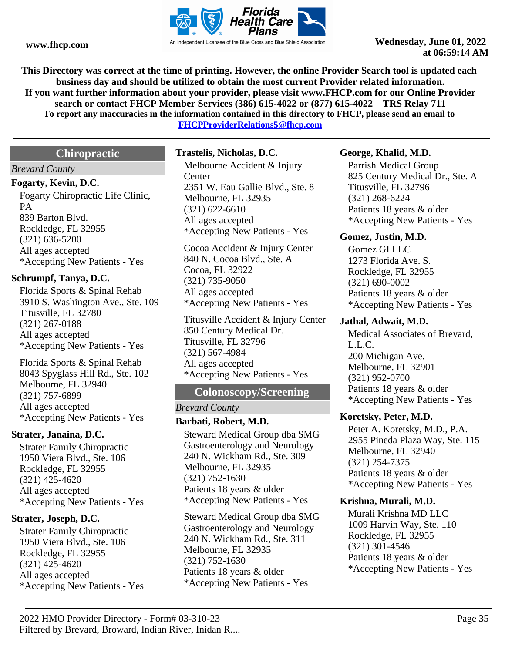

**This Directory was correct at the time of printing. However, the online Provider Search tool is updated each business day and should be utilized to obtain the most current Provider related information. If you want further information about your provider, please visit www.FHCP.com for our Online Provider search or contact FHCP Member Services (386) 615-4022 or (877) 615-4022 TRS Relay 711 To report any inaccuracies in the information contained in this directory to FHCP, please send an email to** 

**FHCPProviderRelations5@fhcp.com**

# **Chiropractic**

#### *Brevard County*

#### **Fogarty, Kevin, D.C.**

Fogarty Chiropractic Life Clinic, PA 839 Barton Blvd. Rockledge, FL 32955 (321) 636-5200 All ages accepted \*Accepting New Patients - Yes

#### **Schrumpf, Tanya, D.C.**

Florida Sports & Spinal Rehab 3910 S. Washington Ave., Ste. 109 Titusville, FL 32780 (321) 267-0188 All ages accepted \*Accepting New Patients - Yes

Florida Sports & Spinal Rehab 8043 Spyglass Hill Rd., Ste. 102 Melbourne, FL 32940 (321) 757-6899 All ages accepted \*Accepting New Patients - Yes

#### **Strater, Janaina, D.C.**

Strater Family Chiropractic 1950 Viera Blvd., Ste. 106 Rockledge, FL 32955 (321) 425-4620 All ages accepted \*Accepting New Patients - Yes

#### **Strater, Joseph, D.C.**

Strater Family Chiropractic 1950 Viera Blvd., Ste. 106 Rockledge, FL 32955 (321) 425-4620 All ages accepted \*Accepting New Patients - Yes

#### **Trastelis, Nicholas, D.C.**

Melbourne Accident & Injury **Center** 2351 W. Eau Gallie Blvd., Ste. 8 Melbourne, FL 32935 (321) 622-6610 All ages accepted \*Accepting New Patients - Yes

Cocoa Accident & Injury Center 840 N. Cocoa Blvd., Ste. A Cocoa, FL 32922 (321) 735-9050 All ages accepted \*Accepting New Patients - Yes

Titusville Accident & Injury Center 850 Century Medical Dr. Titusville, FL 32796 (321) 567-4984 All ages accepted \*Accepting New Patients - Yes

# **Colonoscopy/Screening**

#### *Brevard County*

# **Barbati, Robert, M.D.**

Steward Medical Group dba SMG Gastroenterology and Neurology 240 N. Wickham Rd., Ste. 309 Melbourne, FL 32935 (321) 752-1630 Patients 18 years & older \*Accepting New Patients - Yes

Steward Medical Group dba SMG Gastroenterology and Neurology 240 N. Wickham Rd., Ste. 311 Melbourne, FL 32935 (321) 752-1630 Patients 18 years & older \*Accepting New Patients - Yes

#### **George, Khalid, M.D.**

Parrish Medical Group 825 Century Medical Dr., Ste. A Titusville, FL 32796 (321) 268-6224 Patients 18 years & older \*Accepting New Patients - Yes

#### **Gomez, Justin, M.D.**

Gomez GI LLC 1273 Florida Ave. S. Rockledge, FL 32955 (321) 690-0002 Patients 18 years & older \*Accepting New Patients - Yes

#### **Jathal, Adwait, M.D.**

Medical Associates of Brevard, L.L.C. 200 Michigan Ave. Melbourne, FL 32901 (321) 952-0700 Patients 18 years & older \*Accepting New Patients - Yes

#### **Koretsky, Peter, M.D.**

Peter A. Koretsky, M.D., P.A. 2955 Pineda Plaza Way, Ste. 115 Melbourne, FL 32940 (321) 254-7375 Patients 18 years & older \*Accepting New Patients - Yes

#### **Krishna, Murali, M.D.**

Murali Krishna MD LLC 1009 Harvin Way, Ste. 110 Rockledge, FL 32955 (321) 301-4546 Patients 18 years & older \*Accepting New Patients - Yes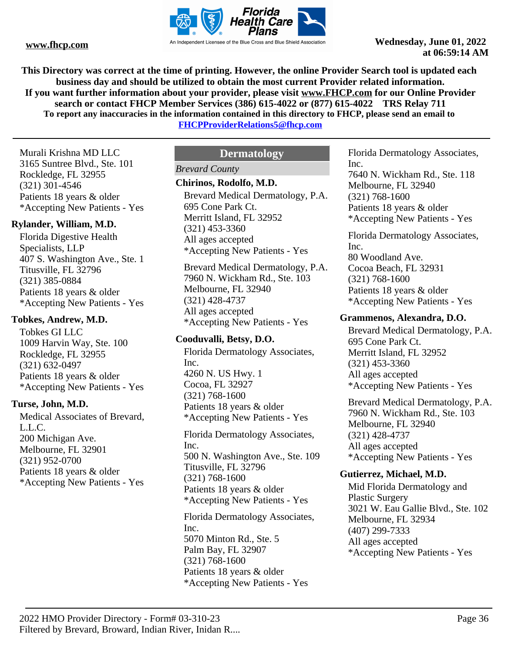

**This Directory was correct at the time of printing. However, the online Provider Search tool is updated each business day and should be utilized to obtain the most current Provider related information. If you want further information about your provider, please visit www.FHCP.com for our Online Provider search or contact FHCP Member Services (386) 615-4022 or (877) 615-4022 TRS Relay 711 To report any inaccuracies in the information contained in this directory to FHCP, please send an email to** 

**FHCPProviderRelations5@fhcp.com**

Murali Krishna MD LLC 3165 Suntree Blvd., Ste. 101 Rockledge, FL 32955 (321) 301-4546 Patients 18 years & older \*Accepting New Patients - Yes

#### **Rylander, William, M.D.**

Florida Digestive Health Specialists, LLP 407 S. Washington Ave., Ste. 1 Titusville, FL 32796 (321) 385-0884 Patients 18 years & older \*Accepting New Patients - Yes

#### **Tobkes, Andrew, M.D.**

Tobkes GI LLC 1009 Harvin Way, Ste. 100 Rockledge, FL 32955 (321) 632-0497 Patients 18 years & older \*Accepting New Patients - Yes

#### **Turse, John, M.D.**

Medical Associates of Brevard, L.L.C. 200 Michigan Ave. Melbourne, FL 32901 (321) 952-0700 Patients 18 years & older \*Accepting New Patients - Yes

# **Dermatology**

# *Brevard County*

#### **Chirinos, Rodolfo, M.D.**

Brevard Medical Dermatology, P.A. 695 Cone Park Ct. Merritt Island, FL 32952 (321) 453-3360 All ages accepted \*Accepting New Patients - Yes

Brevard Medical Dermatology, P.A. 7960 N. Wickham Rd., Ste. 103 Melbourne, FL 32940 (321) 428-4737 All ages accepted \*Accepting New Patients - Yes

# **Cooduvalli, Betsy, D.O.**

Florida Dermatology Associates, Inc. 4260 N. US Hwy. 1 Cocoa, FL 32927 (321) 768-1600 Patients 18 years & older \*Accepting New Patients - Yes

Florida Dermatology Associates, Inc. 500 N. Washington Ave., Ste. 109 Titusville, FL 32796 (321) 768-1600 Patients 18 years & older \*Accepting New Patients - Yes

Florida Dermatology Associates, Inc. 5070 Minton Rd., Ste. 5 Palm Bay, FL 32907 (321) 768-1600 Patients 18 years & older \*Accepting New Patients - Yes

Florida Dermatology Associates, Inc. 7640 N. Wickham Rd., Ste. 118 Melbourne, FL 32940

(321) 768-1600 Patients 18 years & older \*Accepting New Patients - Yes

Florida Dermatology Associates, Inc. 80 Woodland Ave. Cocoa Beach, FL 32931 (321) 768-1600 Patients 18 years & older \*Accepting New Patients - Yes

#### **Grammenos, Alexandra, D.O.**

Brevard Medical Dermatology, P.A. 695 Cone Park Ct. Merritt Island, FL 32952 (321) 453-3360 All ages accepted \*Accepting New Patients - Yes

Brevard Medical Dermatology, P.A. 7960 N. Wickham Rd., Ste. 103 Melbourne, FL 32940 (321) 428-4737 All ages accepted \*Accepting New Patients - Yes

#### **Gutierrez, Michael, M.D.**

Mid Florida Dermatology and Plastic Surgery 3021 W. Eau Gallie Blvd., Ste. 102 Melbourne, FL 32934 (407) 299-7333 All ages accepted \*Accepting New Patients - Yes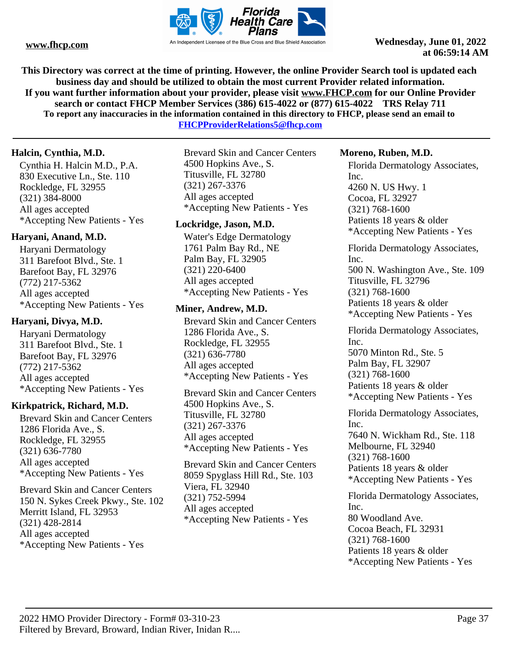

**This Directory was correct at the time of printing. However, the online Provider Search tool is updated each business day and should be utilized to obtain the most current Provider related information. If you want further information about your provider, please visit www.FHCP.com for our Online Provider search or contact FHCP Member Services (386) 615-4022 or (877) 615-4022 TRS Relay 711 To report any inaccuracies in the information contained in this directory to FHCP, please send an email to** 

**FHCPProviderRelations5@fhcp.com**

# **Halcin, Cynthia, M.D.**

Cynthia H. Halcin M.D., P.A. 830 Executive Ln., Ste. 110 Rockledge, FL 32955 (321) 384-8000 All ages accepted \*Accepting New Patients - Yes

# **Haryani, Anand, M.D.**

Haryani Dermatology 311 Barefoot Blvd., Ste. 1 Barefoot Bay, FL 32976 (772) 217-5362 All ages accepted \*Accepting New Patients - Yes

# **Haryani, Divya, M.D.**

Haryani Dermatology 311 Barefoot Blvd., Ste. 1 Barefoot Bay, FL 32976 (772) 217-5362 All ages accepted \*Accepting New Patients - Yes

# **Kirkpatrick, Richard, M.D.**

Brevard Skin and Cancer Centers 1286 Florida Ave., S. Rockledge, FL 32955 (321) 636-7780 All ages accepted \*Accepting New Patients - Yes

Brevard Skin and Cancer Centers 150 N. Sykes Creek Pkwy., Ste. 102 Merritt Island, FL 32953 (321) 428-2814 All ages accepted \*Accepting New Patients - Yes

Brevard Skin and Cancer Centers 4500 Hopkins Ave., S. Titusville, FL 32780 (321) 267-3376 All ages accepted \*Accepting New Patients - Yes

# **Lockridge, Jason, M.D.**

Water's Edge Dermatology 1761 Palm Bay Rd., NE Palm Bay, FL 32905 (321) 220-6400 All ages accepted \*Accepting New Patients - Yes

# **Miner, Andrew, M.D.**

Brevard Skin and Cancer Centers 1286 Florida Ave., S. Rockledge, FL 32955 (321) 636-7780 All ages accepted \*Accepting New Patients - Yes

Brevard Skin and Cancer Centers 4500 Hopkins Ave., S. Titusville, FL 32780 (321) 267-3376 All ages accepted \*Accepting New Patients - Yes

Brevard Skin and Cancer Centers 8059 Spyglass Hill Rd., Ste. 103 Viera, FL 32940 (321) 752-5994 All ages accepted \*Accepting New Patients - Yes

# **Moreno, Ruben, M.D.**

Florida Dermatology Associates, Inc. 4260 N. US Hwy. 1 Cocoa, FL 32927 (321) 768-1600 Patients 18 years & older \*Accepting New Patients - Yes

Florida Dermatology Associates, Inc. 500 N. Washington Ave., Ste. 109 Titusville, FL 32796 (321) 768-1600 Patients 18 years & older \*Accepting New Patients - Yes

Florida Dermatology Associates, Inc. 5070 Minton Rd., Ste. 5 Palm Bay, FL 32907 (321) 768-1600 Patients 18 years & older \*Accepting New Patients - Yes

Florida Dermatology Associates, Inc. 7640 N. Wickham Rd., Ste. 118 Melbourne, FL 32940 (321) 768-1600 Patients 18 years & older \*Accepting New Patients - Yes

Florida Dermatology Associates, Inc. 80 Woodland Ave. Cocoa Beach, FL 32931 (321) 768-1600 Patients 18 years & older \*Accepting New Patients - Yes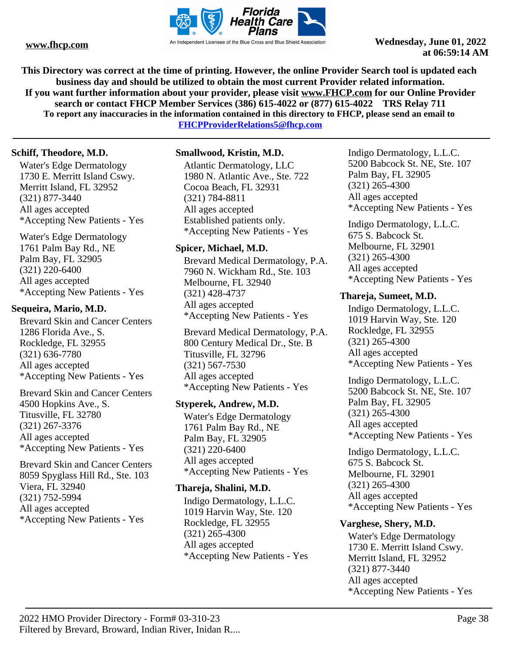

**This Directory was correct at the time of printing. However, the online Provider Search tool is updated each business day and should be utilized to obtain the most current Provider related information. If you want further information about your provider, please visit www.FHCP.com for our Online Provider search or contact FHCP Member Services (386) 615-4022 or (877) 615-4022 TRS Relay 711 To report any inaccuracies in the information contained in this directory to FHCP, please send an email to** 

**FHCPProviderRelations5@fhcp.com**

# **Schiff, Theodore, M.D.**

Water's Edge Dermatology 1730 E. Merritt Island Cswy. Merritt Island, FL 32952 (321) 877-3440 All ages accepted \*Accepting New Patients - Yes

Water's Edge Dermatology 1761 Palm Bay Rd., NE Palm Bay, FL 32905 (321) 220-6400 All ages accepted \*Accepting New Patients - Yes

# **Sequeira, Mario, M.D.**

Brevard Skin and Cancer Centers 1286 Florida Ave., S. Rockledge, FL 32955 (321) 636-7780 All ages accepted \*Accepting New Patients - Yes

Brevard Skin and Cancer Centers 4500 Hopkins Ave., S. Titusville, FL 32780 (321) 267-3376 All ages accepted \*Accepting New Patients - Yes

Brevard Skin and Cancer Centers 8059 Spyglass Hill Rd., Ste. 103 Viera, FL 32940 (321) 752-5994 All ages accepted \*Accepting New Patients - Yes

# **Smallwood, Kristin, M.D.**

Atlantic Dermatology, LLC 1980 N. Atlantic Ave., Ste. 722 Cocoa Beach, FL 32931 (321) 784-8811 All ages accepted Established patients only. \*Accepting New Patients - Yes

# **Spicer, Michael, M.D.**

Brevard Medical Dermatology, P.A. 7960 N. Wickham Rd., Ste. 103 Melbourne, FL 32940 (321) 428-4737 All ages accepted \*Accepting New Patients - Yes

Brevard Medical Dermatology, P.A. 800 Century Medical Dr., Ste. B Titusville, FL 32796 (321) 567-7530 All ages accepted \*Accepting New Patients - Yes

# **Styperek, Andrew, M.D.**

Water's Edge Dermatology 1761 Palm Bay Rd., NE Palm Bay, FL 32905 (321) 220-6400 All ages accepted \*Accepting New Patients - Yes

# **Thareja, Shalini, M.D.**

Indigo Dermatology, L.L.C. 1019 Harvin Way, Ste. 120 Rockledge, FL 32955 (321) 265-4300 All ages accepted \*Accepting New Patients - Yes

Indigo Dermatology, L.L.C. 5200 Babcock St. NE, Ste. 107 Palm Bay, FL 32905 (321) 265-4300 All ages accepted \*Accepting New Patients - Yes

Indigo Dermatology, L.L.C. 675 S. Babcock St. Melbourne, FL 32901 (321) 265-4300 All ages accepted \*Accepting New Patients - Yes

# **Thareja, Sumeet, M.D.**

Indigo Dermatology, L.L.C. 1019 Harvin Way, Ste. 120 Rockledge, FL 32955 (321) 265-4300 All ages accepted \*Accepting New Patients - Yes

Indigo Dermatology, L.L.C. 5200 Babcock St. NE, Ste. 107 Palm Bay, FL 32905 (321) 265-4300 All ages accepted \*Accepting New Patients - Yes

Indigo Dermatology, L.L.C. 675 S. Babcock St. Melbourne, FL 32901 (321) 265-4300 All ages accepted \*Accepting New Patients - Yes

# **Varghese, Shery, M.D.**

Water's Edge Dermatology 1730 E. Merritt Island Cswy. Merritt Island, FL 32952 (321) 877-3440 All ages accepted \*Accepting New Patients - Yes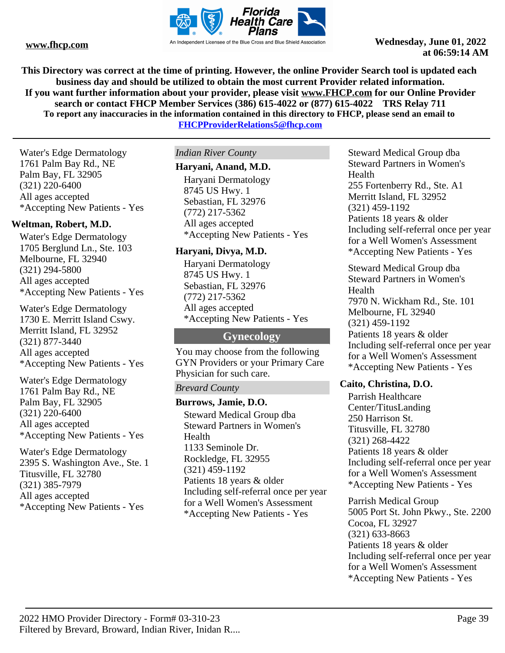

**This Directory was correct at the time of printing. However, the online Provider Search tool is updated each business day and should be utilized to obtain the most current Provider related information. If you want further information about your provider, please visit www.FHCP.com for our Online Provider search or contact FHCP Member Services (386) 615-4022 or (877) 615-4022 TRS Relay 711 To report any inaccuracies in the information contained in this directory to FHCP, please send an email to FHCPProviderRelations5@fhcp.com**

Water's Edge Dermatology 1761 Palm Bay Rd., NE Palm Bay, FL 32905 (321) 220-6400 All ages accepted \*Accepting New Patients - Yes

# **Weltman, Robert, M.D.**

Water's Edge Dermatology 1705 Berglund Ln., Ste. 103 Melbourne, FL 32940 (321) 294-5800 All ages accepted \*Accepting New Patients - Yes

Water's Edge Dermatology 1730 E. Merritt Island Cswy. Merritt Island, FL 32952 (321) 877-3440 All ages accepted \*Accepting New Patients - Yes

Water's Edge Dermatology 1761 Palm Bay Rd., NE Palm Bay, FL 32905 (321) 220-6400 All ages accepted \*Accepting New Patients - Yes

Water's Edge Dermatology 2395 S. Washington Ave., Ste. 1 Titusville, FL 32780 (321) 385-7979 All ages accepted \*Accepting New Patients - Yes

*Indian River County*

# **Haryani, Anand, M.D.**

Haryani Dermatology 8745 US Hwy. 1 Sebastian, FL 32976 (772) 217-5362 All ages accepted \*Accepting New Patients - Yes

# **Haryani, Divya, M.D.**

Haryani Dermatology 8745 US Hwy. 1 Sebastian, FL 32976 (772) 217-5362 All ages accepted \*Accepting New Patients - Yes

# **Gynecology**

You may choose from the following GYN Providers or your Primary Care Physician for such care.

# *Brevard County*

# **Burrows, Jamie, D.O.**

Steward Medical Group dba Steward Partners in Women's Health 1133 Seminole Dr. Rockledge, FL 32955 (321) 459-1192 Patients 18 years & older Including self-referral once per year for a Well Women's Assessment \*Accepting New Patients - Yes

Steward Medical Group dba Steward Partners in Women's Health 255 Fortenberry Rd., Ste. A1 Merritt Island, FL 32952 (321) 459-1192 Patients 18 years & older Including self-referral once per year for a Well Women's Assessment \*Accepting New Patients - Yes

Steward Medical Group dba Steward Partners in Women's Health 7970 N. Wickham Rd., Ste. 101 Melbourne, FL 32940 (321) 459-1192 Patients 18 years & older Including self-referral once per year for a Well Women's Assessment \*Accepting New Patients - Yes

# **Caito, Christina, D.O.**

Parrish Healthcare Center/TitusLanding 250 Harrison St. Titusville, FL 32780 (321) 268-4422 Patients 18 years & older Including self-referral once per year for a Well Women's Assessment \*Accepting New Patients - Yes

Parrish Medical Group 5005 Port St. John Pkwy., Ste. 2200 Cocoa, FL 32927 (321) 633-8663 Patients 18 years & older Including self-referral once per year for a Well Women's Assessment \*Accepting New Patients - Yes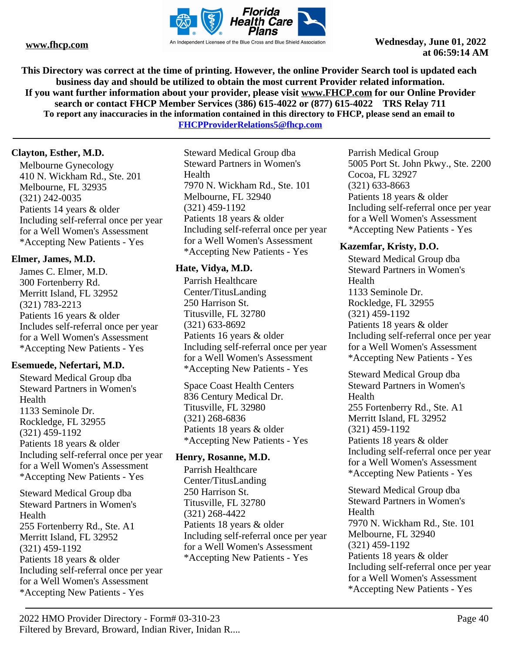

**This Directory was correct at the time of printing. However, the online Provider Search tool is updated each business day and should be utilized to obtain the most current Provider related information. If you want further information about your provider, please visit www.FHCP.com for our Online Provider search or contact FHCP Member Services (386) 615-4022 or (877) 615-4022 TRS Relay 711 To report any inaccuracies in the information contained in this directory to FHCP, please send an email to** 

**FHCPProviderRelations5@fhcp.com**

# **Clayton, Esther, M.D.**

Melbourne Gynecology 410 N. Wickham Rd., Ste. 201 Melbourne, FL 32935 (321) 242-0035 Patients 14 years & older Including self-referral once per year for a Well Women's Assessment \*Accepting New Patients - Yes

# **Elmer, James, M.D.**

James C. Elmer, M.D. 300 Fortenberry Rd. Merritt Island, FL 32952 (321) 783-2213 Patients 16 years & older Includes self-referral once per year for a Well Women's Assessment \*Accepting New Patients - Yes

# **Esemuede, Nefertari, M.D.**

Steward Medical Group dba Steward Partners in Women's Health 1133 Seminole Dr. Rockledge, FL 32955 (321) 459-1192 Patients 18 years & older Including self-referral once per year for a Well Women's Assessment \*Accepting New Patients - Yes

Steward Medical Group dba Steward Partners in Women's Health 255 Fortenberry Rd., Ste. A1 Merritt Island, FL 32952 (321) 459-1192 Patients 18 years & older Including self-referral once per year for a Well Women's Assessment \*Accepting New Patients - Yes

Steward Medical Group dba Steward Partners in Women's Health 7970 N. Wickham Rd., Ste. 101 Melbourne, FL 32940 (321) 459-1192 Patients 18 years & older Including self-referral once per year for a Well Women's Assessment \*Accepting New Patients - Yes

# **Hate, Vidya, M.D.**

Parrish Healthcare Center/TitusLanding 250 Harrison St. Titusville, FL 32780 (321) 633-8692 Patients 16 years & older Including self-referral once per year for a Well Women's Assessment \*Accepting New Patients - Yes

Space Coast Health Centers 836 Century Medical Dr. Titusville, FL 32980 (321) 268-6836 Patients 18 years & older \*Accepting New Patients - Yes

# **Henry, Rosanne, M.D.**

Parrish Healthcare Center/TitusLanding 250 Harrison St. Titusville, FL 32780 (321) 268-4422 Patients 18 years & older Including self-referral once per year for a Well Women's Assessment \*Accepting New Patients - Yes

Parrish Medical Group 5005 Port St. John Pkwy., Ste. 2200 Cocoa, FL 32927 (321) 633-8663 Patients 18 years & older Including self-referral once per year for a Well Women's Assessment \*Accepting New Patients - Yes

# **Kazemfar, Kristy, D.O.**

Steward Medical Group dba Steward Partners in Women's Health 1133 Seminole Dr. Rockledge, FL 32955 (321) 459-1192 Patients 18 years & older Including self-referral once per year for a Well Women's Assessment \*Accepting New Patients - Yes

Steward Medical Group dba Steward Partners in Women's Health 255 Fortenberry Rd., Ste. A1 Merritt Island, FL 32952 (321) 459-1192 Patients 18 years & older Including self-referral once per year for a Well Women's Assessment \*Accepting New Patients - Yes

Steward Medical Group dba Steward Partners in Women's Health 7970 N. Wickham Rd., Ste. 101 Melbourne, FL 32940 (321) 459-1192 Patients 18 years & older Including self-referral once per year for a Well Women's Assessment \*Accepting New Patients - Yes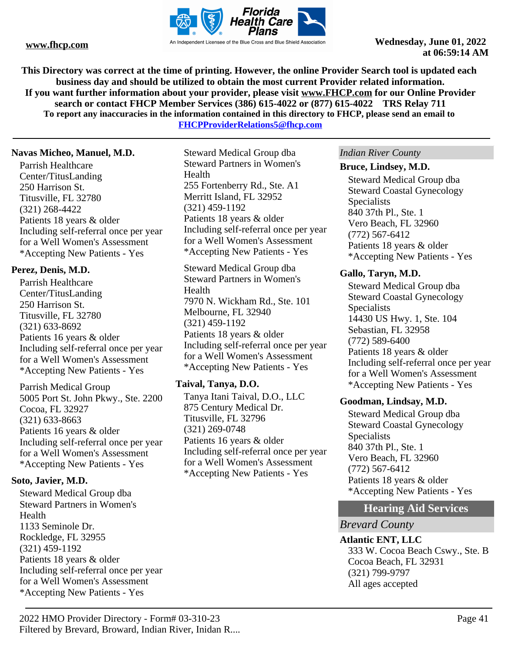

**This Directory was correct at the time of printing. However, the online Provider Search tool is updated each business day and should be utilized to obtain the most current Provider related information. If you want further information about your provider, please visit www.FHCP.com for our Online Provider search or contact FHCP Member Services (386) 615-4022 or (877) 615-4022 TRS Relay 711 To report any inaccuracies in the information contained in this directory to FHCP, please send an email to** 

**FHCPProviderRelations5@fhcp.com**

# **Navas Micheo, Manuel, M.D.**

Parrish Healthcare Center/TitusLanding 250 Harrison St. Titusville, FL 32780 (321) 268-4422 Patients 18 years & older Including self-referral once per year for a Well Women's Assessment \*Accepting New Patients - Yes

# **Perez, Denis, M.D.**

Parrish Healthcare Center/TitusLanding 250 Harrison St. Titusville, FL 32780 (321) 633-8692 Patients 16 years & older Including self-referral once per year for a Well Women's Assessment \*Accepting New Patients - Yes

Parrish Medical Group 5005 Port St. John Pkwy., Ste. 2200 Cocoa, FL 32927 (321) 633-8663 Patients 16 years & older Including self-referral once per year for a Well Women's Assessment \*Accepting New Patients - Yes

# **Soto, Javier, M.D.**

Steward Medical Group dba Steward Partners in Women's Health 1133 Seminole Dr. Rockledge, FL 32955 (321) 459-1192 Patients 18 years & older Including self-referral once per year for a Well Women's Assessment \*Accepting New Patients - Yes

Steward Medical Group dba Steward Partners in Women's Health 255 Fortenberry Rd., Ste. A1 Merritt Island, FL 32952 (321) 459-1192 Patients 18 years & older Including self-referral once per year for a Well Women's Assessment \*Accepting New Patients - Yes

Steward Medical Group dba Steward Partners in Women's Health 7970 N. Wickham Rd., Ste. 101 Melbourne, FL 32940 (321) 459-1192 Patients 18 years & older Including self-referral once per year for a Well Women's Assessment \*Accepting New Patients - Yes

# **Taival, Tanya, D.O.**

Tanya Itani Taival, D.O., LLC 875 Century Medical Dr. Titusville, FL 32796 (321) 269-0748 Patients 16 years & older Including self-referral once per year for a Well Women's Assessment \*Accepting New Patients - Yes

### *Indian River County*

### **Bruce, Lindsey, M.D.**

Steward Medical Group dba Steward Coastal Gynecology **Specialists** 840 37th Pl., Ste. 1 Vero Beach, FL 32960 (772) 567-6412 Patients 18 years & older \*Accepting New Patients - Yes

# **Gallo, Taryn, M.D.**

Steward Medical Group dba Steward Coastal Gynecology Specialists 14430 US Hwy. 1, Ste. 104 Sebastian, FL 32958 (772) 589-6400 Patients 18 years & older Including self-referral once per year for a Well Women's Assessment \*Accepting New Patients - Yes

# **Goodman, Lindsay, M.D.**

Steward Medical Group dba Steward Coastal Gynecology Specialists 840 37th Pl., Ste. 1 Vero Beach, FL 32960 (772) 567-6412 Patients 18 years & older \*Accepting New Patients - Yes

# **Hearing Aid Services**

# *Brevard County*

**Atlantic ENT, LLC** 333 W. Cocoa Beach Cswy., Ste. B Cocoa Beach, FL 32931 (321) 799-9797 All ages accepted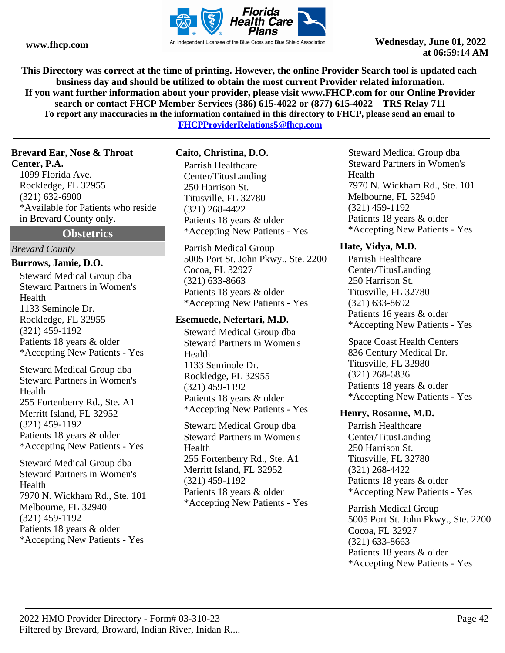

**This Directory was correct at the time of printing. However, the online Provider Search tool is updated each business day and should be utilized to obtain the most current Provider related information. If you want further information about your provider, please visit www.FHCP.com for our Online Provider search or contact FHCP Member Services (386) 615-4022 or (877) 615-4022 TRS Relay 711 To report any inaccuracies in the information contained in this directory to FHCP, please send an email to FHCPProviderRelations5@fhcp.com**

**Brevard Ear, Nose & Throat Center, P.A.**

1099 Florida Ave. Rockledge, FL 32955 (321) 632-6900 \*Available for Patients who reside in Brevard County only.

**Obstetrics**

# *Brevard County*

**Burrows, Jamie, D.O.**

Steward Medical Group dba Steward Partners in Women's Health 1133 Seminole Dr. Rockledge, FL 32955 (321) 459-1192 Patients 18 years & older \*Accepting New Patients - Yes

Steward Medical Group dba Steward Partners in Women's Health 255 Fortenberry Rd., Ste. A1 Merritt Island, FL 32952 (321) 459-1192 Patients 18 years & older \*Accepting New Patients - Yes

Steward Medical Group dba Steward Partners in Women's Health 7970 N. Wickham Rd., Ste. 101 Melbourne, FL 32940 (321) 459-1192 Patients 18 years & older \*Accepting New Patients - Yes

**Caito, Christina, D.O.**

Parrish Healthcare Center/TitusLanding 250 Harrison St. Titusville, FL 32780 (321) 268-4422 Patients 18 years & older \*Accepting New Patients - Yes

Parrish Medical Group 5005 Port St. John Pkwy., Ste. 2200 Cocoa, FL 32927 (321) 633-8663 Patients 18 years & older \*Accepting New Patients - Yes

# **Esemuede, Nefertari, M.D.**

Steward Medical Group dba Steward Partners in Women's Health 1133 Seminole Dr. Rockledge, FL 32955 (321) 459-1192 Patients 18 years & older \*Accepting New Patients - Yes

Steward Medical Group dba Steward Partners in Women's Health 255 Fortenberry Rd., Ste. A1 Merritt Island, FL 32952 (321) 459-1192 Patients 18 years & older \*Accepting New Patients - Yes

Steward Medical Group dba Steward Partners in Women's Health 7970 N. Wickham Rd., Ste. 101 Melbourne, FL 32940 (321) 459-1192 Patients 18 years & older \*Accepting New Patients - Yes

# **Hate, Vidya, M.D.**

Parrish Healthcare Center/TitusLanding 250 Harrison St. Titusville, FL 32780 (321) 633-8692 Patients 16 years & older \*Accepting New Patients - Yes

Space Coast Health Centers 836 Century Medical Dr. Titusville, FL 32980 (321) 268-6836 Patients 18 years & older \*Accepting New Patients - Yes

# **Henry, Rosanne, M.D.**

Parrish Healthcare Center/TitusLanding 250 Harrison St. Titusville, FL 32780 (321) 268-4422 Patients 18 years & older \*Accepting New Patients - Yes

Parrish Medical Group 5005 Port St. John Pkwy., Ste. 2200 Cocoa, FL 32927 (321) 633-8663 Patients 18 years & older \*Accepting New Patients - Yes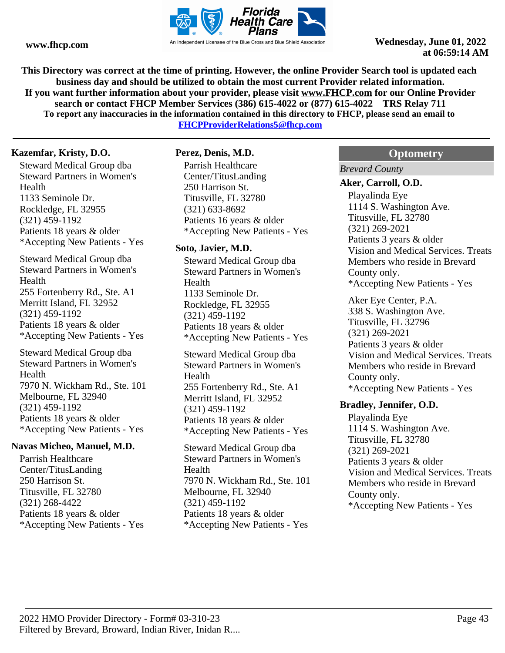

**This Directory was correct at the time of printing. However, the online Provider Search tool is updated each business day and should be utilized to obtain the most current Provider related information. If you want further information about your provider, please visit www.FHCP.com for our Online Provider search or contact FHCP Member Services (386) 615-4022 or (877) 615-4022 TRS Relay 711 To report any inaccuracies in the information contained in this directory to FHCP, please send an email to** 

**FHCPProviderRelations5@fhcp.com**

# **Kazemfar, Kristy, D.O.**

Steward Medical Group dba Steward Partners in Women's Health 1133 Seminole Dr. Rockledge, FL 32955 (321) 459-1192 Patients 18 years & older \*Accepting New Patients - Yes

Steward Medical Group dba Steward Partners in Women's Health 255 Fortenberry Rd., Ste. A1 Merritt Island, FL 32952 (321) 459-1192 Patients 18 years & older \*Accepting New Patients - Yes

Steward Medical Group dba Steward Partners in Women's Health 7970 N. Wickham Rd., Ste. 101 Melbourne, FL 32940 (321) 459-1192 Patients 18 years & older \*Accepting New Patients - Yes

### **Navas Micheo, Manuel, M.D.**

Parrish Healthcare Center/TitusLanding 250 Harrison St. Titusville, FL 32780 (321) 268-4422 Patients 18 years & older \*Accepting New Patients - Yes

# **Perez, Denis, M.D.**

Parrish Healthcare Center/TitusLanding 250 Harrison St. Titusville, FL 32780 (321) 633-8692 Patients 16 years & older \*Accepting New Patients - Yes

### **Soto, Javier, M.D.**

Steward Medical Group dba Steward Partners in Women's Health 1133 Seminole Dr. Rockledge, FL 32955 (321) 459-1192 Patients 18 years & older \*Accepting New Patients - Yes

Steward Medical Group dba Steward Partners in Women's Health 255 Fortenberry Rd., Ste. A1 Merritt Island, FL 32952 (321) 459-1192 Patients 18 years & older \*Accepting New Patients - Yes

Steward Medical Group dba Steward Partners in Women's Health 7970 N. Wickham Rd., Ste. 101 Melbourne, FL 32940 (321) 459-1192 Patients 18 years & older \*Accepting New Patients - Yes

# **Optometry**

*Brevard County*

#### **Aker, Carroll, O.D.**

Playalinda Eye 1114 S. Washington Ave. Titusville, FL 32780 (321) 269-2021 Patients 3 years & older Vision and Medical Services. Treats Members who reside in Brevard County only. \*Accepting New Patients - Yes

Aker Eye Center, P.A. 338 S. Washington Ave. Titusville, FL 32796 (321) 269-2021 Patients 3 years & older Vision and Medical Services. Treats Members who reside in Brevard County only. \*Accepting New Patients - Yes

#### **Bradley, Jennifer, O.D.**

Playalinda Eye 1114 S. Washington Ave. Titusville, FL 32780 (321) 269-2021 Patients 3 years & older Vision and Medical Services. Treats Members who reside in Brevard County only. \*Accepting New Patients - Yes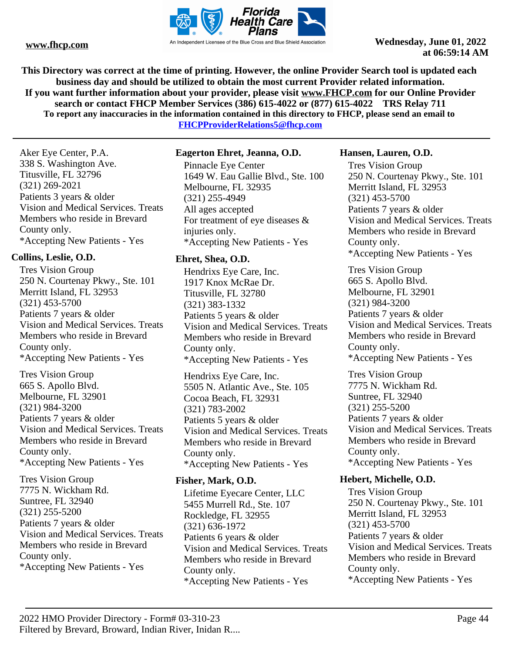

**This Directory was correct at the time of printing. However, the online Provider Search tool is updated each business day and should be utilized to obtain the most current Provider related information. If you want further information about your provider, please visit www.FHCP.com for our Online Provider search or contact FHCP Member Services (386) 615-4022 or (877) 615-4022 TRS Relay 711 To report any inaccuracies in the information contained in this directory to FHCP, please send an email to** 

**FHCPProviderRelations5@fhcp.com**

Aker Eye Center, P.A. 338 S. Washington Ave. Titusville, FL 32796 (321) 269-2021 Patients 3 years & older Vision and Medical Services. Treats Members who reside in Brevard County only. \*Accepting New Patients - Yes

# **Collins, Leslie, O.D.**

Tres Vision Group 250 N. Courtenay Pkwy., Ste. 101 Merritt Island, FL 32953 (321) 453-5700 Patients 7 years & older Vision and Medical Services. Treats Members who reside in Brevard County only. \*Accepting New Patients - Yes Tres Vision Group 665 S. Apollo Blvd.

Melbourne, FL 32901 (321) 984-3200 Patients 7 years & older Vision and Medical Services. Treats Members who reside in Brevard County only. \*Accepting New Patients - Yes

Tres Vision Group 7775 N. Wickham Rd. Suntree, FL 32940 (321) 255-5200 Patients 7 years & older Vision and Medical Services. Treats Members who reside in Brevard County only. \*Accepting New Patients - Yes

# **Eagerton Ehret, Jeanna, O.D.**

Pinnacle Eye Center 1649 W. Eau Gallie Blvd., Ste. 100 Melbourne, FL 32935 (321) 255-4949 All ages accepted For treatment of eye diseases & injuries only. \*Accepting New Patients - Yes

# **Ehret, Shea, O.D.**

Hendrixs Eye Care, Inc. 1917 Knox McRae Dr. Titusville, FL 32780 (321) 383-1332 Patients 5 years & older Vision and Medical Services. Treats Members who reside in Brevard County only. \*Accepting New Patients - Yes

Hendrixs Eye Care, Inc. 5505 N. Atlantic Ave., Ste. 105 Cocoa Beach, FL 32931 (321) 783-2002 Patients 5 years & older Vision and Medical Services. Treats Members who reside in Brevard County only. \*Accepting New Patients - Yes

# **Fisher, Mark, O.D.**

Lifetime Eyecare Center, LLC 5455 Murrell Rd., Ste. 107 Rockledge, FL 32955 (321) 636-1972 Patients 6 years & older Vision and Medical Services. Treats Members who reside in Brevard County only. \*Accepting New Patients - Yes

# **Hansen, Lauren, O.D.**

Tres Vision Group 250 N. Courtenay Pkwy., Ste. 101 Merritt Island, FL 32953 (321) 453-5700 Patients 7 years & older Vision and Medical Services. Treats Members who reside in Brevard County only. \*Accepting New Patients - Yes

Tres Vision Group 665 S. Apollo Blvd. Melbourne, FL 32901 (321) 984-3200 Patients 7 years & older Vision and Medical Services. Treats Members who reside in Brevard County only. \*Accepting New Patients - Yes

Tres Vision Group 7775 N. Wickham Rd. Suntree, FL 32940 (321) 255-5200 Patients 7 years & older Vision and Medical Services. Treats Members who reside in Brevard County only. \*Accepting New Patients - Yes

# **Hebert, Michelle, O.D.**

Tres Vision Group 250 N. Courtenay Pkwy., Ste. 101 Merritt Island, FL 32953 (321) 453-5700 Patients 7 years & older Vision and Medical Services. Treats Members who reside in Brevard County only. \*Accepting New Patients - Yes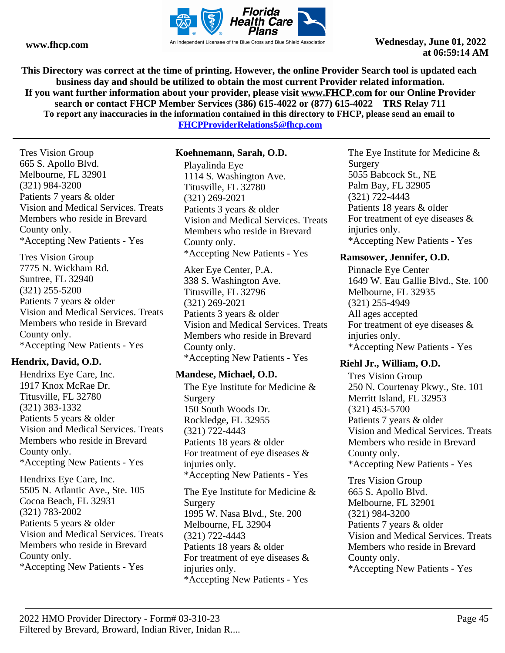

**This Directory was correct at the time of printing. However, the online Provider Search tool is updated each business day and should be utilized to obtain the most current Provider related information. If you want further information about your provider, please visit www.FHCP.com for our Online Provider search or contact FHCP Member Services (386) 615-4022 or (877) 615-4022 TRS Relay 711 To report any inaccuracies in the information contained in this directory to FHCP, please send an email to** 

**FHCPProviderRelations5@fhcp.com**

Tres Vision Group 665 S. Apollo Blvd. Melbourne, FL 32901 (321) 984-3200 Patients 7 years & older Vision and Medical Services. Treats Members who reside in Brevard County only. \*Accepting New Patients - Yes

Tres Vision Group 7775 N. Wickham Rd. Suntree, FL 32940 (321) 255-5200 Patients 7 years & older Vision and Medical Services. Treats Members who reside in Brevard County only. \*Accepting New Patients - Yes

# **Hendrix, David, O.D.**

Hendrixs Eye Care, Inc. 1917 Knox McRae Dr. Titusville, FL 32780 (321) 383-1332 Patients 5 years & older Vision and Medical Services. Treats Members who reside in Brevard County only. \*Accepting New Patients - Yes

Hendrixs Eye Care, Inc. 5505 N. Atlantic Ave., Ste. 105 Cocoa Beach, FL 32931 (321) 783-2002 Patients 5 years & older Vision and Medical Services. Treats Members who reside in Brevard County only. \*Accepting New Patients - Yes

# **Koehnemann, Sarah, O.D.**

Playalinda Eye 1114 S. Washington Ave. Titusville, FL 32780 (321) 269-2021 Patients 3 years & older Vision and Medical Services. Treats Members who reside in Brevard County only. \*Accepting New Patients - Yes

Aker Eye Center, P.A. 338 S. Washington Ave. Titusville, FL 32796 (321) 269-2021 Patients 3 years & older Vision and Medical Services. Treats Members who reside in Brevard County only. \*Accepting New Patients - Yes

# **Mandese, Michael, O.D.**

The Eye Institute for Medicine & Surgery 150 South Woods Dr. Rockledge, FL 32955 (321) 722-4443 Patients 18 years & older For treatment of eye diseases & injuries only. \*Accepting New Patients - Yes The Eye Institute for Medicine &

Surgery 1995 W. Nasa Blvd., Ste. 200 Melbourne, FL 32904 (321) 722-4443 Patients 18 years & older For treatment of eye diseases & injuries only. \*Accepting New Patients - Yes

The Eye Institute for Medicine & Surgery 5055 Babcock St., NE Palm Bay, FL 32905 (321) 722-4443 Patients 18 years & older For treatment of eye diseases & injuries only. \*Accepting New Patients - Yes

# **Ramsower, Jennifer, O.D.**

Pinnacle Eye Center 1649 W. Eau Gallie Blvd., Ste. 100 Melbourne, FL 32935 (321) 255-4949 All ages accepted For treatment of eye diseases & injuries only. \*Accepting New Patients - Yes

# **Riehl Jr., William, O.D.**

Tres Vision Group 250 N. Courtenay Pkwy., Ste. 101 Merritt Island, FL 32953 (321) 453-5700 Patients 7 years & older Vision and Medical Services. Treats Members who reside in Brevard County only. \*Accepting New Patients - Yes

Tres Vision Group 665 S. Apollo Blvd. Melbourne, FL 32901 (321) 984-3200 Patients 7 years & older Vision and Medical Services. Treats Members who reside in Brevard County only. \*Accepting New Patients - Yes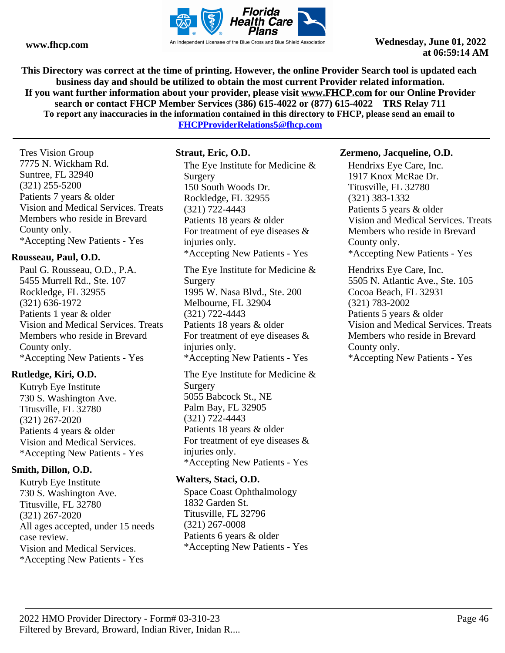

**This Directory was correct at the time of printing. However, the online Provider Search tool is updated each business day and should be utilized to obtain the most current Provider related information. If you want further information about your provider, please visit www.FHCP.com for our Online Provider search or contact FHCP Member Services (386) 615-4022 or (877) 615-4022 TRS Relay 711 To report any inaccuracies in the information contained in this directory to FHCP, please send an email to** 

**FHCPProviderRelations5@fhcp.com**

Tres Vision Group 7775 N. Wickham Rd. Suntree, FL 32940 (321) 255-5200 Patients 7 years & older Vision and Medical Services. Treats Members who reside in Brevard County only. \*Accepting New Patients - Yes

# **Rousseau, Paul, O.D.**

Paul G. Rousseau, O.D., P.A. 5455 Murrell Rd., Ste. 107 Rockledge, FL 32955 (321) 636-1972 Patients 1 year & older Vision and Medical Services. Treats Members who reside in Brevard County only. \*Accepting New Patients - Yes

# **Rutledge, Kiri, O.D.**

Kutryb Eye Institute 730 S. Washington Ave. Titusville, FL 32780 (321) 267-2020 Patients 4 years & older Vision and Medical Services. \*Accepting New Patients - Yes

# **Smith, Dillon, O.D.**

Kutryb Eye Institute 730 S. Washington Ave. Titusville, FL 32780 (321) 267-2020 All ages accepted, under 15 needs case review. Vision and Medical Services. \*Accepting New Patients - Yes

# **Straut, Eric, O.D.**

The Eye Institute for Medicine & Surgery 150 South Woods Dr. Rockledge, FL 32955 (321) 722-4443 Patients 18 years & older For treatment of eye diseases & injuries only. \*Accepting New Patients - Yes The Eye Institute for Medicine & Surgery 1995 W. Nasa Blvd., Ste. 200 Melbourne, FL 32904 (321) 722-4443

Patients 18 years & older For treatment of eye diseases & injuries only. \*Accepting New Patients - Yes

The Eye Institute for Medicine & Surgery 5055 Babcock St., NE Palm Bay, FL 32905 (321) 722-4443 Patients 18 years & older For treatment of eye diseases & injuries only. \*Accepting New Patients - Yes

# **Walters, Staci, O.D.**

Space Coast Ophthalmology 1832 Garden St. Titusville, FL 32796 (321) 267-0008 Patients 6 years & older \*Accepting New Patients - Yes

### **Zermeno, Jacqueline, O.D.**

Hendrixs Eye Care, Inc. 1917 Knox McRae Dr. Titusville, FL 32780 (321) 383-1332 Patients 5 years & older Vision and Medical Services. Treats Members who reside in Brevard County only. \*Accepting New Patients - Yes

Hendrixs Eye Care, Inc. 5505 N. Atlantic Ave., Ste. 105 Cocoa Beach, FL 32931 (321) 783-2002 Patients 5 years & older Vision and Medical Services. Treats Members who reside in Brevard County only. \*Accepting New Patients - Yes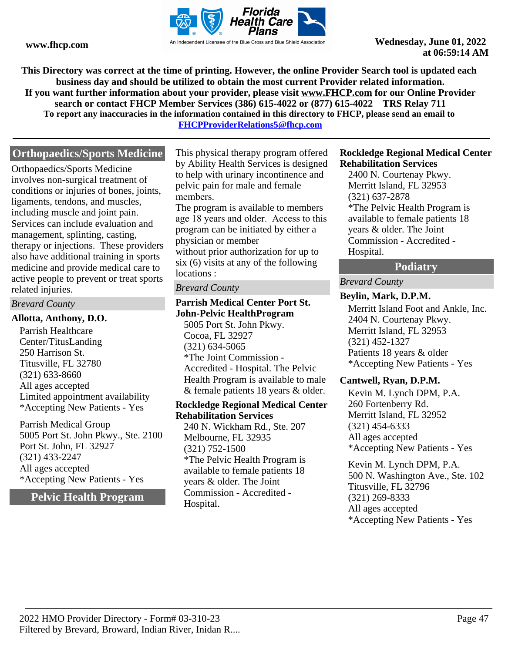

**This Directory was correct at the time of printing. However, the online Provider Search tool is updated each business day and should be utilized to obtain the most current Provider related information. If you want further information about your provider, please visit www.FHCP.com for our Online Provider search or contact FHCP Member Services (386) 615-4022 or (877) 615-4022 TRS Relay 711 To report any inaccuracies in the information contained in this directory to FHCP, please send an email to FHCPProviderRelations5@fhcp.com**

**Orthopaedics/Sports Medicine**

Orthopaedics/Sports Medicine involves non-surgical treatment of conditions or injuries of bones, joints, ligaments, tendons, and muscles, including muscle and joint pain. Services can include evaluation and management, splinting, casting, therapy or injections. These providers also have additional training in sports medicine and provide medical care to active people to prevent or treat sports related injuries.

### *Brevard County*

### **Allotta, Anthony, D.O.**

Parrish Healthcare Center/TitusLanding 250 Harrison St. Titusville, FL 32780 (321) 633-8660 All ages accepted Limited appointment availability \*Accepting New Patients - Yes

Parrish Medical Group 5005 Port St. John Pkwy., Ste. 2100 Port St. John, FL 32927 (321) 433-2247 All ages accepted \*Accepting New Patients - Yes

**Pelvic Health Program**

This physical therapy program offered by Ability Health Services is designed to help with urinary incontinence and pelvic pain for male and female members.

The program is available to members age 18 years and older. Access to this program can be initiated by either a physician or member without prior authorization for up to six (6) visits at any of the following locations :

### *Brevard County*

# **Parrish Medical Center Port St. John-Pelvic HealthProgram**

5005 Port St. John Pkwy. Cocoa, FL 32927 (321) 634-5065 \*The Joint Commission - Accredited - Hospital. The Pelvic Health Program is available to male & female patients 18 years & older.

#### **Rockledge Regional Medical Center Rehabilitation Services**

240 N. Wickham Rd., Ste. 207 Melbourne, FL 32935 (321) 752-1500 \*The Pelvic Health Program is available to female patients 18 years & older. The Joint Commission - Accredited - Hospital.

### **Rockledge Regional Medical Center Rehabilitation Services**

2400 N. Courtenay Pkwy. Merritt Island, FL 32953 (321) 637-2878 \*The Pelvic Health Program is available to female patients 18 years & older. The Joint Commission - Accredited - Hospital.

# **Podiatry**

# *Brevard County*

### **Beylin, Mark, D.P.M.**

Merritt Island Foot and Ankle, Inc. 2404 N. Courtenay Pkwy. Merritt Island, FL 32953 (321) 452-1327 Patients 18 years & older \*Accepting New Patients - Yes

# **Cantwell, Ryan, D.P.M.**

Kevin M. Lynch DPM, P.A. 260 Fortenberry Rd. Merritt Island, FL 32952 (321) 454-6333 All ages accepted \*Accepting New Patients - Yes

Kevin M. Lynch DPM, P.A. 500 N. Washington Ave., Ste. 102 Titusville, FL 32796 (321) 269-8333 All ages accepted \*Accepting New Patients - Yes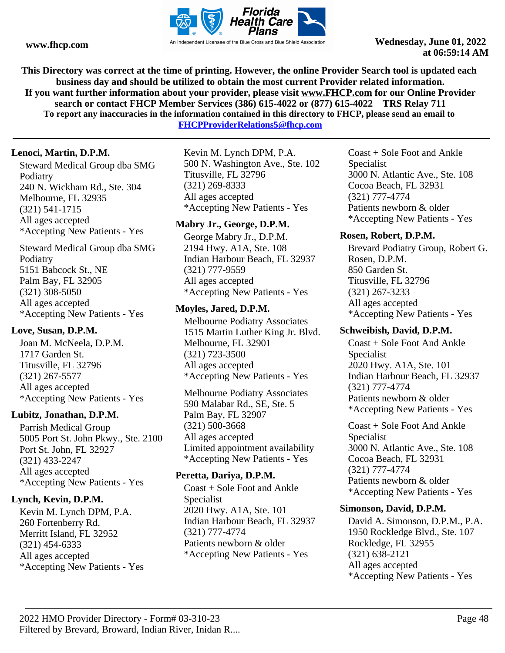

**This Directory was correct at the time of printing. However, the online Provider Search tool is updated each business day and should be utilized to obtain the most current Provider related information. If you want further information about your provider, please visit www.FHCP.com for our Online Provider search or contact FHCP Member Services (386) 615-4022 or (877) 615-4022 TRS Relay 711 To report any inaccuracies in the information contained in this directory to FHCP, please send an email to** 

**FHCPProviderRelations5@fhcp.com**

# **Lenoci, Martin, D.P.M.**

Steward Medical Group dba SMG Podiatry 240 N. Wickham Rd., Ste. 304 Melbourne, FL 32935 (321) 541-1715 All ages accepted \*Accepting New Patients - Yes

Steward Medical Group dba SMG Podiatry 5151 Babcock St., NE Palm Bay, FL 32905 (321) 308-5050 All ages accepted \*Accepting New Patients - Yes

# **Love, Susan, D.P.M.**

Joan M. McNeela, D.P.M. 1717 Garden St. Titusville, FL 32796 (321) 267-5577 All ages accepted \*Accepting New Patients - Yes

# **Lubitz, Jonathan, D.P.M.**

Parrish Medical Group 5005 Port St. John Pkwy., Ste. 2100 Port St. John, FL 32927 (321) 433-2247 All ages accepted \*Accepting New Patients - Yes

# **Lynch, Kevin, D.P.M.**

Kevin M. Lynch DPM, P.A. 260 Fortenberry Rd. Merritt Island, FL 32952 (321) 454-6333 All ages accepted \*Accepting New Patients - Yes Kevin M. Lynch DPM, P.A. 500 N. Washington Ave., Ste. 102 Titusville, FL 32796 (321) 269-8333 All ages accepted \*Accepting New Patients - Yes

# **Mabry Jr., George, D.P.M.**

George Mabry Jr., D.P.M. 2194 Hwy. A1A, Ste. 108 Indian Harbour Beach, FL 32937 (321) 777-9559 All ages accepted \*Accepting New Patients - Yes

# **Moyles, Jared, D.P.M.**

Melbourne Podiatry Associates 1515 Martin Luther King Jr. Blvd. Melbourne, FL 32901 (321) 723-3500 All ages accepted \*Accepting New Patients - Yes

Melbourne Podiatry Associates 590 Malabar Rd., SE, Ste. 5 Palm Bay, FL 32907 (321) 500-3668 All ages accepted Limited appointment availability \*Accepting New Patients - Yes

# **Peretta, Dariya, D.P.M.**

Coast + Sole Foot and Ankle Specialist 2020 Hwy. A1A, Ste. 101 Indian Harbour Beach, FL 32937 (321) 777-4774 Patients newborn & older \*Accepting New Patients - Yes

Coast + Sole Foot and Ankle Specialist 3000 N. Atlantic Ave., Ste. 108 Cocoa Beach, FL 32931 (321) 777-4774 Patients newborn & older \*Accepting New Patients - Yes

# **Rosen, Robert, D.P.M.**

Brevard Podiatry Group, Robert G. Rosen, D.P.M. 850 Garden St. Titusville, FL 32796 (321) 267-3233 All ages accepted \*Accepting New Patients - Yes

# **Schweibish, David, D.P.M.**

Coast + Sole Foot And Ankle Specialist 2020 Hwy. A1A, Ste. 101 Indian Harbour Beach, FL 32937 (321) 777-4774 Patients newborn & older \*Accepting New Patients - Yes

Coast + Sole Foot And Ankle Specialist 3000 N. Atlantic Ave., Ste. 108 Cocoa Beach, FL 32931 (321) 777-4774 Patients newborn & older \*Accepting New Patients - Yes

# **Simonson, David, D.P.M.**

David A. Simonson, D.P.M., P.A. 1950 Rockledge Blvd., Ste. 107 Rockledge, FL 32955 (321) 638-2121 All ages accepted \*Accepting New Patients - Yes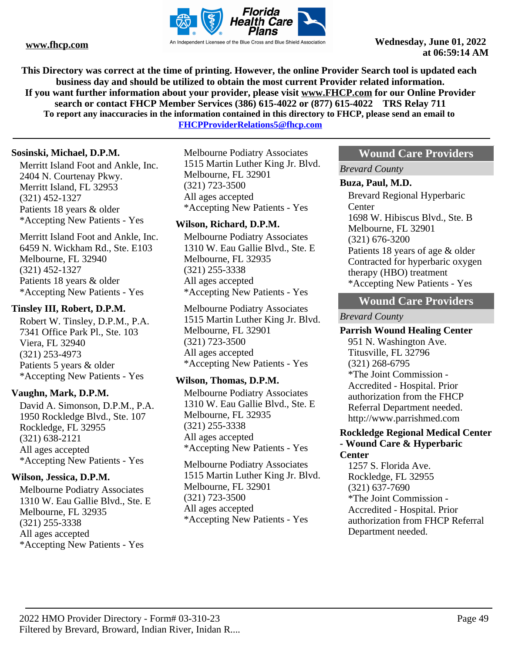

**This Directory was correct at the time of printing. However, the online Provider Search tool is updated each business day and should be utilized to obtain the most current Provider related information. If you want further information about your provider, please visit www.FHCP.com for our Online Provider search or contact FHCP Member Services (386) 615-4022 or (877) 615-4022 TRS Relay 711 To report any inaccuracies in the information contained in this directory to FHCP, please send an email to** 

**FHCPProviderRelations5@fhcp.com**

# **Sosinski, Michael, D.P.M.**

Merritt Island Foot and Ankle, Inc. 2404 N. Courtenay Pkwy. Merritt Island, FL 32953 (321) 452-1327 Patients 18 years & older \*Accepting New Patients - Yes

Merritt Island Foot and Ankle, Inc. 6459 N. Wickham Rd., Ste. E103 Melbourne, FL 32940 (321) 452-1327 Patients 18 years & older \*Accepting New Patients - Yes

# **Tinsley III, Robert, D.P.M.**

Robert W. Tinsley, D.P.M., P.A. 7341 Office Park Pl., Ste. 103 Viera, FL 32940 (321) 253-4973 Patients 5 years & older \*Accepting New Patients - Yes

# **Vaughn, Mark, D.P.M.**

David A. Simonson, D.P.M., P.A. 1950 Rockledge Blvd., Ste. 107 Rockledge, FL 32955 (321) 638-2121 All ages accepted \*Accepting New Patients - Yes

# **Wilson, Jessica, D.P.M.**

Melbourne Podiatry Associates 1310 W. Eau Gallie Blvd., Ste. E Melbourne, FL 32935 (321) 255-3338 All ages accepted \*Accepting New Patients - Yes

Melbourne Podiatry Associates 1515 Martin Luther King Jr. Blvd. Melbourne, FL 32901 (321) 723-3500 All ages accepted \*Accepting New Patients - Yes

# **Wilson, Richard, D.P.M.**

Melbourne Podiatry Associates 1310 W. Eau Gallie Blvd., Ste. E Melbourne, FL 32935 (321) 255-3338 All ages accepted \*Accepting New Patients - Yes

Melbourne Podiatry Associates 1515 Martin Luther King Jr. Blvd. Melbourne, FL 32901 (321) 723-3500 All ages accepted \*Accepting New Patients - Yes

# **Wilson, Thomas, D.P.M.**

Melbourne Podiatry Associates 1310 W. Eau Gallie Blvd., Ste. E Melbourne, FL 32935 (321) 255-3338 All ages accepted \*Accepting New Patients - Yes

Melbourne Podiatry Associates 1515 Martin Luther King Jr. Blvd. Melbourne, FL 32901 (321) 723-3500 All ages accepted \*Accepting New Patients - Yes

# **Wound Care Providers**

*Brevard County*

### **Buza, Paul, M.D.**

Brevard Regional Hyperbaric **Center** 1698 W. Hibiscus Blvd., Ste. B Melbourne, FL 32901 (321) 676-3200 Patients 18 years of age & older Contracted for hyperbaric oxygen therapy (HBO) treatment \*Accepting New Patients - Yes

# **Wound Care Providers**

# *Brevard County*

# **Parrish Wound Healing Center**

951 N. Washington Ave. Titusville, FL 32796 (321) 268-6795 \*The Joint Commission - Accredited - Hospital. Prior authorization from the FHCP Referral Department needed. http://www.parrishmed.com

#### **Rockledge Regional Medical Center - Wound Care & Hyperbaric Center**

1257 S. Florida Ave. Rockledge, FL 32955 (321) 637-7690 \*The Joint Commission - Accredited - Hospital. Prior authorization from FHCP Referral Department needed.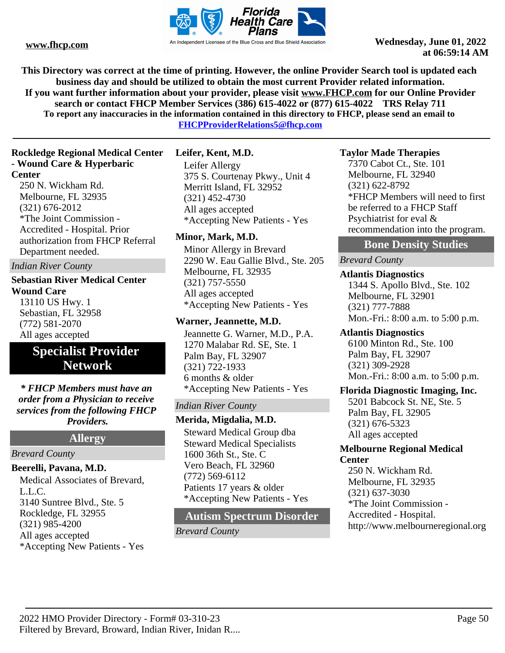

**This Directory was correct at the time of printing. However, the online Provider Search tool is updated each business day and should be utilized to obtain the most current Provider related information. If you want further information about your provider, please visit www.FHCP.com for our Online Provider search or contact FHCP Member Services (386) 615-4022 or (877) 615-4022 TRS Relay 711 To report any inaccuracies in the information contained in this directory to FHCP, please send an email to** 

**FHCPProviderRelations5@fhcp.com**

# **Rockledge Regional Medical Center - Wound Care & Hyperbaric Center**

250 N. Wickham Rd. Melbourne, FL 32935 (321) 676-2012 \*The Joint Commission - Accredited - Hospital. Prior authorization from FHCP Referral Department needed.

*Indian River County*

# **Sebastian River Medical Center Wound Care** 13110 US Hwy. 1 Sebastian, FL 32958

(772) 581-2070 All ages accepted

# **Specialist Provider Network**

*\* FHCP Members must have an order from a Physician to receive services from the following FHCP Providers.*

**Allergy**

# *Brevard County*

# **Beerelli, Pavana, M.D.**

Medical Associates of Brevard, L.L.C. 3140 Suntree Blvd., Ste. 5 Rockledge, FL 32955 (321) 985-4200 All ages accepted \*Accepting New Patients - Yes

# **Leifer, Kent, M.D.**

Leifer Allergy 375 S. Courtenay Pkwy., Unit 4 Merritt Island, FL 32952 (321) 452-4730 All ages accepted \*Accepting New Patients - Yes

# **Minor, Mark, M.D.**

Minor Allergy in Brevard 2290 W. Eau Gallie Blvd., Ste. 205 Melbourne, FL 32935 (321) 757-5550 All ages accepted \*Accepting New Patients - Yes

# **Warner, Jeannette, M.D.**

Jeannette G. Warner, M.D., P.A. 1270 Malabar Rd. SE, Ste. 1 Palm Bay, FL 32907 (321) 722-1933 6 months & older \*Accepting New Patients - Yes

# *Indian River County*

**Merida, Migdalia, M.D.**

Steward Medical Group dba Steward Medical Specialists 1600 36th St., Ste. C Vero Beach, FL 32960 (772) 569-6112 Patients 17 years & older \*Accepting New Patients - Yes

# **Autism Spectrum Disorder**

*Brevard County*

# **Taylor Made Therapies**

7370 Cabot Ct., Ste. 101 Melbourne, FL 32940 (321) 622-8792 \*FHCP Members will need to first be referred to a FHCP Staff Psychiatrist for eval & recommendation into the program.

# **Bone Density Studies**

# *Brevard County*

**Atlantis Diagnostics** 1344 S. Apollo Blvd., Ste. 102 Melbourne, FL 32901 (321) 777-7888 Mon.-Fri.: 8:00 a.m. to 5:00 p.m.

# **Atlantis Diagnostics**

6100 Minton Rd., Ste. 100 Palm Bay, FL 32907 (321) 309-2928 Mon.-Fri.: 8:00 a.m. to 5:00 p.m.

# **Florida Diagnostic Imaging, Inc.**

5201 Babcock St. NE, Ste. 5 Palm Bay, FL 32905 (321) 676-5323 All ages accepted

# **Melbourne Regional Medical Center**

250 N. Wickham Rd. Melbourne, FL 32935 (321) 637-3030 \*The Joint Commission - Accredited - Hospital. http://www.melbourneregional.org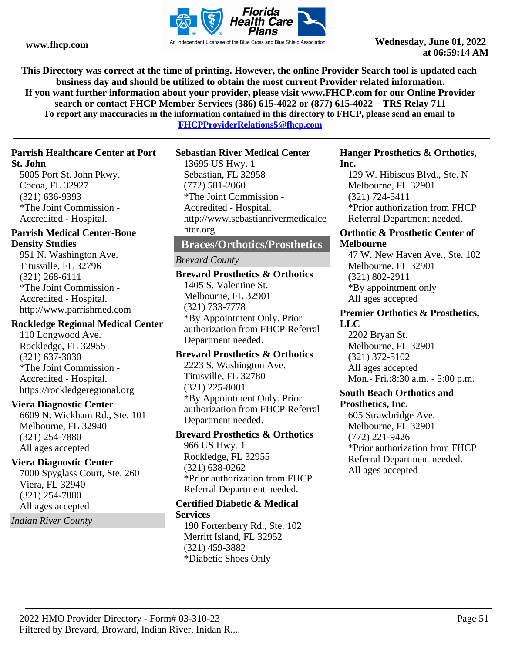

**This Directory was correct at the time of printing. However, the online Provider Search tool is updated each business day and should be utilized to obtain the most current Provider related information. If you want further information about your provider, please visit www.FHCP.com for our Online Provider search or contact FHCP Member Services (386) 615-4022 or (877) 615-4022 TRS Relay 711 To report any inaccuracies in the information contained in this directory to FHCP, please send an email to** 

**FHCPProviderRelations5@fhcp.com**

### **Parrish Healthcare Center at Port St. John**

5005 Port St. John Pkwy. Cocoa, FL 32927 (321) 636-9393 \*The Joint Commission - Accredited - Hospital.

# **Parrish Medical Center-Bone Density Studies**

951 N. Washington Ave. Titusville, FL 32796 (321) 268-6111 \*The Joint Commission - Accredited - Hospital. http://www.parrishmed.com

# **Rockledge Regional Medical Center**

110 Longwood Ave. Rockledge, FL 32955 (321) 637-3030 \*The Joint Commission - Accredited - Hospital. https://rockledgeregional.org

# **Viera Diagnostic Center**

6609 N. Wickham Rd., Ste. 101 Melbourne, FL 32940 (321) 254-7880 All ages accepted

# **Viera Diagnostic Center**

7000 Spyglass Court, Ste. 260 Viera, FL 32940 (321) 254-7880 All ages accepted

*Indian River County*

# **Sebastian River Medical Center**

13695 US Hwy. 1 Sebastian, FL 32958 (772) 581-2060 \*The Joint Commission - Accredited - Hospital. http://www.sebastianrivermedicalce nter.org

# **Braces/Orthotics/Prosthetics**

# *Brevard County*

**Brevard Prosthetics & Orthotics** 1405 S. Valentine St. Melbourne, FL 32901 (321) 733-7778 \*By Appointment Only. Prior authorization from FHCP Referral Department needed.

# **Brevard Prosthetics & Orthotics**

2223 S. Washington Ave. Titusville, FL 32780 (321) 225-8001 \*By Appointment Only. Prior authorization from FHCP Referral Department needed.

# **Brevard Prosthetics & Orthotics**

966 US Hwy. 1 Rockledge, FL 32955 (321) 638-0262 \*Prior authorization from FHCP Referral Department needed.

#### **Certified Diabetic & Medical Services**

190 Fortenberry Rd., Ste. 102 Merritt Island, FL 32952 (321) 459-3882 \*Diabetic Shoes Only

### **Hanger Prosthetics & Orthotics, Inc.**

129 W. Hibiscus Blvd., Ste. N Melbourne, FL 32901 (321) 724-5411 \*Prior authorization from FHCP Referral Department needed.

### **Orthotic & Prosthetic Center of Melbourne**

47 W. New Haven Ave., Ste. 102 Melbourne, FL 32901 (321) 802-2911 \*By appointment only All ages accepted

# **Premier Orthotics & Prosthetics, LLC**

2202 Bryan St. Melbourne, FL 32901 (321) 372-5102 All ages accepted Mon.- Fri.:8:30 a.m. - 5:00 p.m.

### **South Beach Orthotics and Prosthetics, Inc.**

605 Strawbridge Ave. Melbourne, FL 32901 (772) 221-9426 \*Prior authorization from FHCP Referral Department needed. All ages accepted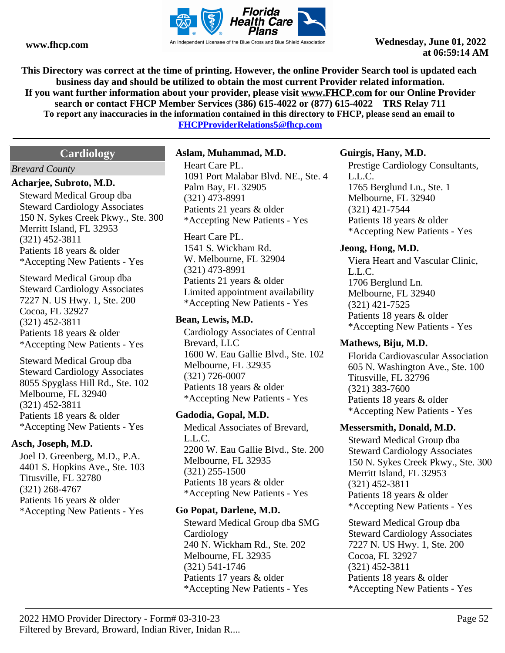

**This Directory was correct at the time of printing. However, the online Provider Search tool is updated each business day and should be utilized to obtain the most current Provider related information. If you want further information about your provider, please visit www.FHCP.com for our Online Provider search or contact FHCP Member Services (386) 615-4022 or (877) 615-4022 TRS Relay 711 To report any inaccuracies in the information contained in this directory to FHCP, please send an email to FHCPProviderRelations5@fhcp.com**

**Cardiology**

### *Brevard County*

# **Acharjee, Subroto, M.D.**

Steward Medical Group dba Steward Cardiology Associates 150 N. Sykes Creek Pkwy., Ste. 300 Merritt Island, FL 32953 (321) 452-3811 Patients 18 years & older \*Accepting New Patients - Yes

Steward Medical Group dba Steward Cardiology Associates 7227 N. US Hwy. 1, Ste. 200 Cocoa, FL 32927 (321) 452-3811 Patients 18 years & older \*Accepting New Patients - Yes

Steward Medical Group dba Steward Cardiology Associates 8055 Spyglass Hill Rd., Ste. 102 Melbourne, FL 32940 (321) 452-3811 Patients 18 years & older \*Accepting New Patients - Yes

# **Asch, Joseph, M.D.**

Joel D. Greenberg, M.D., P.A. 4401 S. Hopkins Ave., Ste. 103 Titusville, FL 32780 (321) 268-4767 Patients 16 years & older \*Accepting New Patients - Yes

### **Aslam, Muhammad, M.D.**

Heart Care PL. 1091 Port Malabar Blvd. NE., Ste. 4 Palm Bay, FL 32905 (321) 473-8991 Patients 21 years & older \*Accepting New Patients - Yes

Heart Care PL. 1541 S. Wickham Rd. W. Melbourne, FL 32904 (321) 473-8991 Patients 21 years & older Limited appointment availability \*Accepting New Patients - Yes

# **Bean, Lewis, M.D.**

Cardiology Associates of Central Brevard, LLC 1600 W. Eau Gallie Blvd., Ste. 102 Melbourne, FL 32935 (321) 726-0007 Patients 18 years & older \*Accepting New Patients - Yes

# **Gadodia, Gopal, M.D.**

Medical Associates of Brevard, L.L.C. 2200 W. Eau Gallie Blvd., Ste. 200 Melbourne, FL 32935 (321) 255-1500 Patients 18 years & older \*Accepting New Patients - Yes

# **Go Popat, Darlene, M.D.**

Steward Medical Group dba SMG Cardiology 240 N. Wickham Rd., Ste. 202 Melbourne, FL 32935 (321) 541-1746 Patients 17 years & older \*Accepting New Patients - Yes

# **Guirgis, Hany, M.D.**

Prestige Cardiology Consultants, L.L.C. 1765 Berglund Ln., Ste. 1 Melbourne, FL 32940 (321) 421-7544 Patients 18 years & older \*Accepting New Patients - Yes

### **Jeong, Hong, M.D.**

Viera Heart and Vascular Clinic, L.L.C. 1706 Berglund Ln. Melbourne, FL 32940 (321) 421-7525 Patients 18 years & older \*Accepting New Patients - Yes

# **Mathews, Biju, M.D.**

Florida Cardiovascular Association 605 N. Washington Ave., Ste. 100 Titusville, FL 32796 (321) 383-7600 Patients 18 years & older \*Accepting New Patients - Yes

#### **Messersmith, Donald, M.D.**

Steward Medical Group dba Steward Cardiology Associates 150 N. Sykes Creek Pkwy., Ste. 300 Merritt Island, FL 32953 (321) 452-3811 Patients 18 years & older \*Accepting New Patients - Yes

Steward Medical Group dba Steward Cardiology Associates 7227 N. US Hwy. 1, Ste. 200 Cocoa, FL 32927 (321) 452-3811 Patients 18 years & older \*Accepting New Patients - Yes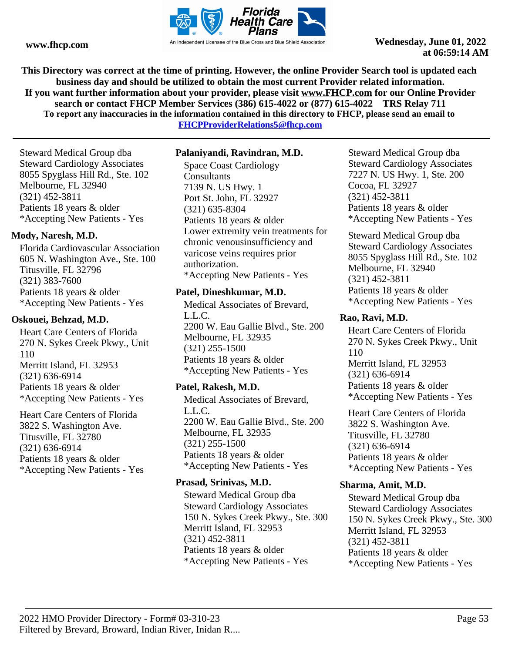

**This Directory was correct at the time of printing. However, the online Provider Search tool is updated each business day and should be utilized to obtain the most current Provider related information. If you want further information about your provider, please visit www.FHCP.com for our Online Provider search or contact FHCP Member Services (386) 615-4022 or (877) 615-4022 TRS Relay 711 To report any inaccuracies in the information contained in this directory to FHCP, please send an email to FHCPProviderRelations5@fhcp.com**

Steward Medical Group dba Steward Cardiology Associates 8055 Spyglass Hill Rd., Ste. 102 Melbourne, FL 32940 (321) 452-3811 Patients 18 years & older \*Accepting New Patients - Yes

# **Mody, Naresh, M.D.**

Florida Cardiovascular Association 605 N. Washington Ave., Ste. 100 Titusville, FL 32796 (321) 383-7600 Patients 18 years & older \*Accepting New Patients - Yes

# **Oskouei, Behzad, M.D.**

Heart Care Centers of Florida 270 N. Sykes Creek Pkwy., Unit 110 Merritt Island, FL 32953 (321) 636-6914 Patients 18 years & older \*Accepting New Patients - Yes

Heart Care Centers of Florida 3822 S. Washington Ave. Titusville, FL 32780 (321) 636-6914 Patients 18 years & older \*Accepting New Patients - Yes

# **Palaniyandi, Ravindran, M.D.**

Space Coast Cardiology **Consultants** 7139 N. US Hwy. 1 Port St. John, FL 32927 (321) 635-8304 Patients 18 years & older Lower extremity vein treatments for chronic venousinsufficiency and varicose veins requires prior authorization. \*Accepting New Patients - Yes

# **Patel, Dineshkumar, M.D.**

Medical Associates of Brevard, L.L.C. 2200 W. Eau Gallie Blvd., Ste. 200 Melbourne, FL 32935 (321) 255-1500 Patients 18 years & older \*Accepting New Patients - Yes

# **Patel, Rakesh, M.D.**

Medical Associates of Brevard, L.L.C. 2200 W. Eau Gallie Blvd., Ste. 200 Melbourne, FL 32935 (321) 255-1500 Patients 18 years & older \*Accepting New Patients - Yes

# **Prasad, Srinivas, M.D.**

Steward Medical Group dba Steward Cardiology Associates 150 N. Sykes Creek Pkwy., Ste. 300 Merritt Island, FL 32953 (321) 452-3811 Patients 18 years & older \*Accepting New Patients - Yes

Steward Medical Group dba Steward Cardiology Associates 7227 N. US Hwy. 1, Ste. 200 Cocoa, FL 32927 (321) 452-3811 Patients 18 years & older \*Accepting New Patients - Yes

Steward Medical Group dba Steward Cardiology Associates 8055 Spyglass Hill Rd., Ste. 102 Melbourne, FL 32940 (321) 452-3811 Patients 18 years & older \*Accepting New Patients - Yes

# **Rao, Ravi, M.D.**

Heart Care Centers of Florida 270 N. Sykes Creek Pkwy., Unit 110 Merritt Island, FL 32953 (321) 636-6914 Patients 18 years & older \*Accepting New Patients - Yes

Heart Care Centers of Florida 3822 S. Washington Ave. Titusville, FL 32780 (321) 636-6914 Patients 18 years & older \*Accepting New Patients - Yes

# **Sharma, Amit, M.D.**

Steward Medical Group dba Steward Cardiology Associates 150 N. Sykes Creek Pkwy., Ste. 300 Merritt Island, FL 32953 (321) 452-3811 Patients 18 years & older \*Accepting New Patients - Yes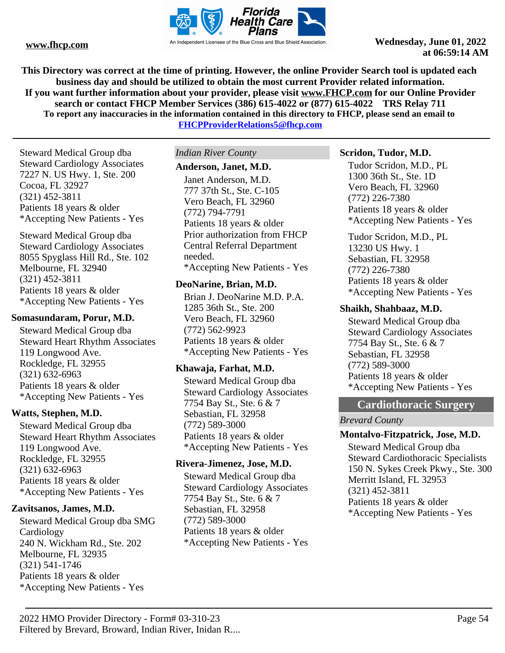

**This Directory was correct at the time of printing. However, the online Provider Search tool is updated each business day and should be utilized to obtain the most current Provider related information. If you want further information about your provider, please visit www.FHCP.com for our Online Provider search or contact FHCP Member Services (386) 615-4022 or (877) 615-4022 TRS Relay 711 To report any inaccuracies in the information contained in this directory to FHCP, please send an email to** 

**FHCPProviderRelations5@fhcp.com**

Steward Medical Group dba Steward Cardiology Associates 7227 N. US Hwy. 1, Ste. 200 Cocoa, FL 32927 (321) 452-3811 Patients 18 years & older \*Accepting New Patients - Yes

Steward Medical Group dba Steward Cardiology Associates 8055 Spyglass Hill Rd., Ste. 102 Melbourne, FL 32940 (321) 452-3811 Patients 18 years & older \*Accepting New Patients - Yes

### **Somasundaram, Porur, M.D.**

Steward Medical Group dba Steward Heart Rhythm Associates 119 Longwood Ave. Rockledge, FL 32955 (321) 632-6963 Patients 18 years & older \*Accepting New Patients - Yes

# **Watts, Stephen, M.D.**

Steward Medical Group dba Steward Heart Rhythm Associates 119 Longwood Ave. Rockledge, FL 32955 (321) 632-6963 Patients 18 years & older \*Accepting New Patients - Yes

# **Zavitsanos, James, M.D.**

Steward Medical Group dba SMG **Cardiology** 240 N. Wickham Rd., Ste. 202 Melbourne, FL 32935 (321) 541-1746 Patients 18 years & older \*Accepting New Patients - Yes

### *Indian River County*

### **Anderson, Janet, M.D.**

Janet Anderson, M.D. 777 37th St., Ste. C-105 Vero Beach, FL 32960 (772) 794-7791 Patients 18 years & older Prior authorization from FHCP Central Referral Department needed. \*Accepting New Patients - Yes

### **DeoNarine, Brian, M.D.**

Brian J. DeoNarine M.D. P.A. 1285 36th St., Ste. 200 Vero Beach, FL 32960 (772) 562-9923 Patients 18 years & older \*Accepting New Patients - Yes

# **Khawaja, Farhat, M.D.**

Steward Medical Group dba Steward Cardiology Associates 7754 Bay St., Ste. 6 & 7 Sebastian, FL 32958 (772) 589-3000 Patients 18 years & older \*Accepting New Patients - Yes

# **Rivera-Jimenez, Jose, M.D.**

Steward Medical Group dba Steward Cardiology Associates 7754 Bay St., Ste. 6 & 7 Sebastian, FL 32958 (772) 589-3000 Patients 18 years & older \*Accepting New Patients - Yes

### **Scridon, Tudor, M.D.**

Tudor Scridon, M.D., PL 1300 36th St., Ste. 1D Vero Beach, FL 32960 (772) 226-7380 Patients 18 years & older \*Accepting New Patients - Yes

Tudor Scridon, M.D., PL 13230 US Hwy. 1 Sebastian, FL 32958 (772) 226-7380 Patients 18 years & older \*Accepting New Patients - Yes

# **Shaikh, Shahbaaz, M.D.**

Steward Medical Group dba Steward Cardiology Associates 7754 Bay St., Ste. 6 & 7 Sebastian, FL 32958 (772) 589-3000 Patients 18 years & older \*Accepting New Patients - Yes

# **Cardiothoracic Surgery**

*Brevard County*

# **Montalvo-Fitzpatrick, Jose, M.D.**

Steward Medical Group dba Steward Cardiothoracic Specialists 150 N. Sykes Creek Pkwy., Ste. 300 Merritt Island, FL 32953 (321) 452-3811 Patients 18 years & older \*Accepting New Patients - Yes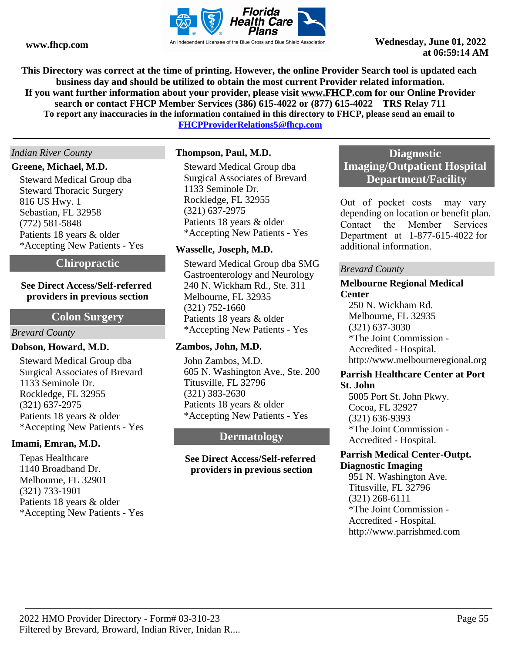

**This Directory was correct at the time of printing. However, the online Provider Search tool is updated each business day and should be utilized to obtain the most current Provider related information. If you want further information about your provider, please visit www.FHCP.com for our Online Provider search or contact FHCP Member Services (386) 615-4022 or (877) 615-4022 TRS Relay 711 To report any inaccuracies in the information contained in this directory to FHCP, please send an email to** 

**FHCPProviderRelations5@fhcp.com**

### *Indian River County*

#### **Greene, Michael, M.D.**

Steward Medical Group dba Steward Thoracic Surgery 816 US Hwy. 1 Sebastian, FL 32958 (772) 581-5848 Patients 18 years & older \*Accepting New Patients - Yes

# **Chiropractic**

### **See Direct Access/Self-referred providers in previous section**

# **Colon Surgery**

#### *Brevard County*

### **Dobson, Howard, M.D.**

Steward Medical Group dba Surgical Associates of Brevard 1133 Seminole Dr. Rockledge, FL 32955 (321) 637-2975 Patients 18 years & older \*Accepting New Patients - Yes

#### **Imami, Emran, M.D.**

Tepas Healthcare 1140 Broadband Dr. Melbourne, FL 32901 (321) 733-1901 Patients 18 years & older \*Accepting New Patients - Yes

### **Thompson, Paul, M.D.**

Steward Medical Group dba Surgical Associates of Brevard 1133 Seminole Dr. Rockledge, FL 32955 (321) 637-2975 Patients 18 years & older \*Accepting New Patients - Yes

### **Wasselle, Joseph, M.D.**

Steward Medical Group dba SMG Gastroenterology and Neurology 240 N. Wickham Rd., Ste. 311 Melbourne, FL 32935 (321) 752-1660 Patients 18 years & older \*Accepting New Patients - Yes

#### **Zambos, John, M.D.**

John Zambos, M.D. 605 N. Washington Ave., Ste. 200 Titusville, FL 32796 (321) 383-2630 Patients 18 years & older \*Accepting New Patients - Yes

# **Dermatology**

### **See Direct Access/Self-referred providers in previous section**

# **Diagnostic Imaging/Outpatient Hospital Department/Facility**

Out of pocket costs may vary depending on location or benefit plan. Contact the Member Services Department at 1-877-615-4022 for additional information.

#### *Brevard County*

# **Melbourne Regional Medical Center**

250 N. Wickham Rd. Melbourne, FL 32935 (321) 637-3030 \*The Joint Commission - Accredited - Hospital. http://www.melbourneregional.org

#### **Parrish Healthcare Center at Port St. John**

5005 Port St. John Pkwy. Cocoa, FL 32927 (321) 636-9393 \*The Joint Commission - Accredited - Hospital.

# **Parrish Medical Center-Outpt. Diagnostic Imaging**

951 N. Washington Ave. Titusville, FL 32796 (321) 268-6111 \*The Joint Commission - Accredited - Hospital. http://www.parrishmed.com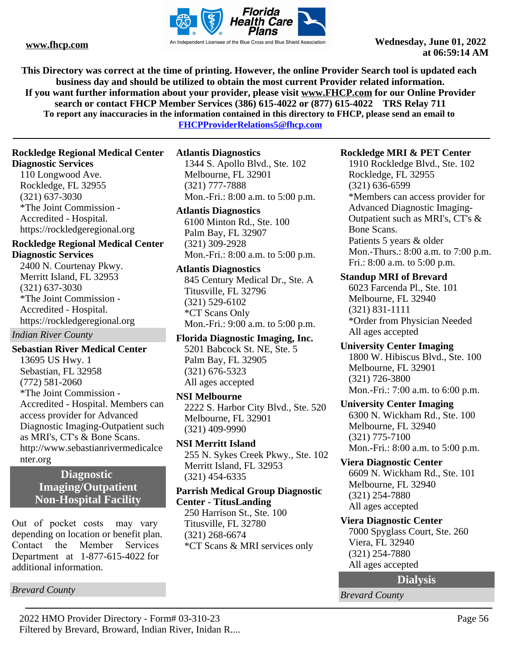

**This Directory was correct at the time of printing. However, the online Provider Search tool is updated each business day and should be utilized to obtain the most current Provider related information. If you want further information about your provider, please visit www.FHCP.com for our Online Provider search or contact FHCP Member Services (386) 615-4022 or (877) 615-4022 TRS Relay 711 To report any inaccuracies in the information contained in this directory to FHCP, please send an email to** 

**FHCPProviderRelations5@fhcp.com**

# **Rockledge Regional Medical Center Diagnostic Services**

110 Longwood Ave. Rockledge, FL 32955 (321) 637-3030 \*The Joint Commission - Accredited - Hospital. https://rockledgeregional.org

# **Rockledge Regional Medical Center Diagnostic Services**

2400 N. Courtenay Pkwy. Merritt Island, FL 32953 (321) 637-3030 \*The Joint Commission - Accredited - Hospital. https://rockledgeregional.org

*Indian River County*

**Sebastian River Medical Center** 13695 US Hwy. 1 Sebastian, FL 32958 (772) 581-2060 \*The Joint Commission - Accredited - Hospital. Members can access provider for Advanced Diagnostic Imaging-Outpatient such as MRI's, CT's & Bone Scans. http://www.sebastianrivermedicalce nter.org

# **Diagnostic Imaging/Outpatient Non-Hospital Facility**

Out of pocket costs may vary depending on location or benefit plan. Contact the Member Services Department at 1-877-615-4022 for additional information.

*Brevard County*

# **Atlantis Diagnostics**

1344 S. Apollo Blvd., Ste. 102 Melbourne, FL 32901 (321) 777-7888 Mon.-Fri.: 8:00 a.m. to 5:00 p.m.

### **Atlantis Diagnostics**

6100 Minton Rd., Ste. 100 Palm Bay, FL 32907 (321) 309-2928 Mon.-Fri.: 8:00 a.m. to 5:00 p.m.

### **Atlantis Diagnostics**

845 Century Medical Dr., Ste. A Titusville, FL 32796 (321) 529-6102 \*CT Scans Only Mon.-Fri.: 9:00 a.m. to 5:00 p.m.

**Florida Diagnostic Imaging, Inc.** 5201 Babcock St. NE, Ste. 5 Palm Bay, FL 32905 (321) 676-5323 All ages accepted

#### **NSI Melbourne**

2222 S. Harbor City Blvd., Ste. 520 Melbourne, FL 32901 (321) 409-9990

# **NSI Merritt Island**

255 N. Sykes Creek Pkwy., Ste. 102 Merritt Island, FL 32953 (321) 454-6335

# **Parrish Medical Group Diagnostic Center - TitusLanding**

250 Harrison St., Ste. 100 Titusville, FL 32780 (321) 268-6674 \*CT Scans & MRI services only

# **Rockledge MRI & PET Center**

1910 Rockledge Blvd., Ste. 102 Rockledge, FL 32955 (321) 636-6599 \*Members can access provider for Advanced Diagnostic Imaging-Outpatient such as MRI's, CT's & Bone Scans. Patients 5 years & older Mon.-Thurs.: 8:00 a.m. to 7:00 p.m. Fri.: 8:00 a.m. to 5:00 p.m.

# **Standup MRI of Brevard**

6023 Farcenda Pl., Ste. 101 Melbourne, FL 32940 (321) 831-1111 \*Order from Physician Needed All ages accepted

# **University Center Imaging** 1800 W. Hibiscus Blvd., Ste. 100

Melbourne, FL 32901 (321) 726-3800 Mon.-Fri.: 7:00 a.m. to 6:00 p.m.

# **University Center Imaging**

6300 N. Wickham Rd., Ste. 100 Melbourne, FL 32940 (321) 775-7100 Mon.-Fri.: 8:00 a.m. to 5:00 p.m.

# **Viera Diagnostic Center**

6609 N. Wickham Rd., Ste. 101 Melbourne, FL 32940 (321) 254-7880 All ages accepted

# **Viera Diagnostic Center**

7000 Spyglass Court, Ste. 260 Viera, FL 32940 (321) 254-7880 All ages accepted

#### **Dialysis**

*Brevard County*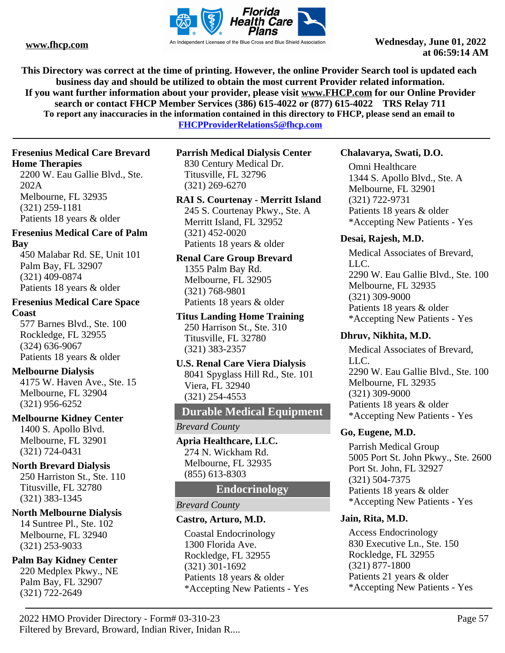

**This Directory was correct at the time of printing. However, the online Provider Search tool is updated each business day and should be utilized to obtain the most current Provider related information. If you want further information about your provider, please visit www.FHCP.com for our Online Provider search or contact FHCP Member Services (386) 615-4022 or (877) 615-4022 TRS Relay 711 To report any inaccuracies in the information contained in this directory to FHCP, please send an email to** 

**FHCPProviderRelations5@fhcp.com**

# **Fresenius Medical Care Brevard Home Therapies**

2200 W. Eau Gallie Blvd., Ste. 202A Melbourne, FL 32935 (321) 259-1181 Patients 18 years & older

# **Fresenius Medical Care of Palm Bay**

450 Malabar Rd. SE, Unit 101 Palm Bay, FL 32907 (321) 409-0874 Patients 18 years & older

# **Fresenius Medical Care Space Coast**

577 Barnes Blvd., Ste. 100 Rockledge, FL 32955 (324) 636-9067 Patients 18 years & older

# **Melbourne Dialysis**

4175 W. Haven Ave., Ste. 15 Melbourne, FL 32904 (321) 956-6252

# **Melbourne Kidney Center**

1400 S. Apollo Blvd. Melbourne, FL 32901 (321) 724-0431

# **North Brevard Dialysis**

250 Harriston St., Ste. 110 Titusville, FL 32780 (321) 383-1345

# **North Melbourne Dialysis**

14 Suntree Pl., Ste. 102 Melbourne, FL 32940 (321) 253-9033

# **Palm Bay Kidney Center**

220 Medplex Pkwy., NE Palm Bay, FL 32907 (321) 722-2649

# **Parrish Medical Dialysis Center** 830 Century Medical Dr. Titusville, FL 32796

(321) 269-6270

# **RAI S. Courtenay - Merritt Island**

245 S. Courtenay Pkwy., Ste. A Merritt Island, FL 32952 (321) 452-0020 Patients 18 years & older

# **Renal Care Group Brevard**

1355 Palm Bay Rd. Melbourne, FL 32905 (321) 768-9801 Patients 18 years & older

# **Titus Landing Home Training**

250 Harrison St., Ste. 310 Titusville, FL 32780 (321) 383-2357

### **U.S. Renal Care Viera Dialysis** 8041 Spyglass Hill Rd., Ste. 101 Viera, FL 32940 (321) 254-4553

# **Durable Medical Equipment**

*Brevard County*

**Apria Healthcare, LLC.** 274 N. Wickham Rd. Melbourne, FL 32935 (855) 613-8303

# **Endocrinology**

# *Brevard County*

# **Castro, Arturo, M.D.**

Coastal Endocrinology 1300 Florida Ave. Rockledge, FL 32955 (321) 301-1692 Patients 18 years & older \*Accepting New Patients - Yes

# **Chalavarya, Swati, D.O.**

Omni Healthcare 1344 S. Apollo Blvd., Ste. A Melbourne, FL 32901 (321) 722-9731 Patients 18 years & older \*Accepting New Patients - Yes

# **Desai, Rajesh, M.D.**

Medical Associates of Brevard, LLC. 2290 W. Eau Gallie Blvd., Ste. 100 Melbourne, FL 32935 (321) 309-9000 Patients 18 years & older \*Accepting New Patients - Yes

# **Dhruv, Nikhita, M.D.**

Medical Associates of Brevard, LLC. 2290 W. Eau Gallie Blvd., Ste. 100 Melbourne, FL 32935 (321) 309-9000 Patients 18 years & older \*Accepting New Patients - Yes

# **Go, Eugene, M.D.**

Parrish Medical Group 5005 Port St. John Pkwy., Ste. 2600 Port St. John, FL 32927 (321) 504-7375 Patients 18 years & older \*Accepting New Patients - Yes

# **Jain, Rita, M.D.**

Access Endocrinology 830 Executive Ln., Ste. 150 Rockledge, FL 32955 (321) 877-1800 Patients 21 years & older \*Accepting New Patients - Yes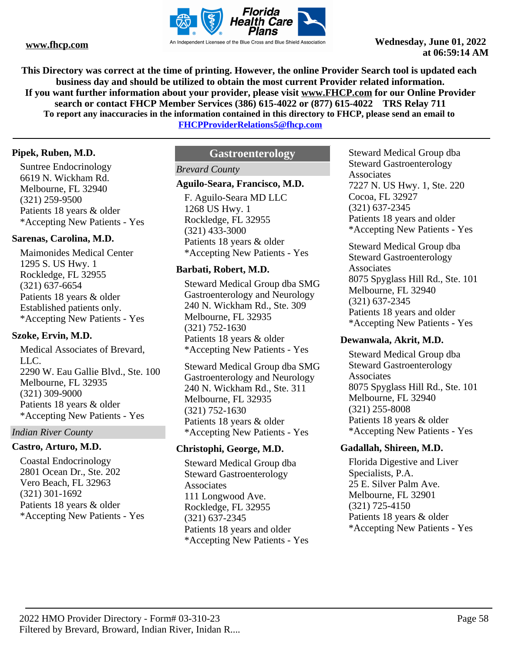

**This Directory was correct at the time of printing. However, the online Provider Search tool is updated each business day and should be utilized to obtain the most current Provider related information. If you want further information about your provider, please visit www.FHCP.com for our Online Provider search or contact FHCP Member Services (386) 615-4022 or (877) 615-4022 TRS Relay 711 To report any inaccuracies in the information contained in this directory to FHCP, please send an email to** 

**FHCPProviderRelations5@fhcp.com**

# **Pipek, Ruben, M.D.**

Suntree Endocrinology 6619 N. Wickham Rd. Melbourne, FL 32940 (321) 259-9500 Patients 18 years & older \*Accepting New Patients - Yes

# **Sarenas, Carolina, M.D.**

Maimonides Medical Center 1295 S. US Hwy. 1 Rockledge, FL 32955 (321) 637-6654 Patients 18 years & older Established patients only. \*Accepting New Patients - Yes

# **Szoke, Ervin, M.D.**

Medical Associates of Brevard, LLC. 2290 W. Eau Gallie Blvd., Ste. 100 Melbourne, FL 32935 (321) 309-9000 Patients 18 years & older \*Accepting New Patients - Yes

# *Indian River County*

# **Castro, Arturo, M.D.**

Coastal Endocrinology 2801 Ocean Dr., Ste. 202 Vero Beach, FL 32963 (321) 301-1692 Patients 18 years & older \*Accepting New Patients - Yes

# **Gastroenterology**

# *Brevard County*

# **Aguilo-Seara, Francisco, M.D.**

F. Aguilo-Seara MD LLC 1268 US Hwy. 1 Rockledge, FL 32955 (321) 433-3000 Patients 18 years & older \*Accepting New Patients - Yes

# **Barbati, Robert, M.D.**

Steward Medical Group dba SMG Gastroenterology and Neurology 240 N. Wickham Rd., Ste. 309 Melbourne, FL 32935 (321) 752-1630 Patients 18 years & older \*Accepting New Patients - Yes

Steward Medical Group dba SMG Gastroenterology and Neurology 240 N. Wickham Rd., Ste. 311 Melbourne, FL 32935 (321) 752-1630 Patients 18 years & older \*Accepting New Patients - Yes

# **Christophi, George, M.D.**

Steward Medical Group dba Steward Gastroenterology **Associates** 111 Longwood Ave. Rockledge, FL 32955 (321) 637-2345 Patients 18 years and older \*Accepting New Patients - Yes Steward Medical Group dba Steward Gastroenterology Associates 7227 N. US Hwy. 1, Ste. 220 Cocoa, FL 32927 (321) 637-2345 Patients 18 years and older \*Accepting New Patients - Yes

Steward Medical Group dba Steward Gastroenterology Associates 8075 Spyglass Hill Rd., Ste. 101 Melbourne, FL 32940 (321) 637-2345 Patients 18 years and older \*Accepting New Patients - Yes

# **Dewanwala, Akrit, M.D.**

Steward Medical Group dba Steward Gastroenterology **Associates** 8075 Spyglass Hill Rd., Ste. 101 Melbourne, FL 32940 (321) 255-8008 Patients 18 years & older \*Accepting New Patients - Yes

# **Gadallah, Shireen, M.D.**

Florida Digestive and Liver Specialists, P.A. 25 E. Silver Palm Ave. Melbourne, FL 32901 (321) 725-4150 Patients 18 years & older \*Accepting New Patients - Yes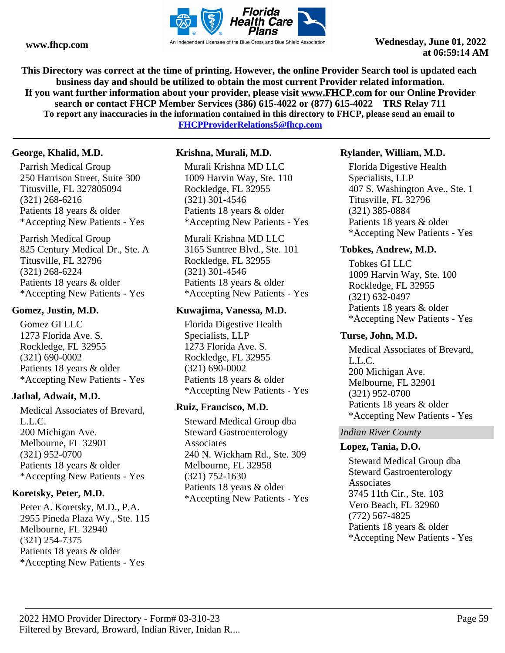

**This Directory was correct at the time of printing. However, the online Provider Search tool is updated each business day and should be utilized to obtain the most current Provider related information. If you want further information about your provider, please visit www.FHCP.com for our Online Provider search or contact FHCP Member Services (386) 615-4022 or (877) 615-4022 TRS Relay 711 To report any inaccuracies in the information contained in this directory to FHCP, please send an email to FHCPProviderRelations5@fhcp.com**

**George, Khalid, M.D.**

Parrish Medical Group 250 Harrison Street, Suite 300 Titusville, FL 327805094 (321) 268-6216 Patients 18 years & older \*Accepting New Patients - Yes

Parrish Medical Group 825 Century Medical Dr., Ste. A Titusville, FL 32796 (321) 268-6224 Patients 18 years & older \*Accepting New Patients - Yes

# **Gomez, Justin, M.D.**

Gomez GI LLC 1273 Florida Ave. S. Rockledge, FL 32955 (321) 690-0002 Patients 18 years & older \*Accepting New Patients - Yes

# **Jathal, Adwait, M.D.**

Medical Associates of Brevard, L.L.C. 200 Michigan Ave. Melbourne, FL 32901 (321) 952-0700 Patients 18 years & older \*Accepting New Patients - Yes

# **Koretsky, Peter, M.D.**

Peter A. Koretsky, M.D., P.A. 2955 Pineda Plaza Wy., Ste. 115 Melbourne, FL 32940 (321) 254-7375 Patients 18 years & older \*Accepting New Patients - Yes

# **Krishna, Murali, M.D.**

Murali Krishna MD LLC 1009 Harvin Way, Ste. 110 Rockledge, FL 32955 (321) 301-4546 Patients 18 years & older \*Accepting New Patients - Yes

Murali Krishna MD LLC 3165 Suntree Blvd., Ste. 101 Rockledge, FL 32955 (321) 301-4546 Patients 18 years & older \*Accepting New Patients - Yes

# **Kuwajima, Vanessa, M.D.**

Florida Digestive Health Specialists, LLP 1273 Florida Ave. S. Rockledge, FL 32955 (321) 690-0002 Patients 18 years & older \*Accepting New Patients - Yes

# **Ruiz, Francisco, M.D.**

Steward Medical Group dba Steward Gastroenterology Associates 240 N. Wickham Rd., Ste. 309 Melbourne, FL 32958 (321) 752-1630 Patients 18 years & older \*Accepting New Patients - Yes

# **Rylander, William, M.D.**

Florida Digestive Health Specialists, LLP 407 S. Washington Ave., Ste. 1 Titusville, FL 32796 (321) 385-0884 Patients 18 years & older \*Accepting New Patients - Yes

# **Tobkes, Andrew, M.D.**

Tobkes GI LLC 1009 Harvin Way, Ste. 100 Rockledge, FL 32955 (321) 632-0497 Patients 18 years & older \*Accepting New Patients - Yes

# **Turse, John, M.D.**

Medical Associates of Brevard, L.L.C. 200 Michigan Ave. Melbourne, FL 32901 (321) 952-0700 Patients 18 years & older \*Accepting New Patients - Yes

# *Indian River County*

# **Lopez, Tania, D.O.**

Steward Medical Group dba Steward Gastroenterology **Associates** 3745 11th Cir., Ste. 103 Vero Beach, FL 32960 (772) 567-4825 Patients 18 years & older \*Accepting New Patients - Yes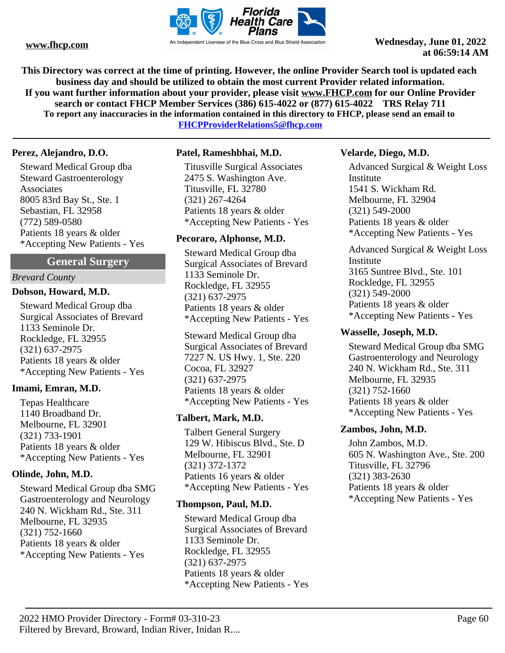

**This Directory was correct at the time of printing. However, the online Provider Search tool is updated each business day and should be utilized to obtain the most current Provider related information. If you want further information about your provider, please visit www.FHCP.com for our Online Provider search or contact FHCP Member Services (386) 615-4022 or (877) 615-4022 TRS Relay 711 To report any inaccuracies in the information contained in this directory to FHCP, please send an email to** 

**FHCPProviderRelations5@fhcp.com**

### **Perez, Alejandro, D.O.**

Steward Medical Group dba Steward Gastroenterology Associates 8005 83rd Bay St., Ste. 1 Sebastian, FL 32958 (772) 589-0580 Patients 18 years & older \*Accepting New Patients - Yes

# **General Surgery**

#### *Brevard County*

#### **Dobson, Howard, M.D.**

Steward Medical Group dba Surgical Associates of Brevard 1133 Seminole Dr. Rockledge, FL 32955 (321) 637-2975 Patients 18 years & older \*Accepting New Patients - Yes

# **Imami, Emran, M.D.**

Tepas Healthcare 1140 Broadband Dr. Melbourne, FL 32901 (321) 733-1901 Patients 18 years & older \*Accepting New Patients - Yes

#### **Olinde, John, M.D.**

Steward Medical Group dba SMG Gastroenterology and Neurology 240 N. Wickham Rd., Ste. 311 Melbourne, FL 32935 (321) 752-1660 Patients 18 years & older \*Accepting New Patients - Yes

### **Patel, Rameshbhai, M.D.**

Titusville Surgical Associates 2475 S. Washington Ave. Titusville, FL 32780 (321) 267-4264 Patients 18 years & older \*Accepting New Patients - Yes

#### **Pecoraro, Alphonse, M.D.**

Steward Medical Group dba Surgical Associates of Brevard 1133 Seminole Dr. Rockledge, FL 32955 (321) 637-2975 Patients 18 years & older \*Accepting New Patients - Yes

Steward Medical Group dba Surgical Associates of Brevard 7227 N. US Hwy. 1, Ste. 220 Cocoa, FL 32927 (321) 637-2975 Patients 18 years & older \*Accepting New Patients - Yes

#### **Talbert, Mark, M.D.**

Talbert General Surgery 129 W. Hibiscus Blvd., Ste. D Melbourne, FL 32901 (321) 372-1372 Patients 16 years & older \*Accepting New Patients - Yes

#### **Thompson, Paul, M.D.**

Steward Medical Group dba Surgical Associates of Brevard 1133 Seminole Dr. Rockledge, FL 32955 (321) 637-2975 Patients 18 years & older \*Accepting New Patients - Yes

#### **Velarde, Diego, M.D.**

Advanced Surgical & Weight Loss Institute 1541 S. Wickham Rd. Melbourne, FL 32904 (321) 549-2000 Patients 18 years & older \*Accepting New Patients - Yes

Advanced Surgical & Weight Loss Institute 3165 Suntree Blvd., Ste. 101 Rockledge, FL 32955 (321) 549-2000 Patients 18 years & older \*Accepting New Patients - Yes

#### **Wasselle, Joseph, M.D.**

Steward Medical Group dba SMG Gastroenterology and Neurology 240 N. Wickham Rd., Ste. 311 Melbourne, FL 32935 (321) 752-1660 Patients 18 years & older \*Accepting New Patients - Yes

### **Zambos, John, M.D.**

John Zambos, M.D. 605 N. Washington Ave., Ste. 200 Titusville, FL 32796 (321) 383-2630 Patients 18 years & older \*Accepting New Patients - Yes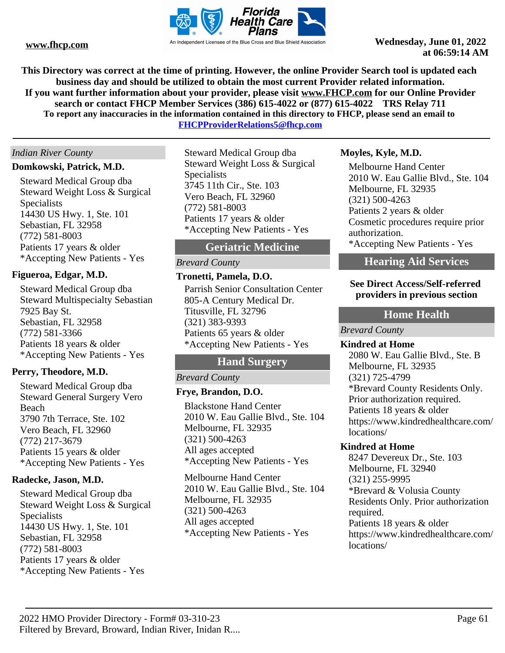

**This Directory was correct at the time of printing. However, the online Provider Search tool is updated each business day and should be utilized to obtain the most current Provider related information. If you want further information about your provider, please visit www.FHCP.com for our Online Provider search or contact FHCP Member Services (386) 615-4022 or (877) 615-4022 TRS Relay 711 To report any inaccuracies in the information contained in this directory to FHCP, please send an email to** 

**FHCPProviderRelations5@fhcp.com**

# *Indian River County*

### **Domkowski, Patrick, M.D.**

Steward Medical Group dba Steward Weight Loss & Surgical Specialists 14430 US Hwy. 1, Ste. 101 Sebastian, FL 32958 (772) 581-8003 Patients 17 years & older \*Accepting New Patients - Yes

# **Figueroa, Edgar, M.D.**

Steward Medical Group dba Steward Multispecialty Sebastian 7925 Bay St. Sebastian, FL 32958 (772) 581-3366 Patients 18 years & older \*Accepting New Patients - Yes

# **Perry, Theodore, M.D.**

Steward Medical Group dba Steward General Surgery Vero Beach 3790 7th Terrace, Ste. 102 Vero Beach, FL 32960 (772) 217-3679 Patients 15 years & older \*Accepting New Patients - Yes

# **Radecke, Jason, M.D.**

Steward Medical Group dba Steward Weight Loss & Surgical Specialists 14430 US Hwy. 1, Ste. 101 Sebastian, FL 32958 (772) 581-8003 Patients 17 years & older \*Accepting New Patients - Yes

Steward Medical Group dba Steward Weight Loss & Surgical **Specialists** 3745 11th Cir., Ste. 103 Vero Beach, FL 32960 (772) 581-8003 Patients 17 years & older \*Accepting New Patients - Yes

# **Geriatric Medicine**

# *Brevard County*

# **Tronetti, Pamela, D.O.**

Parrish Senior Consultation Center 805-A Century Medical Dr. Titusville, FL 32796 (321) 383-9393 Patients 65 years & older \*Accepting New Patients - Yes

# **Hand Surgery**

# *Brevard County*

# **Frye, Brandon, D.O.**

Blackstone Hand Center 2010 W. Eau Gallie Blvd., Ste. 104 Melbourne, FL 32935 (321) 500-4263 All ages accepted \*Accepting New Patients - Yes

Melbourne Hand Center 2010 W. Eau Gallie Blvd., Ste. 104 Melbourne, FL 32935 (321) 500-4263 All ages accepted \*Accepting New Patients - Yes

### **Moyles, Kyle, M.D.**

Melbourne Hand Center 2010 W. Eau Gallie Blvd., Ste. 104 Melbourne, FL 32935 (321) 500-4263 Patients 2 years & older Cosmetic procedures require prior authorization.

\*Accepting New Patients - Yes

# **Hearing Aid Services**

# **See Direct Access/Self-referred providers in previous section**

# **Home Health**

*Brevard County*

#### **Kindred at Home**

2080 W. Eau Gallie Blvd., Ste. B Melbourne, FL 32935 (321) 725-4799 \*Brevard County Residents Only. Prior authorization required. Patients 18 years & older https://www.kindredhealthcare.com/ locations/

### **Kindred at Home**

8247 Devereux Dr., Ste. 103 Melbourne, FL 32940 (321) 255-9995 \*Brevard & Volusia County Residents Only. Prior authorization required. Patients 18 years & older https://www.kindredhealthcare.com/ locations/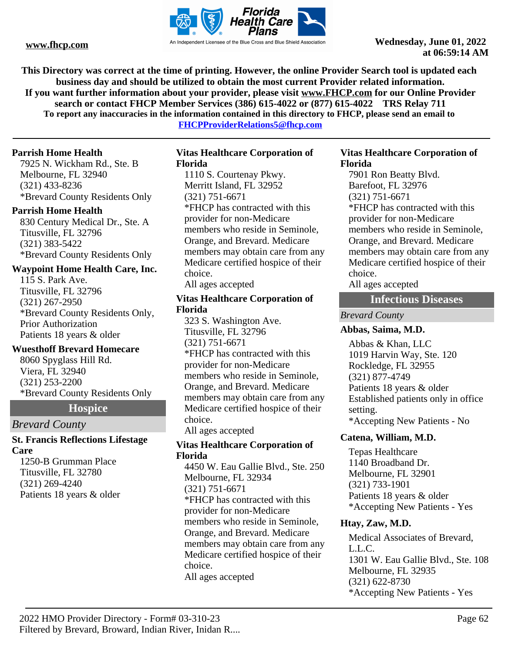

**This Directory was correct at the time of printing. However, the online Provider Search tool is updated each business day and should be utilized to obtain the most current Provider related information. If you want further information about your provider, please visit www.FHCP.com for our Online Provider search or contact FHCP Member Services (386) 615-4022 or (877) 615-4022 TRS Relay 711 To report any inaccuracies in the information contained in this directory to FHCP, please send an email to** 

**FHCPProviderRelations5@fhcp.com**

# **Parrish Home Health**

7925 N. Wickham Rd., Ste. B Melbourne, FL 32940 (321) 433-8236 \*Brevard County Residents Only

# **Parrish Home Health**

830 Century Medical Dr., Ste. A Titusville, FL 32796 (321) 383-5422 \*Brevard County Residents Only

# **Waypoint Home Health Care, Inc.**

115 S. Park Ave. Titusville, FL 32796 (321) 267-2950 \*Brevard County Residents Only, Prior Authorization Patients 18 years & older

# **Wuesthoff Brevard Homecare**

8060 Spyglass Hill Rd. Viera, FL 32940 (321) 253-2200 \*Brevard County Residents Only

# **Hospice**

# *Brevard County*

# **St. Francis Reflections Lifestage Care**

1250-B Grumman Place Titusville, FL 32780 (321) 269-4240 Patients 18 years & older

### **Vitas Healthcare Corporation of Florida**

1110 S. Courtenay Pkwy. Merritt Island, FL 32952 (321) 751-6671 \*FHCP has contracted with this provider for non-Medicare members who reside in Seminole, Orange, and Brevard. Medicare members may obtain care from any Medicare certified hospice of their choice. All ages accepted

### **Vitas Healthcare Corporation of Florida**

323 S. Washington Ave. Titusville, FL 32796 (321) 751-6671 \*FHCP has contracted with this provider for non-Medicare members who reside in Seminole, Orange, and Brevard. Medicare members may obtain care from any Medicare certified hospice of their choice. All ages accepted

# **Vitas Healthcare Corporation of Florida**

4450 W. Eau Gallie Blvd., Ste. 250 Melbourne, FL 32934 (321) 751-6671 \*FHCP has contracted with this provider for non-Medicare members who reside in Seminole, Orange, and Brevard. Medicare members may obtain care from any Medicare certified hospice of their choice. All ages accepted

### **Vitas Healthcare Corporation of Florida**

7901 Ron Beatty Blvd. Barefoot, FL 32976 (321) 751-6671 \*FHCP has contracted with this provider for non-Medicare members who reside in Seminole, Orange, and Brevard. Medicare members may obtain care from any Medicare certified hospice of their choice. All ages accepted

# **Infectious Diseases**

*Brevard County*

# **Abbas, Saima, M.D.**

Abbas & Khan, LLC 1019 Harvin Way, Ste. 120 Rockledge, FL 32955 (321) 877-4749 Patients 18 years & older Established patients only in office setting. \*Accepting New Patients - No

# **Catena, William, M.D.**

Tepas Healthcare 1140 Broadband Dr. Melbourne, FL 32901 (321) 733-1901 Patients 18 years & older \*Accepting New Patients - Yes

# **Htay, Zaw, M.D.**

Medical Associates of Brevard, L.L.C. 1301 W. Eau Gallie Blvd., Ste. 108 Melbourne, FL 32935 (321) 622-8730 \*Accepting New Patients - Yes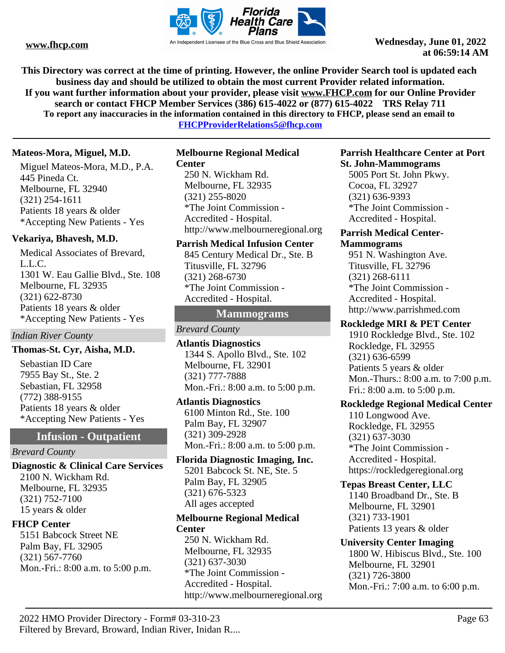

**This Directory was correct at the time of printing. However, the online Provider Search tool is updated each business day and should be utilized to obtain the most current Provider related information. If you want further information about your provider, please visit www.FHCP.com for our Online Provider search or contact FHCP Member Services (386) 615-4022 or (877) 615-4022 TRS Relay 711 To report any inaccuracies in the information contained in this directory to FHCP, please send an email to** 

**FHCPProviderRelations5@fhcp.com**

# **Mateos-Mora, Miguel, M.D.**

Miguel Mateos-Mora, M.D., P.A. 445 Pineda Ct. Melbourne, FL 32940 (321) 254-1611 Patients 18 years & older \*Accepting New Patients - Yes

# **Vekariya, Bhavesh, M.D.**

Medical Associates of Brevard, L.L.C. 1301 W. Eau Gallie Blvd., Ste. 108 Melbourne, FL 32935 (321) 622-8730 Patients 18 years & older \*Accepting New Patients - Yes

# *Indian River County*

# **Thomas-St. Cyr, Aisha, M.D.**

Sebastian ID Care 7955 Bay St., Ste. 2 Sebastian, FL 32958 (772) 388-9155 Patients 18 years & older \*Accepting New Patients - Yes

# **Infusion - Outpatient**

#### *Brevard County*

**Diagnostic & Clinical Care Services** 2100 N. Wickham Rd. Melbourne, FL 32935 (321) 752-7100 15 years & older

# **FHCP Center**

5151 Babcock Street NE Palm Bay, FL 32905 (321) 567-7760 Mon.-Fri.: 8:00 a.m. to 5:00 p.m.

# **Melbourne Regional Medical**

**Center** 250 N. Wickham Rd. Melbourne, FL 32935 (321) 255-8020 \*The Joint Commission - Accredited - Hospital. http://www.melbourneregional.org

#### **Parrish Medical Infusion Center**

845 Century Medical Dr., Ste. B Titusville, FL 32796 (321) 268-6730 \*The Joint Commission - Accredited - Hospital.

# **Mammograms**

# *Brevard County*

**Atlantis Diagnostics** 1344 S. Apollo Blvd., Ste. 102 Melbourne, FL 32901 (321) 777-7888 Mon.-Fri.: 8:00 a.m. to 5:00 p.m.

#### **Atlantis Diagnostics**

6100 Minton Rd., Ste. 100 Palm Bay, FL 32907 (321) 309-2928 Mon.-Fri.: 8:00 a.m. to 5:00 p.m.

# **Florida Diagnostic Imaging, Inc.**

5201 Babcock St. NE, Ste. 5 Palm Bay, FL 32905 (321) 676-5323 All ages accepted

#### **Melbourne Regional Medical Center**

250 N. Wickham Rd. Melbourne, FL 32935 (321) 637-3030 \*The Joint Commission - Accredited - Hospital. http://www.melbourneregional.org

#### **Parrish Healthcare Center at Port St. John-Mammograms**

5005 Port St. John Pkwy. Cocoa, FL 32927 (321) 636-9393 \*The Joint Commission - Accredited - Hospital.

### **Parrish Medical Center-Mammograms**

951 N. Washington Ave. Titusville, FL 32796 (321) 268-6111 \*The Joint Commission - Accredited - Hospital. http://www.parrishmed.com

# **Rockledge MRI & PET Center**

1910 Rockledge Blvd., Ste. 102 Rockledge, FL 32955 (321) 636-6599 Patients 5 years & older Mon.-Thurs.: 8:00 a.m. to 7:00 p.m. Fri.: 8:00 a.m. to 5:00 p.m.

# **Rockledge Regional Medical Center**

110 Longwood Ave. Rockledge, FL 32955 (321) 637-3030 \*The Joint Commission - Accredited - Hospital. https://rockledgeregional.org

# **Tepas Breast Center, LLC**

1140 Broadband Dr., Ste. B Melbourne, FL 32901 (321) 733-1901 Patients 13 years & older

### **University Center Imaging** 1800 W. Hibiscus Blvd., Ste. 100 Melbourne, FL 32901 (321) 726-3800

Mon.-Fri.: 7:00 a.m. to 6:00 p.m.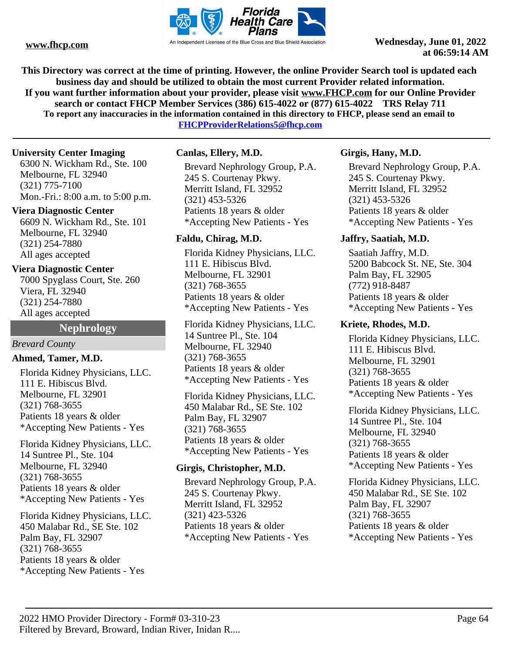

**This Directory was correct at the time of printing. However, the online Provider Search tool is updated each business day and should be utilized to obtain the most current Provider related information. If you want further information about your provider, please visit www.FHCP.com for our Online Provider search or contact FHCP Member Services (386) 615-4022 or (877) 615-4022 TRS Relay 711 To report any inaccuracies in the information contained in this directory to FHCP, please send an email to** 

**FHCPProviderRelations5@fhcp.com**

# **University Center Imaging**

6300 N. Wickham Rd., Ste. 100 Melbourne, FL 32940 (321) 775-7100 Mon.-Fri.: 8:00 a.m. to 5:00 p.m.

# **Viera Diagnostic Center**

6609 N. Wickham Rd., Ste. 101 Melbourne, FL 32940 (321) 254-7880 All ages accepted

# **Viera Diagnostic Center**

7000 Spyglass Court, Ste. 260 Viera, FL 32940 (321) 254-7880 All ages accepted

# **Nephrology**

#### *Brevard County*

# **Ahmed, Tamer, M.D.**

Florida Kidney Physicians, LLC. 111 E. Hibiscus Blvd. Melbourne, FL 32901 (321) 768-3655 Patients 18 years & older \*Accepting New Patients - Yes

Florida Kidney Physicians, LLC. 14 Suntree Pl., Ste. 104 Melbourne, FL 32940 (321) 768-3655 Patients 18 years & older \*Accepting New Patients - Yes

Florida Kidney Physicians, LLC. 450 Malabar Rd., SE Ste. 102 Palm Bay, FL 32907 (321) 768-3655 Patients 18 years & older \*Accepting New Patients - Yes

# **Canlas, Ellery, M.D.**

Brevard Nephrology Group, P.A. 245 S. Courtenay Pkwy. Merritt Island, FL 32952 (321) 453-5326 Patients 18 years & older \*Accepting New Patients - Yes

# **Faldu, Chirag, M.D.**

Florida Kidney Physicians, LLC. 111 E. Hibiscus Blvd. Melbourne, FL 32901 (321) 768-3655 Patients 18 years & older \*Accepting New Patients - Yes

Florida Kidney Physicians, LLC. 14 Suntree Pl., Ste. 104 Melbourne, FL 32940 (321) 768-3655 Patients 18 years & older \*Accepting New Patients - Yes

Florida Kidney Physicians, LLC. 450 Malabar Rd., SE Ste. 102 Palm Bay, FL 32907 (321) 768-3655 Patients 18 years & older \*Accepting New Patients - Yes

# **Girgis, Christopher, M.D.**

Brevard Nephrology Group, P.A. 245 S. Courtenay Pkwy. Merritt Island, FL 32952 (321) 423-5326 Patients 18 years & older \*Accepting New Patients - Yes

# **Girgis, Hany, M.D.**

Brevard Nephrology Group, P.A. 245 S. Courtenay Pkwy. Merritt Island, FL 32952 (321) 453-5326 Patients 18 years & older \*Accepting New Patients - Yes

# **Jaffry, Saatiah, M.D.**

Saatiah Jaffry, M.D. 5200 Babcock St. NE, Ste. 304 Palm Bay, FL 32905 (772) 918-8487 Patients 18 years & older \*Accepting New Patients - Yes

# **Kriete, Rhodes, M.D.**

Florida Kidney Physicians, LLC. 111 E. Hibiscus Blvd. Melbourne, FL 32901 (321) 768-3655 Patients 18 years & older \*Accepting New Patients - Yes

Florida Kidney Physicians, LLC. 14 Suntree Pl., Ste. 104 Melbourne, FL 32940 (321) 768-3655 Patients 18 years & older \*Accepting New Patients - Yes

Florida Kidney Physicians, LLC. 450 Malabar Rd., SE Ste. 102 Palm Bay, FL 32907 (321) 768-3655 Patients 18 years & older \*Accepting New Patients - Yes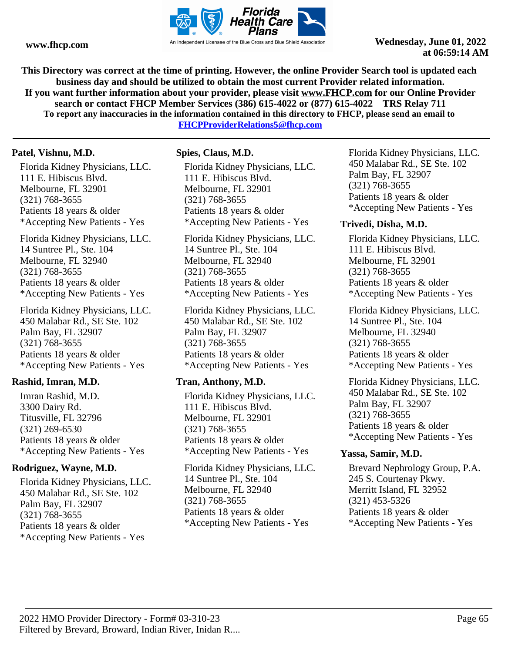

**This Directory was correct at the time of printing. However, the online Provider Search tool is updated each business day and should be utilized to obtain the most current Provider related information. If you want further information about your provider, please visit www.FHCP.com for our Online Provider search or contact FHCP Member Services (386) 615-4022 or (877) 615-4022 TRS Relay 711 To report any inaccuracies in the information contained in this directory to FHCP, please send an email to FHCPProviderRelations5@fhcp.com**

# **Patel, Vishnu, M.D.**

Florida Kidney Physicians, LLC. 111 E. Hibiscus Blvd. Melbourne, FL 32901 (321) 768-3655 Patients 18 years & older \*Accepting New Patients - Yes

Florida Kidney Physicians, LLC. 14 Suntree Pl., Ste. 104 Melbourne, FL 32940 (321) 768-3655 Patients 18 years & older \*Accepting New Patients - Yes

Florida Kidney Physicians, LLC. 450 Malabar Rd., SE Ste. 102 Palm Bay, FL 32907 (321) 768-3655 Patients 18 years & older \*Accepting New Patients - Yes

# **Rashid, Imran, M.D.**

Imran Rashid, M.D. 3300 Dairy Rd. Titusville, FL 32796 (321) 269-6530 Patients 18 years & older \*Accepting New Patients - Yes

# **Rodriguez, Wayne, M.D.**

Florida Kidney Physicians, LLC. 450 Malabar Rd., SE Ste. 102 Palm Bay, FL 32907 (321) 768-3655 Patients 18 years & older \*Accepting New Patients - Yes

# **Spies, Claus, M.D.**

Florida Kidney Physicians, LLC. 111 E. Hibiscus Blvd. Melbourne, FL 32901 (321) 768-3655 Patients 18 years & older \*Accepting New Patients - Yes

Florida Kidney Physicians, LLC. 14 Suntree Pl., Ste. 104 Melbourne, FL 32940 (321) 768-3655 Patients 18 years & older \*Accepting New Patients - Yes

Florida Kidney Physicians, LLC. 450 Malabar Rd., SE Ste. 102 Palm Bay, FL 32907 (321) 768-3655 Patients 18 years & older \*Accepting New Patients - Yes

# **Tran, Anthony, M.D.**

Florida Kidney Physicians, LLC. 111 E. Hibiscus Blvd. Melbourne, FL 32901 (321) 768-3655 Patients 18 years & older \*Accepting New Patients - Yes

Florida Kidney Physicians, LLC. 14 Suntree Pl., Ste. 104 Melbourne, FL 32940 (321) 768-3655 Patients 18 years & older \*Accepting New Patients - Yes

Florida Kidney Physicians, LLC. 450 Malabar Rd., SE Ste. 102 Palm Bay, FL 32907 (321) 768-3655 Patients 18 years & older \*Accepting New Patients - Yes

# **Trivedi, Disha, M.D.**

Florida Kidney Physicians, LLC. 111 E. Hibiscus Blvd. Melbourne, FL 32901 (321) 768-3655 Patients 18 years & older \*Accepting New Patients - Yes

Florida Kidney Physicians, LLC. 14 Suntree Pl., Ste. 104 Melbourne, FL 32940 (321) 768-3655 Patients 18 years & older \*Accepting New Patients - Yes

Florida Kidney Physicians, LLC. 450 Malabar Rd., SE Ste. 102 Palm Bay, FL 32907 (321) 768-3655 Patients 18 years & older \*Accepting New Patients - Yes

# **Yassa, Samir, M.D.**

Brevard Nephrology Group, P.A. 245 S. Courtenay Pkwy. Merritt Island, FL 32952 (321) 453-5326 Patients 18 years & older \*Accepting New Patients - Yes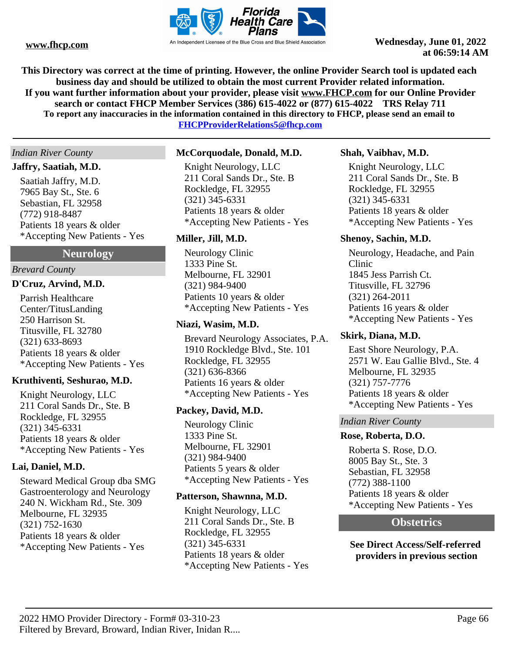

**This Directory was correct at the time of printing. However, the online Provider Search tool is updated each business day and should be utilized to obtain the most current Provider related information. If you want further information about your provider, please visit www.FHCP.com for our Online Provider search or contact FHCP Member Services (386) 615-4022 or (877) 615-4022 TRS Relay 711 To report any inaccuracies in the information contained in this directory to FHCP, please send an email to** 

**FHCPProviderRelations5@fhcp.com**

### *Indian River County*

### **Jaffry, Saatiah, M.D.**

Saatiah Jaffry, M.D. 7965 Bay St., Ste. 6 Sebastian, FL 32958 (772) 918-8487 Patients 18 years & older \*Accepting New Patients - Yes

# **Neurology**

### *Brevard County*

### **D'Cruz, Arvind, M.D.**

Parrish Healthcare Center/TitusLanding 250 Harrison St. Titusville, FL 32780 (321) 633-8693 Patients 18 years & older \*Accepting New Patients - Yes

# **Kruthiventi, Seshurao, M.D.**

Knight Neurology, LLC 211 Coral Sands Dr., Ste. B Rockledge, FL 32955 (321) 345-6331 Patients 18 years & older \*Accepting New Patients - Yes

# **Lai, Daniel, M.D.**

Steward Medical Group dba SMG Gastroenterology and Neurology 240 N. Wickham Rd., Ste. 309 Melbourne, FL 32935 (321) 752-1630 Patients 18 years & older \*Accepting New Patients - Yes

### **McCorquodale, Donald, M.D.**

Knight Neurology, LLC 211 Coral Sands Dr., Ste. B Rockledge, FL 32955 (321) 345-6331 Patients 18 years & older \*Accepting New Patients - Yes

### **Miller, Jill, M.D.**

Neurology Clinic 1333 Pine St. Melbourne, FL 32901 (321) 984-9400 Patients 10 years & older \*Accepting New Patients - Yes

### **Niazi, Wasim, M.D.**

Brevard Neurology Associates, P.A. 1910 Rockledge Blvd., Ste. 101 Rockledge, FL 32955 (321) 636-8366 Patients 16 years & older \*Accepting New Patients - Yes

# **Packey, David, M.D.**

Neurology Clinic 1333 Pine St. Melbourne, FL 32901 (321) 984-9400 Patients 5 years & older \*Accepting New Patients - Yes

#### **Patterson, Shawnna, M.D.**

Knight Neurology, LLC 211 Coral Sands Dr., Ste. B Rockledge, FL 32955 (321) 345-6331 Patients 18 years & older \*Accepting New Patients - Yes

#### **Shah, Vaibhav, M.D.**

Knight Neurology, LLC 211 Coral Sands Dr., Ste. B Rockledge, FL 32955 (321) 345-6331 Patients 18 years & older \*Accepting New Patients - Yes

### **Shenoy, Sachin, M.D.**

Neurology, Headache, and Pain Clinic 1845 Jess Parrish Ct. Titusville, FL 32796 (321) 264-2011 Patients 16 years & older \*Accepting New Patients - Yes

#### **Skirk, Diana, M.D.**

East Shore Neurology, P.A. 2571 W. Eau Gallie Blvd., Ste. 4 Melbourne, FL 32935 (321) 757-7776 Patients 18 years & older \*Accepting New Patients - Yes

#### *Indian River County*

### **Rose, Roberta, D.O.**

Roberta S. Rose, D.O. 8005 Bay St., Ste. 3 Sebastian, FL 32958 (772) 388-1100 Patients 18 years & older \*Accepting New Patients - Yes

# **Obstetrics**

**See Direct Access/Self-referred providers in previous section**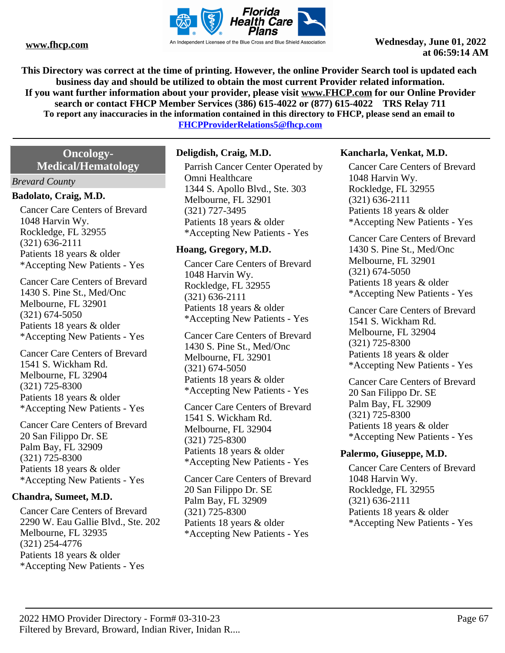

**This Directory was correct at the time of printing. However, the online Provider Search tool is updated each business day and should be utilized to obtain the most current Provider related information. If you want further information about your provider, please visit www.FHCP.com for our Online Provider search or contact FHCP Member Services (386) 615-4022 or (877) 615-4022 TRS Relay 711 To report any inaccuracies in the information contained in this directory to FHCP, please send an email to** 

**FHCPProviderRelations5@fhcp.com**

# **Oncology-Medical/Hematology**

### *Brevard County*

# **Badolato, Craig, M.D.**

Cancer Care Centers of Brevard 1048 Harvin Wy. Rockledge, FL 32955 (321) 636-2111 Patients 18 years & older \*Accepting New Patients - Yes

Cancer Care Centers of Brevard 1430 S. Pine St., Med/Onc Melbourne, FL 32901 (321) 674-5050 Patients 18 years & older \*Accepting New Patients - Yes

Cancer Care Centers of Brevard 1541 S. Wickham Rd. Melbourne, FL 32904 (321) 725-8300 Patients 18 years & older \*Accepting New Patients - Yes

Cancer Care Centers of Brevard 20 San Filippo Dr. SE Palm Bay, FL 32909 (321) 725-8300 Patients 18 years & older \*Accepting New Patients - Yes

# **Chandra, Sumeet, M.D.**

Cancer Care Centers of Brevard 2290 W. Eau Gallie Blvd., Ste. 202 Melbourne, FL 32935 (321) 254-4776 Patients 18 years & older \*Accepting New Patients - Yes

# **Deligdish, Craig, M.D.**

Parrish Cancer Center Operated by Omni Healthcare 1344 S. Apollo Blvd., Ste. 303 Melbourne, FL 32901 (321) 727-3495 Patients 18 years & older \*Accepting New Patients - Yes

### **Hoang, Gregory, M.D.**

Cancer Care Centers of Brevard 1048 Harvin Wy. Rockledge, FL 32955 (321) 636-2111 Patients 18 years & older \*Accepting New Patients - Yes

Cancer Care Centers of Brevard 1430 S. Pine St., Med/Onc Melbourne, FL 32901 (321) 674-5050 Patients 18 years & older \*Accepting New Patients - Yes

Cancer Care Centers of Brevard 1541 S. Wickham Rd. Melbourne, FL 32904 (321) 725-8300 Patients 18 years & older \*Accepting New Patients - Yes

Cancer Care Centers of Brevard 20 San Filippo Dr. SE Palm Bay, FL 32909 (321) 725-8300 Patients 18 years & older \*Accepting New Patients - Yes

### **Kancharla, Venkat, M.D.**

Cancer Care Centers of Brevard 1048 Harvin Wy. Rockledge, FL 32955 (321) 636-2111 Patients 18 years & older \*Accepting New Patients - Yes

Cancer Care Centers of Brevard 1430 S. Pine St., Med/Onc Melbourne, FL 32901 (321) 674-5050 Patients 18 years & older \*Accepting New Patients - Yes

Cancer Care Centers of Brevard 1541 S. Wickham Rd. Melbourne, FL 32904 (321) 725-8300 Patients 18 years & older \*Accepting New Patients - Yes

Cancer Care Centers of Brevard 20 San Filippo Dr. SE Palm Bay, FL 32909 (321) 725-8300 Patients 18 years & older \*Accepting New Patients - Yes

# **Palermo, Giuseppe, M.D.**

Cancer Care Centers of Brevard 1048 Harvin Wy. Rockledge, FL 32955 (321) 636-2111 Patients 18 years & older \*Accepting New Patients - Yes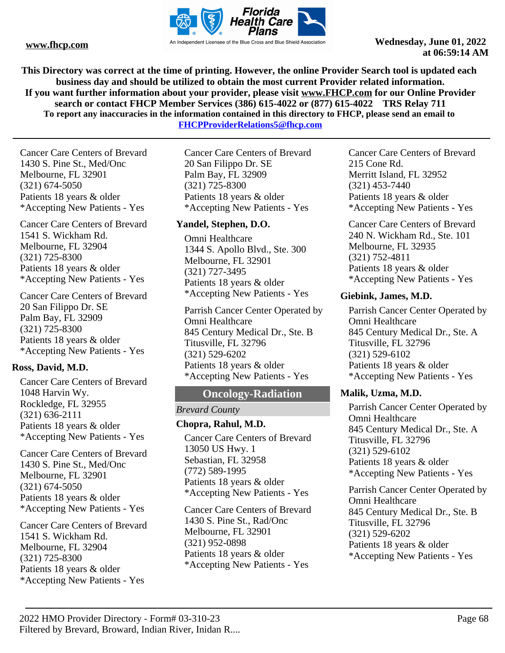

**This Directory was correct at the time of printing. However, the online Provider Search tool is updated each business day and should be utilized to obtain the most current Provider related information. If you want further information about your provider, please visit www.FHCP.com for our Online Provider search or contact FHCP Member Services (386) 615-4022 or (877) 615-4022 TRS Relay 711 To report any inaccuracies in the information contained in this directory to FHCP, please send an email to** 

**FHCPProviderRelations5@fhcp.com**

Cancer Care Centers of Brevard 1430 S. Pine St., Med/Onc Melbourne, FL 32901 (321) 674-5050 Patients 18 years & older \*Accepting New Patients - Yes

Cancer Care Centers of Brevard 1541 S. Wickham Rd. Melbourne, FL 32904 (321) 725-8300 Patients 18 years & older \*Accepting New Patients - Yes

Cancer Care Centers of Brevard 20 San Filippo Dr. SE Palm Bay, FL 32909 (321) 725-8300 Patients 18 years & older \*Accepting New Patients - Yes

# **Ross, David, M.D.**

Cancer Care Centers of Brevard 1048 Harvin Wy. Rockledge, FL 32955 (321) 636-2111 Patients 18 years & older \*Accepting New Patients - Yes

Cancer Care Centers of Brevard 1430 S. Pine St., Med/Onc Melbourne, FL 32901 (321) 674-5050 Patients 18 years & older \*Accepting New Patients - Yes

Cancer Care Centers of Brevard 1541 S. Wickham Rd. Melbourne, FL 32904 (321) 725-8300 Patients 18 years & older \*Accepting New Patients - Yes

Cancer Care Centers of Brevard 20 San Filippo Dr. SE Palm Bay, FL 32909 (321) 725-8300 Patients 18 years & older \*Accepting New Patients - Yes

# **Yandel, Stephen, D.O.**

Omni Healthcare 1344 S. Apollo Blvd., Ste. 300 Melbourne, FL 32901 (321) 727-3495 Patients 18 years & older \*Accepting New Patients - Yes

Parrish Cancer Center Operated by Omni Healthcare 845 Century Medical Dr., Ste. B Titusville, FL 32796 (321) 529-6202 Patients 18 years & older \*Accepting New Patients - Yes

# **Oncology-Radiation**

# *Brevard County*

# **Chopra, Rahul, M.D.**

Cancer Care Centers of Brevard 13050 US Hwy. 1 Sebastian, FL 32958 (772) 589-1995 Patients 18 years & older \*Accepting New Patients - Yes

Cancer Care Centers of Brevard 1430 S. Pine St., Rad/Onc Melbourne, FL 32901 (321) 952-0898 Patients 18 years & older \*Accepting New Patients - Yes

Cancer Care Centers of Brevard 215 Cone Rd. Merritt Island, FL 32952 (321) 453-7440 Patients 18 years & older \*Accepting New Patients - Yes

Cancer Care Centers of Brevard 240 N. Wickham Rd., Ste. 101 Melbourne, FL 32935 (321) 752-4811 Patients 18 years & older \*Accepting New Patients - Yes

# **Giebink, James, M.D.**

Parrish Cancer Center Operated by Omni Healthcare 845 Century Medical Dr., Ste. A Titusville, FL 32796 (321) 529-6102 Patients 18 years & older \*Accepting New Patients - Yes

# **Malik, Uzma, M.D.**

Parrish Cancer Center Operated by Omni Healthcare 845 Century Medical Dr., Ste. A Titusville, FL 32796 (321) 529-6102 Patients 18 years & older \*Accepting New Patients - Yes

Parrish Cancer Center Operated by Omni Healthcare 845 Century Medical Dr., Ste. B Titusville, FL 32796 (321) 529-6202 Patients 18 years & older \*Accepting New Patients - Yes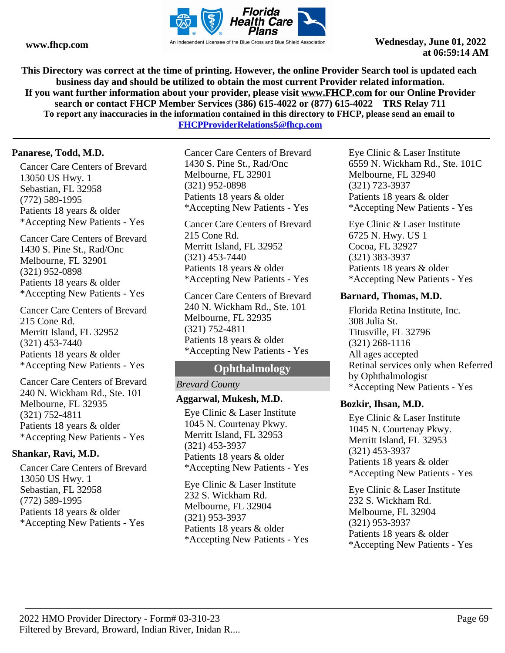

**This Directory was correct at the time of printing. However, the online Provider Search tool is updated each business day and should be utilized to obtain the most current Provider related information. If you want further information about your provider, please visit www.FHCP.com for our Online Provider search or contact FHCP Member Services (386) 615-4022 or (877) 615-4022 TRS Relay 711 To report any inaccuracies in the information contained in this directory to FHCP, please send an email to** 

**FHCPProviderRelations5@fhcp.com**

# **Panarese, Todd, M.D.**

Cancer Care Centers of Brevard 13050 US Hwy. 1 Sebastian, FL 32958 (772) 589-1995 Patients 18 years & older \*Accepting New Patients - Yes

Cancer Care Centers of Brevard 1430 S. Pine St., Rad/Onc Melbourne, FL 32901 (321) 952-0898 Patients 18 years & older \*Accepting New Patients - Yes

Cancer Care Centers of Brevard 215 Cone Rd. Merritt Island, FL 32952 (321) 453-7440 Patients 18 years & older \*Accepting New Patients - Yes

Cancer Care Centers of Brevard 240 N. Wickham Rd., Ste. 101 Melbourne, FL 32935 (321) 752-4811 Patients 18 years & older \*Accepting New Patients - Yes

# **Shankar, Ravi, M.D.**

Cancer Care Centers of Brevard 13050 US Hwy. 1 Sebastian, FL 32958 (772) 589-1995 Patients 18 years & older \*Accepting New Patients - Yes

Cancer Care Centers of Brevard 1430 S. Pine St., Rad/Onc Melbourne, FL 32901 (321) 952-0898 Patients 18 years & older \*Accepting New Patients - Yes

Cancer Care Centers of Brevard 215 Cone Rd. Merritt Island, FL 32952 (321) 453-7440 Patients 18 years & older \*Accepting New Patients - Yes

Cancer Care Centers of Brevard 240 N. Wickham Rd., Ste. 101 Melbourne, FL 32935 (321) 752-4811 Patients 18 years & older \*Accepting New Patients - Yes

# **Ophthalmology**

# *Brevard County*

# **Aggarwal, Mukesh, M.D.**

Eye Clinic & Laser Institute 1045 N. Courtenay Pkwy. Merritt Island, FL 32953 (321) 453-3937 Patients 18 years & older \*Accepting New Patients - Yes

Eye Clinic & Laser Institute 232 S. Wickham Rd. Melbourne, FL 32904 (321) 953-3937 Patients 18 years & older \*Accepting New Patients - Yes Eye Clinic & Laser Institute 6559 N. Wickham Rd., Ste. 101C Melbourne, FL 32940 (321) 723-3937 Patients 18 years & older \*Accepting New Patients - Yes

Eye Clinic & Laser Institute 6725 N. Hwy. US 1 Cocoa, FL 32927 (321) 383-3937 Patients 18 years & older \*Accepting New Patients - Yes

### **Barnard, Thomas, M.D.**

Florida Retina Institute, Inc. 308 Julia St. Titusville, FL 32796 (321) 268-1116 All ages accepted Retinal services only when Referred by Ophthalmologist \*Accepting New Patients - Yes

# **Bozkir, Ihsan, M.D.**

Eye Clinic & Laser Institute 1045 N. Courtenay Pkwy. Merritt Island, FL 32953 (321) 453-3937 Patients 18 years & older \*Accepting New Patients - Yes

Eye Clinic & Laser Institute 232 S. Wickham Rd. Melbourne, FL 32904 (321) 953-3937 Patients 18 years & older \*Accepting New Patients - Yes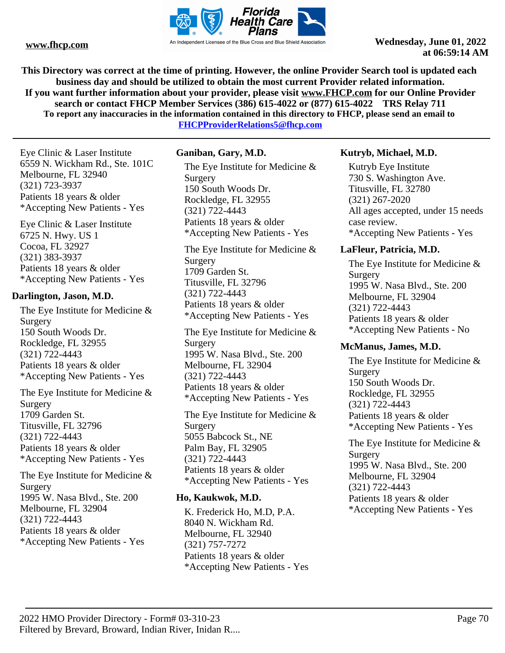

**This Directory was correct at the time of printing. However, the online Provider Search tool is updated each business day and should be utilized to obtain the most current Provider related information. If you want further information about your provider, please visit www.FHCP.com for our Online Provider search or contact FHCP Member Services (386) 615-4022 or (877) 615-4022 TRS Relay 711 To report any inaccuracies in the information contained in this directory to FHCP, please send an email to FHCPProviderRelations5@fhcp.com**

Eye Clinic & Laser Institute 6559 N. Wickham Rd., Ste. 101C Melbourne, FL 32940 (321) 723-3937 Patients 18 years & older \*Accepting New Patients - Yes

Eye Clinic & Laser Institute 6725 N. Hwy. US 1 Cocoa, FL 32927 (321) 383-3937 Patients 18 years & older \*Accepting New Patients - Yes

### **Darlington, Jason, M.D.**

The Eye Institute for Medicine & Surgery 150 South Woods Dr. Rockledge, FL 32955 (321) 722-4443 Patients 18 years & older \*Accepting New Patients - Yes

The Eye Institute for Medicine & Surgery 1709 Garden St. Titusville, FL 32796 (321) 722-4443 Patients 18 years & older \*Accepting New Patients - Yes

The Eye Institute for Medicine & Surgery 1995 W. Nasa Blvd., Ste. 200 Melbourne, FL 32904 (321) 722-4443 Patients 18 years & older \*Accepting New Patients - Yes

# **Ganiban, Gary, M.D.**

The Eye Institute for Medicine & Surgery 150 South Woods Dr. Rockledge, FL 32955 (321) 722-4443 Patients 18 years & older \*Accepting New Patients - Yes

The Eye Institute for Medicine & Surgery 1709 Garden St. Titusville, FL 32796 (321) 722-4443 Patients 18 years & older \*Accepting New Patients - Yes

The Eye Institute for Medicine & Surgery 1995 W. Nasa Blvd., Ste. 200 Melbourne, FL 32904 (321) 722-4443 Patients 18 years & older \*Accepting New Patients - Yes

The Eye Institute for Medicine & Surgery 5055 Babcock St., NE Palm Bay, FL 32905 (321) 722-4443 Patients 18 years & older \*Accepting New Patients - Yes

# **Ho, Kaukwok, M.D.**

K. Frederick Ho, M.D, P.A. 8040 N. Wickham Rd. Melbourne, FL 32940 (321) 757-7272 Patients 18 years & older \*Accepting New Patients - Yes

# **Kutryb, Michael, M.D.**

Kutryb Eye Institute 730 S. Washington Ave. Titusville, FL 32780 (321) 267-2020 All ages accepted, under 15 needs case review. \*Accepting New Patients - Yes

# **LaFleur, Patricia, M.D.**

The Eye Institute for Medicine & Surgery 1995 W. Nasa Blvd., Ste. 200 Melbourne, FL 32904 (321) 722-4443 Patients 18 years & older \*Accepting New Patients - No

# **McManus, James, M.D.**

The Eye Institute for Medicine & Surgery 150 South Woods Dr. Rockledge, FL 32955 (321) 722-4443 Patients 18 years & older \*Accepting New Patients - Yes

The Eye Institute for Medicine & **Surgery** 1995 W. Nasa Blvd., Ste. 200 Melbourne, FL 32904 (321) 722-4443 Patients 18 years & older \*Accepting New Patients - Yes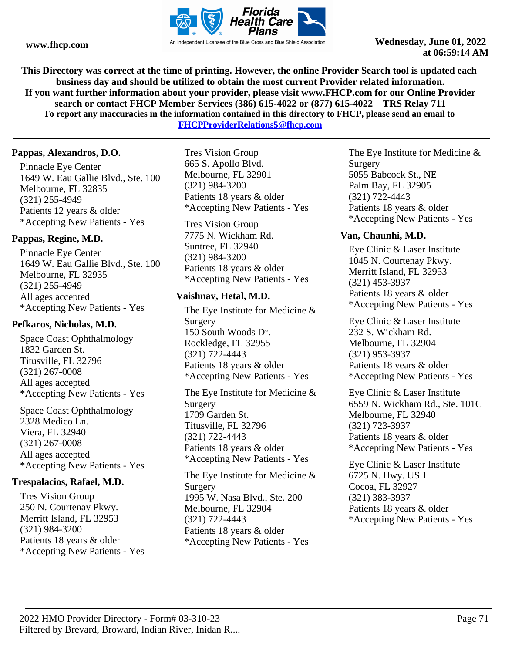

**This Directory was correct at the time of printing. However, the online Provider Search tool is updated each business day and should be utilized to obtain the most current Provider related information. If you want further information about your provider, please visit www.FHCP.com for our Online Provider search or contact FHCP Member Services (386) 615-4022 or (877) 615-4022 TRS Relay 711 To report any inaccuracies in the information contained in this directory to FHCP, please send an email to FHCPProviderRelations5@fhcp.com**

**Pappas, Alexandros, D.O.**

Pinnacle Eye Center 1649 W. Eau Gallie Blvd., Ste. 100 Melbourne, FL 32835 (321) 255-4949 Patients 12 years & older \*Accepting New Patients - Yes

# **Pappas, Regine, M.D.**

Pinnacle Eye Center 1649 W. Eau Gallie Blvd., Ste. 100 Melbourne, FL 32935 (321) 255-4949 All ages accepted \*Accepting New Patients - Yes

# **Pefkaros, Nicholas, M.D.**

Space Coast Ophthalmology 1832 Garden St. Titusville, FL 32796 (321) 267-0008 All ages accepted \*Accepting New Patients - Yes

Space Coast Ophthalmology 2328 Medico Ln. Viera, FL 32940 (321) 267-0008 All ages accepted \*Accepting New Patients - Yes

# **Trespalacios, Rafael, M.D.**

Tres Vision Group 250 N. Courtenay Pkwy. Merritt Island, FL 32953 (321) 984-3200 Patients 18 years & older \*Accepting New Patients - Yes

Tres Vision Group 665 S. Apollo Blvd. Melbourne, FL 32901 (321) 984-3200 Patients 18 years & older \*Accepting New Patients - Yes

Tres Vision Group 7775 N. Wickham Rd. Suntree, FL 32940 (321) 984-3200 Patients 18 years & older \*Accepting New Patients - Yes

# **Vaishnav, Hetal, M.D.**

The Eye Institute for Medicine & Surgery 150 South Woods Dr. Rockledge, FL 32955 (321) 722-4443 Patients 18 years & older \*Accepting New Patients - Yes

The Eye Institute for Medicine & Surgery 1709 Garden St. Titusville, FL 32796 (321) 722-4443 Patients 18 years & older \*Accepting New Patients - Yes

The Eye Institute for Medicine & Surgery 1995 W. Nasa Blvd., Ste. 200 Melbourne, FL 32904 (321) 722-4443 Patients 18 years & older \*Accepting New Patients - Yes

The Eye Institute for Medicine & Surgery 5055 Babcock St., NE Palm Bay, FL 32905 (321) 722-4443 Patients 18 years & older \*Accepting New Patients - Yes

# **Van, Chaunhi, M.D.**

Eye Clinic & Laser Institute 1045 N. Courtenay Pkwy. Merritt Island, FL 32953 (321) 453-3937 Patients 18 years & older \*Accepting New Patients - Yes

Eye Clinic & Laser Institute 232 S. Wickham Rd. Melbourne, FL 32904 (321) 953-3937 Patients 18 years & older \*Accepting New Patients - Yes

Eye Clinic & Laser Institute 6559 N. Wickham Rd., Ste. 101C Melbourne, FL 32940 (321) 723-3937 Patients 18 years & older \*Accepting New Patients - Yes

Eye Clinic & Laser Institute 6725 N. Hwy. US 1 Cocoa, FL 32927 (321) 383-3937 Patients 18 years & older \*Accepting New Patients - Yes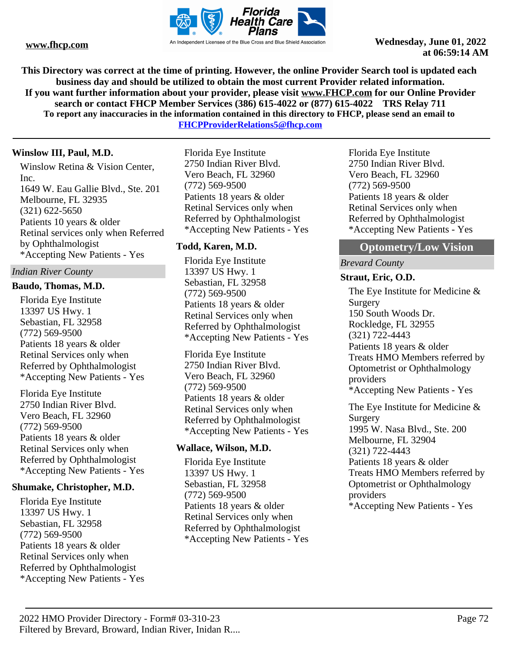

**This Directory was correct at the time of printing. However, the online Provider Search tool is updated each business day and should be utilized to obtain the most current Provider related information. If you want further information about your provider, please visit www.FHCP.com for our Online Provider search or contact FHCP Member Services (386) 615-4022 or (877) 615-4022 TRS Relay 711 To report any inaccuracies in the information contained in this directory to FHCP, please send an email to** 

**FHCPProviderRelations5@fhcp.com**

# **Winslow III, Paul, M.D.**

Winslow Retina & Vision Center, Inc. 1649 W. Eau Gallie Blvd., Ste. 201 Melbourne, FL 32935 (321) 622-5650 Patients 10 years & older Retinal services only when Referred by Ophthalmologist \*Accepting New Patients - Yes

### *Indian River County*

#### **Baudo, Thomas, M.D.**

Florida Eye Institute 13397 US Hwy. 1 Sebastian, FL 32958 (772) 569-9500 Patients 18 years & older Retinal Services only when Referred by Ophthalmologist \*Accepting New Patients - Yes

Florida Eye Institute 2750 Indian River Blvd. Vero Beach, FL 32960 (772) 569-9500 Patients 18 years & older Retinal Services only when Referred by Ophthalmologist \*Accepting New Patients - Yes

#### **Shumake, Christopher, M.D.**

Florida Eye Institute 13397 US Hwy. 1 Sebastian, FL 32958 (772) 569-9500 Patients 18 years & older Retinal Services only when Referred by Ophthalmologist \*Accepting New Patients - Yes Florida Eye Institute 2750 Indian River Blvd. Vero Beach, FL 32960 (772) 569-9500 Patients 18 years & older Retinal Services only when Referred by Ophthalmologist \*Accepting New Patients - Yes

# **Todd, Karen, M.D.**

Florida Eye Institute 13397 US Hwy. 1 Sebastian, FL 32958 (772) 569-9500 Patients 18 years & older Retinal Services only when Referred by Ophthalmologist \*Accepting New Patients - Yes

Florida Eye Institute 2750 Indian River Blvd. Vero Beach, FL 32960 (772) 569-9500 Patients 18 years & older Retinal Services only when Referred by Ophthalmologist \*Accepting New Patients - Yes

# **Wallace, Wilson, M.D.**

Florida Eye Institute 13397 US Hwy. 1 Sebastian, FL 32958 (772) 569-9500 Patients 18 years & older Retinal Services only when Referred by Ophthalmologist \*Accepting New Patients - Yes Florida Eye Institute 2750 Indian River Blvd. Vero Beach, FL 32960 (772) 569-9500 Patients 18 years & older Retinal Services only when Referred by Ophthalmologist \*Accepting New Patients - Yes

# **Optometry/Low Vision**

### *Brevard County*

### **Straut, Eric, O.D.**

The Eye Institute for Medicine & Surgery 150 South Woods Dr. Rockledge, FL 32955 (321) 722-4443 Patients 18 years & older Treats HMO Members referred by Optometrist or Ophthalmology providers \*Accepting New Patients - Yes The Eye Institute for Medicine & Surgery 1995 W. Nasa Blvd., Ste. 200 Melbourne, FL 32904

(321) 722-4443 Patients 18 years & older Treats HMO Members referred by Optometrist or Ophthalmology providers \*Accepting New Patients - Yes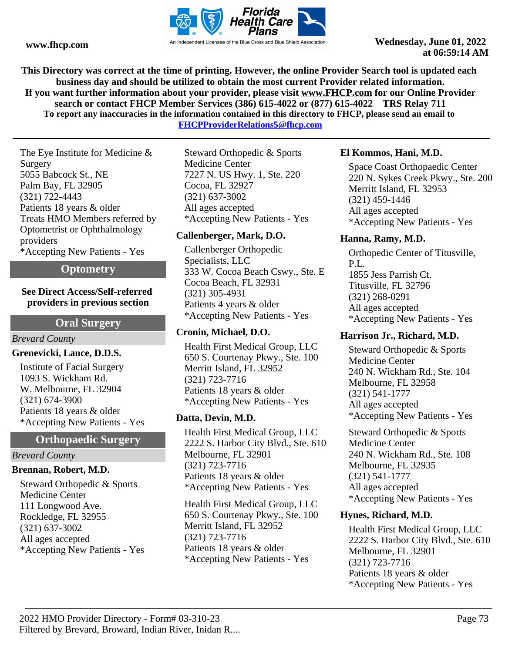

**This Directory was correct at the time of printing. However, the online Provider Search tool is updated each business day and should be utilized to obtain the most current Provider related information. If you want further information about your provider, please visit www.FHCP.com for our Online Provider search or contact FHCP Member Services (386) 615-4022 or (877) 615-4022 TRS Relay 711 To report any inaccuracies in the information contained in this directory to FHCP, please send an email to** 

**FHCPProviderRelations5@fhcp.com**

The Eye Institute for Medicine & Surgery 5055 Babcock St., NE Palm Bay, FL 32905 (321) 722-4443 Patients 18 years & older Treats HMO Members referred by Optometrist or Ophthalmology providers \*Accepting New Patients - Yes

## **Optometry**

## **See Direct Access/Self-referred providers in previous section**

## **Oral Surgery**

## *Brevard County*

## **Grenevicki, Lance, D.D.S.**

Institute of Facial Surgery 1093 S. Wickham Rd. W. Melbourne, FL 32904 (321) 674-3900 Patients 18 years & older \*Accepting New Patients - Yes

## **Orthopaedic Surgery**

## *Brevard County*

## **Brennan, Robert, M.D.**

Steward Orthopedic & Sports Medicine Center 111 Longwood Ave. Rockledge, FL 32955 (321) 637-3002 All ages accepted \*Accepting New Patients - Yes

Steward Orthopedic & Sports Medicine Center 7227 N. US Hwy. 1, Ste. 220 Cocoa, FL 32927 (321) 637-3002 All ages accepted \*Accepting New Patients - Yes

## **Callenberger, Mark, D.O.**

Callenberger Orthopedic Specialists, LLC 333 W. Cocoa Beach Cswy., Ste. E Cocoa Beach, FL 32931 (321) 305-4931 Patients 4 years & older \*Accepting New Patients - Yes

## **Cronin, Michael, D.O.**

Health First Medical Group, LLC 650 S. Courtenay Pkwy., Ste. 100 Merritt Island, FL 32952 (321) 723-7716 Patients 18 years & older \*Accepting New Patients - Yes

## **Datta, Devin, M.D.**

Health First Medical Group, LLC 2222 S. Harbor City Blvd., Ste. 610 Melbourne, FL 32901 (321) 723-7716 Patients 18 years & older \*Accepting New Patients - Yes

Health First Medical Group, LLC 650 S. Courtenay Pkwy., Ste. 100 Merritt Island, FL 32952 (321) 723-7716 Patients 18 years & older \*Accepting New Patients - Yes

## **El Kommos, Hani, M.D.**

Space Coast Orthopaedic Center 220 N. Sykes Creek Pkwy., Ste. 200 Merritt Island, FL 32953 (321) 459-1446 All ages accepted \*Accepting New Patients - Yes

## **Hanna, Ramy, M.D.**

Orthopedic Center of Titusville, P.L. 1855 Jess Parrish Ct. Titusville, FL 32796 (321) 268-0291 All ages accepted \*Accepting New Patients - Yes

## **Harrison Jr., Richard, M.D.**

Steward Orthopedic & Sports Medicine Center 240 N. Wickham Rd., Ste. 104 Melbourne, FL 32958 (321) 541-1777 All ages accepted \*Accepting New Patients - Yes

Steward Orthopedic & Sports Medicine Center 240 N. Wickham Rd., Ste. 108 Melbourne, FL 32935 (321) 541-1777 All ages accepted \*Accepting New Patients - Yes

## **Hynes, Richard, M.D.**

Health First Medical Group, LLC 2222 S. Harbor City Blvd., Ste. 610 Melbourne, FL 32901 (321) 723-7716 Patients 18 years & older \*Accepting New Patients - Yes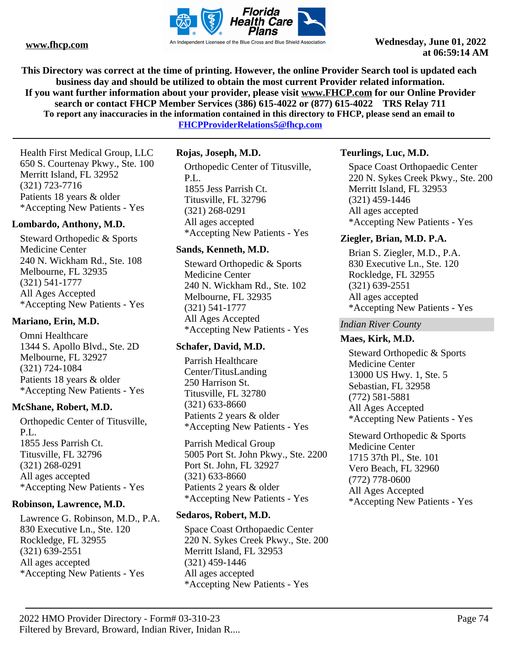

**This Directory was correct at the time of printing. However, the online Provider Search tool is updated each business day and should be utilized to obtain the most current Provider related information. If you want further information about your provider, please visit www.FHCP.com for our Online Provider search or contact FHCP Member Services (386) 615-4022 or (877) 615-4022 TRS Relay 711 To report any inaccuracies in the information contained in this directory to FHCP, please send an email to FHCPProviderRelations5@fhcp.com**

Health First Medical Group, LLC 650 S. Courtenay Pkwy., Ste. 100 Merritt Island, FL 32952 (321) 723-7716 Patients 18 years & older \*Accepting New Patients - Yes

## **Lombardo, Anthony, M.D.**

Steward Orthopedic & Sports Medicine Center 240 N. Wickham Rd., Ste. 108 Melbourne, FL 32935 (321) 541-1777 All Ages Accepted \*Accepting New Patients - Yes

#### **Mariano, Erin, M.D.**

Omni Healthcare 1344 S. Apollo Blvd., Ste. 2D Melbourne, FL 32927 (321) 724-1084 Patients 18 years & older \*Accepting New Patients - Yes

#### **McShane, Robert, M.D.**

Orthopedic Center of Titusville, P.L. 1855 Jess Parrish Ct. Titusville, FL 32796 (321) 268-0291 All ages accepted \*Accepting New Patients - Yes

### **Robinson, Lawrence, M.D.**

Lawrence G. Robinson, M.D., P.A. 830 Executive Ln., Ste. 120 Rockledge, FL 32955 (321) 639-2551 All ages accepted \*Accepting New Patients - Yes

## **Rojas, Joseph, M.D.**

Orthopedic Center of Titusville, P.L. 1855 Jess Parrish Ct. Titusville, FL 32796 (321) 268-0291 All ages accepted \*Accepting New Patients - Yes

#### **Sands, Kenneth, M.D.**

Steward Orthopedic & Sports Medicine Center 240 N. Wickham Rd., Ste. 102 Melbourne, FL 32935 (321) 541-1777 All Ages Accepted \*Accepting New Patients - Yes

## **Schafer, David, M.D.**

Parrish Healthcare Center/TitusLanding 250 Harrison St. Titusville, FL 32780 (321) 633-8660 Patients 2 years & older \*Accepting New Patients - Yes

Parrish Medical Group 5005 Port St. John Pkwy., Ste. 2200 Port St. John, FL 32927 (321) 633-8660 Patients 2 years & older \*Accepting New Patients - Yes

## **Sedaros, Robert, M.D.**

Space Coast Orthopaedic Center 220 N. Sykes Creek Pkwy., Ste. 200 Merritt Island, FL 32953 (321) 459-1446 All ages accepted \*Accepting New Patients - Yes

## **Teurlings, Luc, M.D.**

Space Coast Orthopaedic Center 220 N. Sykes Creek Pkwy., Ste. 200 Merritt Island, FL 32953 (321) 459-1446 All ages accepted \*Accepting New Patients - Yes

## **Ziegler, Brian, M.D. P.A.**

Brian S. Ziegler, M.D., P.A. 830 Executive Ln., Ste. 120 Rockledge, FL 32955 (321) 639-2551 All ages accepted \*Accepting New Patients - Yes

#### *Indian River County*

#### **Maes, Kirk, M.D.**

Steward Orthopedic & Sports Medicine Center 13000 US Hwy. 1, Ste. 5 Sebastian, FL 32958 (772) 581-5881 All Ages Accepted \*Accepting New Patients - Yes

Steward Orthopedic & Sports Medicine Center 1715 37th Pl., Ste. 101 Vero Beach, FL 32960 (772) 778-0600 All Ages Accepted \*Accepting New Patients - Yes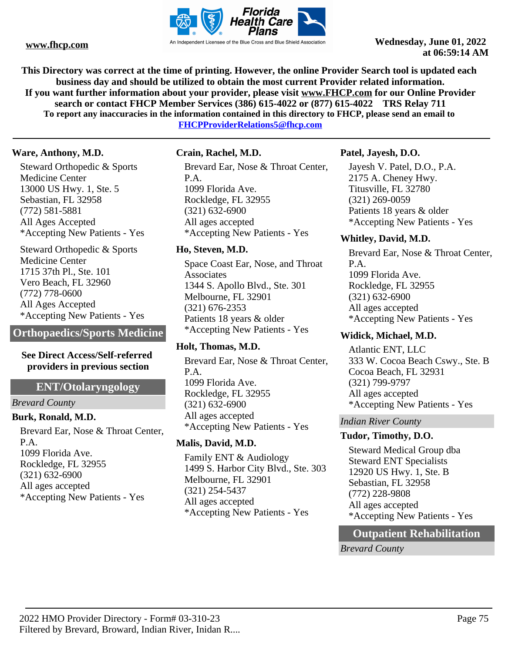

**This Directory was correct at the time of printing. However, the online Provider Search tool is updated each business day and should be utilized to obtain the most current Provider related information. If you want further information about your provider, please visit www.FHCP.com for our Online Provider search or contact FHCP Member Services (386) 615-4022 or (877) 615-4022 TRS Relay 711 To report any inaccuracies in the information contained in this directory to FHCP, please send an email to FHCPProviderRelations5@fhcp.com**

## **Ware, Anthony, M.D.**

Steward Orthopedic & Sports Medicine Center 13000 US Hwy. 1, Ste. 5 Sebastian, FL 32958 (772) 581-5881 All Ages Accepted \*Accepting New Patients - Yes

Steward Orthopedic & Sports Medicine Center 1715 37th Pl., Ste. 101 Vero Beach, FL 32960 (772) 778-0600 All Ages Accepted \*Accepting New Patients - Yes

**Orthopaedics/Sports Medicine**

### **See Direct Access/Self-referred providers in previous section**

## **ENT/Otolaryngology**

*Brevard County*

## **Burk, Ronald, M.D.**

Brevard Ear, Nose & Throat Center, P.A. 1099 Florida Ave. Rockledge, FL 32955 (321) 632-6900 All ages accepted \*Accepting New Patients - Yes

## **Crain, Rachel, M.D.**

Brevard Ear, Nose & Throat Center, P.A. 1099 Florida Ave. Rockledge, FL 32955 (321) 632-6900 All ages accepted \*Accepting New Patients - Yes

## **Ho, Steven, M.D.**

Space Coast Ear, Nose, and Throat Associates 1344 S. Apollo Blvd., Ste. 301 Melbourne, FL 32901 (321) 676-2353 Patients 18 years & older \*Accepting New Patients - Yes

## **Holt, Thomas, M.D.**

Brevard Ear, Nose & Throat Center, P.A. 1099 Florida Ave. Rockledge, FL 32955 (321) 632-6900 All ages accepted \*Accepting New Patients - Yes

## **Malis, David, M.D.**

Family ENT & Audiology 1499 S. Harbor City Blvd., Ste. 303 Melbourne, FL 32901 (321) 254-5437 All ages accepted \*Accepting New Patients - Yes

## **Patel, Jayesh, D.O.**

Jayesh V. Patel, D.O., P.A. 2175 A. Cheney Hwy. Titusville, FL 32780 (321) 269-0059 Patients 18 years & older \*Accepting New Patients - Yes

## **Whitley, David, M.D.**

Brevard Ear, Nose & Throat Center, P.A. 1099 Florida Ave. Rockledge, FL 32955 (321) 632-6900 All ages accepted \*Accepting New Patients - Yes

## **Widick, Michael, M.D.**

Atlantic ENT, LLC 333 W. Cocoa Beach Cswy., Ste. B Cocoa Beach, FL 32931 (321) 799-9797 All ages accepted \*Accepting New Patients - Yes

## *Indian River County*

## **Tudor, Timothy, D.O.**

Steward Medical Group dba Steward ENT Specialists 12920 US Hwy. 1, Ste. B Sebastian, FL 32958 (772) 228-9808 All ages accepted \*Accepting New Patients - Yes

## **Outpatient Rehabilitation**

*Brevard County*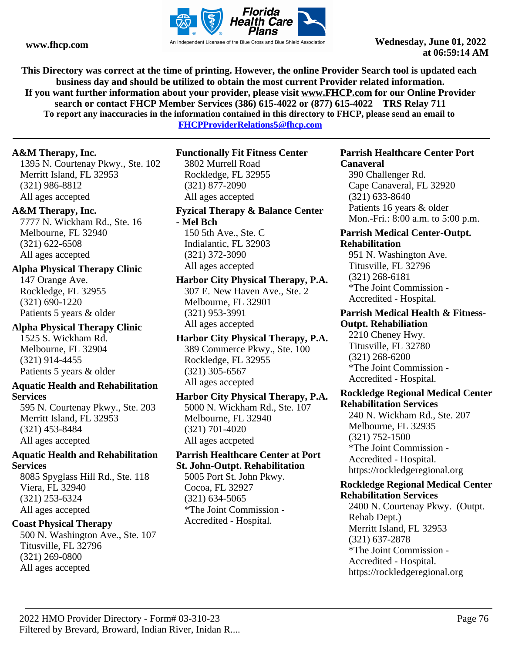

**This Directory was correct at the time of printing. However, the online Provider Search tool is updated each business day and should be utilized to obtain the most current Provider related information. If you want further information about your provider, please visit www.FHCP.com for our Online Provider search or contact FHCP Member Services (386) 615-4022 or (877) 615-4022 TRS Relay 711 To report any inaccuracies in the information contained in this directory to FHCP, please send an email to** 

**FHCPProviderRelations5@fhcp.com**

## **A&M Therapy, Inc.**

1395 N. Courtenay Pkwy., Ste. 102 Merritt Island, FL 32953 (321) 986-8812 All ages accepted

## **A&M Therapy, Inc.**

7777 N. Wickham Rd., Ste. 16 Melbourne, FL 32940 (321) 622-6508 All ages accepted

## **Alpha Physical Therapy Clinic**

147 Orange Ave. Rockledge, FL 32955 (321) 690-1220 Patients 5 years & older

## **Alpha Physical Therapy Clinic** 1525 S. Wickham Rd. Melbourne, FL 32904 (321) 914-4455 Patients 5 years & older

## **Aquatic Health and Rehabilitation Services**

595 N. Courtenay Pkwy., Ste. 203 Merritt Island, FL 32953 (321) 453-8484 All ages accepted

## **Aquatic Health and Rehabilitation Services**

8085 Spyglass Hill Rd., Ste. 118 Viera, FL 32940 (321) 253-6324 All ages accepted

## **Coast Physical Therapy**

500 N. Washington Ave., Ste. 107 Titusville, FL 32796 (321) 269-0800 All ages accepted

## **Functionally Fit Fitness Center**

3802 Murrell Road Rockledge, FL 32955 (321) 877-2090 All ages accepted

## **Fyzical Therapy & Balance Center**

**- Mel Bch** 150 5th Ave., Ste. C Indialantic, FL 32903 (321) 372-3090 All ages accepted

## **Harbor City Physical Therapy, P.A.** 307 E. New Haven Ave., Ste. 2 Melbourne, FL 32901 (321) 953-3991 All ages accepted

**Harbor City Physical Therapy, P.A.** 389 Commerce Pkwy., Ste. 100 Rockledge, FL 32955 (321) 305-6567 All ages accepted

## **Harbor City Physical Therapy, P.A.** 5000 N. Wickham Rd., Ste. 107 Melbourne, FL 32940 (321) 701-4020 All ages accpeted

## **Parrish Healthcare Center at Port St. John-Outpt. Rehabilitation**

5005 Port St. John Pkwy. Cocoa, FL 32927 (321) 634-5065 \*The Joint Commission - Accredited - Hospital.

#### **Parrish Healthcare Center Port Canaveral**

390 Challenger Rd. Cape Canaveral, FL 32920 (321) 633-8640 Patients 16 years & older Mon.-Fri.: 8:00 a.m. to 5:00 p.m.

## **Parrish Medical Center-Outpt. Rehabilitation**

951 N. Washington Ave. Titusville, FL 32796 (321) 268-6181 \*The Joint Commission - Accredited - Hospital.

## **Parrish Medical Health & Fitness-Outpt. Rehabiliation**

2210 Cheney Hwy. Titusville, FL 32780 (321) 268-6200 \*The Joint Commission - Accredited - Hospital.

## **Rockledge Regional Medical Center Rehabilitation Services**

240 N. Wickham Rd., Ste. 207 Melbourne, FL 32935 (321) 752-1500 \*The Joint Commission - Accredited - Hospital. https://rockledgeregional.org

#### **Rockledge Regional Medical Center Rehabilitation Services**

2400 N. Courtenay Pkwy. (Outpt. Rehab Dept.) Merritt Island, FL 32953 (321) 637-2878 \*The Joint Commission - Accredited - Hospital. https://rockledgeregional.org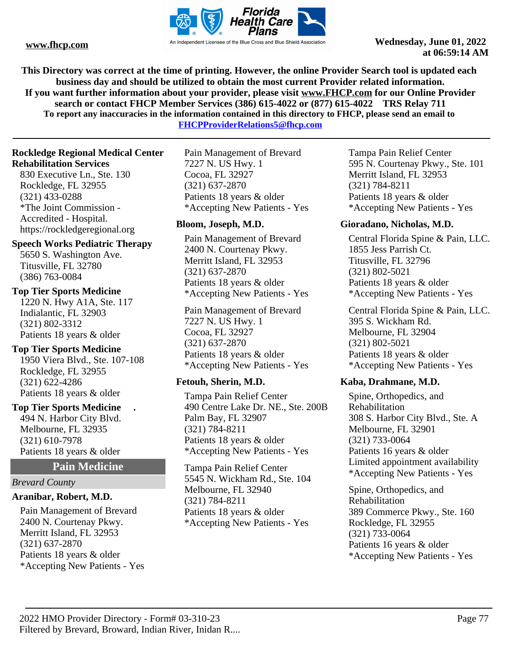

**This Directory was correct at the time of printing. However, the online Provider Search tool is updated each business day and should be utilized to obtain the most current Provider related information. If you want further information about your provider, please visit www.FHCP.com for our Online Provider search or contact FHCP Member Services (386) 615-4022 or (877) 615-4022 TRS Relay 711 To report any inaccuracies in the information contained in this directory to FHCP, please send an email to** 

**FHCPProviderRelations5@fhcp.com**

### **Rockledge Regional Medical Center Rehabilitation Services**

830 Executive Ln., Ste. 130 Rockledge, FL 32955 (321) 433-0288 \*The Joint Commission - Accredited - Hospital. https://rockledgeregional.org

### **Speech Works Pediatric Therapy**

5650 S. Washington Ave. Titusville, FL 32780 (386) 763-0084

## **Top Tier Sports Medicine**

1220 N. Hwy A1A, Ste. 117 Indialantic, FL 32903 (321) 802-3312 Patients 18 years & older

## **Top Tier Sports Medicine**

1950 Viera Blvd., Ste. 107-108 Rockledge, FL 32955 (321) 622-4286 Patients 18 years & older

## **Top Tier Sports Medicine .**

494 N. Harbor City Blvd. Melbourne, FL 32935 (321) 610-7978 Patients 18 years & older

## **Pain Medicine**

#### *Brevard County*

## **Aranibar, Robert, M.D.**

Pain Management of Brevard 2400 N. Courtenay Pkwy. Merritt Island, FL 32953 (321) 637-2870 Patients 18 years & older \*Accepting New Patients - Yes

Pain Management of Brevard 7227 N. US Hwy. 1 Cocoa, FL 32927 (321) 637-2870 Patients 18 years & older \*Accepting New Patients - Yes

## **Bloom, Joseph, M.D.**

Pain Management of Brevard 2400 N. Courtenay Pkwy. Merritt Island, FL 32953 (321) 637-2870 Patients 18 years & older \*Accepting New Patients - Yes

Pain Management of Brevard 7227 N. US Hwy. 1 Cocoa, FL 32927 (321) 637-2870 Patients 18 years & older \*Accepting New Patients - Yes

## **Fetouh, Sherin, M.D.**

Tampa Pain Relief Center 490 Centre Lake Dr. NE., Ste. 200B Palm Bay, FL 32907 (321) 784-8211 Patients 18 years & older \*Accepting New Patients - Yes

Tampa Pain Relief Center 5545 N. Wickham Rd., Ste. 104 Melbourne, FL 32940 (321) 784-8211 Patients 18 years & older \*Accepting New Patients - Yes

Tampa Pain Relief Center 595 N. Courtenay Pkwy., Ste. 101 Merritt Island, FL 32953 (321) 784-8211 Patients 18 years & older \*Accepting New Patients - Yes

### **Gioradano, Nicholas, M.D.**

Central Florida Spine & Pain, LLC. 1855 Jess Parrish Ct. Titusville, FL 32796 (321) 802-5021 Patients 18 years & older \*Accepting New Patients - Yes

Central Florida Spine & Pain, LLC. 395 S. Wickham Rd. Melbourne, FL 32904 (321) 802-5021 Patients 18 years & older \*Accepting New Patients - Yes

## **Kaba, Drahmane, M.D.**

Spine, Orthopedics, and Rehabilitation 308 S. Harbor City Blvd., Ste. A Melbourne, FL 32901 (321) 733-0064 Patients 16 years & older Limited appointment availability \*Accepting New Patients - Yes

Spine, Orthopedics, and Rehabilitation 389 Commerce Pkwy., Ste. 160 Rockledge, FL 32955 (321) 733-0064 Patients 16 years & older \*Accepting New Patients - Yes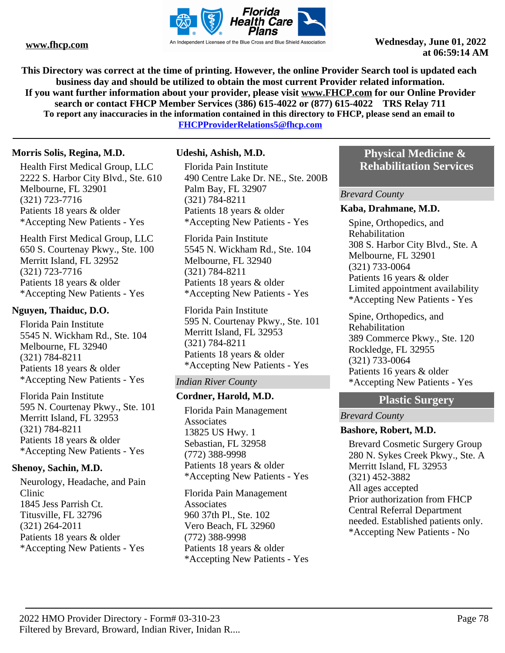

**This Directory was correct at the time of printing. However, the online Provider Search tool is updated each business day and should be utilized to obtain the most current Provider related information. If you want further information about your provider, please visit www.FHCP.com for our Online Provider search or contact FHCP Member Services (386) 615-4022 or (877) 615-4022 TRS Relay 711 To report any inaccuracies in the information contained in this directory to FHCP, please send an email to FHCPProviderRelations5@fhcp.com**

## **Morris Solis, Regina, M.D.**

Health First Medical Group, LLC 2222 S. Harbor City Blvd., Ste. 610 Melbourne, FL 32901 (321) 723-7716 Patients 18 years & older \*Accepting New Patients - Yes

Health First Medical Group, LLC 650 S. Courtenay Pkwy., Ste. 100 Merritt Island, FL 32952 (321) 723-7716 Patients 18 years & older \*Accepting New Patients - Yes

### **Nguyen, Thaiduc, D.O.**

Florida Pain Institute 5545 N. Wickham Rd., Ste. 104 Melbourne, FL 32940 (321) 784-8211 Patients 18 years & older \*Accepting New Patients - Yes

Florida Pain Institute 595 N. Courtenay Pkwy., Ste. 101 Merritt Island, FL 32953 (321) 784-8211 Patients 18 years & older \*Accepting New Patients - Yes

## **Shenoy, Sachin, M.D.**

Neurology, Headache, and Pain Clinic 1845 Jess Parrish Ct. Titusville, FL 32796 (321) 264-2011 Patients 18 years & older \*Accepting New Patients - Yes

## **Udeshi, Ashish, M.D.**

Florida Pain Institute 490 Centre Lake Dr. NE., Ste. 200B Palm Bay, FL 32907 (321) 784-8211 Patients 18 years & older \*Accepting New Patients - Yes

Florida Pain Institute 5545 N. Wickham Rd., Ste. 104 Melbourne, FL 32940 (321) 784-8211 Patients 18 years & older \*Accepting New Patients - Yes

Florida Pain Institute 595 N. Courtenay Pkwy., Ste. 101 Merritt Island, FL 32953 (321) 784-8211 Patients 18 years & older \*Accepting New Patients - Yes

## *Indian River County*

## **Cordner, Harold, M.D.**

Florida Pain Management **Associates** 13825 US Hwy. 1 Sebastian, FL 32958 (772) 388-9998 Patients 18 years & older \*Accepting New Patients - Yes

Florida Pain Management **Associates** 960 37th Pl., Ste. 102 Vero Beach, FL 32960 (772) 388-9998 Patients 18 years & older \*Accepting New Patients - Yes

## **Physical Medicine & Rehabilitation Services**

#### *Brevard County*

#### **Kaba, Drahmane, M.D.**

Spine, Orthopedics, and Rehabilitation 308 S. Harbor City Blvd., Ste. A Melbourne, FL 32901 (321) 733-0064 Patients 16 years & older Limited appointment availability \*Accepting New Patients - Yes

Spine, Orthopedics, and Rehabilitation 389 Commerce Pkwy., Ste. 120 Rockledge, FL 32955 (321) 733-0064 Patients 16 years & older \*Accepting New Patients - Yes

## **Plastic Surgery**

#### *Brevard County*

#### **Bashore, Robert, M.D.**

Brevard Cosmetic Surgery Group 280 N. Sykes Creek Pkwy., Ste. A Merritt Island, FL 32953 (321) 452-3882 All ages accepted Prior authorization from FHCP Central Referral Department needed. Established patients only. \*Accepting New Patients - No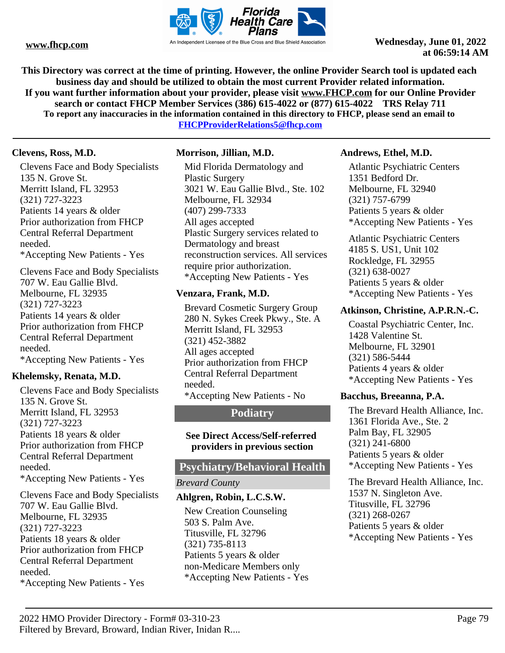

**This Directory was correct at the time of printing. However, the online Provider Search tool is updated each business day and should be utilized to obtain the most current Provider related information. If you want further information about your provider, please visit www.FHCP.com for our Online Provider search or contact FHCP Member Services (386) 615-4022 or (877) 615-4022 TRS Relay 711 To report any inaccuracies in the information contained in this directory to FHCP, please send an email to FHCPProviderRelations5@fhcp.com**

## **Clevens, Ross, M.D.**

Clevens Face and Body Specialists 135 N. Grove St. Merritt Island, FL 32953 (321) 727-3223 Patients 14 years & older Prior authorization from FHCP Central Referral Department needed. \*Accepting New Patients - Yes

Clevens Face and Body Specialists 707 W. Eau Gallie Blvd. Melbourne, FL 32935 (321) 727-3223 Patients 14 years & older Prior authorization from FHCP Central Referral Department needed. \*Accepting New Patients - Yes

## **Khelemsky, Renata, M.D.**

Clevens Face and Body Specialists 135 N. Grove St. Merritt Island, FL 32953 (321) 727-3223 Patients 18 years & older Prior authorization from FHCP Central Referral Department needed. \*Accepting New Patients - Yes Clevens Face and Body Specialists 707 W. Eau Gallie Blvd.

Melbourne, FL 32935 (321) 727-3223 Patients 18 years & older Prior authorization from FHCP Central Referral Department needed.

\*Accepting New Patients - Yes

## **Morrison, Jillian, M.D.**

Mid Florida Dermatology and Plastic Surgery 3021 W. Eau Gallie Blvd., Ste. 102 Melbourne, FL 32934 (407) 299-7333 All ages accepted Plastic Surgery services related to Dermatology and breast reconstruction services. All services require prior authorization. \*Accepting New Patients - Yes

## **Venzara, Frank, M.D.**

Brevard Cosmetic Surgery Group 280 N. Sykes Creek Pkwy., Ste. A Merritt Island, FL 32953 (321) 452-3882 All ages accepted Prior authorization from FHCP Central Referral Department needed. \*Accepting New Patients - No

## **Podiatry**

### **See Direct Access/Self-referred providers in previous section**

## **Psychiatry/Behavioral Health**

## *Brevard County*

## **Ahlgren, Robin, L.C.S.W.**

New Creation Counseling 503 S. Palm Ave. Titusville, FL 32796 (321) 735-8113 Patients 5 years & older non-Medicare Members only \*Accepting New Patients - Yes

## **Andrews, Ethel, M.D.**

Atlantic Psychiatric Centers 1351 Bedford Dr. Melbourne, FL 32940 (321) 757-6799 Patients 5 years & older \*Accepting New Patients - Yes

Atlantic Psychiatric Centers 4185 S. US1, Unit 102 Rockledge, FL 32955 (321) 638-0027 Patients 5 years & older \*Accepting New Patients - Yes

## **Atkinson, Christine, A.P.R.N.-C.**

Coastal Psychiatric Center, Inc. 1428 Valentine St. Melbourne, FL 32901 (321) 586-5444 Patients 4 years & older \*Accepting New Patients - Yes

## **Bacchus, Breeanna, P.A.**

The Brevard Health Alliance, Inc. 1361 Florida Ave., Ste. 2 Palm Bay, FL 32905 (321) 241-6800 Patients 5 years & older \*Accepting New Patients - Yes

The Brevard Health Alliance, Inc. 1537 N. Singleton Ave. Titusville, FL 32796 (321) 268-0267 Patients 5 years & older \*Accepting New Patients - Yes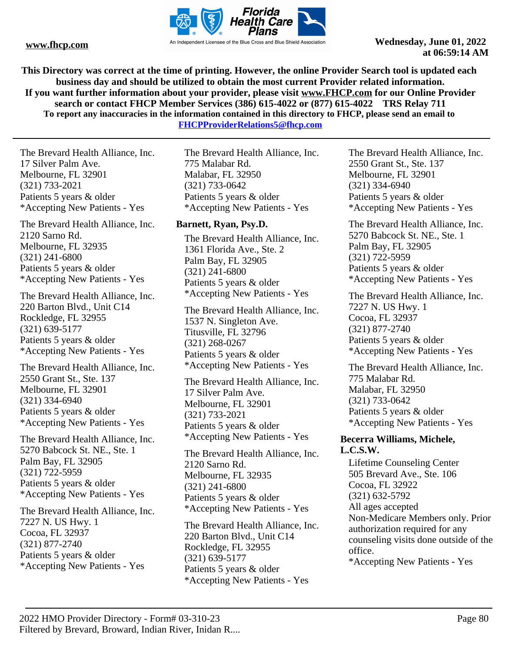

**This Directory was correct at the time of printing. However, the online Provider Search tool is updated each business day and should be utilized to obtain the most current Provider related information. If you want further information about your provider, please visit www.FHCP.com for our Online Provider search or contact FHCP Member Services (386) 615-4022 or (877) 615-4022 TRS Relay 711 To report any inaccuracies in the information contained in this directory to FHCP, please send an email to FHCPProviderRelations5@fhcp.com**

The Brevard Health Alliance, Inc. 17 Silver Palm Ave. Melbourne, FL 32901 (321) 733-2021 Patients 5 years & older \*Accepting New Patients - Yes

The Brevard Health Alliance, Inc. 2120 Sarno Rd. Melbourne, FL 32935 (321) 241-6800 Patients 5 years & older \*Accepting New Patients - Yes

The Brevard Health Alliance, Inc. 220 Barton Blvd., Unit C14 Rockledge, FL 32955 (321) 639-5177 Patients 5 years & older \*Accepting New Patients - Yes

The Brevard Health Alliance, Inc. 2550 Grant St., Ste. 137 Melbourne, FL 32901 (321) 334-6940 Patients 5 years & older \*Accepting New Patients - Yes

The Brevard Health Alliance, Inc. 5270 Babcock St. NE., Ste. 1 Palm Bay, FL 32905 (321) 722-5959 Patients 5 years & older \*Accepting New Patients - Yes

The Brevard Health Alliance, Inc. 7227 N. US Hwy. 1 Cocoa, FL 32937 (321) 877-2740 Patients 5 years & older \*Accepting New Patients - Yes

The Brevard Health Alliance, Inc. 775 Malabar Rd. Malabar, FL 32950 (321) 733-0642 Patients 5 years & older \*Accepting New Patients - Yes

## **Barnett, Ryan, Psy.D.**

The Brevard Health Alliance, Inc. 1361 Florida Ave., Ste. 2 Palm Bay, FL 32905 (321) 241-6800 Patients 5 years & older \*Accepting New Patients - Yes

The Brevard Health Alliance, Inc. 1537 N. Singleton Ave. Titusville, FL 32796 (321) 268-0267 Patients 5 years & older \*Accepting New Patients - Yes

The Brevard Health Alliance, Inc. 17 Silver Palm Ave. Melbourne, FL 32901 (321) 733-2021 Patients 5 years & older \*Accepting New Patients - Yes

The Brevard Health Alliance, Inc. 2120 Sarno Rd. Melbourne, FL 32935 (321) 241-6800 Patients 5 years & older \*Accepting New Patients - Yes

The Brevard Health Alliance, Inc. 220 Barton Blvd., Unit C14 Rockledge, FL 32955 (321) 639-5177 Patients 5 years & older \*Accepting New Patients - Yes

The Brevard Health Alliance, Inc. 2550 Grant St., Ste. 137 Melbourne, FL 32901 (321) 334-6940 Patients 5 years & older \*Accepting New Patients - Yes

The Brevard Health Alliance, Inc. 5270 Babcock St. NE., Ste. 1 Palm Bay, FL 32905 (321) 722-5959 Patients 5 years & older \*Accepting New Patients - Yes

The Brevard Health Alliance, Inc. 7227 N. US Hwy. 1 Cocoa, FL 32937 (321) 877-2740 Patients 5 years & older \*Accepting New Patients - Yes

The Brevard Health Alliance, Inc. 775 Malabar Rd. Malabar, FL 32950 (321) 733-0642 Patients 5 years & older \*Accepting New Patients - Yes

## **Becerra Williams, Michele, L.C.S.W.**

Lifetime Counseling Center 505 Brevard Ave., Ste. 106 Cocoa, FL 32922 (321) 632-5792 All ages accepted Non-Medicare Members only. Prior authorization required for any counseling visits done outside of the office. \*Accepting New Patients - Yes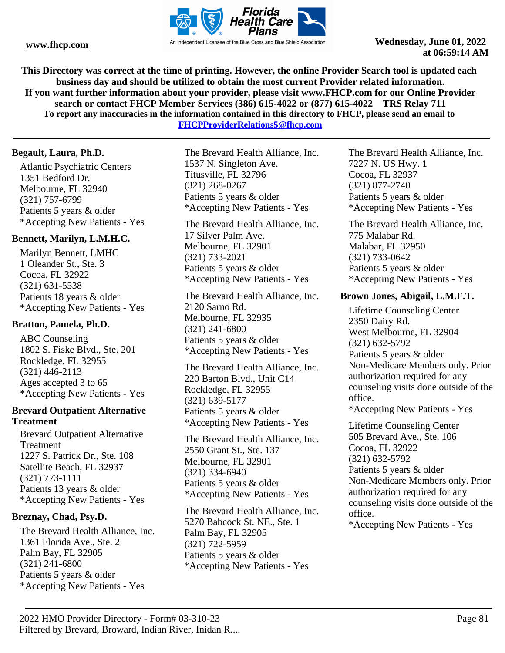

**This Directory was correct at the time of printing. However, the online Provider Search tool is updated each business day and should be utilized to obtain the most current Provider related information. If you want further information about your provider, please visit www.FHCP.com for our Online Provider search or contact FHCP Member Services (386) 615-4022 or (877) 615-4022 TRS Relay 711 To report any inaccuracies in the information contained in this directory to FHCP, please send an email to** 

**FHCPProviderRelations5@fhcp.com**

## **Begault, Laura, Ph.D.**

Atlantic Psychiatric Centers 1351 Bedford Dr. Melbourne, FL 32940 (321) 757-6799 Patients 5 years & older \*Accepting New Patients - Yes

## **Bennett, Marilyn, L.M.H.C.**

Marilyn Bennett, LMHC 1 Oleander St., Ste. 3 Cocoa, FL 32922 (321) 631-5538 Patients 18 years & older \*Accepting New Patients - Yes

## **Bratton, Pamela, Ph.D.**

ABC Counseling 1802 S. Fiske Blvd., Ste. 201 Rockledge, FL 32955 (321) 446-2113 Ages accepted 3 to 65 \*Accepting New Patients - Yes

## **Brevard Outpatient Alternative Treatment**

Brevard Outpatient Alternative Treatment 1227 S. Patrick Dr., Ste. 108 Satellite Beach, FL 32937 (321) 773-1111 Patients 13 years & older \*Accepting New Patients - Yes

## **Breznay, Chad, Psy.D.**

The Brevard Health Alliance, Inc. 1361 Florida Ave., Ste. 2 Palm Bay, FL 32905 (321) 241-6800 Patients 5 years & older \*Accepting New Patients - Yes

The Brevard Health Alliance, Inc. 1537 N. Singleton Ave. Titusville, FL 32796 (321) 268-0267 Patients 5 years & older \*Accepting New Patients - Yes

The Brevard Health Alliance, Inc. 17 Silver Palm Ave. Melbourne, FL 32901 (321) 733-2021 Patients 5 years & older \*Accepting New Patients - Yes

The Brevard Health Alliance, Inc. 2120 Sarno Rd. Melbourne, FL 32935 (321) 241-6800 Patients 5 years & older \*Accepting New Patients - Yes

The Brevard Health Alliance, Inc. 220 Barton Blvd., Unit C14 Rockledge, FL 32955 (321) 639-5177 Patients 5 years & older \*Accepting New Patients - Yes

The Brevard Health Alliance, Inc. 2550 Grant St., Ste. 137 Melbourne, FL 32901 (321) 334-6940 Patients 5 years & older \*Accepting New Patients - Yes

The Brevard Health Alliance, Inc. 5270 Babcock St. NE., Ste. 1 Palm Bay, FL 32905 (321) 722-5959 Patients 5 years & older \*Accepting New Patients - Yes

The Brevard Health Alliance, Inc. 7227 N. US Hwy. 1 Cocoa, FL 32937 (321) 877-2740 Patients 5 years & older \*Accepting New Patients - Yes

The Brevard Health Alliance, Inc. 775 Malabar Rd. Malabar, FL 32950 (321) 733-0642 Patients 5 years & older \*Accepting New Patients - Yes

## **Brown Jones, Abigail, L.M.F.T.**

Lifetime Counseling Center 2350 Dairy Rd. West Melbourne, FL 32904 (321) 632-5792 Patients 5 years & older Non-Medicare Members only. Prior authorization required for any counseling visits done outside of the office. \*Accepting New Patients - Yes

Lifetime Counseling Center 505 Brevard Ave., Ste. 106 Cocoa, FL 32922 (321) 632-5792 Patients 5 years & older Non-Medicare Members only. Prior authorization required for any counseling visits done outside of the office.

\*Accepting New Patients - Yes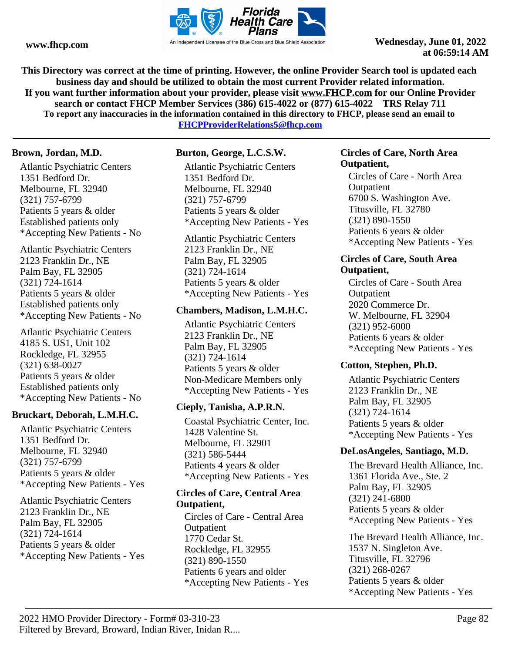

**This Directory was correct at the time of printing. However, the online Provider Search tool is updated each business day and should be utilized to obtain the most current Provider related information. If you want further information about your provider, please visit www.FHCP.com for our Online Provider search or contact FHCP Member Services (386) 615-4022 or (877) 615-4022 TRS Relay 711 To report any inaccuracies in the information contained in this directory to FHCP, please send an email to FHCPProviderRelations5@fhcp.com**

#### **Brown, Jordan, M.D.**

Atlantic Psychiatric Centers 1351 Bedford Dr. Melbourne, FL 32940 (321) 757-6799 Patients 5 years & older Established patients only \*Accepting New Patients - No

Atlantic Psychiatric Centers 2123 Franklin Dr., NE Palm Bay, FL 32905 (321) 724-1614 Patients 5 years & older Established patients only \*Accepting New Patients - No

Atlantic Psychiatric Centers 4185 S. US1, Unit 102 Rockledge, FL 32955 (321) 638-0027 Patients 5 years & older Established patients only \*Accepting New Patients - No

## **Bruckart, Deborah, L.M.H.C.**

Atlantic Psychiatric Centers 1351 Bedford Dr. Melbourne, FL 32940 (321) 757-6799 Patients 5 years & older \*Accepting New Patients - Yes

Atlantic Psychiatric Centers 2123 Franklin Dr., NE Palm Bay, FL 32905 (321) 724-1614 Patients 5 years & older \*Accepting New Patients - Yes

## **Burton, George, L.C.S.W.**

Atlantic Psychiatric Centers 1351 Bedford Dr. Melbourne, FL 32940 (321) 757-6799 Patients 5 years & older \*Accepting New Patients - Yes

Atlantic Psychiatric Centers 2123 Franklin Dr., NE Palm Bay, FL 32905 (321) 724-1614 Patients 5 years & older \*Accepting New Patients - Yes

## **Chambers, Madison, L.M.H.C.**

Atlantic Psychiatric Centers 2123 Franklin Dr., NE Palm Bay, FL 32905 (321) 724-1614 Patients 5 years & older Non-Medicare Members only \*Accepting New Patients - Yes

## **Cieply, Tanisha, A.P.R.N.**

Coastal Psychiatric Center, Inc. 1428 Valentine St. Melbourne, FL 32901 (321) 586-5444 Patients 4 years & older \*Accepting New Patients - Yes

## **Circles of Care, Central Area Outpatient,**

Circles of Care - Central Area **Outpatient** 1770 Cedar St. Rockledge, FL 32955 (321) 890-1550 Patients 6 years and older \*Accepting New Patients - Yes

## **Circles of Care, North Area Outpatient,**

Circles of Care - North Area **Outpatient** 6700 S. Washington Ave. Titusville, FL 32780 (321) 890-1550 Patients 6 years & older \*Accepting New Patients - Yes

### **Circles of Care, South Area Outpatient,**

Circles of Care - South Area **Outpatient** 2020 Commerce Dr. W. Melbourne, FL 32904 (321) 952-6000 Patients 6 years & older \*Accepting New Patients - Yes

## **Cotton, Stephen, Ph.D.**

Atlantic Psychiatric Centers 2123 Franklin Dr., NE Palm Bay, FL 32905 (321) 724-1614 Patients 5 years & older \*Accepting New Patients - Yes

## **DeLosAngeles, Santiago, M.D.**

The Brevard Health Alliance, Inc. 1361 Florida Ave., Ste. 2 Palm Bay, FL 32905 (321) 241-6800 Patients 5 years & older \*Accepting New Patients - Yes

The Brevard Health Alliance, Inc. 1537 N. Singleton Ave. Titusville, FL 32796 (321) 268-0267 Patients 5 years & older \*Accepting New Patients - Yes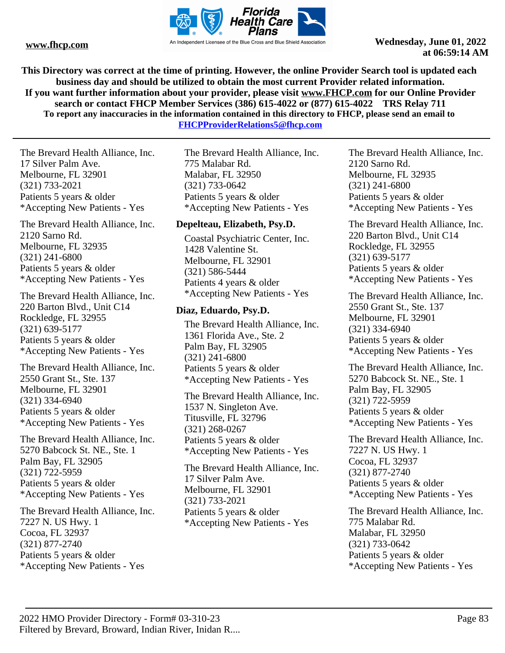

**This Directory was correct at the time of printing. However, the online Provider Search tool is updated each business day and should be utilized to obtain the most current Provider related information. If you want further information about your provider, please visit www.FHCP.com for our Online Provider search or contact FHCP Member Services (386) 615-4022 or (877) 615-4022 TRS Relay 711 To report any inaccuracies in the information contained in this directory to FHCP, please send an email to FHCPProviderRelations5@fhcp.com**

The Brevard Health Alliance, Inc. 17 Silver Palm Ave. Melbourne, FL 32901 (321) 733-2021 Patients 5 years & older \*Accepting New Patients - Yes

The Brevard Health Alliance, Inc. 2120 Sarno Rd. Melbourne, FL 32935 (321) 241-6800 Patients 5 years & older \*Accepting New Patients - Yes

The Brevard Health Alliance, Inc. 220 Barton Blvd., Unit C14 Rockledge, FL 32955 (321) 639-5177 Patients 5 years & older \*Accepting New Patients - Yes

The Brevard Health Alliance, Inc. 2550 Grant St., Ste. 137 Melbourne, FL 32901 (321) 334-6940 Patients 5 years & older \*Accepting New Patients - Yes

The Brevard Health Alliance, Inc. 5270 Babcock St. NE., Ste. 1 Palm Bay, FL 32905 (321) 722-5959 Patients 5 years & older \*Accepting New Patients - Yes

The Brevard Health Alliance, Inc. 7227 N. US Hwy. 1 Cocoa, FL 32937 (321) 877-2740 Patients 5 years & older \*Accepting New Patients - Yes

The Brevard Health Alliance, Inc. 775 Malabar Rd. Malabar, FL 32950 (321) 733-0642 Patients 5 years & older \*Accepting New Patients - Yes

## **Depelteau, Elizabeth, Psy.D.**

Coastal Psychiatric Center, Inc. 1428 Valentine St. Melbourne, FL 32901 (321) 586-5444 Patients 4 years & older \*Accepting New Patients - Yes

## **Diaz, Eduardo, Psy.D.**

The Brevard Health Alliance, Inc. 1361 Florida Ave., Ste. 2 Palm Bay, FL 32905 (321) 241-6800 Patients 5 years & older \*Accepting New Patients - Yes

The Brevard Health Alliance, Inc. 1537 N. Singleton Ave. Titusville, FL 32796 (321) 268-0267 Patients 5 years & older \*Accepting New Patients - Yes

The Brevard Health Alliance, Inc. 17 Silver Palm Ave. Melbourne, FL 32901 (321) 733-2021 Patients 5 years & older \*Accepting New Patients - Yes

The Brevard Health Alliance, Inc. 2120 Sarno Rd. Melbourne, FL 32935 (321) 241-6800 Patients 5 years & older \*Accepting New Patients - Yes

The Brevard Health Alliance, Inc. 220 Barton Blvd., Unit C14 Rockledge, FL 32955 (321) 639-5177 Patients 5 years & older \*Accepting New Patients - Yes

The Brevard Health Alliance, Inc. 2550 Grant St., Ste. 137 Melbourne, FL 32901 (321) 334-6940 Patients 5 years & older \*Accepting New Patients - Yes

The Brevard Health Alliance, Inc. 5270 Babcock St. NE., Ste. 1 Palm Bay, FL 32905 (321) 722-5959 Patients 5 years & older \*Accepting New Patients - Yes

The Brevard Health Alliance, Inc. 7227 N. US Hwy. 1 Cocoa, FL 32937 (321) 877-2740 Patients 5 years & older \*Accepting New Patients - Yes

The Brevard Health Alliance, Inc. 775 Malabar Rd. Malabar, FL 32950 (321) 733-0642 Patients 5 years & older \*Accepting New Patients - Yes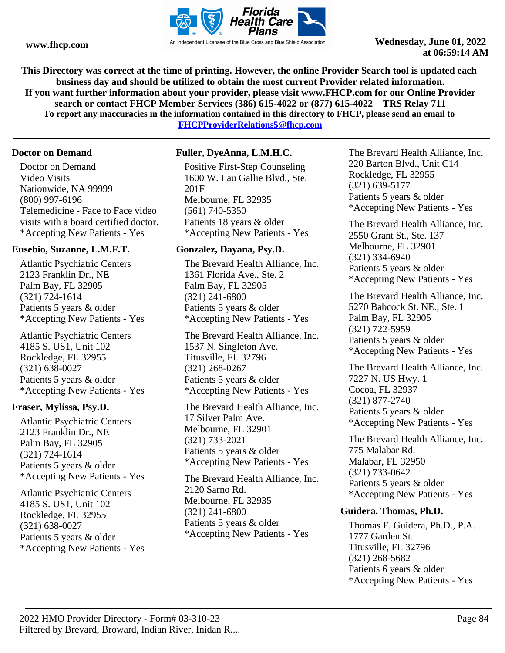

**This Directory was correct at the time of printing. However, the online Provider Search tool is updated each business day and should be utilized to obtain the most current Provider related information. If you want further information about your provider, please visit www.FHCP.com for our Online Provider search or contact FHCP Member Services (386) 615-4022 or (877) 615-4022 TRS Relay 711 To report any inaccuracies in the information contained in this directory to FHCP, please send an email to** 

**FHCPProviderRelations5@fhcp.com**

## **Doctor on Demand**

Doctor on Demand Video Visits Nationwide, NA 99999 (800) 997-6196 Telemedicine - Face to Face video visits with a board certified doctor. \*Accepting New Patients - Yes

## **Eusebio, Suzanne, L.M.F.T.**

Atlantic Psychiatric Centers 2123 Franklin Dr., NE Palm Bay, FL 32905 (321) 724-1614 Patients 5 years & older \*Accepting New Patients - Yes

Atlantic Psychiatric Centers 4185 S. US1, Unit 102 Rockledge, FL 32955 (321) 638-0027 Patients 5 years & older \*Accepting New Patients - Yes

## **Fraser, Mylissa, Psy.D.**

Atlantic Psychiatric Centers 2123 Franklin Dr., NE Palm Bay, FL 32905 (321) 724-1614 Patients 5 years & older \*Accepting New Patients - Yes

Atlantic Psychiatric Centers 4185 S. US1, Unit 102 Rockledge, FL 32955 (321) 638-0027 Patients 5 years & older \*Accepting New Patients - Yes

## **Fuller, DyeAnna, L.M.H.C.**

Positive First-Step Counseling 1600 W. Eau Gallie Blvd., Ste. 201F Melbourne, FL 32935 (561) 740-5350 Patients 18 years & older \*Accepting New Patients - Yes

## **Gonzalez, Dayana, Psy.D.**

The Brevard Health Alliance, Inc. 1361 Florida Ave., Ste. 2 Palm Bay, FL 32905 (321) 241-6800 Patients 5 years & older \*Accepting New Patients - Yes

The Brevard Health Alliance, Inc. 1537 N. Singleton Ave. Titusville, FL 32796 (321) 268-0267 Patients 5 years & older \*Accepting New Patients - Yes

The Brevard Health Alliance, Inc. 17 Silver Palm Ave. Melbourne, FL 32901 (321) 733-2021 Patients 5 years & older \*Accepting New Patients - Yes

The Brevard Health Alliance, Inc. 2120 Sarno Rd. Melbourne, FL 32935 (321) 241-6800 Patients 5 years & older \*Accepting New Patients - Yes

The Brevard Health Alliance, Inc. 220 Barton Blvd., Unit C14 Rockledge, FL 32955 (321) 639-5177 Patients 5 years & older \*Accepting New Patients - Yes

The Brevard Health Alliance, Inc. 2550 Grant St., Ste. 137 Melbourne, FL 32901 (321) 334-6940 Patients 5 years & older \*Accepting New Patients - Yes

The Brevard Health Alliance, Inc. 5270 Babcock St. NE., Ste. 1 Palm Bay, FL 32905 (321) 722-5959 Patients 5 years & older \*Accepting New Patients - Yes

The Brevard Health Alliance, Inc. 7227 N. US Hwy. 1 Cocoa, FL 32937 (321) 877-2740 Patients 5 years & older \*Accepting New Patients - Yes

The Brevard Health Alliance, Inc. 775 Malabar Rd. Malabar, FL 32950 (321) 733-0642 Patients 5 years & older \*Accepting New Patients - Yes

## **Guidera, Thomas, Ph.D.**

Thomas F. Guidera, Ph.D., P.A. 1777 Garden St. Titusville, FL 32796 (321) 268-5682 Patients 6 years & older \*Accepting New Patients - Yes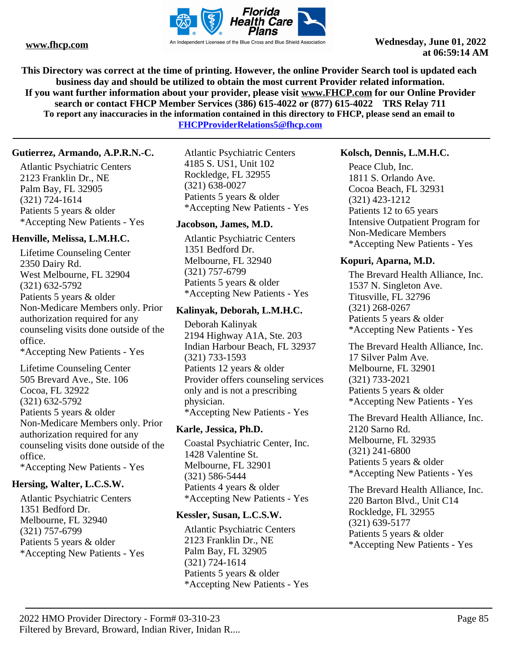

**This Directory was correct at the time of printing. However, the online Provider Search tool is updated each business day and should be utilized to obtain the most current Provider related information. If you want further information about your provider, please visit www.FHCP.com for our Online Provider search or contact FHCP Member Services (386) 615-4022 or (877) 615-4022 TRS Relay 711 To report any inaccuracies in the information contained in this directory to FHCP, please send an email to** 

**FHCPProviderRelations5@fhcp.com**

## **Gutierrez, Armando, A.P.R.N.-C.**

Atlantic Psychiatric Centers 2123 Franklin Dr., NE Palm Bay, FL 32905 (321) 724-1614 Patients 5 years & older \*Accepting New Patients - Yes

## **Henville, Melissa, L.M.H.C.**

Lifetime Counseling Center 2350 Dairy Rd. West Melbourne, FL 32904 (321) 632-5792 Patients 5 years & older Non-Medicare Members only. Prior authorization required for any counseling visits done outside of the office. \*Accepting New Patients - Yes

Lifetime Counseling Center 505 Brevard Ave., Ste. 106 Cocoa, FL 32922 (321) 632-5792 Patients 5 years & older Non-Medicare Members only. Prior authorization required for any counseling visits done outside of the office. \*Accepting New Patients - Yes

## **Hersing, Walter, L.C.S.W.**

Atlantic Psychiatric Centers 1351 Bedford Dr. Melbourne, FL 32940 (321) 757-6799 Patients 5 years & older \*Accepting New Patients - Yes

Atlantic Psychiatric Centers 4185 S. US1, Unit 102 Rockledge, FL 32955 (321) 638-0027 Patients 5 years & older \*Accepting New Patients - Yes

## **Jacobson, James, M.D.**

Atlantic Psychiatric Centers 1351 Bedford Dr. Melbourne, FL 32940 (321) 757-6799 Patients 5 years & older \*Accepting New Patients - Yes

## **Kalinyak, Deborah, L.M.H.C.**

Deborah Kalinyak 2194 Highway A1A, Ste. 203 Indian Harbour Beach, FL 32937 (321) 733-1593 Patients 12 years & older Provider offers counseling services only and is not a prescribing physician. \*Accepting New Patients - Yes

## **Karle, Jessica, Ph.D.**

Coastal Psychiatric Center, Inc. 1428 Valentine St. Melbourne, FL 32901 (321) 586-5444 Patients 4 years & older \*Accepting New Patients - Yes

## **Kessler, Susan, L.C.S.W.**

Atlantic Psychiatric Centers 2123 Franklin Dr., NE Palm Bay, FL 32905 (321) 724-1614 Patients 5 years & older \*Accepting New Patients - Yes

## **Kolsch, Dennis, L.M.H.C.**

Peace Club, Inc. 1811 S. Orlando Ave. Cocoa Beach, FL 32931 (321) 423-1212 Patients 12 to 65 years Intensive Outpatient Program for Non-Medicare Members \*Accepting New Patients - Yes

## **Kopuri, Aparna, M.D.**

The Brevard Health Alliance, Inc. 1537 N. Singleton Ave. Titusville, FL 32796 (321) 268-0267 Patients 5 years & older \*Accepting New Patients - Yes

The Brevard Health Alliance, Inc. 17 Silver Palm Ave. Melbourne, FL 32901 (321) 733-2021 Patients 5 years & older \*Accepting New Patients - Yes

The Brevard Health Alliance, Inc. 2120 Sarno Rd. Melbourne, FL 32935 (321) 241-6800 Patients 5 years & older \*Accepting New Patients - Yes

The Brevard Health Alliance, Inc. 220 Barton Blvd., Unit C14 Rockledge, FL 32955 (321) 639-5177 Patients 5 years & older \*Accepting New Patients - Yes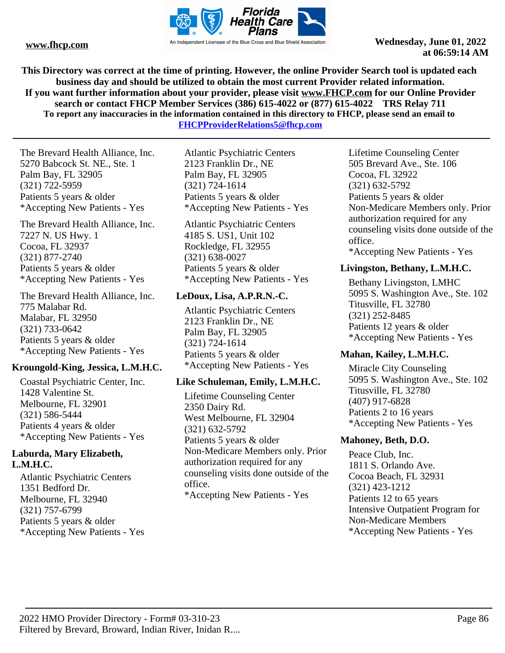

**This Directory was correct at the time of printing. However, the online Provider Search tool is updated each business day and should be utilized to obtain the most current Provider related information. If you want further information about your provider, please visit www.FHCP.com for our Online Provider search or contact FHCP Member Services (386) 615-4022 or (877) 615-4022 TRS Relay 711 To report any inaccuracies in the information contained in this directory to FHCP, please send an email to FHCPProviderRelations5@fhcp.com**

The Brevard Health Alliance, Inc. 5270 Babcock St. NE., Ste. 1 Palm Bay, FL 32905 (321) 722-5959 Patients 5 years & older \*Accepting New Patients - Yes

The Brevard Health Alliance, Inc. 7227 N. US Hwy. 1 Cocoa, FL 32937 (321) 877-2740 Patients 5 years & older \*Accepting New Patients - Yes

The Brevard Health Alliance, Inc. 775 Malabar Rd. Malabar, FL 32950 (321) 733-0642 Patients 5 years & older \*Accepting New Patients - Yes

## **Kroungold-King, Jessica, L.M.H.C.**

Coastal Psychiatric Center, Inc. 1428 Valentine St. Melbourne, FL 32901 (321) 586-5444 Patients 4 years & older \*Accepting New Patients - Yes

## **Laburda, Mary Elizabeth, L.M.H.C.**

Atlantic Psychiatric Centers 1351 Bedford Dr. Melbourne, FL 32940 (321) 757-6799 Patients 5 years & older \*Accepting New Patients - Yes

Atlantic Psychiatric Centers 2123 Franklin Dr., NE Palm Bay, FL 32905 (321) 724-1614 Patients 5 years & older \*Accepting New Patients - Yes

Atlantic Psychiatric Centers 4185 S. US1, Unit 102 Rockledge, FL 32955 (321) 638-0027 Patients 5 years & older \*Accepting New Patients - Yes

## **LeDoux, Lisa, A.P.R.N.-C.**

Atlantic Psychiatric Centers 2123 Franklin Dr., NE Palm Bay, FL 32905 (321) 724-1614 Patients 5 years & older \*Accepting New Patients - Yes

## **Like Schuleman, Emily, L.M.H.C.**

Lifetime Counseling Center 2350 Dairy Rd. West Melbourne, FL 32904 (321) 632-5792 Patients 5 years & older Non-Medicare Members only. Prior authorization required for any counseling visits done outside of the office. \*Accepting New Patients - Yes

Lifetime Counseling Center 505 Brevard Ave., Ste. 106 Cocoa, FL 32922 (321) 632-5792 Patients 5 years & older Non-Medicare Members only. Prior authorization required for any counseling visits done outside of the office. \*Accepting New Patients - Yes

## **Livingston, Bethany, L.M.H.C.**

Bethany Livingston, LMHC 5095 S. Washington Ave., Ste. 102 Titusville, FL 32780 (321) 252-8485 Patients 12 years & older \*Accepting New Patients - Yes

## **Mahan, Kailey, L.M.H.C.**

Miracle City Counseling 5095 S. Washington Ave., Ste. 102 Titusville, FL 32780 (407) 917-6828 Patients 2 to 16 years \*Accepting New Patients - Yes

## **Mahoney, Beth, D.O.**

Peace Club, Inc. 1811 S. Orlando Ave. Cocoa Beach, FL 32931 (321) 423-1212 Patients 12 to 65 years Intensive Outpatient Program for Non-Medicare Members \*Accepting New Patients - Yes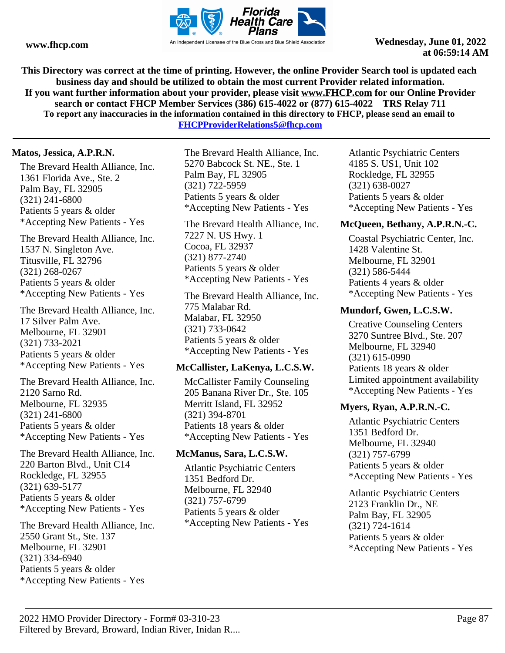

**This Directory was correct at the time of printing. However, the online Provider Search tool is updated each business day and should be utilized to obtain the most current Provider related information. If you want further information about your provider, please visit www.FHCP.com for our Online Provider search or contact FHCP Member Services (386) 615-4022 or (877) 615-4022 TRS Relay 711 To report any inaccuracies in the information contained in this directory to FHCP, please send an email to FHCPProviderRelations5@fhcp.com**

**Matos, Jessica, A.P.R.N.**

The Brevard Health Alliance, Inc. 1361 Florida Ave., Ste. 2 Palm Bay, FL 32905 (321) 241-6800 Patients 5 years & older \*Accepting New Patients - Yes

The Brevard Health Alliance, Inc. 1537 N. Singleton Ave. Titusville, FL 32796 (321) 268-0267 Patients 5 years & older \*Accepting New Patients - Yes

The Brevard Health Alliance, Inc. 17 Silver Palm Ave. Melbourne, FL 32901 (321) 733-2021 Patients 5 years & older \*Accepting New Patients - Yes

The Brevard Health Alliance, Inc. 2120 Sarno Rd. Melbourne, FL 32935 (321) 241-6800 Patients 5 years & older \*Accepting New Patients - Yes

The Brevard Health Alliance, Inc. 220 Barton Blvd., Unit C14 Rockledge, FL 32955 (321) 639-5177 Patients 5 years & older \*Accepting New Patients - Yes

The Brevard Health Alliance, Inc. 2550 Grant St., Ste. 137 Melbourne, FL 32901 (321) 334-6940 Patients 5 years & older \*Accepting New Patients - Yes

The Brevard Health Alliance, Inc. 5270 Babcock St. NE., Ste. 1 Palm Bay, FL 32905 (321) 722-5959 Patients 5 years & older \*Accepting New Patients - Yes

The Brevard Health Alliance, Inc. 7227 N. US Hwy. 1 Cocoa, FL 32937 (321) 877-2740 Patients 5 years & older \*Accepting New Patients - Yes

The Brevard Health Alliance, Inc. 775 Malabar Rd. Malabar, FL 32950 (321) 733-0642 Patients 5 years & older \*Accepting New Patients - Yes

## **McCallister, LaKenya, L.C.S.W.**

McCallister Family Counseling 205 Banana River Dr., Ste. 105 Merritt Island, FL 32952 (321) 394-8701 Patients 18 years & older \*Accepting New Patients - Yes

## **McManus, Sara, L.C.S.W.**

Atlantic Psychiatric Centers 1351 Bedford Dr. Melbourne, FL 32940 (321) 757-6799 Patients 5 years & older \*Accepting New Patients - Yes Atlantic Psychiatric Centers 4185 S. US1, Unit 102 Rockledge, FL 32955 (321) 638-0027 Patients 5 years & older \*Accepting New Patients - Yes

## **McQueen, Bethany, A.P.R.N.-C.**

Coastal Psychiatric Center, Inc. 1428 Valentine St. Melbourne, FL 32901 (321) 586-5444 Patients 4 years & older \*Accepting New Patients - Yes

## **Mundorf, Gwen, L.C.S.W.**

Creative Counseling Centers 3270 Suntree Blvd., Ste. 207 Melbourne, FL 32940 (321) 615-0990 Patients 18 years & older Limited appointment availability \*Accepting New Patients - Yes

## **Myers, Ryan, A.P.R.N.-C.**

Atlantic Psychiatric Centers 1351 Bedford Dr. Melbourne, FL 32940 (321) 757-6799 Patients 5 years & older \*Accepting New Patients - Yes

Atlantic Psychiatric Centers 2123 Franklin Dr., NE Palm Bay, FL 32905 (321) 724-1614 Patients 5 years & older \*Accepting New Patients - Yes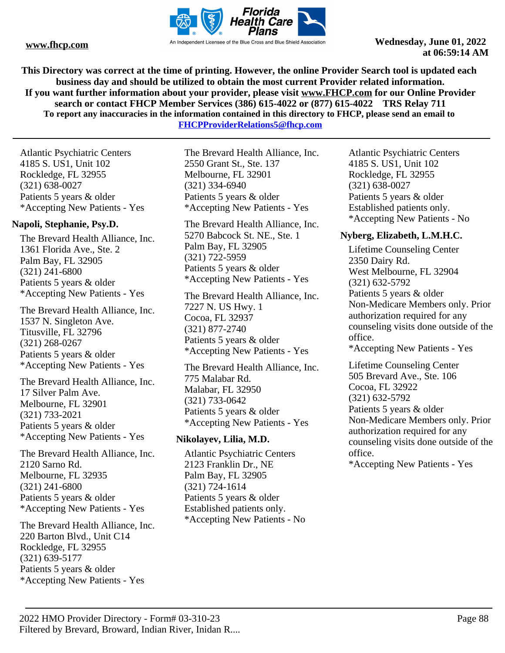

**This Directory was correct at the time of printing. However, the online Provider Search tool is updated each business day and should be utilized to obtain the most current Provider related information. If you want further information about your provider, please visit www.FHCP.com for our Online Provider search or contact FHCP Member Services (386) 615-4022 or (877) 615-4022 TRS Relay 711 To report any inaccuracies in the information contained in this directory to FHCP, please send an email to FHCPProviderRelations5@fhcp.com**

Atlantic Psychiatric Centers 4185 S. US1, Unit 102 Rockledge, FL 32955 (321) 638-0027 Patients 5 years & older \*Accepting New Patients - Yes

## **Napoli, Stephanie, Psy.D.**

The Brevard Health Alliance, Inc. 1361 Florida Ave., Ste. 2 Palm Bay, FL 32905 (321) 241-6800 Patients 5 years & older \*Accepting New Patients - Yes

The Brevard Health Alliance, Inc. 1537 N. Singleton Ave. Titusville, FL 32796 (321) 268-0267 Patients 5 years & older \*Accepting New Patients - Yes

The Brevard Health Alliance, Inc. 17 Silver Palm Ave. Melbourne, FL 32901 (321) 733-2021 Patients 5 years & older \*Accepting New Patients - Yes

The Brevard Health Alliance, Inc. 2120 Sarno Rd. Melbourne, FL 32935 (321) 241-6800 Patients 5 years & older \*Accepting New Patients - Yes

The Brevard Health Alliance, Inc. 220 Barton Blvd., Unit C14 Rockledge, FL 32955 (321) 639-5177 Patients 5 years & older \*Accepting New Patients - Yes

The Brevard Health Alliance, Inc. 2550 Grant St., Ste. 137 Melbourne, FL 32901 (321) 334-6940 Patients 5 years & older \*Accepting New Patients - Yes

The Brevard Health Alliance, Inc. 5270 Babcock St. NE., Ste. 1 Palm Bay, FL 32905 (321) 722-5959 Patients 5 years & older \*Accepting New Patients - Yes

The Brevard Health Alliance, Inc. 7227 N. US Hwy. 1 Cocoa, FL 32937 (321) 877-2740 Patients 5 years & older \*Accepting New Patients - Yes

The Brevard Health Alliance, Inc. 775 Malabar Rd. Malabar, FL 32950 (321) 733-0642 Patients 5 years & older \*Accepting New Patients - Yes

#### **Nikolayev, Lilia, M.D.**

Atlantic Psychiatric Centers 2123 Franklin Dr., NE Palm Bay, FL 32905 (321) 724-1614 Patients 5 years & older Established patients only. \*Accepting New Patients - No

Atlantic Psychiatric Centers 4185 S. US1, Unit 102 Rockledge, FL 32955 (321) 638-0027 Patients 5 years & older Established patients only. \*Accepting New Patients - No

## **Nyberg, Elizabeth, L.M.H.C.**

Lifetime Counseling Center 2350 Dairy Rd. West Melbourne, FL 32904 (321) 632-5792 Patients 5 years & older Non-Medicare Members only. Prior authorization required for any counseling visits done outside of the office. \*Accepting New Patients - Yes

Lifetime Counseling Center 505 Brevard Ave., Ste. 106 Cocoa, FL 32922 (321) 632-5792 Patients 5 years & older Non-Medicare Members only. Prior authorization required for any counseling visits done outside of the office.

\*Accepting New Patients - Yes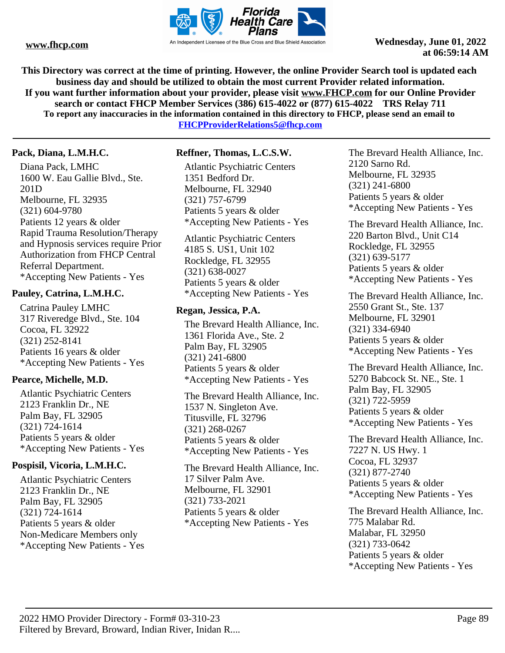

**This Directory was correct at the time of printing. However, the online Provider Search tool is updated each business day and should be utilized to obtain the most current Provider related information. If you want further information about your provider, please visit www.FHCP.com for our Online Provider search or contact FHCP Member Services (386) 615-4022 or (877) 615-4022 TRS Relay 711 To report any inaccuracies in the information contained in this directory to FHCP, please send an email to FHCPProviderRelations5@fhcp.com**

**Pack, Diana, L.M.H.C.**

Diana Pack, LMHC 1600 W. Eau Gallie Blvd., Ste. 201D Melbourne, FL 32935 (321) 604-9780 Patients 12 years & older Rapid Trauma Resolution/Therapy and Hypnosis services require Prior Authorization from FHCP Central Referral Department. \*Accepting New Patients - Yes

## **Pauley, Catrina, L.M.H.C.**

Catrina Pauley LMHC 317 Riveredge Blvd., Ste. 104 Cocoa, FL 32922 (321) 252-8141 Patients 16 years & older \*Accepting New Patients - Yes

## **Pearce, Michelle, M.D.**

Atlantic Psychiatric Centers 2123 Franklin Dr., NE Palm Bay, FL 32905 (321) 724-1614 Patients 5 years & older \*Accepting New Patients - Yes

## **Pospisil, Vicoria, L.M.H.C.**

Atlantic Psychiatric Centers 2123 Franklin Dr., NE Palm Bay, FL 32905 (321) 724-1614 Patients 5 years & older Non-Medicare Members only \*Accepting New Patients - Yes

## **Reffner, Thomas, L.C.S.W.**

Atlantic Psychiatric Centers 1351 Bedford Dr. Melbourne, FL 32940 (321) 757-6799 Patients 5 years & older \*Accepting New Patients - Yes

Atlantic Psychiatric Centers 4185 S. US1, Unit 102 Rockledge, FL 32955 (321) 638-0027 Patients 5 years & older \*Accepting New Patients - Yes

## **Regan, Jessica, P.A.**

The Brevard Health Alliance, Inc. 1361 Florida Ave., Ste. 2 Palm Bay, FL 32905 (321) 241-6800 Patients 5 years & older \*Accepting New Patients - Yes

The Brevard Health Alliance, Inc. 1537 N. Singleton Ave. Titusville, FL 32796 (321) 268-0267 Patients 5 years & older \*Accepting New Patients - Yes

The Brevard Health Alliance, Inc. 17 Silver Palm Ave. Melbourne, FL 32901 (321) 733-2021 Patients 5 years & older \*Accepting New Patients - Yes

The Brevard Health Alliance, Inc. 2120 Sarno Rd. Melbourne, FL 32935 (321) 241-6800 Patients 5 years & older \*Accepting New Patients - Yes

The Brevard Health Alliance, Inc. 220 Barton Blvd., Unit C14 Rockledge, FL 32955 (321) 639-5177 Patients 5 years & older \*Accepting New Patients - Yes

The Brevard Health Alliance, Inc. 2550 Grant St., Ste. 137 Melbourne, FL 32901 (321) 334-6940 Patients 5 years & older \*Accepting New Patients - Yes

The Brevard Health Alliance, Inc. 5270 Babcock St. NE., Ste. 1 Palm Bay, FL 32905 (321) 722-5959 Patients 5 years & older \*Accepting New Patients - Yes

The Brevard Health Alliance, Inc. 7227 N. US Hwy. 1 Cocoa, FL 32937 (321) 877-2740 Patients 5 years & older \*Accepting New Patients - Yes

The Brevard Health Alliance, Inc. 775 Malabar Rd. Malabar, FL 32950 (321) 733-0642 Patients 5 years & older \*Accepting New Patients - Yes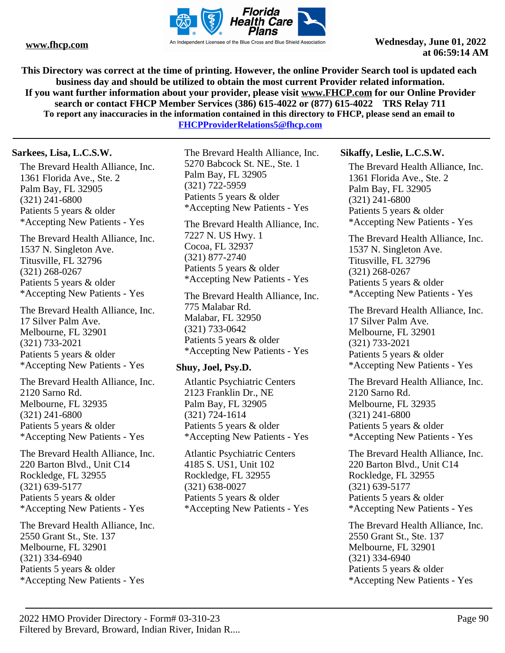

**This Directory was correct at the time of printing. However, the online Provider Search tool is updated each business day and should be utilized to obtain the most current Provider related information. If you want further information about your provider, please visit www.FHCP.com for our Online Provider search or contact FHCP Member Services (386) 615-4022 or (877) 615-4022 TRS Relay 711 To report any inaccuracies in the information contained in this directory to FHCP, please send an email to** 

**FHCPProviderRelations5@fhcp.com**

## **Sarkees, Lisa, L.C.S.W.**

The Brevard Health Alliance, Inc. 1361 Florida Ave., Ste. 2 Palm Bay, FL 32905 (321) 241-6800 Patients 5 years & older \*Accepting New Patients - Yes

The Brevard Health Alliance, Inc. 1537 N. Singleton Ave. Titusville, FL 32796 (321) 268-0267 Patients 5 years & older \*Accepting New Patients - Yes

The Brevard Health Alliance, Inc. 17 Silver Palm Ave. Melbourne, FL 32901 (321) 733-2021 Patients 5 years & older \*Accepting New Patients - Yes

The Brevard Health Alliance, Inc. 2120 Sarno Rd. Melbourne, FL 32935 (321) 241-6800 Patients 5 years & older \*Accepting New Patients - Yes

The Brevard Health Alliance, Inc. 220 Barton Blvd., Unit C14 Rockledge, FL 32955 (321) 639-5177 Patients 5 years & older \*Accepting New Patients - Yes

The Brevard Health Alliance, Inc. 2550 Grant St., Ste. 137 Melbourne, FL 32901 (321) 334-6940 Patients 5 years & older \*Accepting New Patients - Yes

The Brevard Health Alliance, Inc. 5270 Babcock St. NE., Ste. 1 Palm Bay, FL 32905 (321) 722-5959 Patients 5 years & older \*Accepting New Patients - Yes

The Brevard Health Alliance, Inc. 7227 N. US Hwy. 1 Cocoa, FL 32937 (321) 877-2740 Patients 5 years & older \*Accepting New Patients - Yes

The Brevard Health Alliance, Inc. 775 Malabar Rd. Malabar, FL 32950 (321) 733-0642 Patients 5 years & older \*Accepting New Patients - Yes

## **Shuy, Joel, Psy.D.**

Atlantic Psychiatric Centers 2123 Franklin Dr., NE Palm Bay, FL 32905 (321) 724-1614 Patients 5 years & older \*Accepting New Patients - Yes

Atlantic Psychiatric Centers 4185 S. US1, Unit 102 Rockledge, FL 32955 (321) 638-0027 Patients 5 years & older \*Accepting New Patients - Yes

## **Sikaffy, Leslie, L.C.S.W.**

The Brevard Health Alliance, Inc. 1361 Florida Ave., Ste. 2 Palm Bay, FL 32905 (321) 241-6800 Patients 5 years & older \*Accepting New Patients - Yes

The Brevard Health Alliance, Inc. 1537 N. Singleton Ave. Titusville, FL 32796 (321) 268-0267 Patients 5 years & older \*Accepting New Patients - Yes

The Brevard Health Alliance, Inc. 17 Silver Palm Ave. Melbourne, FL 32901 (321) 733-2021 Patients 5 years & older \*Accepting New Patients - Yes

The Brevard Health Alliance, Inc. 2120 Sarno Rd. Melbourne, FL 32935 (321) 241-6800 Patients 5 years & older \*Accepting New Patients - Yes

The Brevard Health Alliance, Inc. 220 Barton Blvd., Unit C14 Rockledge, FL 32955 (321) 639-5177 Patients 5 years & older \*Accepting New Patients - Yes

The Brevard Health Alliance, Inc. 2550 Grant St., Ste. 137 Melbourne, FL 32901 (321) 334-6940 Patients 5 years & older \*Accepting New Patients - Yes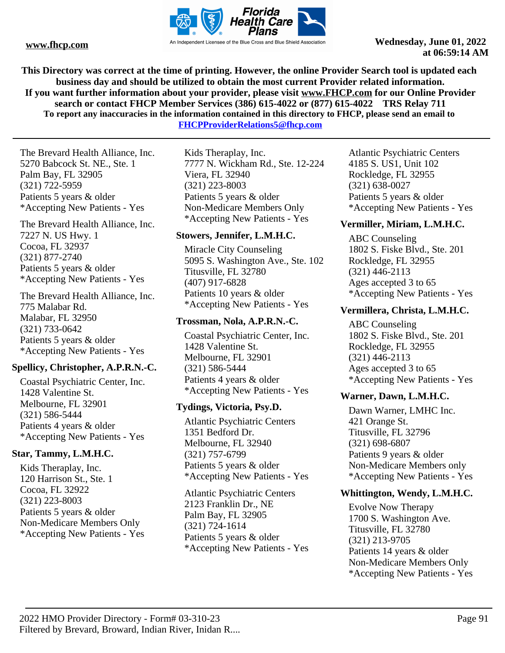

**This Directory was correct at the time of printing. However, the online Provider Search tool is updated each business day and should be utilized to obtain the most current Provider related information. If you want further information about your provider, please visit www.FHCP.com for our Online Provider search or contact FHCP Member Services (386) 615-4022 or (877) 615-4022 TRS Relay 711 To report any inaccuracies in the information contained in this directory to FHCP, please send an email to FHCPProviderRelations5@fhcp.com**

The Brevard Health Alliance, Inc. 5270 Babcock St. NE., Ste. 1 Palm Bay, FL 32905 (321) 722-5959 Patients 5 years & older \*Accepting New Patients - Yes

The Brevard Health Alliance, Inc. 7227 N. US Hwy. 1 Cocoa, FL 32937 (321) 877-2740 Patients 5 years & older \*Accepting New Patients - Yes

The Brevard Health Alliance, Inc. 775 Malabar Rd. Malabar, FL 32950 (321) 733-0642 Patients 5 years & older \*Accepting New Patients - Yes

## **Spellicy, Christopher, A.P.R.N.-C.**

Coastal Psychiatric Center, Inc. 1428 Valentine St. Melbourne, FL 32901 (321) 586-5444 Patients 4 years & older \*Accepting New Patients - Yes

## **Star, Tammy, L.M.H.C.**

Kids Theraplay, Inc. 120 Harrison St., Ste. 1 Cocoa, FL 32922 (321) 223-8003 Patients 5 years & older Non-Medicare Members Only \*Accepting New Patients - Yes

Kids Theraplay, Inc. 7777 N. Wickham Rd., Ste. 12-224 Viera, FL 32940 (321) 223-8003 Patients 5 years & older Non-Medicare Members Only \*Accepting New Patients - Yes

## **Stowers, Jennifer, L.M.H.C.**

Miracle City Counseling 5095 S. Washington Ave., Ste. 102 Titusville, FL 32780 (407) 917-6828 Patients 10 years & older \*Accepting New Patients - Yes

## **Trossman, Nola, A.P.R.N.-C.**

Coastal Psychiatric Center, Inc. 1428 Valentine St. Melbourne, FL 32901 (321) 586-5444 Patients 4 years & older \*Accepting New Patients - Yes

## **Tydings, Victoria, Psy.D.**

Atlantic Psychiatric Centers 1351 Bedford Dr. Melbourne, FL 32940 (321) 757-6799 Patients 5 years & older \*Accepting New Patients - Yes

Atlantic Psychiatric Centers 2123 Franklin Dr., NE Palm Bay, FL 32905 (321) 724-1614 Patients 5 years & older \*Accepting New Patients - Yes Atlantic Psychiatric Centers 4185 S. US1, Unit 102 Rockledge, FL 32955 (321) 638-0027 Patients 5 years & older \*Accepting New Patients - Yes

## **Vermiller, Miriam, L.M.H.C.**

ABC Counseling 1802 S. Fiske Blvd., Ste. 201 Rockledge, FL 32955 (321) 446-2113 Ages accepted 3 to 65 \*Accepting New Patients - Yes

## **Vermillera, Christa, L.M.H.C.**

ABC Counseling 1802 S. Fiske Blvd., Ste. 201 Rockledge, FL 32955 (321) 446-2113 Ages accepted 3 to 65 \*Accepting New Patients - Yes

## **Warner, Dawn, L.M.H.C.**

Dawn Warner, LMHC Inc. 421 Orange St. Titusville, FL 32796 (321) 698-6807 Patients 9 years & older Non-Medicare Members only \*Accepting New Patients - Yes

## **Whittington, Wendy, L.M.H.C.**

Evolve Now Therapy 1700 S. Washington Ave. Titusville, FL 32780 (321) 213-9705 Patients 14 years & older Non-Medicare Members Only \*Accepting New Patients - Yes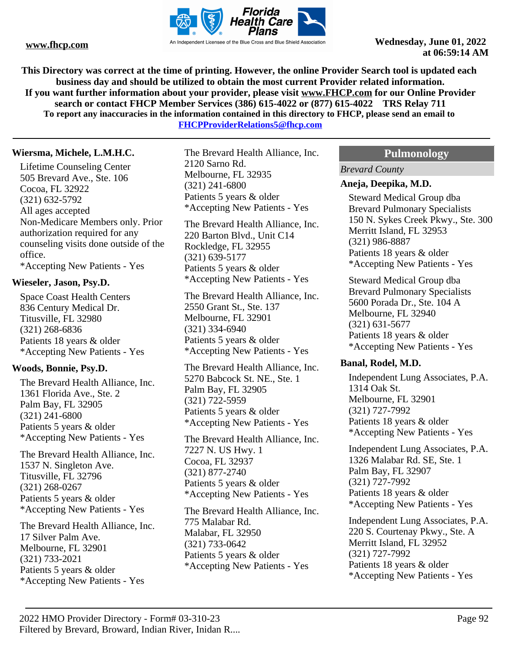

**This Directory was correct at the time of printing. However, the online Provider Search tool is updated each business day and should be utilized to obtain the most current Provider related information. If you want further information about your provider, please visit www.FHCP.com for our Online Provider search or contact FHCP Member Services (386) 615-4022 or (877) 615-4022 TRS Relay 711 To report any inaccuracies in the information contained in this directory to FHCP, please send an email to FHCPProviderRelations5@fhcp.com**

## **Wiersma, Michele, L.M.H.C.**

Lifetime Counseling Center 505 Brevard Ave., Ste. 106 Cocoa, FL 32922 (321) 632-5792 All ages accepted Non-Medicare Members only. Prior authorization required for any counseling visits done outside of the office. \*Accepting New Patients - Yes

## **Wieseler, Jason, Psy.D.**

Space Coast Health Centers 836 Century Medical Dr. Titusville, FL 32980 (321) 268-6836 Patients 18 years & older \*Accepting New Patients - Yes

## **Woods, Bonnie, Psy.D.**

The Brevard Health Alliance, Inc. 1361 Florida Ave., Ste. 2 Palm Bay, FL 32905 (321) 241-6800 Patients 5 years & older \*Accepting New Patients - Yes

The Brevard Health Alliance, Inc. 1537 N. Singleton Ave. Titusville, FL 32796 (321) 268-0267 Patients 5 years & older \*Accepting New Patients - Yes

The Brevard Health Alliance, Inc. 17 Silver Palm Ave. Melbourne, FL 32901 (321) 733-2021 Patients 5 years & older \*Accepting New Patients - Yes

The Brevard Health Alliance, Inc. 2120 Sarno Rd. Melbourne, FL 32935 (321) 241-6800 Patients 5 years & older \*Accepting New Patients - Yes

The Brevard Health Alliance, Inc. 220 Barton Blvd., Unit C14 Rockledge, FL 32955 (321) 639-5177 Patients 5 years & older \*Accepting New Patients - Yes

The Brevard Health Alliance, Inc. 2550 Grant St., Ste. 137 Melbourne, FL 32901 (321) 334-6940 Patients 5 years & older \*Accepting New Patients - Yes

The Brevard Health Alliance, Inc. 5270 Babcock St. NE., Ste. 1 Palm Bay, FL 32905 (321) 722-5959 Patients 5 years & older \*Accepting New Patients - Yes

The Brevard Health Alliance, Inc. 7227 N. US Hwy. 1 Cocoa, FL 32937 (321) 877-2740 Patients 5 years & older \*Accepting New Patients - Yes

The Brevard Health Alliance, Inc. 775 Malabar Rd. Malabar, FL 32950 (321) 733-0642 Patients 5 years & older \*Accepting New Patients - Yes

## **Pulmonology**

*Brevard County*

### **Aneja, Deepika, M.D.**

Steward Medical Group dba Brevard Pulmonary Specialists 150 N. Sykes Creek Pkwy., Ste. 300 Merritt Island, FL 32953 (321) 986-8887 Patients 18 years & older \*Accepting New Patients - Yes

Steward Medical Group dba Brevard Pulmonary Specialists 5600 Porada Dr., Ste. 104 A Melbourne, FL 32940 (321) 631-5677 Patients 18 years & older \*Accepting New Patients - Yes

#### **Banal, Rodel, M.D.**

Independent Lung Associates, P.A. 1314 Oak St. Melbourne, FL 32901 (321) 727-7992 Patients 18 years & older \*Accepting New Patients - Yes

Independent Lung Associates, P.A. 1326 Malabar Rd. SE, Ste. 1 Palm Bay, FL 32907 (321) 727-7992 Patients 18 years & older \*Accepting New Patients - Yes

Independent Lung Associates, P.A. 220 S. Courtenay Pkwy., Ste. A Merritt Island, FL 32952 (321) 727-7992 Patients 18 years & older \*Accepting New Patients - Yes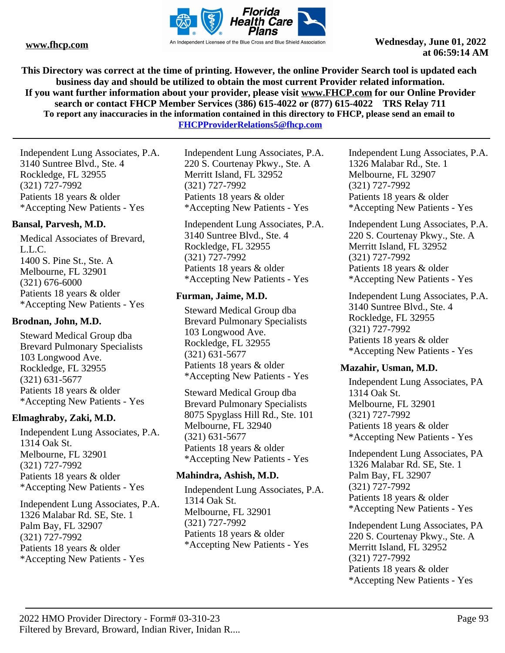

**This Directory was correct at the time of printing. However, the online Provider Search tool is updated each business day and should be utilized to obtain the most current Provider related information. If you want further information about your provider, please visit www.FHCP.com for our Online Provider search or contact FHCP Member Services (386) 615-4022 or (877) 615-4022 TRS Relay 711 To report any inaccuracies in the information contained in this directory to FHCP, please send an email to** 

**FHCPProviderRelations5@fhcp.com**

Independent Lung Associates, P.A. 3140 Suntree Blvd., Ste. 4 Rockledge, FL 32955 (321) 727-7992 Patients 18 years & older \*Accepting New Patients - Yes

## **Bansal, Parvesh, M.D.**

Medical Associates of Brevard, L.L.C. 1400 S. Pine St., Ste. A Melbourne, FL 32901 (321) 676-6000 Patients 18 years & older \*Accepting New Patients - Yes

## **Brodnan, John, M.D.**

Steward Medical Group dba Brevard Pulmonary Specialists 103 Longwood Ave. Rockledge, FL 32955 (321) 631-5677 Patients 18 years & older \*Accepting New Patients - Yes

## **Elmaghraby, Zaki, M.D.**

Independent Lung Associates, P.A. 1314 Oak St. Melbourne, FL 32901 (321) 727-7992 Patients 18 years & older \*Accepting New Patients - Yes

Independent Lung Associates, P.A. 1326 Malabar Rd. SE, Ste. 1 Palm Bay, FL 32907 (321) 727-7992 Patients 18 years & older \*Accepting New Patients - Yes

Independent Lung Associates, P.A. 220 S. Courtenay Pkwy., Ste. A Merritt Island, FL 32952 (321) 727-7992 Patients 18 years & older \*Accepting New Patients - Yes

Independent Lung Associates, P.A. 3140 Suntree Blvd., Ste. 4 Rockledge, FL 32955 (321) 727-7992 Patients 18 years & older \*Accepting New Patients - Yes

## **Furman, Jaime, M.D.**

Steward Medical Group dba Brevard Pulmonary Specialists 103 Longwood Ave. Rockledge, FL 32955 (321) 631-5677 Patients 18 years & older \*Accepting New Patients - Yes

Steward Medical Group dba Brevard Pulmonary Specialists 8075 Spyglass Hill Rd., Ste. 101 Melbourne, FL 32940 (321) 631-5677 Patients 18 years & older \*Accepting New Patients - Yes

## **Mahindra, Ashish, M.D.**

Independent Lung Associates, P.A. 1314 Oak St. Melbourne, FL 32901 (321) 727-7992 Patients 18 years & older \*Accepting New Patients - Yes

Independent Lung Associates, P.A. 1326 Malabar Rd., Ste. 1 Melbourne, FL 32907 (321) 727-7992 Patients 18 years & older \*Accepting New Patients - Yes

Independent Lung Associates, P.A. 220 S. Courtenay Pkwy., Ste. A Merritt Island, FL 32952 (321) 727-7992 Patients 18 years & older \*Accepting New Patients - Yes

Independent Lung Associates, P.A. 3140 Suntree Blvd., Ste. 4 Rockledge, FL 32955 (321) 727-7992 Patients 18 years & older \*Accepting New Patients - Yes

## **Mazahir, Usman, M.D.**

Independent Lung Associates, PA 1314 Oak St. Melbourne, FL 32901 (321) 727-7992 Patients 18 years & older \*Accepting New Patients - Yes

Independent Lung Associates, PA 1326 Malabar Rd. SE, Ste. 1 Palm Bay, FL 32907 (321) 727-7992 Patients 18 years & older \*Accepting New Patients - Yes

Independent Lung Associates, PA 220 S. Courtenay Pkwy., Ste. A Merritt Island, FL 32952 (321) 727-7992 Patients 18 years & older \*Accepting New Patients - Yes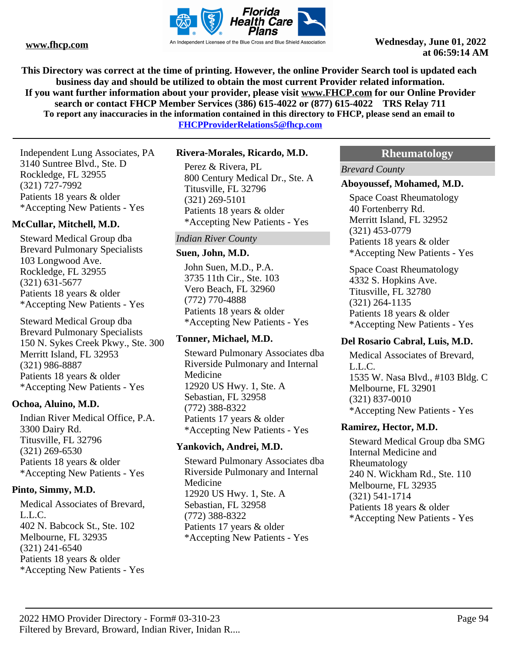

**This Directory was correct at the time of printing. However, the online Provider Search tool is updated each business day and should be utilized to obtain the most current Provider related information. If you want further information about your provider, please visit www.FHCP.com for our Online Provider search or contact FHCP Member Services (386) 615-4022 or (877) 615-4022 TRS Relay 711 To report any inaccuracies in the information contained in this directory to FHCP, please send an email to** 

**FHCPProviderRelations5@fhcp.com**

Independent Lung Associates, PA 3140 Suntree Blvd., Ste. D Rockledge, FL 32955 (321) 727-7992 Patients 18 years & older \*Accepting New Patients - Yes

## **McCullar, Mitchell, M.D.**

Steward Medical Group dba Brevard Pulmonary Specialists 103 Longwood Ave. Rockledge, FL 32955 (321) 631-5677 Patients 18 years & older \*Accepting New Patients - Yes

Steward Medical Group dba Brevard Pulmonary Specialists 150 N. Sykes Creek Pkwy., Ste. 300 Merritt Island, FL 32953 (321) 986-8887 Patients 18 years & older \*Accepting New Patients - Yes

## **Ochoa, Aluino, M.D.**

Indian River Medical Office, P.A. 3300 Dairy Rd. Titusville, FL 32796 (321) 269-6530 Patients 18 years & older \*Accepting New Patients - Yes

## **Pinto, Simmy, M.D.**

Medical Associates of Brevard, L.L.C. 402 N. Babcock St., Ste. 102 Melbourne, FL 32935 (321) 241-6540 Patients 18 years & older \*Accepting New Patients - Yes

## **Rivera-Morales, Ricardo, M.D.**

Perez & Rivera, PL 800 Century Medical Dr., Ste. A Titusville, FL 32796 (321) 269-5101 Patients 18 years & older \*Accepting New Patients - Yes

## *Indian River County*

#### **Suen, John, M.D.**

John Suen, M.D., P.A. 3735 11th Cir., Ste. 103 Vero Beach, FL 32960 (772) 770-4888 Patients 18 years & older \*Accepting New Patients - Yes

## **Tonner, Michael, M.D.**

Steward Pulmonary Associates dba Riverside Pulmonary and Internal Medicine 12920 US Hwy. 1, Ste. A Sebastian, FL 32958 (772) 388-8322 Patients 17 years & older \*Accepting New Patients - Yes

## **Yankovich, Andrei, M.D.**

Steward Pulmonary Associates dba Riverside Pulmonary and Internal Medicine 12920 US Hwy. 1, Ste. A Sebastian, FL 32958 (772) 388-8322 Patients 17 years & older \*Accepting New Patients - Yes

## **Rheumatology**

*Brevard County*

## **Aboyoussef, Mohamed, M.D.**

Space Coast Rheumatology 40 Fortenberry Rd. Merritt Island, FL 32952 (321) 453-0779 Patients 18 years & older \*Accepting New Patients - Yes

Space Coast Rheumatology 4332 S. Hopkins Ave. Titusville, FL 32780 (321) 264-1135 Patients 18 years & older \*Accepting New Patients - Yes

## **Del Rosario Cabral, Luis, M.D.**

Medical Associates of Brevard, L.L.C. 1535 W. Nasa Blvd., #103 Bldg. C Melbourne, FL 32901 (321) 837-0010 \*Accepting New Patients - Yes

## **Ramirez, Hector, M.D.**

Steward Medical Group dba SMG Internal Medicine and Rheumatology 240 N. Wickham Rd., Ste. 110 Melbourne, FL 32935 (321) 541-1714 Patients 18 years & older \*Accepting New Patients - Yes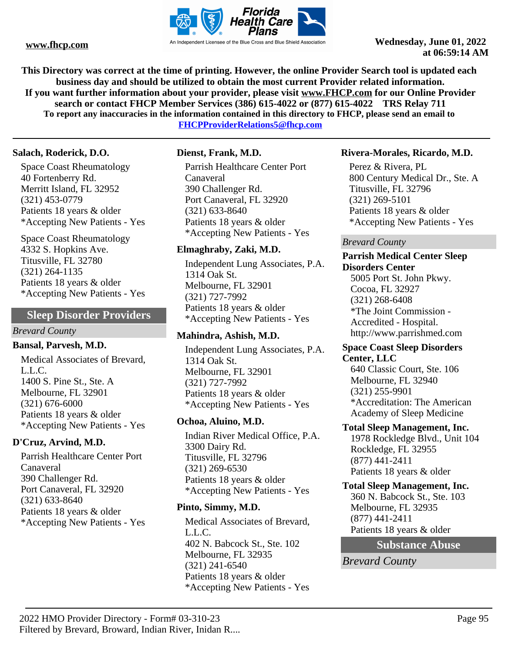

**This Directory was correct at the time of printing. However, the online Provider Search tool is updated each business day and should be utilized to obtain the most current Provider related information. If you want further information about your provider, please visit www.FHCP.com for our Online Provider search or contact FHCP Member Services (386) 615-4022 or (877) 615-4022 TRS Relay 711 To report any inaccuracies in the information contained in this directory to FHCP, please send an email to FHCPProviderRelations5@fhcp.com**

### **Salach, Roderick, D.O.**

Space Coast Rheumatology 40 Fortenberry Rd. Merritt Island, FL 32952 (321) 453-0779 Patients 18 years & older \*Accepting New Patients - Yes

Space Coast Rheumatology 4332 S. Hopkins Ave. Titusville, FL 32780 (321) 264-1135 Patients 18 years & older \*Accepting New Patients - Yes

## **Sleep Disorder Providers**

#### *Brevard County*

#### **Bansal, Parvesh, M.D.**

Medical Associates of Brevard, L.L.C. 1400 S. Pine St., Ste. A Melbourne, FL 32901 (321) 676-6000 Patients 18 years & older \*Accepting New Patients - Yes

## **D'Cruz, Arvind, M.D.**

Parrish Healthcare Center Port Canaveral 390 Challenger Rd. Port Canaveral, FL 32920 (321) 633-8640 Patients 18 years & older \*Accepting New Patients - Yes

## **Dienst, Frank, M.D.**

Parrish Healthcare Center Port Canaveral 390 Challenger Rd. Port Canaveral, FL 32920 (321) 633-8640 Patients 18 years & older \*Accepting New Patients - Yes

## **Elmaghraby, Zaki, M.D.**

Independent Lung Associates, P.A. 1314 Oak St. Melbourne, FL 32901 (321) 727-7992 Patients 18 years & older \*Accepting New Patients - Yes

## **Mahindra, Ashish, M.D.**

Independent Lung Associates, P.A. 1314 Oak St. Melbourne, FL 32901 (321) 727-7992 Patients 18 years & older \*Accepting New Patients - Yes

## **Ochoa, Aluino, M.D.**

Indian River Medical Office, P.A. 3300 Dairy Rd. Titusville, FL 32796 (321) 269-6530 Patients 18 years & older \*Accepting New Patients - Yes

## **Pinto, Simmy, M.D.**

Medical Associates of Brevard, L.L.C. 402 N. Babcock St., Ste. 102 Melbourne, FL 32935 (321) 241-6540 Patients 18 years & older \*Accepting New Patients - Yes

## **Rivera-Morales, Ricardo, M.D.**

Perez & Rivera, PL 800 Century Medical Dr., Ste. A Titusville, FL 32796 (321) 269-5101 Patients 18 years & older \*Accepting New Patients - Yes

### *Brevard County*

#### **Parrish Medical Center Sleep Disorders Center**

5005 Port St. John Pkwy. Cocoa, FL 32927 (321) 268-6408 \*The Joint Commission - Accredited - Hospital. http://www.parrishmed.com

#### **Space Coast Sleep Disorders Center, LLC**

640 Classic Court, Ste. 106 Melbourne, FL 32940 (321) 255-9901 \*Accreditation: The American Academy of Sleep Medicine

#### **Total Sleep Management, Inc.**

1978 Rockledge Blvd., Unit 104 Rockledge, FL 32955 (877) 441-2411 Patients 18 years & older

## **Total Sleep Management, Inc.**

360 N. Babcock St., Ste. 103 Melbourne, FL 32935 (877) 441-2411 Patients 18 years & older

## **Substance Abuse**

*Brevard County*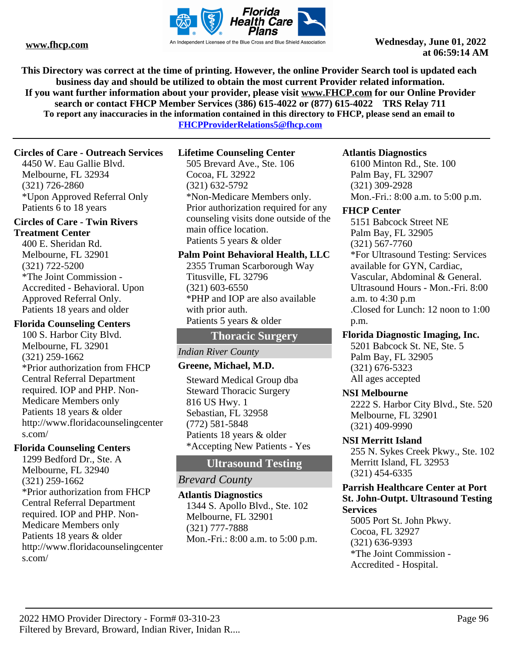

**This Directory was correct at the time of printing. However, the online Provider Search tool is updated each business day and should be utilized to obtain the most current Provider related information. If you want further information about your provider, please visit www.FHCP.com for our Online Provider search or contact FHCP Member Services (386) 615-4022 or (877) 615-4022 TRS Relay 711 To report any inaccuracies in the information contained in this directory to FHCP, please send an email to** 

**FHCPProviderRelations5@fhcp.com**

## **Circles of Care - Outreach Services**

4450 W. Eau Gallie Blvd. Melbourne, FL 32934 (321) 726-2860 \*Upon Approved Referral Only Patients 6 to 18 years

## **Circles of Care - Twin Rivers Treatment Center**

400 E. Sheridan Rd. Melbourne, FL 32901 (321) 722-5200 \*The Joint Commission - Accredited - Behavioral. Upon Approved Referral Only. Patients 18 years and older

## **Florida Counseling Centers**

100 S. Harbor City Blvd. Melbourne, FL 32901 (321) 259-1662 \*Prior authorization from FHCP Central Referral Department required. IOP and PHP. Non-Medicare Members only Patients 18 years & older http://www.floridacounselingcenter s.com/

## **Florida Counseling Centers**

1299 Bedford Dr., Ste. A Melbourne, FL 32940 (321) 259-1662 \*Prior authorization from FHCP Central Referral Department required. IOP and PHP. Non-Medicare Members only Patients 18 years & older http://www.floridacounselingcenter s.com/

## **Lifetime Counseling Center**

505 Brevard Ave., Ste. 106 Cocoa, FL 32922 (321) 632-5792 \*Non-Medicare Members only. Prior authorization required for any counseling visits done outside of the main office location. Patients 5 years & older

## **Palm Point Behavioral Health, LLC**

2355 Truman Scarborough Way Titusville, FL 32796 (321) 603-6550 \*PHP and IOP are also available with prior auth. Patients 5 years & older

## **Thoracic Surgery**

## *Indian River County*

## **Greene, Michael, M.D.**

Steward Medical Group dba Steward Thoracic Surgery 816 US Hwy. 1 Sebastian, FL 32958 (772) 581-5848 Patients 18 years & older \*Accepting New Patients - Yes

## **Ultrasound Testing**

## *Brevard County*

## **Atlantis Diagnostics**

1344 S. Apollo Blvd., Ste. 102 Melbourne, FL 32901 (321) 777-7888 Mon.-Fri.: 8:00 a.m. to 5:00 p.m.

## **Atlantis Diagnostics**

6100 Minton Rd., Ste. 100 Palm Bay, FL 32907 (321) 309-2928 Mon.-Fri.: 8:00 a.m. to 5:00 p.m.

## **FHCP Center**

5151 Babcock Street NE Palm Bay, FL 32905 (321) 567-7760 \*For Ultrasound Testing: Services available for GYN, Cardiac, Vascular, Abdominal & General. Ultrasound Hours - Mon.-Fri. 8:00 a.m. to 4:30 p.m .Closed for Lunch: 12 noon to 1:00 p.m.

## **Florida Diagnostic Imaging, Inc.**

5201 Babcock St. NE, Ste. 5 Palm Bay, FL 32905 (321) 676-5323 All ages accepted

## **NSI Melbourne**

2222 S. Harbor City Blvd., Ste. 520 Melbourne, FL 32901 (321) 409-9990

## **NSI Merritt Island**

255 N. Sykes Creek Pkwy., Ste. 102 Merritt Island, FL 32953 (321) 454-6335

#### **Parrish Healthcare Center at Port St. John-Outpt. Ultrasound Testing Services**

5005 Port St. John Pkwy. Cocoa, FL 32927 (321) 636-9393 \*The Joint Commission - Accredited - Hospital.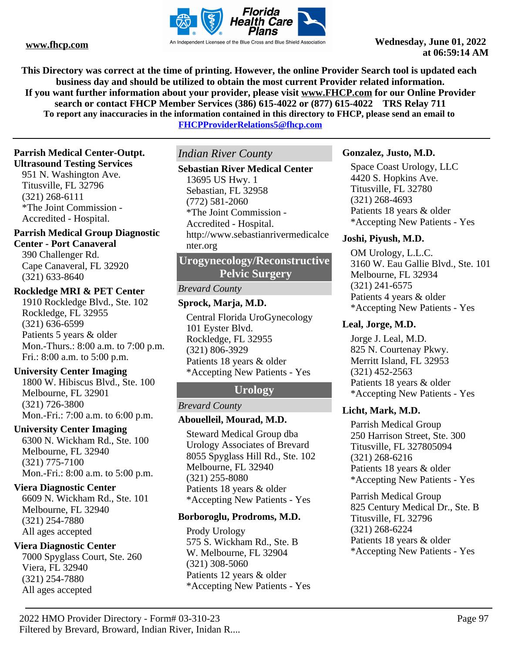

**This Directory was correct at the time of printing. However, the online Provider Search tool is updated each business day and should be utilized to obtain the most current Provider related information. If you want further information about your provider, please visit www.FHCP.com for our Online Provider search or contact FHCP Member Services (386) 615-4022 or (877) 615-4022 TRS Relay 711 To report any inaccuracies in the information contained in this directory to FHCP, please send an email to** 

**FHCPProviderRelations5@fhcp.com**

## **Parrish Medical Center-Outpt.**

**Ultrasound Testing Services**

951 N. Washington Ave. Titusville, FL 32796 (321) 268-6111 \*The Joint Commission - Accredited - Hospital.

# **Parrish Medical Group Diagnostic**

## **Center - Port Canaveral**

390 Challenger Rd. Cape Canaveral, FL 32920 (321) 633-8640

## **Rockledge MRI & PET Center**

1910 Rockledge Blvd., Ste. 102 Rockledge, FL 32955 (321) 636-6599 Patients 5 years & older Mon.-Thurs.: 8:00 a.m. to 7:00 p.m. Fri.: 8:00 a.m. to 5:00 p.m.

## **University Center Imaging**

1800 W. Hibiscus Blvd., Ste. 100 Melbourne, FL 32901 (321) 726-3800 Mon.-Fri.: 7:00 a.m. to 6:00 p.m.

## **University Center Imaging**

6300 N. Wickham Rd., Ste. 100 Melbourne, FL 32940 (321) 775-7100 Mon.-Fri.: 8:00 a.m. to 5:00 p.m.

## **Viera Diagnostic Center**

6609 N. Wickham Rd., Ste. 101 Melbourne, FL 32940 (321) 254-7880 All ages accepted

## **Viera Diagnostic Center**

7000 Spyglass Court, Ste. 260 Viera, FL 32940 (321) 254-7880 All ages accepted

*Indian River County*

## **Sebastian River Medical Center**

13695 US Hwy. 1 Sebastian, FL 32958 (772) 581-2060 \*The Joint Commission - Accredited - Hospital. http://www.sebastianrivermedicalce nter.org

**Urogynecology/Reconstructive Pelvic Surgery**

## *Brevard County*

## **Sprock, Marja, M.D.**

Central Florida UroGynecology 101 Eyster Blvd. Rockledge, FL 32955 (321) 806-3929 Patients 18 years & older \*Accepting New Patients - Yes

## **Urology**

## *Brevard County*

## **Abouelleil, Mourad, M.D.**

Steward Medical Group dba Urology Associates of Brevard 8055 Spyglass Hill Rd., Ste. 102 Melbourne, FL 32940 (321) 255-8080 Patients 18 years & older \*Accepting New Patients - Yes

## **Borboroglu, Prodroms, M.D.**

Prody Urology 575 S. Wickham Rd., Ste. B W. Melbourne, FL 32904 (321) 308-5060 Patients 12 years & older \*Accepting New Patients - Yes

## **Gonzalez, Justo, M.D.**

Space Coast Urology, LLC 4420 S. Hopkins Ave. Titusville, FL 32780 (321) 268-4693 Patients 18 years & older \*Accepting New Patients - Yes

## **Joshi, Piyush, M.D.**

OM Urology, L.L.C. 3160 W. Eau Gallie Blvd., Ste. 101 Melbourne, FL 32934 (321) 241-6575 Patients 4 years & older \*Accepting New Patients - Yes

## **Leal, Jorge, M.D.**

Jorge J. Leal, M.D. 825 N. Courtenay Pkwy. Merritt Island, FL 32953 (321) 452-2563 Patients 18 years & older \*Accepting New Patients - Yes

## **Licht, Mark, M.D.**

Parrish Medical Group 250 Harrison Street, Ste. 300 Titusville, FL 327805094 (321) 268-6216 Patients 18 years & older \*Accepting New Patients - Yes

Parrish Medical Group 825 Century Medical Dr., Ste. B Titusville, FL 32796 (321) 268-6224 Patients 18 years & older \*Accepting New Patients - Yes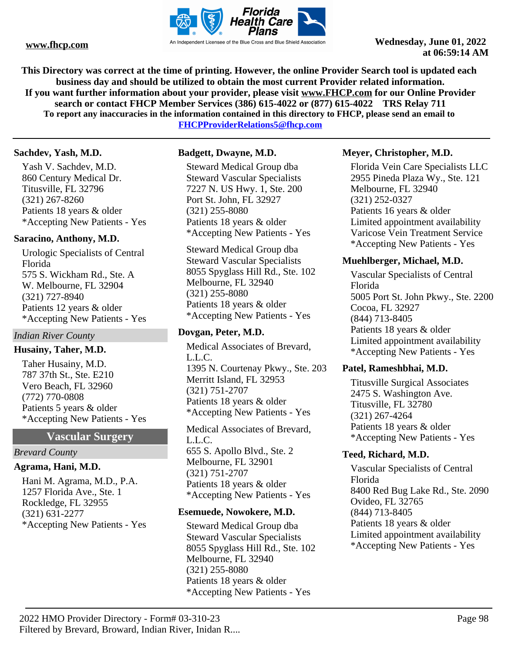

**This Directory was correct at the time of printing. However, the online Provider Search tool is updated each business day and should be utilized to obtain the most current Provider related information. If you want further information about your provider, please visit www.FHCP.com for our Online Provider search or contact FHCP Member Services (386) 615-4022 or (877) 615-4022 TRS Relay 711 To report any inaccuracies in the information contained in this directory to FHCP, please send an email to** 

**FHCPProviderRelations5@fhcp.com**

## **Sachdev, Yash, M.D.**

Yash V. Sachdev, M.D. 860 Century Medical Dr. Titusville, FL 32796 (321) 267-8260 Patients 18 years & older \*Accepting New Patients - Yes

## **Saracino, Anthony, M.D.**

Urologic Specialists of Central Florida 575 S. Wickham Rd., Ste. A W. Melbourne, FL 32904 (321) 727-8940 Patients 12 years & older \*Accepting New Patients - Yes

## *Indian River County*

## **Husainy, Taher, M.D.**

Taher Husainy, M.D. 787 37th St., Ste. E210 Vero Beach, FL 32960 (772) 770-0808 Patients 5 years & older \*Accepting New Patients - Yes

## **Vascular Surgery**

#### *Brevard County*

## **Agrama, Hani, M.D.**

Hani M. Agrama, M.D., P.A. 1257 Florida Ave., Ste. 1 Rockledge, FL 32955 (321) 631-2277 \*Accepting New Patients - Yes

## **Badgett, Dwayne, M.D.**

Steward Medical Group dba Steward Vascular Specialists 7227 N. US Hwy. 1, Ste. 200 Port St. John, FL 32927 (321) 255-8080 Patients 18 years & older \*Accepting New Patients - Yes

Steward Medical Group dba Steward Vascular Specialists 8055 Spyglass Hill Rd., Ste. 102 Melbourne, FL 32940 (321) 255-8080 Patients 18 years & older \*Accepting New Patients - Yes

## **Dovgan, Peter, M.D.**

Medical Associates of Brevard, L.L.C. 1395 N. Courtenay Pkwy., Ste. 203 Merritt Island, FL 32953 (321) 751-2707 Patients 18 years & older \*Accepting New Patients - Yes

Medical Associates of Brevard, L.L.C. 655 S. Apollo Blvd., Ste. 2 Melbourne, FL 32901 (321) 751-2707 Patients 18 years & older \*Accepting New Patients - Yes

## **Esemuede, Nowokere, M.D.**

Steward Medical Group dba Steward Vascular Specialists 8055 Spyglass Hill Rd., Ste. 102 Melbourne, FL 32940 (321) 255-8080 Patients 18 years & older \*Accepting New Patients - Yes

## **Meyer, Christopher, M.D.**

Florida Vein Care Specialists LLC 2955 Pineda Plaza Wy., Ste. 121 Melbourne, FL 32940 (321) 252-0327 Patients 16 years & older Limited appointment availability Varicose Vein Treatment Service \*Accepting New Patients - Yes

## **Muehlberger, Michael, M.D.**

Vascular Specialists of Central Florida 5005 Port St. John Pkwy., Ste. 2200 Cocoa, FL 32927 (844) 713-8405 Patients 18 years & older Limited appointment availability \*Accepting New Patients - Yes

## **Patel, Rameshbhai, M.D.**

Titusville Surgical Associates 2475 S. Washington Ave. Titusville, FL 32780 (321) 267-4264 Patients 18 years & older \*Accepting New Patients - Yes

## **Teed, Richard, M.D.**

Vascular Specialists of Central Florida 8400 Red Bug Lake Rd., Ste. 2090 Ovideo, FL 32765 (844) 713-8405 Patients 18 years & older Limited appointment availability \*Accepting New Patients - Yes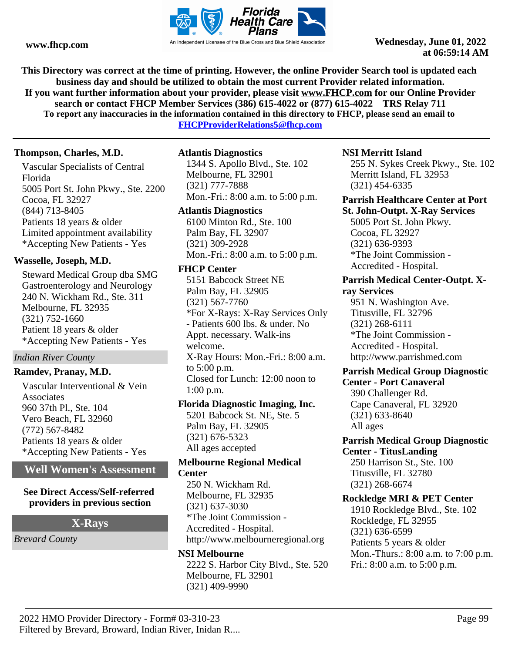

**This Directory was correct at the time of printing. However, the online Provider Search tool is updated each business day and should be utilized to obtain the most current Provider related information. If you want further information about your provider, please visit www.FHCP.com for our Online Provider search or contact FHCP Member Services (386) 615-4022 or (877) 615-4022 TRS Relay 711 To report any inaccuracies in the information contained in this directory to FHCP, please send an email to** 

**FHCPProviderRelations5@fhcp.com**

## **Thompson, Charles, M.D.**

Vascular Specialists of Central Florida 5005 Port St. John Pkwy., Ste. 2200 Cocoa, FL 32927 (844) 713-8405 Patients 18 years & older Limited appointment availability \*Accepting New Patients - Yes

## **Wasselle, Joseph, M.D.**

Steward Medical Group dba SMG Gastroenterology and Neurology 240 N. Wickham Rd., Ste. 311 Melbourne, FL 32935 (321) 752-1660 Patient 18 years & older \*Accepting New Patients - Yes

## *Indian River County*

## **Ramdev, Pranay, M.D.**

Vascular Interventional & Vein Associates 960 37th Pl., Ste. 104 Vero Beach, FL 32960 (772) 567-8482 Patients 18 years & older \*Accepting New Patients - Yes

## **Well Women's Assessment**

### **See Direct Access/Self-referred providers in previous section**

## **X-Rays**

*Brevard County*

## **Atlantis Diagnostics**

1344 S. Apollo Blvd., Ste. 102 Melbourne, FL 32901 (321) 777-7888 Mon.-Fri.: 8:00 a.m. to 5:00 p.m.

## **Atlantis Diagnostics**

6100 Minton Rd., Ste. 100 Palm Bay, FL 32907 (321) 309-2928 Mon.-Fri.: 8:00 a.m. to 5:00 p.m.

## **FHCP Center**

5151 Babcock Street NE Palm Bay, FL 32905 (321) 567-7760 \*For X-Rays: X-Ray Services Only - Patients 600 lbs. & under. No Appt. necessary. Walk-ins welcome. X-Ray Hours: Mon.-Fri.: 8:00 a.m. to 5:00 p.m. Closed for Lunch: 12:00 noon to 1:00 p.m.

## **Florida Diagnostic Imaging, Inc.**

5201 Babcock St. NE, Ste. 5 Palm Bay, FL 32905 (321) 676-5323 All ages accepted

### **Melbourne Regional Medical Center**

250 N. Wickham Rd. Melbourne, FL 32935 (321) 637-3030 \*The Joint Commission - Accredited - Hospital. http://www.melbourneregional.org

## **NSI Melbourne**

2222 S. Harbor City Blvd., Ste. 520 Melbourne, FL 32901 (321) 409-9990

## **NSI Merritt Island**

255 N. Sykes Creek Pkwy., Ste. 102 Merritt Island, FL 32953 (321) 454-6335

### **Parrish Healthcare Center at Port St. John-Outpt. X-Ray Services**

5005 Port St. John Pkwy. Cocoa, FL 32927 (321) 636-9393 \*The Joint Commission - Accredited - Hospital.

## **Parrish Medical Center-Outpt. Xray Services**

951 N. Washington Ave. Titusville, FL 32796 (321) 268-6111 \*The Joint Commission - Accredited - Hospital. http://www.parrishmed.com

#### **Parrish Medical Group Diagnostic Center - Port Canaveral**

390 Challenger Rd. Cape Canaveral, FL 32920 (321) 633-8640 All ages

### **Parrish Medical Group Diagnostic Center - TitusLanding**

250 Harrison St., Ste. 100 Titusville, FL 32780 (321) 268-6674

## **Rockledge MRI & PET Center**

1910 Rockledge Blvd., Ste. 102 Rockledge, FL 32955 (321) 636-6599 Patients 5 years & older Mon.-Thurs.: 8:00 a.m. to 7:00 p.m. Fri.: 8:00 a.m. to 5:00 p.m.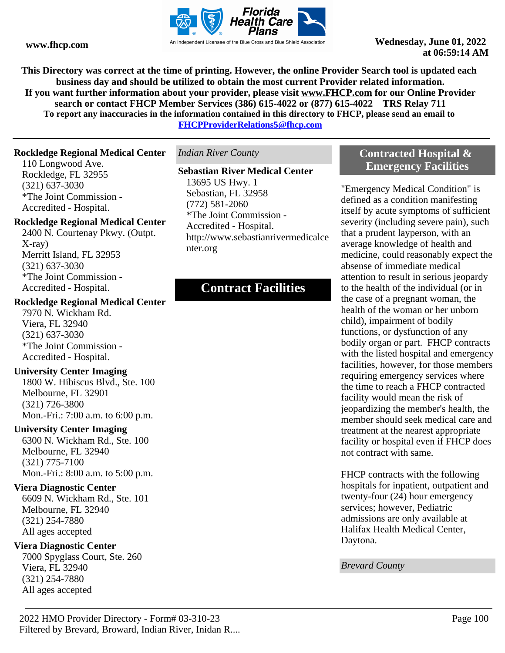

**This Directory was correct at the time of printing. However, the online Provider Search tool is updated each business day and should be utilized to obtain the most current Provider related information. If you want further information about your provider, please visit www.FHCP.com for our Online Provider search or contact FHCP Member Services (386) 615-4022 or (877) 615-4022 TRS Relay 711 To report any inaccuracies in the information contained in this directory to FHCP, please send an email to FHCPProviderRelations5@fhcp.com**

**Rockledge Regional Medical Center**

110 Longwood Ave. Rockledge, FL 32955 (321) 637-3030 \*The Joint Commission - Accredited - Hospital.

## **Rockledge Regional Medical Center**

2400 N. Courtenay Pkwy. (Outpt. X-ray) Merritt Island, FL 32953 (321) 637-3030 \*The Joint Commission - Accredited - Hospital.

#### **Rockledge Regional Medical Center**

7970 N. Wickham Rd. Viera, FL 32940 (321) 637-3030 \*The Joint Commission - Accredited - Hospital.

#### **University Center Imaging**

1800 W. Hibiscus Blvd., Ste. 100 Melbourne, FL 32901 (321) 726-3800 Mon.-Fri.: 7:00 a.m. to 6:00 p.m.

## **University Center Imaging**

6300 N. Wickham Rd., Ste. 100 Melbourne, FL 32940 (321) 775-7100 Mon.-Fri.: 8:00 a.m. to 5:00 p.m.

#### **Viera Diagnostic Center**

6609 N. Wickham Rd., Ste. 101 Melbourne, FL 32940 (321) 254-7880 All ages accepted

#### **Viera Diagnostic Center**

7000 Spyglass Court, Ste. 260 Viera, FL 32940 (321) 254-7880 All ages accepted

*Indian River County*

## **Sebastian River Medical Center**

13695 US Hwy. 1 Sebastian, FL 32958 (772) 581-2060 \*The Joint Commission - Accredited - Hospital. http://www.sebastianrivermedicalce nter.org

# **Contract Facilities**

## **Contracted Hospital & Emergency Facilities**

"Emergency Medical Condition" is defined as a condition manifesting itself by acute symptoms of sufficient severity (including severe pain), such that a prudent layperson, with an average knowledge of health and medicine, could reasonably expect the absense of immediate medical attention to result in serious jeopardy to the health of the individual (or in the case of a pregnant woman, the health of the woman or her unborn child), impairment of bodily functions, or dysfunction of any bodily organ or part. FHCP contracts with the listed hospital and emergency facilities, however, for those members requiring emergency services where the time to reach a FHCP contracted facility would mean the risk of jeopardizing the member's health, the member should seek medical care and treatment at the nearest appropriate facility or hospital even if FHCP does not contract with same.

FHCP contracts with the following hospitals for inpatient, outpatient and twenty-four (24) hour emergency services; however, Pediatric admissions are only available at Halifax Health Medical Center, Daytona.

*Brevard County*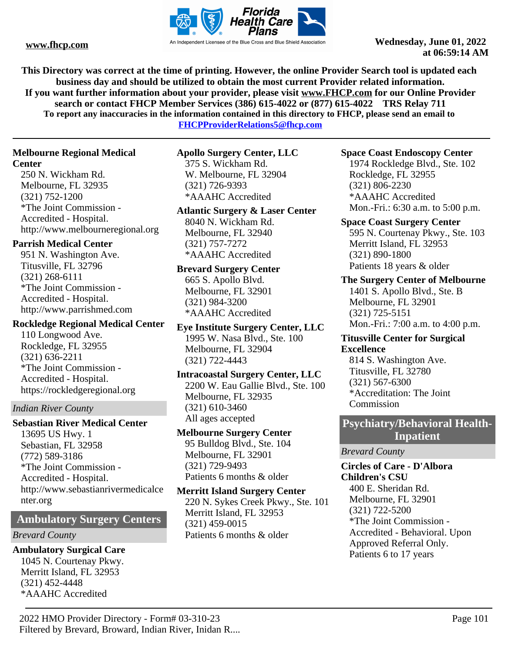

**This Directory was correct at the time of printing. However, the online Provider Search tool is updated each business day and should be utilized to obtain the most current Provider related information. If you want further information about your provider, please visit www.FHCP.com for our Online Provider search or contact FHCP Member Services (386) 615-4022 or (877) 615-4022 TRS Relay 711 To report any inaccuracies in the information contained in this directory to FHCP, please send an email to** 

**FHCPProviderRelations5@fhcp.com**

## **Melbourne Regional Medical**

## **Center**

250 N. Wickham Rd. Melbourne, FL 32935 (321) 752-1200 \*The Joint Commission - Accredited - Hospital. http://www.melbourneregional.org

## **Parrish Medical Center**

951 N. Washington Ave. Titusville, FL 32796 (321) 268-6111 \*The Joint Commission - Accredited - Hospital. http://www.parrishmed.com

## **Rockledge Regional Medical Center**

110 Longwood Ave. Rockledge, FL 32955 (321) 636-2211 \*The Joint Commission - Accredited - Hospital. https://rockledgeregional.org

## *Indian River County*

**Sebastian River Medical Center** 13695 US Hwy. 1 Sebastian, FL 32958 (772) 589-3186 \*The Joint Commission - Accredited - Hospital. http://www.sebastianrivermedicalce nter.org

## **Ambulatory Surgery Centers**

## *Brevard County*

## **Ambulatory Surgical Care** 1045 N. Courtenay Pkwy.

Merritt Island, FL 32953 (321) 452-4448 \*AAAHC Accredited

**Apollo Surgery Center, LLC**

375 S. Wickham Rd. W. Melbourne, FL 32904 (321) 726-9393 \*AAAHC Accredited

## **Atlantic Surgery & Laser Center**

8040 N. Wickham Rd. Melbourne, FL 32940 (321) 757-7272 \*AAAHC Accredited

## **Brevard Surgery Center** 665 S. Apollo Blvd. Melbourne, FL 32901

(321) 984-3200 \*AAAHC Accredited

**Eye Institute Surgery Center, LLC** 1995 W. Nasa Blvd., Ste. 100 Melbourne, FL 32904 (321) 722-4443

## **Intracoastal Surgery Center, LLC** 2200 W. Eau Gallie Blvd., Ste. 100 Melbourne, FL 32935 (321) 610-3460

All ages accepted

#### **Melbourne Surgery Center** 95 Bulldog Blvd., Ste. 104

Melbourne, FL 32901 (321) 729-9493 Patients 6 months & older

## **Merritt Island Surgery Center**

220 N. Sykes Creek Pkwy., Ste. 101 Merritt Island, FL 32953 (321) 459-0015 Patients 6 months & older

## **Space Coast Endoscopy Center**

1974 Rockledge Blvd., Ste. 102 Rockledge, FL 32955 (321) 806-2230 \*AAAHC Accredited Mon.-Fri.: 6:30 a.m. to 5:00 p.m.

# **Space Coast Surgery Center**

595 N. Courtenay Pkwy., Ste. 103 Merritt Island, FL 32953 (321) 890-1800 Patients 18 years & older

## **The Surgery Center of Melbourne** 1401 S. Apollo Blvd., Ste. B Melbourne, FL 32901 (321) 725-5151

Mon.-Fri.: 7:00 a.m. to 4:00 p.m.

## **Titusville Center for Surgical Excellence**

814 S. Washington Ave. Titusville, FL 32780 (321) 567-6300 \*Accreditation: The Joint Commission

# **Psychiatry/Behavioral Health-**

## **Inpatient**

*Brevard County*

## **Circles of Care - D'Albora Children's CSU**

400 E. Sheridan Rd. Melbourne, FL 32901 (321) 722-5200 \*The Joint Commission - Accredited - Behavioral. Upon Approved Referral Only. Patients 6 to 17 years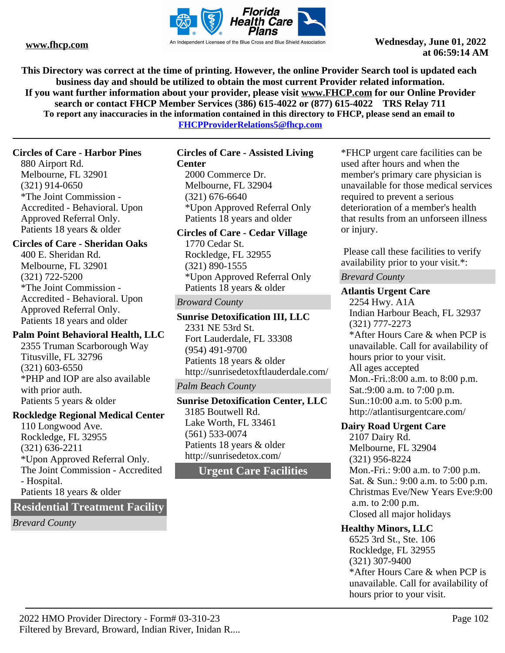

**This Directory was correct at the time of printing. However, the online Provider Search tool is updated each business day and should be utilized to obtain the most current Provider related information. If you want further information about your provider, please visit www.FHCP.com for our Online Provider search or contact FHCP Member Services (386) 615-4022 or (877) 615-4022 TRS Relay 711 To report any inaccuracies in the information contained in this directory to FHCP, please send an email to** 

**FHCPProviderRelations5@fhcp.com**

## **Circles of Care - Harbor Pines**

880 Airport Rd. Melbourne, FL 32901 (321) 914-0650 \*The Joint Commission - Accredited - Behavioral. Upon Approved Referral Only. Patients 18 years & older

## **Circles of Care - Sheridan Oaks**

400 E. Sheridan Rd. Melbourne, FL 32901 (321) 722-5200 \*The Joint Commission - Accredited - Behavioral. Upon Approved Referral Only. Patients 18 years and older

## **Palm Point Behavioral Health, LLC**

2355 Truman Scarborough Way Titusville, FL 32796 (321) 603-6550 \*PHP and IOP are also available with prior auth. Patients 5 years & older

## **Rockledge Regional Medical Center**

110 Longwood Ave. Rockledge, FL 32955 (321) 636-2211 \*Upon Approved Referral Only. The Joint Commission - Accredited - Hospital. Patients 18 years & older

## **Residential Treatment Facility**

*Brevard County*

#### **Circles of Care - Assisted Living Center**

2000 Commerce Dr. Melbourne, FL 32904 (321) 676-6640 \*Upon Approved Referral Only Patients 18 years and older

## **Circles of Care - Cedar Village**

1770 Cedar St. Rockledge, FL 32955 (321) 890-1555 \*Upon Approved Referral Only Patients 18 years & older

## *Broward County*

**Sunrise Detoxification III, LLC** 2331 NE 53rd St. Fort Lauderdale, FL 33308 (954) 491-9700 Patients 18 years & older http://sunrisedetoxftlauderdale.com/

## *Palm Beach County*

**Sunrise Detoxification Center, LLC** 3185 Boutwell Rd. Lake Worth, FL 33461 (561) 533-0074 Patients 18 years & older http://sunrisedetox.com/

## **Urgent Care Facilities**

\*FHCP urgent care facilities can be used after hours and when the member's primary care physician is unavailable for those medical services required to prevent a serious deterioration of a member's health that results from an unforseen illness or injury.

 Please call these facilities to verify availability prior to your visit.\*:

## *Brevard County*

## **Atlantis Urgent Care**

2254 Hwy. A1A Indian Harbour Beach, FL 32937 (321) 777-2273 \*After Hours Care & when PCP is unavailable. Call for availability of hours prior to your visit. All ages accepted Mon.-Fri.:8:00 a.m. to 8:00 p.m. Sat.:9:00 a.m. to 7:00 p.m. Sun.:10:00 a.m. to 5:00 p.m. http://atlantisurgentcare.com/

## **Dairy Road Urgent Care**

2107 Dairy Rd. Melbourne, FL 32904 (321) 956-8224 Mon.-Fri.: 9:00 a.m. to 7:00 p.m. Sat. & Sun.: 9:00 a.m. to 5:00 p.m. Christmas Eve/New Years Eve:9:00 a.m. to 2:00 p.m. Closed all major holidays

## **Healthy Minors, LLC**

6525 3rd St., Ste. 106 Rockledge, FL 32955 (321) 307-9400 \*After Hours Care & when PCP is unavailable. Call for availability of hours prior to your visit.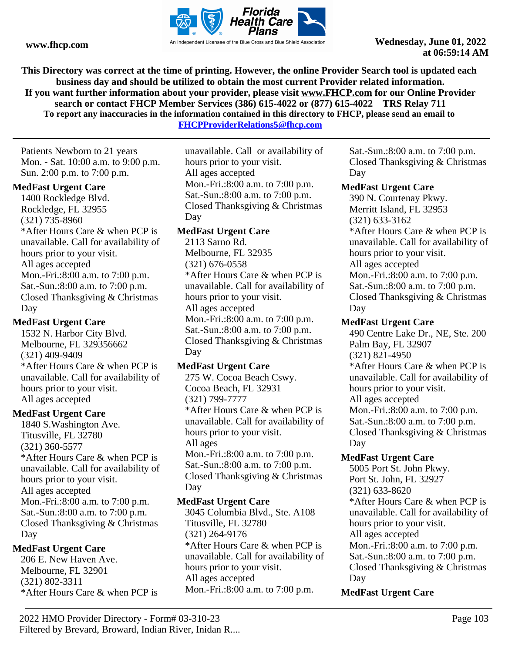

**This Directory was correct at the time of printing. However, the online Provider Search tool is updated each business day and should be utilized to obtain the most current Provider related information. If you want further information about your provider, please visit www.FHCP.com for our Online Provider search or contact FHCP Member Services (386) 615-4022 or (877) 615-4022 TRS Relay 711 To report any inaccuracies in the information contained in this directory to FHCP, please send an email to** 

**FHCPProviderRelations5@fhcp.com**

Patients Newborn to 21 years Mon. - Sat. 10:00 a.m. to 9:00 p.m. Sun. 2:00 p.m. to 7:00 p.m.

## **MedFast Urgent Care**

1400 Rockledge Blvd. Rockledge, FL 32955 (321) 735-8960 \*After Hours Care & when PCP is unavailable. Call for availability of hours prior to your visit. All ages accepted Mon.-Fri.:8:00 a.m. to 7:00 p.m. Sat.-Sun.:8:00 a.m. to 7:00 p.m. Closed Thanksgiving & Christmas Day

## **MedFast Urgent Care**

1532 N. Harbor City Blvd. Melbourne, FL 329356662 (321) 409-9409 \*After Hours Care & when PCP is unavailable. Call for availability of hours prior to your visit. All ages accepted

## **MedFast Urgent Care**

1840 S.Washington Ave. Titusville, FL 32780 (321) 360-5577 \*After Hours Care & when PCP is unavailable. Call for availability of hours prior to your visit. All ages accepted Mon.-Fri.:8:00 a.m. to 7:00 p.m. Sat.-Sun.:8:00 a.m. to 7:00 p.m. Closed Thanksgiving & Christmas Day

## **MedFast Urgent Care**

206 E. New Haven Ave. Melbourne, FL 32901 (321) 802-3311 \*After Hours Care & when PCP is

unavailable. Call or availability of hours prior to your visit. All ages accepted Mon.-Fri.:8:00 a.m. to 7:00 p.m. Sat.-Sun.:8:00 a.m. to 7:00 p.m. Closed Thanksgiving & Christmas Day

## **MedFast Urgent Care**

2113 Sarno Rd. Melbourne, FL 32935 (321) 676-0558 \*After Hours Care & when PCP is unavailable. Call for availability of hours prior to your visit. All ages accepted Mon.-Fri.:8:00 a.m. to 7:00 p.m. Sat.-Sun.:8:00 a.m. to 7:00 p.m. Closed Thanksgiving & Christmas Day

## **MedFast Urgent Care**

275 W. Cocoa Beach Cswy. Cocoa Beach, FL 32931 (321) 799-7777 \*After Hours Care & when PCP is unavailable. Call for availability of hours prior to your visit. All ages Mon.-Fri.:8:00 a.m. to 7:00 p.m. Sat.-Sun.:8:00 a.m. to 7:00 p.m. Closed Thanksgiving & Christmas Day

## **MedFast Urgent Care**

3045 Columbia Blvd., Ste. A108 Titusville, FL 32780 (321) 264-9176 \*After Hours Care & when PCP is unavailable. Call for availability of hours prior to your visit. All ages accepted Mon.-Fri.:8:00 a.m. to 7:00 p.m.

Sat.-Sun.:8:00 a.m. to 7:00 p.m. Closed Thanksgiving & Christmas Day

## **MedFast Urgent Care**

390 N. Courtenay Pkwy. Merritt Island, FL 32953 (321) 633-3162 \*After Hours Care & when PCP is unavailable. Call for availability of hours prior to your visit. All ages accepted Mon.-Fri.:8:00 a.m. to 7:00 p.m. Sat.-Sun.:8:00 a.m. to 7:00 p.m. Closed Thanksgiving & Christmas Day

## **MedFast Urgent Care**

490 Centre Lake Dr., NE, Ste. 200 Palm Bay, FL 32907 (321) 821-4950 \*After Hours Care & when PCP is unavailable. Call for availability of hours prior to your visit. All ages accepted Mon.-Fri.:8:00 a.m. to 7:00 p.m. Sat.-Sun.:8:00 a.m. to 7:00 p.m. Closed Thanksgiving & Christmas Day

## **MedFast Urgent Care**

5005 Port St. John Pkwy. Port St. John, FL 32927 (321) 633-8620 \*After Hours Care & when PCP is unavailable. Call for availability of hours prior to your visit. All ages accepted Mon.-Fri.:8:00 a.m. to 7:00 p.m. Sat.-Sun.:8:00 a.m. to 7:00 p.m. Closed Thanksgiving & Christmas Day

## **MedFast Urgent Care**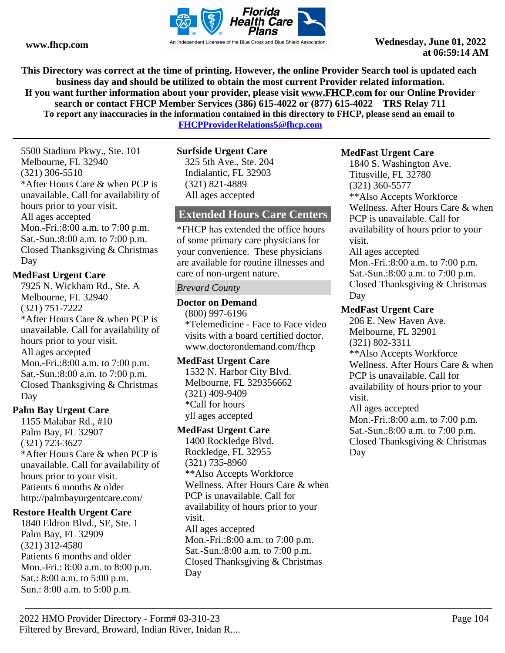

**This Directory was correct at the time of printing. However, the online Provider Search tool is updated each business day and should be utilized to obtain the most current Provider related information. If you want further information about your provider, please visit www.FHCP.com for our Online Provider search or contact FHCP Member Services (386) 615-4022 or (877) 615-4022 TRS Relay 711 To report any inaccuracies in the information contained in this directory to FHCP, please send an email to** 

**FHCPProviderRelations5@fhcp.com**

5500 Stadium Pkwy., Ste. 101 Melbourne, FL 32940 (321) 306-5510 \*After Hours Care & when PCP is unavailable. Call for availability of hours prior to your visit. All ages accepted Mon.-Fri.:8:00 a.m. to 7:00 p.m. Sat.-Sun.:8:00 a.m. to 7:00 p.m. Closed Thanksgiving & Christmas Day

## **MedFast Urgent Care**

7925 N. Wickham Rd., Ste. A Melbourne, FL 32940 (321) 751-7222 \*After Hours Care & when PCP is unavailable. Call for availability of hours prior to your visit. All ages accepted Mon.-Fri.:8:00 a.m. to 7:00 p.m. Sat.-Sun.:8:00 a.m. to 7:00 p.m. Closed Thanksgiving & Christmas Day

## **Palm Bay Urgent Care**

1155 Malabar Rd., #10 Palm Bay, FL 32907 (321) 723-3627 \*After Hours Care & when PCP is unavailable. Call for availability of hours prior to your visit. Patients 6 months & older http://palmbayurgentcare.com/

## **Restore Health Urgent Care**

1840 Eldron Blvd., SE, Ste. 1 Palm Bay, FL 32909 (321) 312-4580 Patients 6 months and older Mon.-Fri.: 8:00 a.m. to 8:00 p.m. Sat.: 8:00 a.m. to 5:00 p.m. Sun.: 8:00 a.m. to 5:00 p.m.

## **Surfside Urgent Care**

325 5th Ave., Ste. 204 Indialantic, FL 32903 (321) 821-4889 All ages accepted

## **Extended Hours Care Centers**

\*FHCP has extended the office hours of some primary care physicians for your convenience. These physicians are available for routine illnesses and care of non-urgent nature.

## *Brevard County*

## **Doctor on Demand**

(800) 997-6196 \*Telemedicine - Face to Face video visits with a board certified doctor. www.doctorondemand.com/fhcp

## **MedFast Urgent Care**

1532 N. Harbor City Blvd. Melbourne, FL 329356662 (321) 409-9409 \*Call for hours yll ages accepted

## **MedFast Urgent Care**

1400 Rockledge Blvd. Rockledge, FL 32955 (321) 735-8960 \*\*Also Accepts Workforce Wellness. After Hours Care & when PCP is unavailable. Call for availability of hours prior to your visit. All ages accepted Mon.-Fri.:8:00 a.m. to 7:00 p.m. Sat.-Sun.:8:00 a.m. to 7:00 p.m. Closed Thanksgiving & Christmas Day

## **MedFast Urgent Care**

1840 S. Washington Ave. Titusville, FL 32780 (321) 360-5577 \*\*Also Accepts Workforce Wellness. After Hours Care & when PCP is unavailable. Call for availability of hours prior to your visit. All ages accepted Mon.-Fri.:8:00 a.m. to 7:00 p.m. Sat.-Sun.:8:00 a.m. to 7:00 p.m. Closed Thanksgiving & Christmas Day

## **MedFast Urgent Care**

206 E. New Haven Ave. Melbourne, FL 32901 (321) 802-3311 \*\*Also Accepts Workforce Wellness. After Hours Care & when PCP is unavailable. Call for availability of hours prior to your visit. All ages accepted Mon.-Fri.:8:00 a.m. to 7:00 p.m. Sat.-Sun.:8:00 a.m. to 7:00 p.m. Closed Thanksgiving & Christmas

Day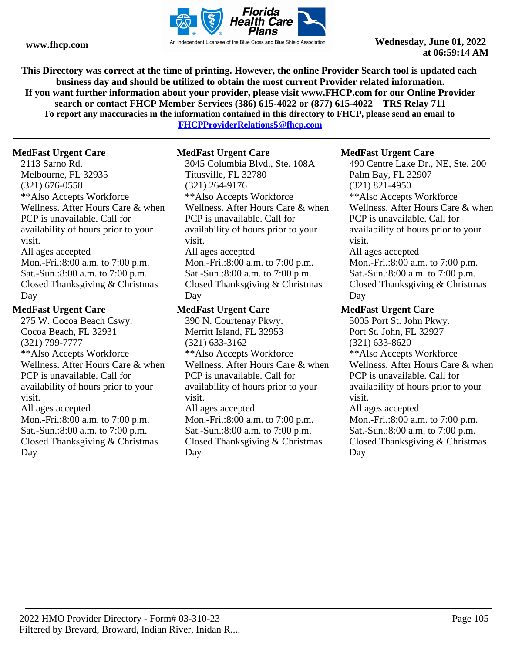

**This Directory was correct at the time of printing. However, the online Provider Search tool is updated each business day and should be utilized to obtain the most current Provider related information. If you want further information about your provider, please visit www.FHCP.com for our Online Provider search or contact FHCP Member Services (386) 615-4022 or (877) 615-4022 TRS Relay 711 To report any inaccuracies in the information contained in this directory to FHCP, please send an email to** 

**FHCPProviderRelations5@fhcp.com**

## **MedFast Urgent Care**

2113 Sarno Rd. Melbourne, FL 32935 (321) 676-0558 \*\*Also Accepts Workforce Wellness. After Hours Care & when PCP is unavailable. Call for availability of hours prior to your visit. All ages accepted Mon.-Fri.:8:00 a.m. to 7:00 p.m. Sat.-Sun.:8:00 a.m. to 7:00 p.m. Closed Thanksgiving & Christmas Day

## **MedFast Urgent Care**

275 W. Cocoa Beach Cswy. Cocoa Beach, FL 32931 (321) 799-7777 \*\*Also Accepts Workforce Wellness. After Hours Care & when PCP is unavailable. Call for availability of hours prior to your visit. All ages accepted Mon.-Fri.:8:00 a.m. to 7:00 p.m. Sat.-Sun.:8:00 a.m. to 7:00 p.m. Closed Thanksgiving & Christmas Day

## **MedFast Urgent Care**

3045 Columbia Blvd., Ste. 108A Titusville, FL 32780 (321) 264-9176 \*\*Also Accepts Workforce Wellness. After Hours Care & when PCP is unavailable. Call for availability of hours prior to your visit. All ages accepted Mon.-Fri.:8:00 a.m. to 7:00 p.m. Sat.-Sun.:8:00 a.m. to 7:00 p.m. Closed Thanksgiving & Christmas Day

## **MedFast Urgent Care**

390 N. Courtenay Pkwy. Merritt Island, FL 32953 (321) 633-3162 \*\*Also Accepts Workforce Wellness. After Hours Care & when PCP is unavailable. Call for availability of hours prior to your visit. All ages accepted Mon.-Fri.:8:00 a.m. to 7:00 p.m. Sat.-Sun.:8:00 a.m. to 7:00 p.m. Closed Thanksgiving & Christmas Day

### **MedFast Urgent Care**

490 Centre Lake Dr., NE, Ste. 200 Palm Bay, FL 32907 (321) 821-4950 \*\*Also Accepts Workforce Wellness. After Hours Care & when PCP is unavailable. Call for availability of hours prior to your visit. All ages accepted Mon.-Fri.:8:00 a.m. to 7:00 p.m. Sat.-Sun.:8:00 a.m. to 7:00 p.m. Closed Thanksgiving & Christmas Day

## **MedFast Urgent Care**

5005 Port St. John Pkwy. Port St. John, FL 32927 (321) 633-8620 \*\*Also Accepts Workforce Wellness. After Hours Care & when PCP is unavailable. Call for availability of hours prior to your visit. All ages accepted Mon.-Fri.:8:00 a.m. to 7:00 p.m. Sat.-Sun.:8:00 a.m. to 7:00 p.m. Closed Thanksgiving & Christmas

Day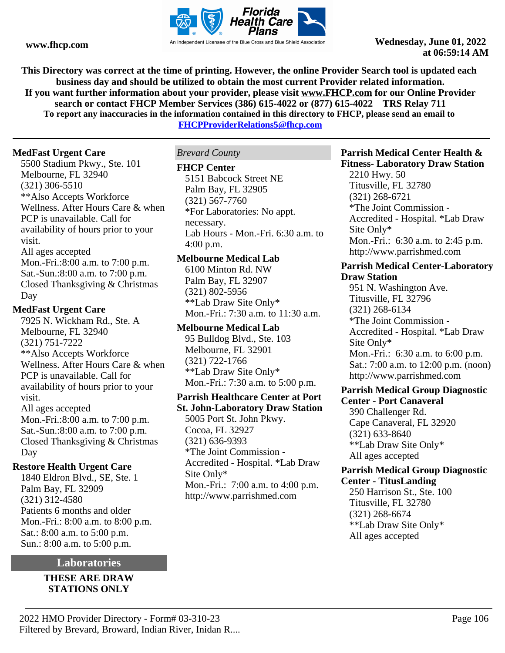

**This Directory was correct at the time of printing. However, the online Provider Search tool is updated each business day and should be utilized to obtain the most current Provider related information. If you want further information about your provider, please visit www.FHCP.com for our Online Provider search or contact FHCP Member Services (386) 615-4022 or (877) 615-4022 TRS Relay 711 To report any inaccuracies in the information contained in this directory to FHCP, please send an email to** 

**FHCPProviderRelations5@fhcp.com**

## **MedFast Urgent Care**

5500 Stadium Pkwy., Ste. 101 Melbourne, FL 32940 (321) 306-5510 \*\*Also Accepts Workforce Wellness. After Hours Care & when PCP is unavailable. Call for availability of hours prior to your visit. All ages accepted Mon.-Fri.:8:00 a.m. to 7:00 p.m. Sat.-Sun.:8:00 a.m. to 7:00 p.m. Closed Thanksgiving & Christmas Day

## **MedFast Urgent Care**

7925 N. Wickham Rd., Ste. A Melbourne, FL 32940 (321) 751-7222 \*\*Also Accepts Workforce Wellness. After Hours Care & when PCP is unavailable. Call for availability of hours prior to your visit. All ages accepted Mon.-Fri.:8:00 a.m. to 7:00 p.m. Sat.-Sun.:8:00 a.m. to 7:00 p.m. Closed Thanksgiving & Christmas

## Day **Restore Health Urgent Care**

1840 Eldron Blvd., SE, Ste. 1 Palm Bay, FL 32909 (321) 312-4580 Patients 6 months and older Mon.-Fri.: 8:00 a.m. to 8:00 p.m. Sat.: 8:00 a.m. to 5:00 p.m. Sun.: 8:00 a.m. to 5:00 p.m.

## **Laboratories**

**THESE ARE DRAW STATIONS ONLY**

## *Brevard County*

### **FHCP Center**

5151 Babcock Street NE Palm Bay, FL 32905 (321) 567-7760 \*For Laboratories: No appt. necessary. Lab Hours - Mon.-Fri. 6:30 a.m. to 4:00 p.m.

## **Melbourne Medical Lab**

6100 Minton Rd. NW Palm Bay, FL 32907 (321) 802-5956 \*\*Lab Draw Site Only\* Mon.-Fri.: 7:30 a.m. to 11:30 a.m.

**Melbourne Medical Lab** 95 Bulldog Blvd., Ste. 103 Melbourne, FL 32901 (321) 722-1766 \*\*Lab Draw Site Only\* Mon.-Fri.: 7:30 a.m. to 5:00 p.m.

## **Parrish Healthcare Center at Port St. John-Laboratory Draw Station**

5005 Port St. John Pkwy. Cocoa, FL 32927 (321) 636-9393 \*The Joint Commission - Accredited - Hospital. \*Lab Draw Site Only\* Mon.-Fri.: 7:00 a.m. to 4:00 p.m. http://www.parrishmed.com

#### **Parrish Medical Center Health & Fitness- Laboratory Draw Station**

2210 Hwy. 50 Titusville, FL 32780 (321) 268-6721 \*The Joint Commission - Accredited - Hospital. \*Lab Draw Site Only\* Mon.-Fri.: 6:30 a.m. to 2:45 p.m. http://www.parrishmed.com

#### **Parrish Medical Center-Laboratory Draw Station**

951 N. Washington Ave. Titusville, FL 32796 (321) 268-6134 \*The Joint Commission - Accredited - Hospital. \*Lab Draw Site Only\* Mon.-Fri.: 6:30 a.m. to 6:00 p.m. Sat.: 7:00 a.m. to 12:00 p.m. (noon) http://www.parrishmed.com

# **Parrish Medical Group Diagnostic**

**Center - Port Canaveral** 390 Challenger Rd. Cape Canaveral, FL 32920 (321) 633-8640 \*\*Lab Draw Site Only\* All ages accepted

## **Parrish Medical Group Diagnostic Center - TitusLanding**

250 Harrison St., Ste. 100 Titusville, FL 32780 (321) 268-6674 \*\*Lab Draw Site Only\* All ages accepted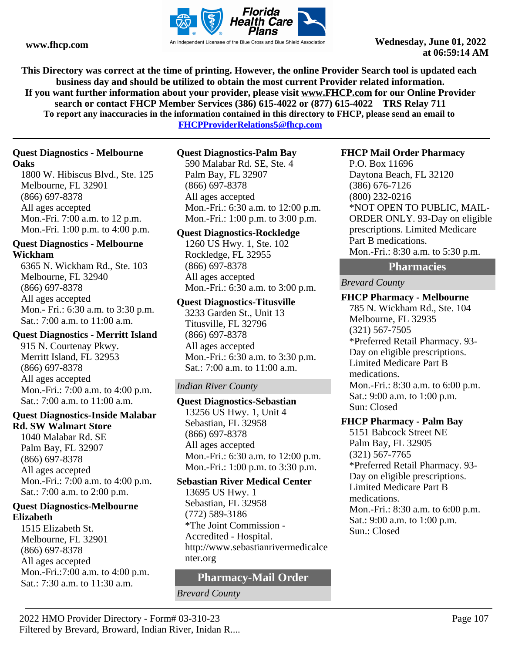

**This Directory was correct at the time of printing. However, the online Provider Search tool is updated each business day and should be utilized to obtain the most current Provider related information. If you want further information about your provider, please visit www.FHCP.com for our Online Provider search or contact FHCP Member Services (386) 615-4022 or (877) 615-4022 TRS Relay 711 To report any inaccuracies in the information contained in this directory to FHCP, please send an email to** 

**FHCPProviderRelations5@fhcp.com**

## **Quest Diagnostics - Melbourne Oaks**

1800 W. Hibiscus Blvd., Ste. 125 Melbourne, FL 32901 (866) 697-8378 All ages accepted Mon.-Fri. 7:00 a.m. to 12 p.m. Mon.-Fri. 1:00 p.m. to 4:00 p.m.

## **Quest Diagnostics - Melbourne Wickham**

6365 N. Wickham Rd., Ste. 103 Melbourne, FL 32940 (866) 697-8378 All ages accepted Mon.- Fri.: 6:30 a.m. to 3:30 p.m. Sat.: 7:00 a.m. to 11:00 a.m.

## **Quest Diagnostics - Merritt Island**

915 N. Courtenay Pkwy. Merritt Island, FL 32953 (866) 697-8378 All ages accepted Mon.-Fri.: 7:00 a.m. to 4:00 p.m. Sat.: 7:00 a.m. to 11:00 a.m.

#### **Quest Diagnostics-Inside Malabar Rd. SW Walmart Store**

1040 Malabar Rd. SE Palm Bay, FL 32907 (866) 697-8378 All ages accepted Mon.-Fri.: 7:00 a.m. to 4:00 p.m. Sat.: 7:00 a.m. to 2:00 p.m.

## **Quest Diagnostics-Melbourne Elizabeth**

1515 Elizabeth St. Melbourne, FL 32901 (866) 697-8378 All ages accepted Mon.-Fri.:7:00 a.m. to 4:00 p.m. Sat.: 7:30 a.m. to 11:30 a.m.

## **Quest Diagnostics-Palm Bay**

590 Malabar Rd. SE, Ste. 4 Palm Bay, FL 32907 (866) 697-8378 All ages accepted Mon.-Fri.: 6:30 a.m. to 12:00 p.m. Mon.-Fri.: 1:00 p.m. to 3:00 p.m.

## **Quest Diagnostics-Rockledge**

1260 US Hwy. 1, Ste. 102 Rockledge, FL 32955 (866) 697-8378 All ages accepted Mon.-Fri.: 6:30 a.m. to 3:00 p.m.

## **Quest Diagnostics-Titusville**

3233 Garden St., Unit 13 Titusville, FL 32796 (866) 697-8378 All ages accepted Mon.-Fri.: 6:30 a.m. to 3:30 p.m. Sat.: 7:00 a.m. to 11:00 a.m.

## *Indian River County*

## **Quest Diagnostics-Sebastian**

13256 US Hwy. 1, Unit 4 Sebastian, FL 32958 (866) 697-8378 All ages accepted Mon.-Fri.: 6:30 a.m. to 12:00 p.m. Mon.-Fri.: 1:00 p.m. to 3:30 p.m.

## **Sebastian River Medical Center**

13695 US Hwy. 1 Sebastian, FL 32958 (772) 589-3186 \*The Joint Commission - Accredited - Hospital. http://www.sebastianrivermedicalce nter.org

## **Pharmacy-Mail Order**

*Brevard County*

## **FHCP Mail Order Pharmacy**

P.O. Box 11696 Daytona Beach, FL 32120 (386) 676-7126 (800) 232-0216 \*NOT OPEN TO PUBLIC, MAIL-ORDER ONLY. 93-Day on eligible prescriptions. Limited Medicare Part B medications. Mon.-Fri.: 8:30 a.m. to 5:30 p.m.

## **Pharmacies**

## *Brevard County*

**FHCP Pharmacy - Melbourne** 785 N. Wickham Rd., Ste. 104 Melbourne, FL 32935 (321) 567-7505 \*Preferred Retail Pharmacy. 93- Day on eligible prescriptions. Limited Medicare Part B medications. Mon.-Fri.: 8:30 a.m. to 6:00 p.m. Sat.: 9:00 a.m. to 1:00 p.m. Sun: Closed

## **FHCP Pharmacy - Palm Bay**

5151 Babcock Street NE Palm Bay, FL 32905 (321) 567-7765 \*Preferred Retail Pharmacy. 93- Day on eligible prescriptions. Limited Medicare Part B medications. Mon.-Fri.: 8:30 a.m. to 6:00 p.m. Sat.: 9:00 a.m. to 1:00 p.m. Sun.: Closed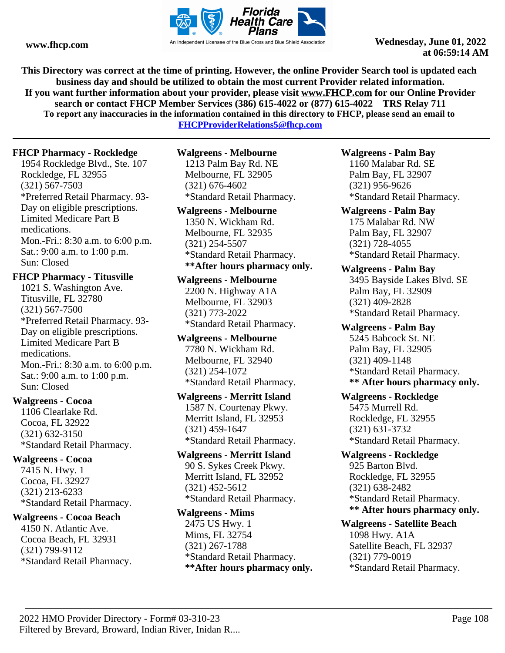

**This Directory was correct at the time of printing. However, the online Provider Search tool is updated each business day and should be utilized to obtain the most current Provider related information. If you want further information about your provider, please visit www.FHCP.com for our Online Provider search or contact FHCP Member Services (386) 615-4022 or (877) 615-4022 TRS Relay 711 To report any inaccuracies in the information contained in this directory to FHCP, please send an email to** 

**FHCPProviderRelations5@fhcp.com**

## **FHCP Pharmacy - Rockledge**

1954 Rockledge Blvd., Ste. 107 Rockledge, FL 32955 (321) 567-7503 \*Preferred Retail Pharmacy. 93- Day on eligible prescriptions. Limited Medicare Part B medications. Mon.-Fri.: 8:30 a.m. to 6:00 p.m. Sat.: 9:00 a.m. to 1:00 p.m. Sun: Closed

## **FHCP Pharmacy - Titusville**

1021 S. Washington Ave. Titusville, FL 32780 (321) 567-7500 \*Preferred Retail Pharmacy. 93- Day on eligible prescriptions. Limited Medicare Part B medications. Mon.-Fri.: 8:30 a.m. to 6:00 p.m. Sat.: 9:00 a.m. to 1:00 p.m. Sun: Closed

## **Walgreens - Cocoa**

1106 Clearlake Rd. Cocoa, FL 32922 (321) 632-3150 \*Standard Retail Pharmacy.

## **Walgreens - Cocoa**

7415 N. Hwy. 1 Cocoa, FL 32927 (321) 213-6233 \*Standard Retail Pharmacy.

## **Walgreens - Cocoa Beach**

4150 N. Atlantic Ave. Cocoa Beach, FL 32931 (321) 799-9112 \*Standard Retail Pharmacy.

## **Walgreens - Melbourne** 1213 Palm Bay Rd. NE

Melbourne, FL 32905 (321) 676-4602 \*Standard Retail Pharmacy.

## **Walgreens - Melbourne**

1350 N. Wickham Rd. Melbourne, FL 32935 (321) 254-5507 \*Standard Retail Pharmacy. **\*\*After hours pharmacy only.** 

## **Walgreens - Melbourne**

2200 N. Highway A1A Melbourne, FL 32903 (321) 773-2022 \*Standard Retail Pharmacy.

**Walgreens - Melbourne** 7780 N. Wickham Rd. Melbourne, FL 32940 (321) 254-1072 \*Standard Retail Pharmacy.

#### **Walgreens - Merritt Island**

1587 N. Courtenay Pkwy. Merritt Island, FL 32953 (321) 459-1647 \*Standard Retail Pharmacy.

## **Walgreens - Merritt Island**

90 S. Sykes Creek Pkwy. Merritt Island, FL 32952 (321) 452-5612 \*Standard Retail Pharmacy.

## **Walgreens - Mims**

2475 US Hwy. 1 Mims, FL 32754 (321) 267-1788 \*Standard Retail Pharmacy. **\*\*After hours pharmacy only.** 

## **Walgreens - Palm Bay**

1160 Malabar Rd. SE Palm Bay, FL 32907 (321) 956-9626 \*Standard Retail Pharmacy.

## **Walgreens - Palm Bay**

175 Malabar Rd. NW Palm Bay, FL 32907 (321) 728-4055 \*Standard Retail Pharmacy.

## **Walgreens - Palm Bay**

3495 Bayside Lakes Blvd. SE Palm Bay, FL 32909 (321) 409-2828 \*Standard Retail Pharmacy.

#### **Walgreens - Palm Bay** 5245 Babcock St. NE

Palm Bay, FL 32905 (321) 409-1148 \*Standard Retail Pharmacy. **\*\* After hours pharmacy only.** 

## **Walgreens - Rockledge** 5475 Murrell Rd. Rockledge, FL 32955

(321) 631-3732 \*Standard Retail Pharmacy.

## **Walgreens - Rockledge** 925 Barton Blvd. Rockledge, FL 32955 (321) 638-2482 \*Standard Retail Pharmacy. **\*\* After hours pharmacy only.**

## **Walgreens - Satellite Beach** 1098 Hwy. A1A Satellite Beach, FL 32937 (321) 779-0019 \*Standard Retail Pharmacy.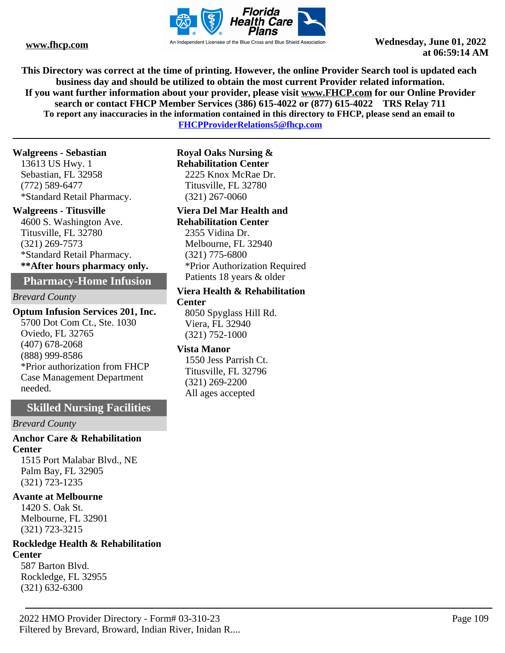

**WWW.fhcp.com** An Independent Licensee of the Blue Cross and Blue Shield Association **Wednesday, June 01, 2022 at 06:59:14 AM**

**This Directory was correct at the time of printing. However, the online Provider Search tool is updated each business day and should be utilized to obtain the most current Provider related information. If you want further information about your provider, please visit www.FHCP.com for our Online Provider search or contact FHCP Member Services (386) 615-4022 or (877) 615-4022 TRS Relay 711 To report any inaccuracies in the information contained in this directory to FHCP, please send an email to** 

**FHCPProviderRelations5@fhcp.com**

#### **Walgreens - Sebastian**

13613 US Hwy. 1 Sebastian, FL 32958 (772) 589-6477 \*Standard Retail Pharmacy.

#### **Walgreens - Titusville**

4600 S. Washington Ave. Titusville, FL 32780 (321) 269-7573 \*Standard Retail Pharmacy. **\*\*After hours pharmacy only.** 

**Pharmacy-Home Infusion** 

#### *Brevard County*

**Optum Infusion Services 201, Inc.** 5700 Dot Com Ct., Ste. 1030 Oviedo, FL 32765 (407) 678-2068 (888) 999-8586 \*Prior authorization from FHCP Case Management Department needed.

### **Skilled Nursing Facilities**

*Brevard County*

**Anchor Care & Rehabilitation Center** 1515 Port Malabar Blvd., NE

Palm Bay, FL 32905 (321) 723-1235

#### **Avante at Melbourne**

1420 S. Oak St. Melbourne, FL 32901 (321) 723-3215

### **Rockledge Health & Rehabilitation Center**

587 Barton Blvd. Rockledge, FL 32955 (321) 632-6300

#### **Royal Oaks Nursing & Rehabilitation Center** 2225 Knox McRae Dr.

Titusville, FL 32780 (321) 267-0060

#### **Viera Del Mar Health and Rehabilitation Center**

2355 Vidina Dr. Melbourne, FL 32940 (321) 775-6800 \*Prior Authorization Required Patients 18 years & older

### **Viera Health & Rehabilitation**

**Center**

8050 Spyglass Hill Rd. Viera, FL 32940 (321) 752-1000

### **Vista Manor**

1550 Jess Parrish Ct. Titusville, FL 32796 (321) 269-2200 All ages accepted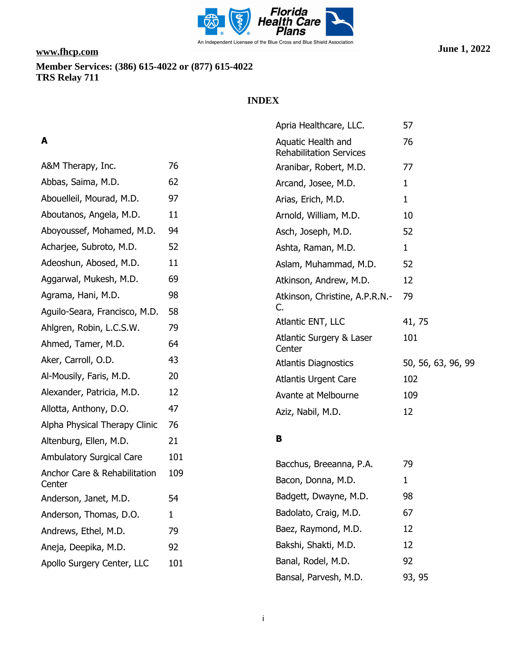

## **INDEX**

# **A**

| A&M Therapy, Inc.                                 | 76           |
|---------------------------------------------------|--------------|
| Abbas, Saima, M.D.                                | 62           |
| Abouelleil, Mourad, M.D.                          | 97           |
| Aboutanos, Angela, M.D.                           | 11           |
| Aboyoussef, Mohamed, M.D.                         | 94           |
| Acharjee, Subroto, M.D.                           | 52           |
| Adeoshun, Abosed, M.D.                            | 11           |
| Aggarwal, Mukesh, M.D.                            | 69           |
| Agrama, Hani, M.D.                                | 98           |
| Aguilo-Seara, Francisco, M.D.                     | 58           |
| Ahlgren, Robin, L.C.S.W.                          | 79           |
| Ahmed, Tamer, M.D.                                | 64           |
| Aker, Carroll, O.D.                               | 43           |
| Al-Mousily, Faris, M.D.                           | 20           |
| Alexander, Patricia, M.D.                         | 12           |
| Allotta, Anthony, D.O.                            | 47           |
| Alpha Physical Therapy Clinic                     | 76           |
| Altenburg, Ellen, M.D.                            | 21           |
| <b>Ambulatory Surgical Care</b>                   | 101          |
| <b>Anchor Care &amp; Rehabilitation</b><br>Center | 109          |
| Anderson, Janet, M.D.                             | 54           |
| Anderson, Thomas, D.O.                            | $\mathbf{1}$ |
| Andrews, Ethel, M.D.                              | 79           |
| Aneja, Deepika, M.D.                              | 92           |
| Apollo Surgery Center, LLC                        | 101          |
|                                                   |              |

| Apria Healthcare, LLC.                               | 57                 |
|------------------------------------------------------|--------------------|
| Aquatic Health and<br><b>Rehabilitation Services</b> | 76                 |
| Aranibar, Robert, M.D.                               | 77                 |
| Arcand, Josee, M.D.                                  | 1                  |
| Arias, Erich, M.D.                                   | 1                  |
| Arnold, William, M.D.                                | 10                 |
| Asch, Joseph, M.D.                                   | 52                 |
| Ashta, Raman, M.D.                                   | 1                  |
| Aslam, Muhammad, M.D.                                | 52                 |
| Atkinson, Andrew, M.D.                               | 12                 |
| Atkinson, Christine, A.P.R.N.-<br>C.                 | 79                 |
| Atlantic ENT, LLC                                    | 41, 75             |
| Atlantic Surgery & Laser<br>Center                   | 101                |
| <b>Atlantis Diagnostics</b>                          | 50, 56, 63, 96, 99 |
| <b>Atlantis Urgent Care</b>                          | 102                |
| Avante at Melbourne                                  | 109                |
| Aziz, Nabil, M.D.                                    | 12                 |

### **B**

| Bacchus, Breeanna, P.A. | 79     |
|-------------------------|--------|
| Bacon, Donna, M.D.      | 1      |
| Badgett, Dwayne, M.D.   | 98     |
| Badolato, Craig, M.D.   | 67     |
| Baez, Raymond, M.D.     | 12     |
| Bakshi, Shakti, M.D.    | 12     |
| Banal, Rodel, M.D.      | 92     |
| Bansal, Parvesh, M.D.   | 93, 95 |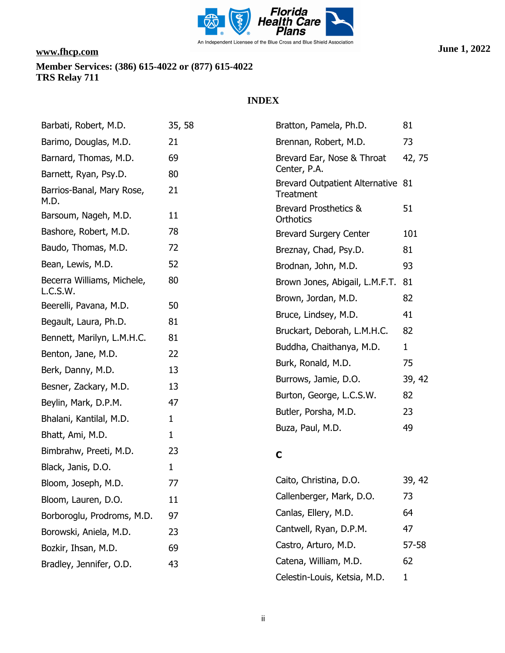

| Barbati, Robert, M.D.                  | 35, 58       | Bratton, Pamela, Ph.D.                         | 81           |
|----------------------------------------|--------------|------------------------------------------------|--------------|
| Barimo, Douglas, M.D.                  | 21           | Brennan, Robert, M.D.                          | 73           |
| Barnard, Thomas, M.D.                  | 69           | Brevard Ear, Nose & Throat                     | 42, 75       |
| Barnett, Ryan, Psy.D.                  | 80           | Center, P.A.                                   |              |
| Barrios-Banal, Mary Rose,<br>M.D.      | 21           | Brevard Outpatient Alternative 81<br>Treatment |              |
| Barsoum, Nageh, M.D.                   | 11           | <b>Brevard Prosthetics &amp;</b><br>Orthotics  | 51           |
| Bashore, Robert, M.D.                  | 78           | <b>Brevard Surgery Center</b>                  | 101          |
| Baudo, Thomas, M.D.                    | 72           | Breznay, Chad, Psy.D.                          | 81           |
| Bean, Lewis, M.D.                      | 52           | Brodnan, John, M.D.                            | 93           |
| Becerra Williams, Michele,<br>L.C.S.W. | 80           | Brown Jones, Abigail, L.M.F.T. 81              |              |
| Beerelli, Pavana, M.D.                 | 50           | Brown, Jordan, M.D.                            | 82           |
| Begault, Laura, Ph.D.                  | 81           | Bruce, Lindsey, M.D.                           | 41           |
| Bennett, Marilyn, L.M.H.C.             | 81           | Bruckart, Deborah, L.M.H.C.                    | 82           |
|                                        |              | Buddha, Chaithanya, M.D.                       | $\mathbf{1}$ |
| Benton, Jane, M.D.                     | 22           | Burk, Ronald, M.D.                             | 75           |
| Berk, Danny, M.D.                      | 13           | Burrows, Jamie, D.O.                           | 39, 42       |
| Besner, Zackary, M.D.                  | 13           | Burton, George, L.C.S.W.                       | 82           |
| Beylin, Mark, D.P.M.                   | 47           | Butler, Porsha, M.D.                           | 23           |
| Bhalani, Kantilal, M.D.                | $\mathbf{1}$ | Buza, Paul, M.D.                               | 49           |
| Bhatt, Ami, M.D.                       | $\mathbf{1}$ |                                                |              |
| Bimbrahw, Preeti, M.D.                 | 23           | $\mathbf C$                                    |              |
| Black, Janis, D.O.                     | $\mathbf 1$  |                                                |              |
| Bloom, Joseph, M.D.                    | 77           | Caito, Christina, D.O.                         | 39, 42       |
| Bloom, Lauren, D.O.                    | 11           | Callenberger, Mark, D.O.                       | 73           |
| Borboroglu, Prodroms, M.D.             | 97           | Canlas, Ellery, M.D.                           | 64           |
| Borowski, Aniela, M.D.                 | 23           | Cantwell, Ryan, D.P.M.                         | 47           |
| Bozkir, Ihsan, M.D.                    | 69           | Castro, Arturo, M.D.                           | 57-58        |
| Bradley, Jennifer, O.D.                | 43           | Catena, William, M.D.                          | 62           |
|                                        |              | Celestin-Louis, Ketsia, M.D.                   | $\mathbf{1}$ |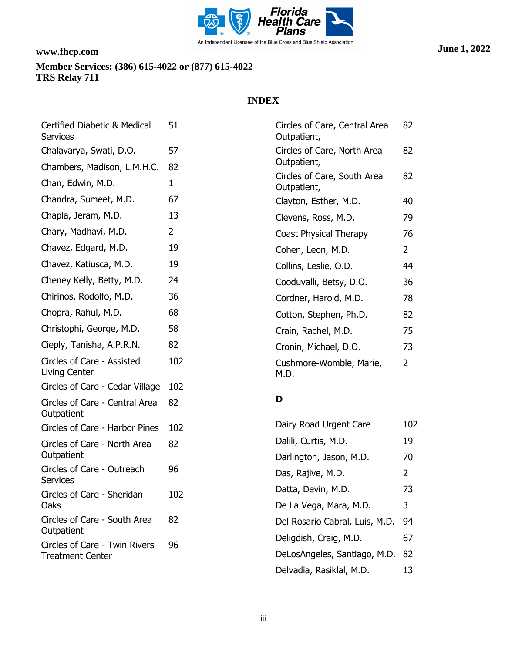

| Certified Diabetic & Medical<br><b>Services</b> | 51             | Circles of Care, Central Area<br>Outpatient, | 82             |
|-------------------------------------------------|----------------|----------------------------------------------|----------------|
| Chalavarya, Swati, D.O.                         | 57             | Circles of Care, North Area                  | 82             |
| Chambers, Madison, L.M.H.C.                     | 82             | Outpatient,                                  |                |
| Chan, Edwin, M.D.                               | $\mathbf{1}$   | Circles of Care, South Area<br>Outpatient,   | 82             |
| Chandra, Sumeet, M.D.                           | 67             | Clayton, Esther, M.D.                        | 40             |
| Chapla, Jeram, M.D.                             | 13             | Clevens, Ross, M.D.                          | 79             |
| Chary, Madhavi, M.D.                            | $\overline{2}$ | Coast Physical Therapy                       | 76             |
| Chavez, Edgard, M.D.                            | 19             | Cohen, Leon, M.D.                            | $\overline{2}$ |
| Chavez, Katiusca, M.D.                          | 19             | Collins, Leslie, O.D.                        | 44             |
| Cheney Kelly, Betty, M.D.                       | 24             | Cooduvalli, Betsy, D.O.                      | 36             |
| Chirinos, Rodolfo, M.D.                         | 36             | Cordner, Harold, M.D.                        | 78             |
| Chopra, Rahul, M.D.                             | 68             | Cotton, Stephen, Ph.D.                       | 82             |
| Christophi, George, M.D.                        | 58             | Crain, Rachel, M.D.                          | 75             |
| Cieply, Tanisha, A.P.R.N.                       | 82             | Cronin, Michael, D.O.                        | 73             |
| Circles of Care - Assisted<br>Living Center     | 102            | Cushmore-Womble, Marie,<br>M.D.              | $\overline{2}$ |
| Circles of Care - Cedar Village                 | 102            |                                              |                |
| Circles of Care - Central Area<br>Outpatient    | 82             | D                                            |                |
| Circles of Care - Harbor Pines                  | 102            | Dairy Road Urgent Care                       | 102            |
| Circles of Care - North Area                    | 82             | Dalili, Curtis, M.D.                         | 19             |
| Outpatient                                      |                | Darlington, Jason, M.D.                      | 70             |
| Circles of Care - Outreach<br><b>Services</b>   | 96             | Das, Rajive, M.D.                            | 2              |
| Circles of Care - Sheridan                      | 102            | Datta, Devin, M.D.                           | 73             |
| Oaks                                            |                | De La Vega, Mara, M.D.                       | 3              |
| Circles of Care - South Area<br>Outpatient      | 82             | Del Rosario Cabral, Luis, M.D.               | 94             |
| Circles of Care - Twin Rivers                   | 96             | Deligdish, Craig, M.D.                       | 67             |
| <b>Treatment Center</b>                         |                | DeLosAngeles, Santiago, M.D.                 | 82             |
|                                                 |                | Delvadia, Rasiklal, M.D.                     | 13             |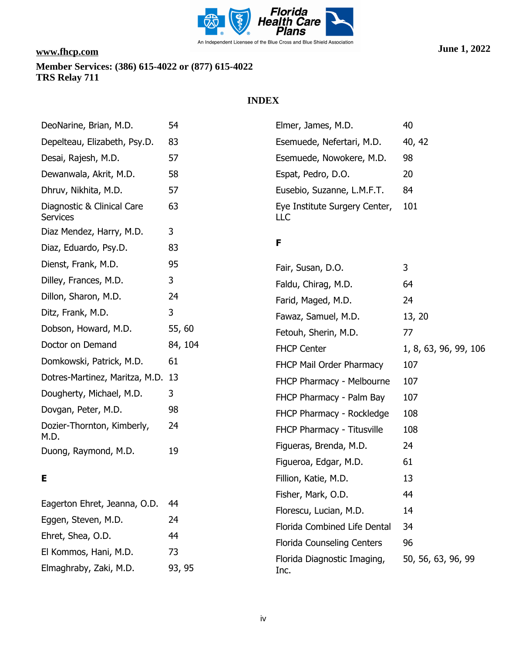

## **INDEX**

| DeoNarine, Brian, M.D.                        | 54      |
|-----------------------------------------------|---------|
| Depelteau, Elizabeth, Psy.D.                  | 83      |
| Desai, Rajesh, M.D.                           | 57      |
| Dewanwala, Akrit, M.D.                        | 58      |
| Dhruv, Nikhita, M.D.                          | 57      |
| Diagnostic & Clinical Care<br><b>Services</b> | 63      |
| Diaz Mendez, Harry, M.D.                      | 3       |
| Diaz, Eduardo, Psy.D.                         | 83      |
| Dienst, Frank, M.D.                           | 95      |
| Dilley, Frances, M.D.                         | 3       |
| Dillon, Sharon, M.D.                          | 24      |
| Ditz, Frank, M.D.                             | 3       |
| Dobson, Howard, M.D.                          | 55,60   |
| Doctor on Demand                              | 84, 104 |
| Domkowski, Patrick, M.D.                      | 61      |
| Dotres-Martinez, Maritza, M.D.                | 13      |
| Dougherty, Michael, M.D.                      | 3       |
| Dovgan, Peter, M.D.                           | 98      |
| Dozier-Thornton, Kimberly,<br>M.D.            | 24      |
| Duong, Raymond, M.D.                          | 19      |

# **E**

| Eagerton Ehret, Jeanna, O.D. | 44     |
|------------------------------|--------|
| Eggen, Steven, M.D.          | 24     |
| Ehret, Shea, O.D.            | 44     |
| El Kommos, Hani, M.D.        | 73     |
| Elmaghraby, Zaki, M.D.       | 93, 95 |

| Elmer, James, M.D.                    | 40     |
|---------------------------------------|--------|
| Esemuede, Nefertari, M.D.             | 40, 42 |
| Esemuede, Nowokere, M.D.              | 98     |
| Espat, Pedro, D.O.                    | 20     |
| Eusebio, Suzanne, L.M.F.T.            | 84     |
| Eye Institute Surgery Center,<br>II C | 101    |

### **F**

| Fair, Susan, D.O.                   | 3                     |
|-------------------------------------|-----------------------|
| Faldu, Chirag, M.D.                 | 64                    |
| Farid, Maged, M.D.                  | 24                    |
| Fawaz, Samuel, M.D.                 | 13, 20                |
| Fetouh, Sherin, M.D.                | 77                    |
| <b>FHCP Center</b>                  | 1, 8, 63, 96, 99, 106 |
| FHCP Mail Order Pharmacy            | 107                   |
| FHCP Pharmacy - Melbourne           | 107                   |
| FHCP Pharmacy - Palm Bay            | 107                   |
| FHCP Pharmacy - Rockledge           | 108                   |
| <b>FHCP Pharmacy - Titusville</b>   | 108                   |
| Figueras, Brenda, M.D.              | 24                    |
| Figueroa, Edgar, M.D.               | 61                    |
| Fillion, Katie, M.D.                | 13                    |
| Fisher, Mark, O.D.                  | 44                    |
| Florescu, Lucian, M.D.              | 14                    |
| Florida Combined Life Dental        | 34                    |
| <b>Florida Counseling Centers</b>   | 96                    |
| Florida Diagnostic Imaging,<br>Inc. | 50, 56, 63, 96, 99    |
|                                     |                       |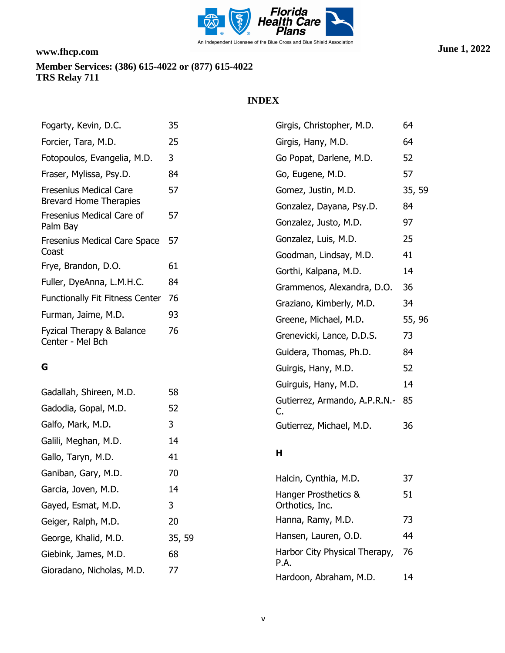

| Fogarty, Kevin, D.C.                                           | 35     | Girgis, Christopher, M.D.                         | 64       |
|----------------------------------------------------------------|--------|---------------------------------------------------|----------|
| Forcier, Tara, M.D.                                            | 25     | Girgis, Hany, M.D.                                | 64       |
| Fotopoulos, Evangelia, M.D.                                    | 3      | Go Popat, Darlene, M.D.                           | 52       |
| Fraser, Mylissa, Psy.D.                                        | 84     | Go, Eugene, M.D.                                  | 57       |
| <b>Fresenius Medical Care</b><br><b>Brevard Home Therapies</b> | 57     | Gomez, Justin, M.D.                               | 35, 59   |
| Fresenius Medical Care of<br>Palm Bay                          | 57     | Gonzalez, Dayana, Psy.D.<br>Gonzalez, Justo, M.D. | 84<br>97 |
| Fresenius Medical Care Space<br>Coast                          | 57     | Gonzalez, Luis, M.D.<br>Goodman, Lindsay, M.D.    | 25<br>41 |
| Frye, Brandon, D.O.                                            | 61     | Gorthi, Kalpana, M.D.                             | 14       |
| Fuller, DyeAnna, L.M.H.C.                                      | 84     | Grammenos, Alexandra, D.O.                        | 36       |
| <b>Functionally Fit Fitness Center</b>                         | 76     | Graziano, Kimberly, M.D.                          | 34       |
| Furman, Jaime, M.D.                                            | 93     | Greene, Michael, M.D.                             | 55, 96   |
| Fyzical Therapy & Balance<br>Center - Mel Bch                  | 76     | Grenevicki, Lance, D.D.S.                         | 73       |
|                                                                |        | Guidera, Thomas, Ph.D.                            | 84       |
| G                                                              |        | Guirgis, Hany, M.D.                               | 52       |
| Gadallah, Shireen, M.D.                                        | 58     | Guirguis, Hany, M.D.                              | 14       |
| Gadodia, Gopal, M.D.                                           | 52     | Gutierrez, Armando, A.P.R.N.-<br>C.               | 85       |
| Galfo, Mark, M.D.                                              | 3      | Gutierrez, Michael, M.D.                          | 36       |
| Galili, Meghan, M.D.                                           | 14     |                                                   |          |
| Gallo, Taryn, M.D.                                             | 41     | Н                                                 |          |
| Ganiban, Gary, M.D.                                            | 70     | Halcin, Cynthia, M.D.                             | 37       |
| Garcia, Joven, M.D.                                            | 14     | Hanger Prosthetics &                              | 51       |
| Gayed, Esmat, M.D.                                             | 3      | Orthotics, Inc.                                   |          |
| Geiger, Ralph, M.D.                                            | 20     | Hanna, Ramy, M.D.                                 | 73       |
| George, Khalid, M.D.                                           | 35, 59 | Hansen, Lauren, O.D.                              | 44       |
| Giebink, James, M.D.                                           | 68     | Harbor City Physical Therapy,                     | 76       |
| Gioradano, Nicholas, M.D.                                      | 77     | P.A.<br>Hardoon, Abraham, M.D.                    | 14       |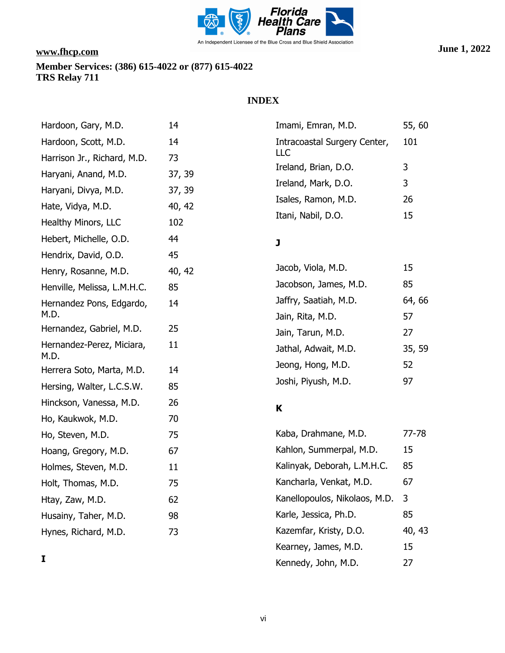

## **INDEX**

| Hardoon, Gary, M.D.               | 14     | Imami, Emran, M.D.            | 55,             |
|-----------------------------------|--------|-------------------------------|-----------------|
| Hardoon, Scott, M.D.              | 14     | Intracoastal Surgery Center,  | 10 <sub>1</sub> |
| Harrison Jr., Richard, M.D.       | 73     | LLC                           | 3               |
| Haryani, Anand, M.D.              | 37, 39 | Ireland, Brian, D.O.          |                 |
| Haryani, Divya, M.D.              | 37, 39 | Ireland, Mark, D.O.           | 3               |
| Hate, Vidya, M.D.                 | 40, 42 | Isales, Ramon, M.D.           | 26              |
| Healthy Minors, LLC               | 102    | Itani, Nabil, D.O.            | 15              |
| Hebert, Michelle, O.D.            | 44     | J                             |                 |
| Hendrix, David, O.D.              | 45     |                               |                 |
| Henry, Rosanne, M.D.              | 40, 42 | Jacob, Viola, M.D.            | 15              |
| Henville, Melissa, L.M.H.C.       | 85     | Jacobson, James, M.D.         | 85              |
| Hernandez Pons, Edgardo,          | 14     | Jaffry, Saatiah, M.D.         | 64,             |
| M.D.                              |        | Jain, Rita, M.D.              | 57              |
| Hernandez, Gabriel, M.D.          | 25     | Jain, Tarun, M.D.             | 27              |
| Hernandez-Perez, Miciara,<br>M.D. | 11     | Jathal, Adwait, M.D.          | 35,             |
| Herrera Soto, Marta, M.D.         | 14     | Jeong, Hong, M.D.             | 52              |
| Hersing, Walter, L.C.S.W.         | 85     | Joshi, Piyush, M.D.           | 97              |
| Hinckson, Vanessa, M.D.           | 26     | K                             |                 |
| Ho, Kaukwok, M.D.                 | 70     |                               |                 |
| Ho, Steven, M.D.                  | 75     | Kaba, Drahmane, M.D.          | $77-$           |
| Hoang, Gregory, M.D.              | 67     | Kahlon, Summerpal, M.D.       | 15              |
| Holmes, Steven, M.D.              | 11     | Kalinyak, Deborah, L.M.H.C.   | 85              |
| Holt, Thomas, M.D.                | 75     | Kancharla, Venkat, M.D.       | 67              |
| Htay, Zaw, M.D.                   | 62     | Kanellopoulos, Nikolaos, M.D. | 3               |
| Husainy, Taher, M.D.              | 98     | Karle, Jessica, Ph.D.         | 85              |
| Hynes, Richard, M.D.              | 73     | Kazemfar, Kristy, D.O.        | 40,             |
|                                   |        | Kearney, James, M.D.          | 15              |

**I**

55, 60

64, 66

35, 59

77-78

40, 43

Kennedy, John, M.D. 27

101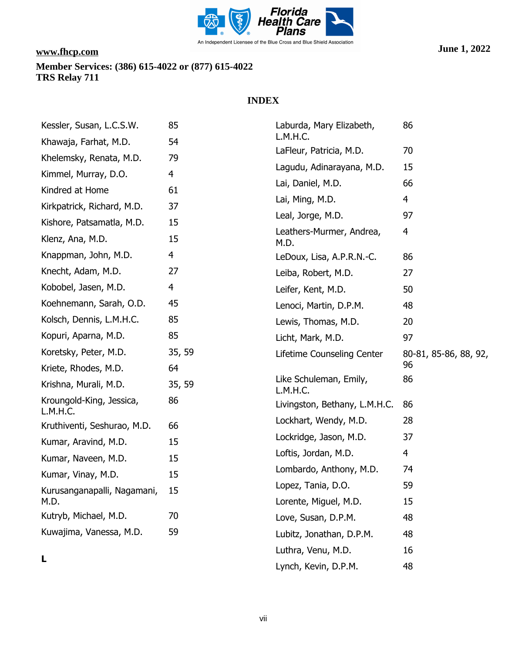

| Kessler, Susan, L.C.S.W.                | 85     | Laburda, Mary Elizabeth,                  | 86                    |
|-----------------------------------------|--------|-------------------------------------------|-----------------------|
| Khawaja, Farhat, M.D.                   | 54     | L.M.H.C.                                  |                       |
| Khelemsky, Renata, M.D.                 | 79     | LaFleur, Patricia, M.D.                   | 70                    |
| Kimmel, Murray, D.O.                    | 4      | Lagudu, Adinarayana, M.D.                 | 15                    |
| Kindred at Home                         | 61     | Lai, Daniel, M.D.                         | 66                    |
| Kirkpatrick, Richard, M.D.              | 37     | Lai, Ming, M.D.                           | 4                     |
| Kishore, Patsamatla, M.D.               | 15     | Leal, Jorge, M.D.                         | 97                    |
| Klenz, Ana, M.D.                        | 15     | Leathers-Murmer, Andrea,<br>M.D.          | 4                     |
| Knappman, John, M.D.                    | 4      | LeDoux, Lisa, A.P.R.N.-C.                 | 86                    |
| Knecht, Adam, M.D.                      | 27     | Leiba, Robert, M.D.                       | 27                    |
| Kobobel, Jasen, M.D.                    | 4      | Leifer, Kent, M.D.                        | 50                    |
| Koehnemann, Sarah, O.D.                 | 45     | Lenoci, Martin, D.P.M.                    | 48                    |
| Kolsch, Dennis, L.M.H.C.                | 85     | Lewis, Thomas, M.D.                       | 20                    |
| Kopuri, Aparna, M.D.                    | 85     | Licht, Mark, M.D.                         | 97                    |
| Koretsky, Peter, M.D.                   | 35, 59 | Lifetime Counseling Center                | 80-81, 85-86, 88, 92, |
| Kriete, Rhodes, M.D.                    | 64     |                                           | 96                    |
|                                         |        |                                           |                       |
| Krishna, Murali, M.D.                   | 35, 59 | Like Schuleman, Emily,                    | 86                    |
| Kroungold-King, Jessica,                | 86     | L.M.H.C.<br>Livingston, Bethany, L.M.H.C. | 86                    |
| L.M.H.C.<br>Kruthiventi, Seshurao, M.D. | 66     | Lockhart, Wendy, M.D.                     | 28                    |
| Kumar, Aravind, M.D.                    | 15     | Lockridge, Jason, M.D.                    | 37                    |
| Kumar, Naveen, M.D.                     | 15     | Loftis, Jordan, M.D.                      | $\overline{4}$        |
| Kumar, Vinay, M.D.                      | 15     | Lombardo, Anthony, M.D.                   | 74                    |
|                                         |        | Lopez, Tania, D.O.                        | 59                    |
| Kurusanganapalli, Nagamani,<br>M.D.     | 15     | Lorente, Miguel, M.D.                     | 15                    |
| Kutryb, Michael, M.D.                   | 70     | Love, Susan, D.P.M.                       | 48                    |
| Kuwajima, Vanessa, M.D.                 | 59     | Lubitz, Jonathan, D.P.M.                  | 48                    |
| L                                       |        | Luthra, Venu, M.D.                        | 16                    |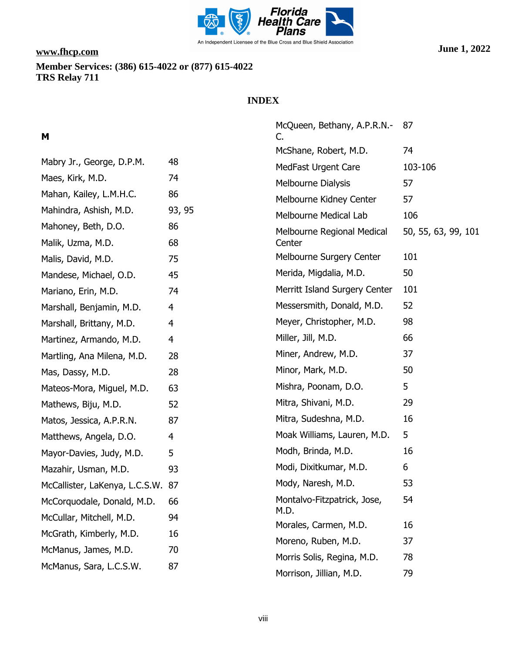

# **INDEX**

# **M**

| Mabry Jr., George, D.P.M.      | 48             |
|--------------------------------|----------------|
| Maes, Kirk, M.D.               | 74             |
| Mahan, Kailey, L.M.H.C.        | 86             |
| Mahindra, Ashish, M.D.         | 93, 95         |
| Mahoney, Beth, D.O.            | 86             |
| Malik, Uzma, M.D.              | 68             |
| Malis, David, M.D.             | 75             |
| Mandese, Michael, O.D.         | 45             |
| Mariano, Erin, M.D.            | 74             |
| Marshall, Benjamin, M.D.       | $\overline{4}$ |
| Marshall, Brittany, M.D.       | $\overline{4}$ |
| Martinez, Armando, M.D.        | 4              |
| Martling, Ana Milena, M.D.     | 28             |
| Mas, Dassy, M.D.               | 28             |
| Mateos-Mora, Miguel, M.D.      | 63             |
| Mathews, Biju, M.D.            | 52             |
| Matos, Jessica, A.P.R.N.       | 87             |
| Matthews, Angela, D.O.         | 4              |
| Mayor-Davies, Judy, M.D.       | 5              |
| Mazahir, Usman, M.D.           | 93             |
| McCallister, LaKenya, L.C.S.W. | 87             |
| McCorquodale, Donald, M.D.     | 66             |
| McCullar, Mitchell, M.D.       | 94             |
| McGrath, Kimberly, M.D.        | 16             |
| McManus, James, M.D.           | 70             |
| McManus, Sara, L.C.S.W.        | 87             |

| McQueen, Bethany, A.P.R.N.-<br>C.    | 87                  |
|--------------------------------------|---------------------|
| McShane, Robert, M.D.                | 74                  |
| <b>MedFast Urgent Care</b>           | 103-106             |
| <b>Melbourne Dialysis</b>            | 57                  |
| Melbourne Kidney Center              | 57                  |
| <b>Melbourne Medical Lab</b>         | 106                 |
| Melbourne Regional Medical<br>Center | 50, 55, 63, 99, 101 |
| <b>Melbourne Surgery Center</b>      | 101                 |
| Merida, Migdalia, M.D.               | 50                  |
| Merritt Island Surgery Center        | 101                 |
| Messersmith, Donald, M.D.            | 52                  |
| Meyer, Christopher, M.D.             | 98                  |
| Miller, Jill, M.D.                   | 66                  |
| Miner, Andrew, M.D.                  | 37                  |
| Minor, Mark, M.D.                    | 50                  |
| Mishra, Poonam, D.O.                 | 5                   |
| Mitra, Shivani, M.D.                 | 29                  |
| Mitra, Sudeshna, M.D.                | 16                  |
| Moak Williams, Lauren, M.D.          | 5                   |
| Modh, Brinda, M.D.                   | 16                  |
| Modi, Dixitkumar, M.D.               | 6                   |
| Mody, Naresh, M.D.                   | 53                  |
| Montalvo-Fitzpatrick, Jose,<br>M.D.  | 54                  |
| Morales, Carmen, M.D.                | 16                  |
| Moreno, Ruben, M.D.                  | 37                  |
| Morris Solis, Regina, M.D.           | 78                  |
| Morrison, Jillian, M.D.              | 79                  |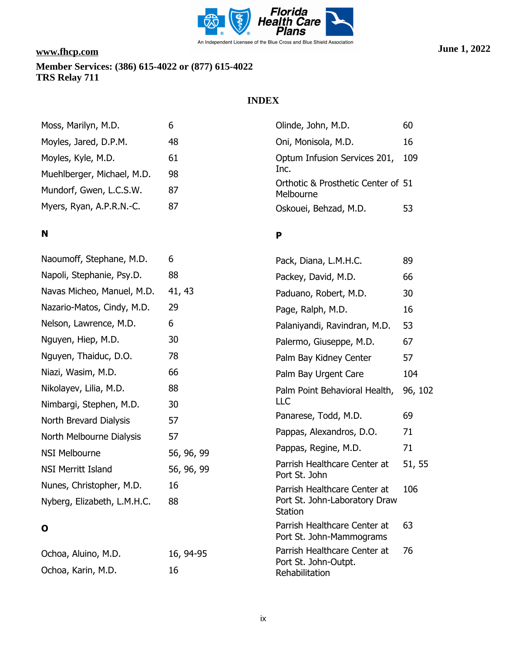

## **INDEX**

| Moss, Marilyn, M.D.                                   | 6        | Olinde, John, M.D.                                      | 60    |
|-------------------------------------------------------|----------|---------------------------------------------------------|-------|
| Moyles, Jared, D.P.M.                                 | 48       | Oni, Monisola, M.D.                                     | 16    |
| Moyles, Kyle, M.D.                                    | 61       | Optum Infusion Services 201,                            | - 109 |
| Muehlberger, Michael, M.D.<br>Mundorf, Gwen, L.C.S.W. | 98<br>87 | Inc.<br>Orthotic & Prosthetic Center of 51<br>Melbourne |       |
| Myers, Ryan, A.P.R.N.-C.                              | 87       | Oskouei, Behzad, M.D.                                   | 53    |

# **N**

| Naoumoff, Stephane, M.D.    | 6          |
|-----------------------------|------------|
| Napoli, Stephanie, Psy.D.   | 88         |
| Navas Micheo, Manuel, M.D.  | 41, 43     |
| Nazario-Matos, Cindy, M.D.  | 29         |
| Nelson, Lawrence, M.D.      | 6          |
| Nguyen, Hiep, M.D.          | 30         |
| Nguyen, Thaiduc, D.O.       | 78         |
| Niazi, Wasim, M.D.          | 66         |
| Nikolayev, Lilia, M.D.      | 88         |
| Nimbargi, Stephen, M.D.     | 30         |
| North Brevard Dialysis      | 57         |
| North Melbourne Dialysis    | 57         |
| <b>NSI Melbourne</b>        | 56, 96, 99 |
| <b>NSI Merritt Island</b>   | 56, 96, 99 |
| Nunes, Christopher, M.D.    | 16         |
| Nyberg, Elizabeth, L.M.H.C. | 88         |
|                             |            |

# **O**

| Ochoa, Aluino, M.D. | 16, 94-95 |
|---------------------|-----------|
| Ochoa, Karin, M.D.  | 16        |

### **P**

| Pack, Diana, L.M.H.C.                                                    | 89      |
|--------------------------------------------------------------------------|---------|
| Packey, David, M.D.                                                      | 66      |
| Paduano, Robert, M.D.                                                    | 30      |
| Page, Ralph, M.D.                                                        | 16      |
| Palaniyandi, Ravindran, M.D.                                             | 53      |
| Palermo, Giuseppe, M.D.                                                  | 67      |
| Palm Bay Kidney Center                                                   | 57      |
| Palm Bay Urgent Care                                                     | 104     |
| Palm Point Behavioral Health,<br>LLC                                     | 96, 102 |
| Panarese, Todd, M.D.                                                     | 69      |
| Pappas, Alexandros, D.O.                                                 | 71      |
| Pappas, Regine, M.D.                                                     | 71      |
| Parrish Healthcare Center at<br>Port St. John                            | 51, 55  |
| Parrish Healthcare Center at<br>Port St. John-Laboratory Draw<br>Station | 106     |
| Parrish Healthcare Center at<br>Port St. John-Mammograms                 | 63      |
| Parrish Healthcare Center at<br>Port St. John-Outpt.<br>Rehabilitation   | 76      |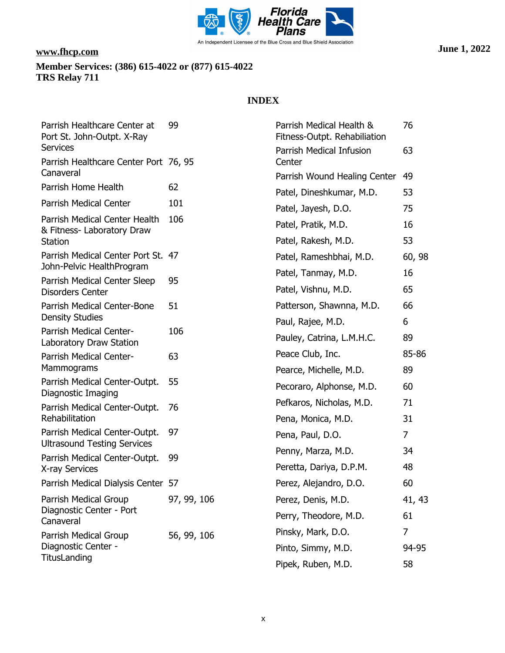

| Parrish Healthcare Center at<br>Port St. John-Outpt. X-Ray                     | 99          | Parrish Medical Health &<br>Fitness-Outpt. Rehabiliation          | 76          |
|--------------------------------------------------------------------------------|-------------|-------------------------------------------------------------------|-------------|
| <b>Services</b>                                                                |             | Parrish Medical Infusion                                          | 63          |
| Parrish Healthcare Center Port 76, 95<br>Canaveral                             |             | Center<br>Parrish Wound Healing Center                            | 49          |
| Parrish Home Health                                                            | 62          | Patel, Dineshkumar, M.D.                                          | 53          |
| Parrish Medical Center                                                         | 101         |                                                                   | 75          |
| Parrish Medical Center Health<br>& Fitness- Laboratory Draw                    | 106         | Patel, Jayesh, D.O.<br>Patel, Pratik, M.D.<br>Patel, Rakesh, M.D. | 16<br>53    |
| <b>Station</b><br>Parrish Medical Center Port St.<br>John-Pelvic HealthProgram | 47          | Patel, Rameshbhai, M.D.                                           | 60, 98      |
| Parrish Medical Center Sleep<br><b>Disorders Center</b>                        | 95          | Patel, Tanmay, M.D.<br>Patel, Vishnu, M.D.                        | 16<br>65    |
| Parrish Medical Center-Bone<br><b>Density Studies</b>                          | 51          | Patterson, Shawnna, M.D.<br>Paul, Rajee, M.D.                     | 66<br>6     |
| Parrish Medical Center-<br>Laboratory Draw Station                             | 106         | Pauley, Catrina, L.M.H.C.                                         | 89          |
| Parrish Medical Center-<br>Mammograms                                          | 63          | Peace Club, Inc.<br>Pearce, Michelle, M.D.                        | 85-86<br>89 |
| Parrish Medical Center-Outpt.<br>Diagnostic Imaging                            | 55          | Pecoraro, Alphonse, M.D.                                          | 60          |
| Parrish Medical Center-Outpt.<br>Rehabilitation                                | 76          | Pefkaros, Nicholas, M.D.<br>Pena, Monica, M.D.                    | 71<br>31    |
| Parrish Medical Center-Outpt.<br><b>Ultrasound Testing Services</b>            | 97          | Pena, Paul, D.O.                                                  | 7           |
| Parrish Medical Center-Outpt.<br>X-ray Services                                | 99          | Penny, Marza, M.D.<br>Peretta, Dariya, D.P.M.                     | 34<br>48    |
| Parrish Medical Dialysis Center 57                                             |             | Perez, Alejandro, D.O.                                            | 60          |
| Parrish Medical Group                                                          | 97, 99, 106 | Perez, Denis, M.D.                                                | 41, 43      |
| Diagnostic Center - Port<br>Canaveral                                          |             | Perry, Theodore, M.D.                                             | 61          |
| Parrish Medical Group                                                          | 56, 99, 106 | Pinsky, Mark, D.O.                                                | 7           |
| Diagnostic Center -                                                            |             | Pinto, Simmy, M.D.                                                | 94-95       |
| TitusLanding                                                                   |             | Pipek, Ruben, M.D.                                                | 58          |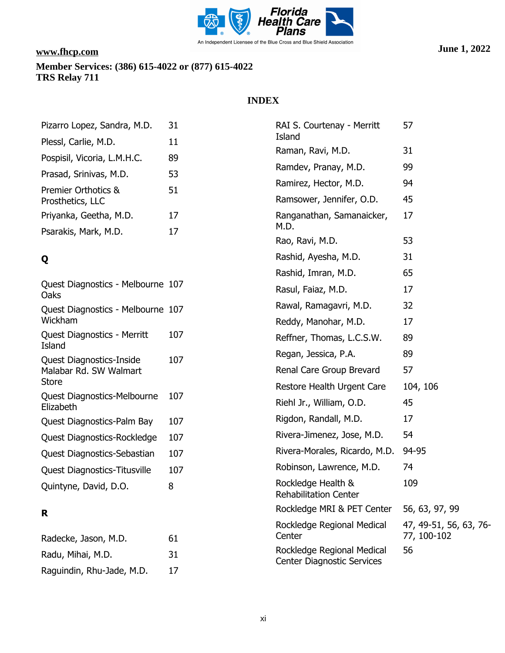

## **INDEX**

| Pizarro Lopez, Sandra, M.D.             | 31 |
|-----------------------------------------|----|
| Plessl, Carlie, M.D.                    | 11 |
| Pospisil, Vicoria, L.M.H.C.             | 89 |
| Prasad, Srinivas, M.D.                  | 53 |
| Premier Orthotics &<br>Prosthetics, LLC | 51 |
| Priyanka, Geetha, M.D.                  | 17 |
| Psarakis, Mark, M.D.                    | 17 |

# **Q**

| Quest Diagnostics - Melbourne 107<br>Oaks                          |     |
|--------------------------------------------------------------------|-----|
| Quest Diagnostics - Melbourne 107<br>Wickham                       |     |
| Quest Diagnostics - Merritt<br>Island                              | 107 |
| <b>Quest Diagnostics-Inside</b><br>Malabar Rd. SW Walmart<br>Store | 107 |
| Quest Diagnostics-Melbourne<br>Flizabeth                           | 107 |
| Quest Diagnostics-Palm Bay                                         | 107 |
| Quest Diagnostics-Rockledge                                        | 107 |
| Quest Diagnostics-Sebastian                                        | 107 |
| <b>Quest Diagnostics-Titusville</b>                                | 107 |
| Quintyne, David, D.O.                                              | 8   |
|                                                                    |     |

# **R**

| Radecke, Jason, M.D.      | 61 |
|---------------------------|----|
| Radu, Mihai, M.D.         | 31 |
| Raguindin, Rhu-Jade, M.D. | 17 |

| RAI S. Courtenay - Merritt<br>Island                            | 57                                    |
|-----------------------------------------------------------------|---------------------------------------|
| Raman, Ravi, M.D.                                               | 31                                    |
| Ramdev, Pranay, M.D.                                            | 99                                    |
| Ramirez, Hector, M.D.                                           | 94                                    |
| Ramsower, Jennifer, O.D.                                        | 45                                    |
| Ranganathan, Samanaicker,<br>M.D.                               | 17                                    |
| Rao, Ravi, M.D.                                                 | 53                                    |
| Rashid, Ayesha, M.D.                                            | 31                                    |
| Rashid, Imran, M.D.                                             | 65                                    |
| Rasul, Faiaz, M.D.                                              | 17                                    |
| Rawal, Ramagavri, M.D.                                          | 32                                    |
| Reddy, Manohar, M.D.                                            | 17                                    |
| Reffner, Thomas, L.C.S.W.                                       | 89                                    |
| Regan, Jessica, P.A.                                            | 89                                    |
| Renal Care Group Brevard                                        | 57                                    |
| Restore Health Urgent Care                                      | 104, 106                              |
| Riehl Jr., William, O.D.                                        | 45                                    |
| Rigdon, Randall, M.D.                                           | 17                                    |
| Rivera-Jimenez, Jose, M.D.                                      | 54                                    |
| Rivera-Morales, Ricardo, M.D.                                   | 94-95                                 |
| Robinson, Lawrence, M.D.                                        | 74                                    |
| Rockledge Health &<br><b>Rehabilitation Center</b>              | 109                                   |
| Rockledge MRI & PET Center                                      | 56, 63, 97, 99                        |
| Rockledge Regional Medical<br>Center                            | 47, 49-51, 56, 63, 76-<br>77, 100-102 |
| Rockledge Regional Medical<br><b>Center Diagnostic Services</b> | 56                                    |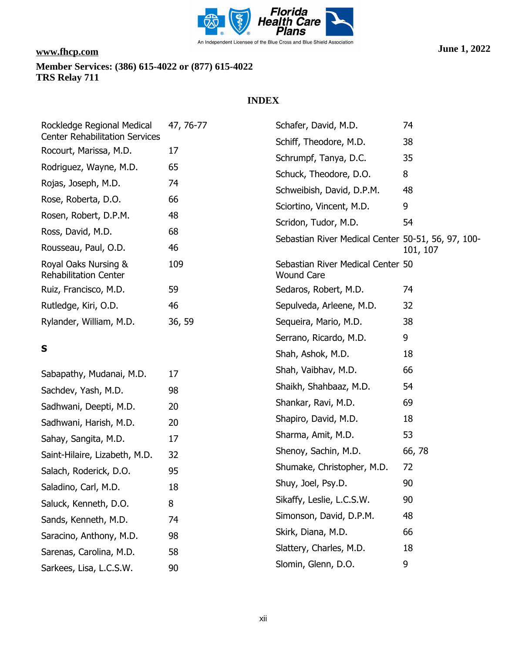

| Rockledge Regional Medical<br><b>Center Rehabilitation Services</b> | 47, 76-77 | Schafer, David, M.D.                                   | 74       |
|---------------------------------------------------------------------|-----------|--------------------------------------------------------|----------|
| Rocourt, Marissa, M.D.                                              | 17        | Schiff, Theodore, M.D.                                 | 38       |
| Rodriguez, Wayne, M.D.                                              | 65        | Schrumpf, Tanya, D.C.                                  | 35       |
|                                                                     |           | Schuck, Theodore, D.O.                                 | 8        |
| Rojas, Joseph, M.D.                                                 | 74        | Schweibish, David, D.P.M.                              | 48       |
| Rose, Roberta, D.O.                                                 | 66        | Sciortino, Vincent, M.D.                               | 9        |
| Rosen, Robert, D.P.M.                                               | 48        | Scridon, Tudor, M.D.                                   | 54       |
| Ross, David, M.D.                                                   | 68        | Sebastian River Medical Center 50-51, 56, 97, 100-     |          |
| Rousseau, Paul, O.D.                                                | 46        |                                                        | 101, 107 |
| Royal Oaks Nursing &<br><b>Rehabilitation Center</b>                | 109       | Sebastian River Medical Center 50<br><b>Wound Care</b> |          |
| Ruiz, Francisco, M.D.                                               | 59        | Sedaros, Robert, M.D.                                  | 74       |
| Rutledge, Kiri, O.D.                                                | 46        | Sepulveda, Arleene, M.D.                               | 32       |
| Rylander, William, M.D.                                             | 36, 59    | Sequeira, Mario, M.D.                                  | 38       |
|                                                                     |           | Serrano, Ricardo, M.D.                                 | 9        |
| S                                                                   |           | Shah, Ashok, M.D.                                      | 18       |
| Sabapathy, Mudanai, M.D.                                            | 17        | Shah, Vaibhav, M.D.                                    | 66       |
| Sachdev, Yash, M.D.                                                 | 98        | Shaikh, Shahbaaz, M.D.                                 | 54       |
| Sadhwani, Deepti, M.D.                                              | 20        | Shankar, Ravi, M.D.                                    | 69       |
| Sadhwani, Harish, M.D.                                              | 20        | Shapiro, David, M.D.                                   | 18       |
| Sahay, Sangita, M.D.                                                | 17        | Sharma, Amit, M.D.                                     | 53       |
| Saint-Hilaire, Lizabeth, M.D.                                       | 32        | Shenoy, Sachin, M.D.                                   | 66, 78   |
| Salach, Roderick, D.O.                                              | 95        | Shumake, Christopher, M.D.                             | 72       |
| Saladino, Carl, M.D.                                                | 18        | Shuy, Joel, Psy.D.                                     | 90       |
| Saluck, Kenneth, D.O.                                               | 8         | Sikaffy, Leslie, L.C.S.W.                              | 90       |
| Sands, Kenneth, M.D.                                                | 74        | Simonson, David, D.P.M.                                | 48       |
| Saracino, Anthony, M.D.                                             | 98        | Skirk, Diana, M.D.                                     | 66       |
| Sarenas, Carolina, M.D.                                             | 58        | Slattery, Charles, M.D.                                | 18       |
| Sarkees, Lisa, L.C.S.W.                                             | 90        | Slomin, Glenn, D.O.                                    | 9        |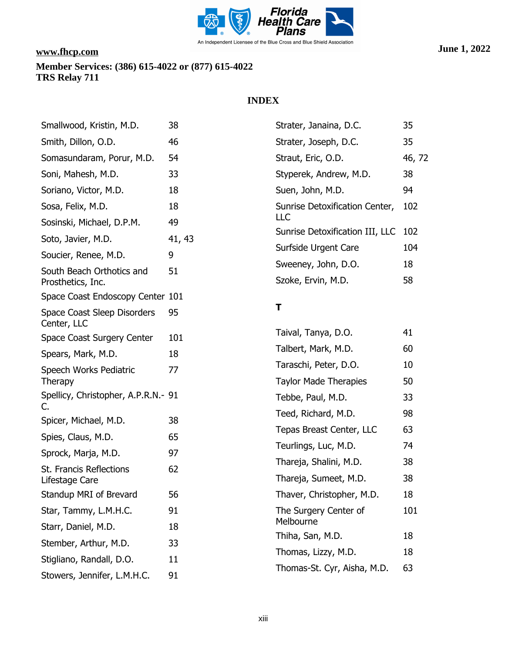

| Smallwood, Kristin, M.D.                       | 38                                                | Strater, Janaina, D.C.                             | 35       |
|------------------------------------------------|---------------------------------------------------|----------------------------------------------------|----------|
| Smith, Dillon, O.D.                            | 46                                                | Strater, Joseph, D.C.                              | 35       |
| Somasundaram, Porur, M.D.                      | 54                                                | Straut, Eric, O.D.                                 | 46, 72   |
| Soni, Mahesh, M.D.                             | 33                                                | Styperek, Andrew, M.D.                             | 38       |
| Soriano, Victor, M.D.                          | 18                                                | Suen, John, M.D.                                   | 94       |
| Sosa, Felix, M.D.                              | 18<br>Sunrise Detoxification Center,<br>LLC<br>49 |                                                    | 102      |
| Sosinski, Michael, D.P.M.                      |                                                   |                                                    | 102      |
| Soto, Javier, M.D.                             | 41, 43                                            | Sunrise Detoxification III, LLC                    |          |
| Soucier, Renee, M.D.                           | 9                                                 | Surfside Urgent Care                               | 104      |
| South Beach Orthotics and<br>Prosthetics, Inc. | 51                                                | Sweeney, John, D.O.<br>Szoke, Ervin, M.D.          | 18<br>58 |
| Space Coast Endoscopy Center 101               |                                                   |                                                    |          |
| Space Coast Sleep Disorders<br>Center, LLC     | 95                                                | Τ                                                  |          |
| Space Coast Surgery Center                     | 101                                               | Taival, Tanya, D.O.                                | 41       |
| Spears, Mark, M.D.                             | 18                                                | Talbert, Mark, M.D.                                |          |
| Speech Works Pediatric                         | 77                                                | Taraschi, Peter, D.O.                              | 10       |
| <b>Therapy</b>                                 |                                                   | <b>Taylor Made Therapies</b>                       | 50       |
| Spellicy, Christopher, A.P.R.N.- 91<br>C.      |                                                   | Tebbe, Paul, M.D.                                  | 33       |
| Spicer, Michael, M.D.                          | 38                                                | Teed, Richard, M.D.                                | 98       |
| Spies, Claus, M.D.                             | 65                                                | Tepas Breast Center, LLC                           | 63       |
| Sprock, Marja, M.D.                            | 97                                                | Teurlings, Luc, M.D.                               | 74       |
| St. Francis Reflections                        | 62                                                | Thareja, Shalini, M.D.                             | 38       |
| Lifestage Care                                 |                                                   | Thareja, Sumeet, M.D.                              | 38       |
| Standup MRI of Brevard                         | 56                                                | Thaver, Christopher, M.D.                          | 18       |
| Star, Tammy, L.M.H.C.                          | 91                                                | The Surgery Center of                              |          |
| Starr, Daniel, M.D.                            | 18                                                | Melbourne                                          |          |
| Stember, Arthur, M.D.                          | 33                                                | Thiha, San, M.D.                                   | 18<br>18 |
| Stigliano, Randall, D.O.                       | 11                                                | Thomas, Lizzy, M.D.<br>Thomas-St. Cyr, Aisha, M.D. |          |
| Stowers, Jennifer, L.M.H.C.                    | 91                                                |                                                    | 63       |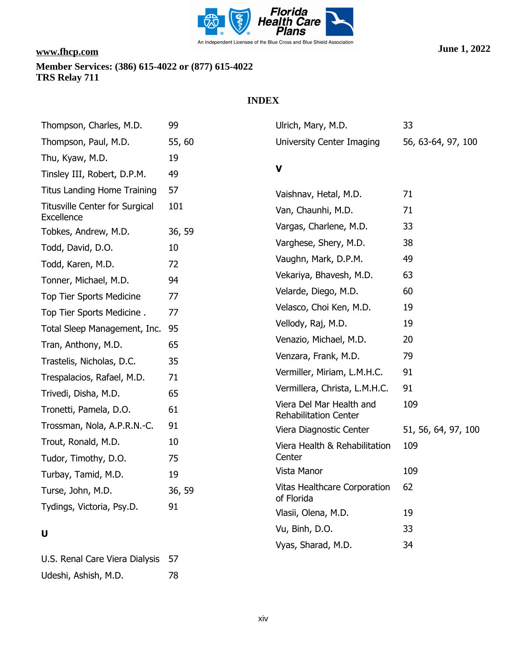

U.S. Renal Care Viera Dialysis 57

Udeshi, Ashish, M.D. 78

### **INDEX**

| Thompson, Charles, M.D.                             | 99     | Ulrich, Mary, M.D.                                       | 33                  |
|-----------------------------------------------------|--------|----------------------------------------------------------|---------------------|
| Thompson, Paul, M.D.                                | 55,60  | University Center Imaging                                | 56, 63-64, 97, 100  |
| Thu, Kyaw, M.D.                                     | 19     |                                                          |                     |
| Tinsley III, Robert, D.P.M.                         | 49     | $\mathbf v$                                              |                     |
| <b>Titus Landing Home Training</b>                  | 57     | Vaishnav, Hetal, M.D.                                    | 71                  |
| <b>Titusville Center for Surgical</b><br>Excellence | 101    | Van, Chaunhi, M.D.                                       | 71                  |
| Tobkes, Andrew, M.D.                                | 36, 59 | Vargas, Charlene, M.D.                                   | 33                  |
| Todd, David, D.O.                                   | 10     | Varghese, Shery, M.D.                                    | 38                  |
| Todd, Karen, M.D.                                   | 72     | Vaughn, Mark, D.P.M.                                     | 49                  |
| Tonner, Michael, M.D.                               | 94     | Vekariya, Bhavesh, M.D.                                  | 63                  |
| Top Tier Sports Medicine                            | 77     | Velarde, Diego, M.D.                                     | 60                  |
| Top Tier Sports Medicine.                           | 77     | Velasco, Choi Ken, M.D.                                  | 19                  |
| Total Sleep Management, Inc.                        | 95     | Vellody, Raj, M.D.                                       | 19                  |
| Tran, Anthony, M.D.                                 | 65     | Venazio, Michael, M.D.                                   | 20                  |
| Trastelis, Nicholas, D.C.                           | 35     | Venzara, Frank, M.D.                                     | 79                  |
| Trespalacios, Rafael, M.D.                          | 71     | Vermiller, Miriam, L.M.H.C.                              | 91                  |
| Trivedi, Disha, M.D.                                | 65     | Vermillera, Christa, L.M.H.C.                            | 91                  |
| Tronetti, Pamela, D.O.                              | 61     | Viera Del Mar Health and<br><b>Rehabilitation Center</b> | 109                 |
| Trossman, Nola, A.P.R.N.-C.                         | 91     | Viera Diagnostic Center                                  | 51, 56, 64, 97, 100 |
| Trout, Ronald, M.D.                                 | 10     | Viera Health & Rehabilitation                            | 109                 |
| Tudor, Timothy, D.O.                                | 75     | Center                                                   |                     |
| Turbay, Tamid, M.D.                                 | 19     | Vista Manor                                              | 109                 |
| Turse, John, M.D.                                   | 36, 59 | Vitas Healthcare Corporation<br>of Florida               | 62                  |
| Tydings, Victoria, Psy.D.                           | 91     | Vlasii, Olena, M.D.                                      | 19                  |
| U                                                   |        | Vu, Binh, D.O.                                           | 33                  |
|                                                     |        |                                                          |                     |

Vyas, Sharad, M.D. 34